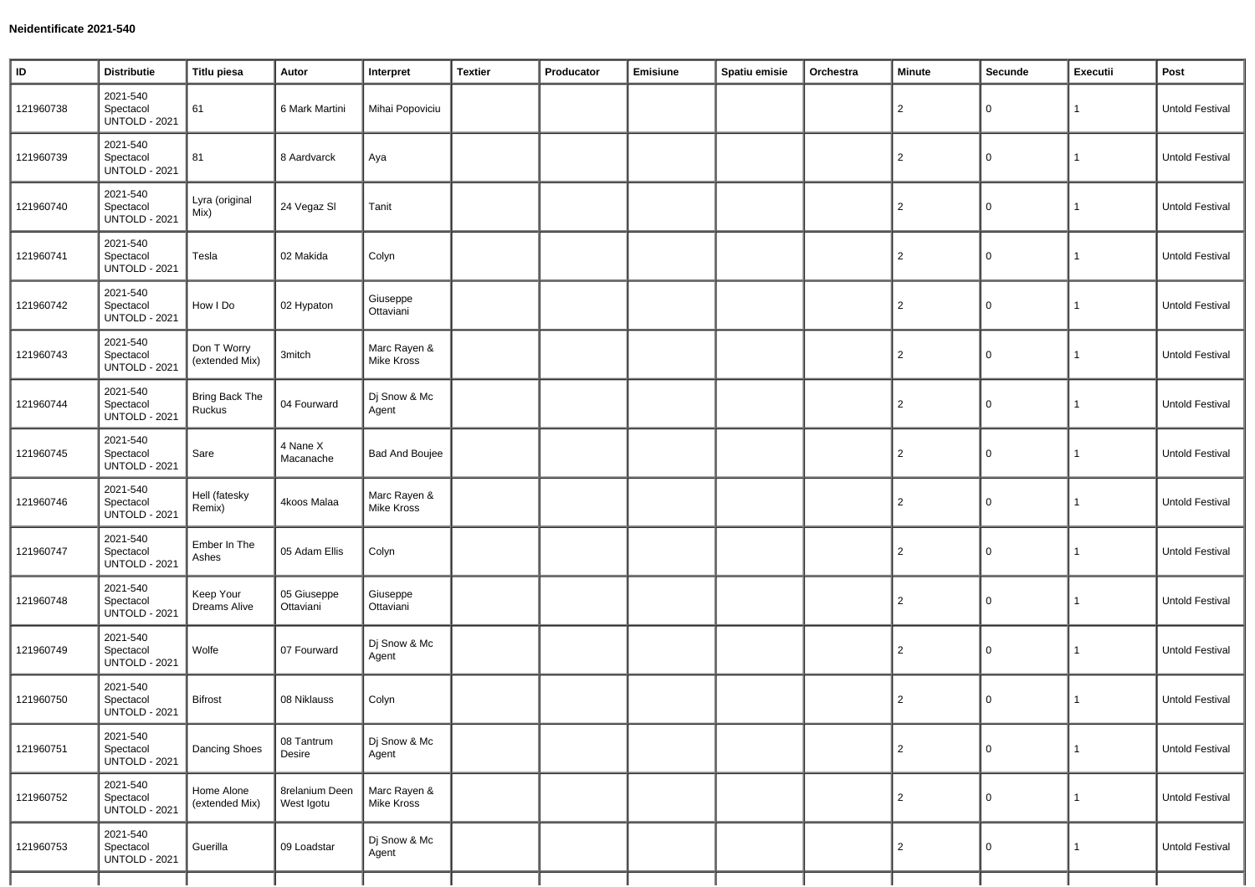| $\sf ID$  | <b>Distributie</b>                            | <b>Titlu piesa</b>               | Autor                               | Interpret                  | <b>Textier</b> | Producator | Emisiune | Spatiu emisie | Orchestra | Minute         | Secunde             | Executii     | Post            |
|-----------|-----------------------------------------------|----------------------------------|-------------------------------------|----------------------------|----------------|------------|----------|---------------|-----------|----------------|---------------------|--------------|-----------------|
| 121960738 | 2021-540<br>Spectacol<br><b>UNTOLD - 2021</b> | 61                               | 6 Mark Martini                      | Mihai Popoviciu            |                |            |          |               |           | $\overline{2}$ | 0                   | $\mathbf{1}$ | Untold Festival |
| 121960739 | 2021-540<br>Spectacol<br><b>UNTOLD - 2021</b> | 81                               | 8 Aardvarck                         | Aya                        |                |            |          |               |           | $\overline{2}$ | $\mathbf 0$         | $\mathbf{1}$ | Untold Festival |
| 121960740 | 2021-540<br>Spectacol<br><b>UNTOLD - 2021</b> | Lyra (original<br>Mix)           | 24 Vegaz SI                         | Tanit                      |                |            |          |               |           | 2              | $\mathbf 0$         | $\mathbf{1}$ | Untold Festival |
| 121960741 | 2021-540<br>Spectacol<br><b>UNTOLD - 2021</b> | Tesla                            | 02 Makida                           | Colyn                      |                |            |          |               |           | $\overline{2}$ | 0                   | $\mathbf{1}$ | Untold Festival |
| 121960742 | 2021-540<br>Spectacol<br><b>UNTOLD - 2021</b> | How I Do                         | 02 Hypaton                          | Giuseppe<br>Ottaviani      |                |            |          |               |           | $\overline{2}$ | 0                   | $\mathbf{1}$ | Untold Festival |
| 121960743 | 2021-540<br>Spectacol<br><b>UNTOLD - 2021</b> | Don T Worry<br>(extended Mix)    | 3mitch                              | Marc Rayen &<br>Mike Kross |                |            |          |               |           | $\overline{2}$ | $\mathsf 0$         | $\mathbf{1}$ | Untold Festival |
| 121960744 | 2021-540<br>Spectacol<br><b>UNTOLD - 2021</b> | <b>Bring Back The</b><br>Ruckus  | 04 Fourward                         | Dj Snow & Mc<br>Agent      |                |            |          |               |           | 2              | $\mathbf 0$         | $\mathbf{1}$ | Untold Festival |
| 121960745 | 2021-540<br>Spectacol<br><b>UNTOLD - 2021</b> | Sare                             | 4 Nane X<br>Macanache               | <b>Bad And Boujee</b>      |                |            |          |               |           | $\overline{2}$ | $\mathbf 0$         | $\mathbf{1}$ | Untold Festival |
| 121960746 | 2021-540<br>Spectacol<br><b>UNTOLD - 2021</b> | Hell (fatesky<br>Remix)          | 4koos Malaa                         | Marc Rayen &<br>Mike Kross |                |            |          |               |           | $\overline{2}$ | 0                   | $\mathbf{1}$ | Untold Festival |
| 121960747 | 2021-540<br>Spectacol<br><b>UNTOLD - 2021</b> | Ember In The<br>Ashes            | 05 Adam Ellis                       | Colyn                      |                |            |          |               |           | $\overline{2}$ | 0                   | 1            | Untold Festival |
| 121960748 | 2021-540<br>Spectacol<br><b>UNTOLD - 2021</b> | Keep Your<br><b>Dreams Alive</b> | 05 Giuseppe<br>Ottaviani            | Giuseppe<br>Ottaviani      |                |            |          |               |           | 2              | 0                   | $\mathbf{1}$ | Untold Festival |
| 121960749 | 2021-540<br>Spectacol<br><b>UNTOLD - 2021</b> | Wolfe                            | 07 Fourward                         | Dj Snow & Mc<br>Agent      |                |            |          |               |           | $\overline{2}$ | $\mathsf 0$         | $\mathbf{1}$ | Untold Festival |
| 121960750 | 2021-540<br>Spectacol<br><b>UNTOLD - 2021</b> | <b>Bifrost</b>                   | 08 Niklauss                         | Colyn                      |                |            |          |               |           | 2              | 0                   | $\mathbf{1}$ | Untold Festival |
| 121960751 | 2021-540<br>Spectacol<br><b>UNTOLD - 2021</b> | Dancing Shoes                    | 08 Tantrum<br>Desire                | Dj Snow & Mc<br>Agent      |                |            |          |               |           | $\overline{2}$ | $\mathsf{O}\xspace$ | $\mathbf{1}$ | Untold Festival |
| 121960752 | 2021-540<br>Spectacol<br><b>UNTOLD - 2021</b> | Home Alone<br>(extended Mix)     | <b>8relanium Deen</b><br>West Igotu | Marc Rayen &<br>Mike Kross |                |            |          |               |           | $\overline{2}$ | $\mathsf 0$         | $\mathbf{1}$ | Untold Festival |
| 121960753 | 2021-540<br>Spectacol<br><b>UNTOLD - 2021</b> | Guerilla                         | 09 Loadstar                         | Dj Snow & Mc<br>Agent      |                |            |          |               |           | $\overline{2}$ | $\mathsf 0$         | $\mathbf{1}$ | Untold Festival |
|           |                                               |                                  |                                     |                            |                |            |          |               |           |                |                     |              |                 |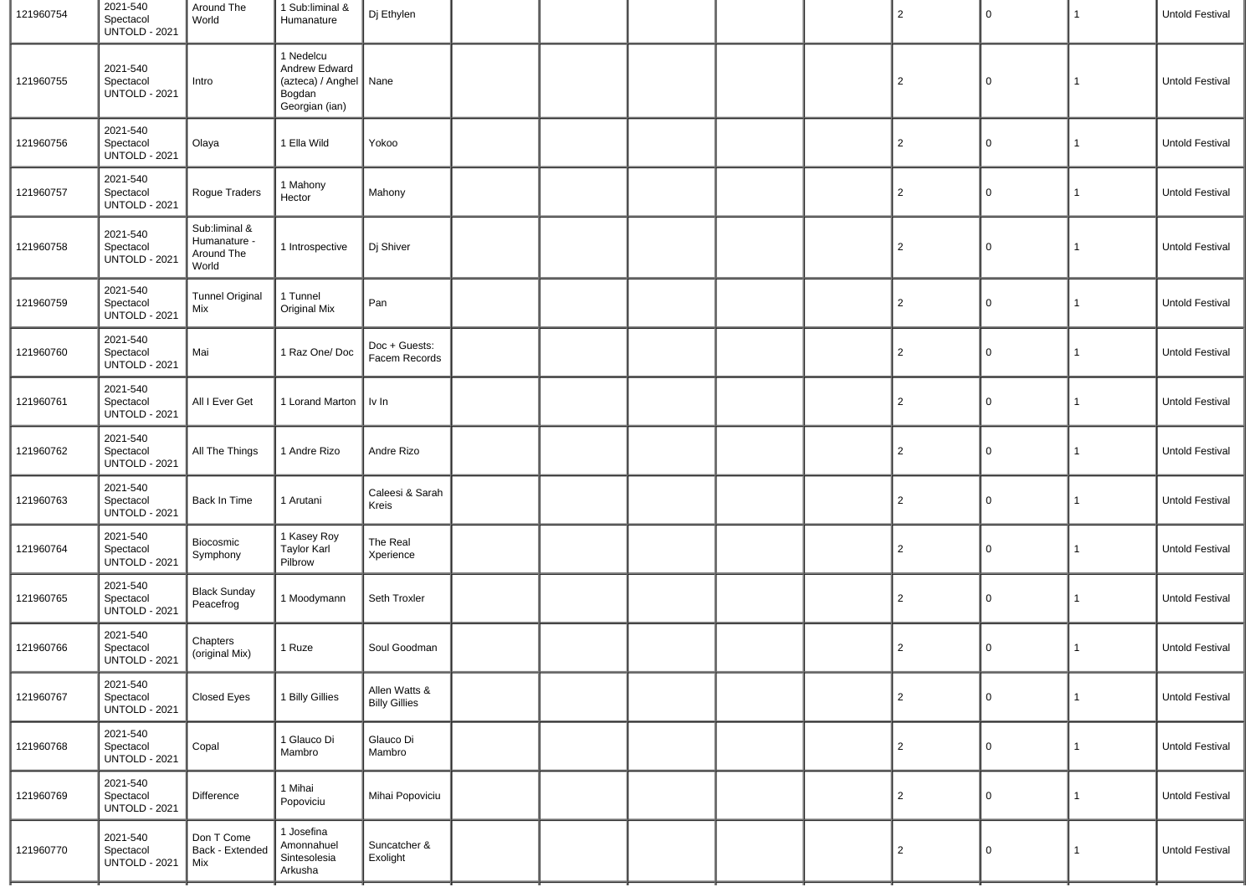| 121960754 | 2021-540<br>Spectacol<br><b>UNTOLD - 2021</b> | Around The<br>World                                  | 1 Sub:liminal &<br>Humanature                                                      | Dj Ethylen                            |  |  | $\overline{2}$ | 0           | 1            | <b>Untold Festival</b> |
|-----------|-----------------------------------------------|------------------------------------------------------|------------------------------------------------------------------------------------|---------------------------------------|--|--|----------------|-------------|--------------|------------------------|
| 121960755 | 2021-540<br>Spectacol<br><b>UNTOLD - 2021</b> | Intro                                                | 1 Nedelcu<br>Andrew Edward<br>(azteca) / Anghel   Nane<br>Bogdan<br>Georgian (ian) |                                       |  |  | $\overline{c}$ | $\Omega$    | $\mathbf{1}$ | Untold Festival        |
| 121960756 | 2021-540<br>Spectacol<br><b>UNTOLD - 2021</b> | Olaya                                                | 1 Ella Wild                                                                        | Yokoo                                 |  |  | $\overline{c}$ | 0           | $\mathbf{1}$ | Untold Festival        |
| 121960757 | 2021-540<br>Spectacol<br><b>UNTOLD - 2021</b> | Rogue Traders                                        | 1 Mahony<br>Hector                                                                 | Mahony                                |  |  | $\overline{c}$ | 0           | 1            | Untold Festival        |
| 121960758 | 2021-540<br>Spectacol<br><b>UNTOLD - 2021</b> | Sub:liminal &<br>Humanature -<br>Around The<br>World | 1 Introspective                                                                    | Dj Shiver                             |  |  | $\overline{2}$ | $\Omega$    | $\mathbf{1}$ | <b>Untold Festival</b> |
| 121960759 | 2021-540<br>Spectacol<br><b>UNTOLD - 2021</b> | <b>Tunnel Original</b><br>Mix                        | 1 Tunnel<br>Original Mix                                                           | Pan                                   |  |  | $\overline{c}$ | $\mathbf 0$ | $\mathbf{1}$ | Untold Festival        |
| 121960760 | 2021-540<br>Spectacol<br><b>UNTOLD - 2021</b> | Mai                                                  | 1 Raz One/Doc                                                                      | Doc + Guests:<br>Facem Records        |  |  | $\overline{2}$ | 0           | 1            | Untold Festival        |
| 121960761 | 2021-540<br>Spectacol<br><b>UNTOLD - 2021</b> | All I Ever Get                                       | 1 Lorand Marton   Iv In                                                            |                                       |  |  | $\overline{2}$ | 0           | $\mathbf{1}$ | Untold Festival        |
| 121960762 | 2021-540<br>Spectacol<br><b>UNTOLD - 2021</b> | All The Things                                       | 1 Andre Rizo                                                                       | Andre Rizo                            |  |  | $\overline{c}$ | 0           | 1            | Untold Festival        |
| 121960763 | 2021-540<br>Spectacol<br><b>UNTOLD - 2021</b> | Back In Time                                         | 1 Arutani                                                                          | Caleesi & Sarah<br>Kreis              |  |  | $\overline{c}$ | 0           | $\mathbf{1}$ | Untold Festival        |
| 121960764 | 2021-540<br>Spectacol<br>UNTOLD - 2021        | Biocosmic<br>Symphony                                | 1 Kasey Roy<br><b>Taylor Karl</b><br>Pilbrow                                       | The Real<br>Xperience                 |  |  | $\overline{2}$ | 0           | 1            | Untold Festival        |
| 121960765 | 2021-540<br>Spectacol<br><b>UNTOLD - 2021</b> | <b>Black Sunday</b><br>Peacefrog                     | 1 Moodymann                                                                        | Seth Troxler                          |  |  | $\overline{a}$ | $\Omega$    | $\mathbf{1}$ | Untold Festival        |
| 121960766 | 2021-540<br>Spectacol<br><b>UNTOLD - 2021</b> | Chapters<br>(original Mix)                           | 1 Ruze                                                                             | Soul Goodman                          |  |  | $\overline{c}$ | $\Omega$    | 1            | Untold Festival        |
| 121960767 | 2021-540<br>Spectacol<br><b>UNTOLD - 2021</b> | Closed Eyes                                          | 1 Billy Gillies                                                                    | Allen Watts &<br><b>Billy Gillies</b> |  |  | $\overline{c}$ | $\Omega$    | $\mathbf{1}$ | Untold Festival        |
| 121960768 | 2021-540<br>Spectacol<br><b>UNTOLD - 2021</b> | Copal                                                | 1 Glauco Di<br>Mambro                                                              | Glauco Di<br>Mambro                   |  |  | $\overline{2}$ | $\mathbf 0$ | $\mathbf{1}$ | Untold Festival        |
| 121960769 | 2021-540<br>Spectacol<br><b>UNTOLD - 2021</b> | Difference                                           | 1 Mihai<br>Popoviciu                                                               | Mihai Popoviciu                       |  |  | $\overline{2}$ | $\mathbf 0$ | $\mathbf{1}$ | Untold Festival        |
| 121960770 | 2021-540<br>Spectacol<br><b>UNTOLD - 2021</b> | Don T Come<br>Back - Extended<br>Mix                 | 1 Josefina<br>Amonnahuel<br>Sintesolesia<br>Arkusha                                | Suncatcher &<br>Exolight              |  |  | $\overline{c}$ | $\Omega$    | $\mathbf{1}$ | Untold Festival        |
|           |                                               |                                                      |                                                                                    |                                       |  |  |                |             |              |                        |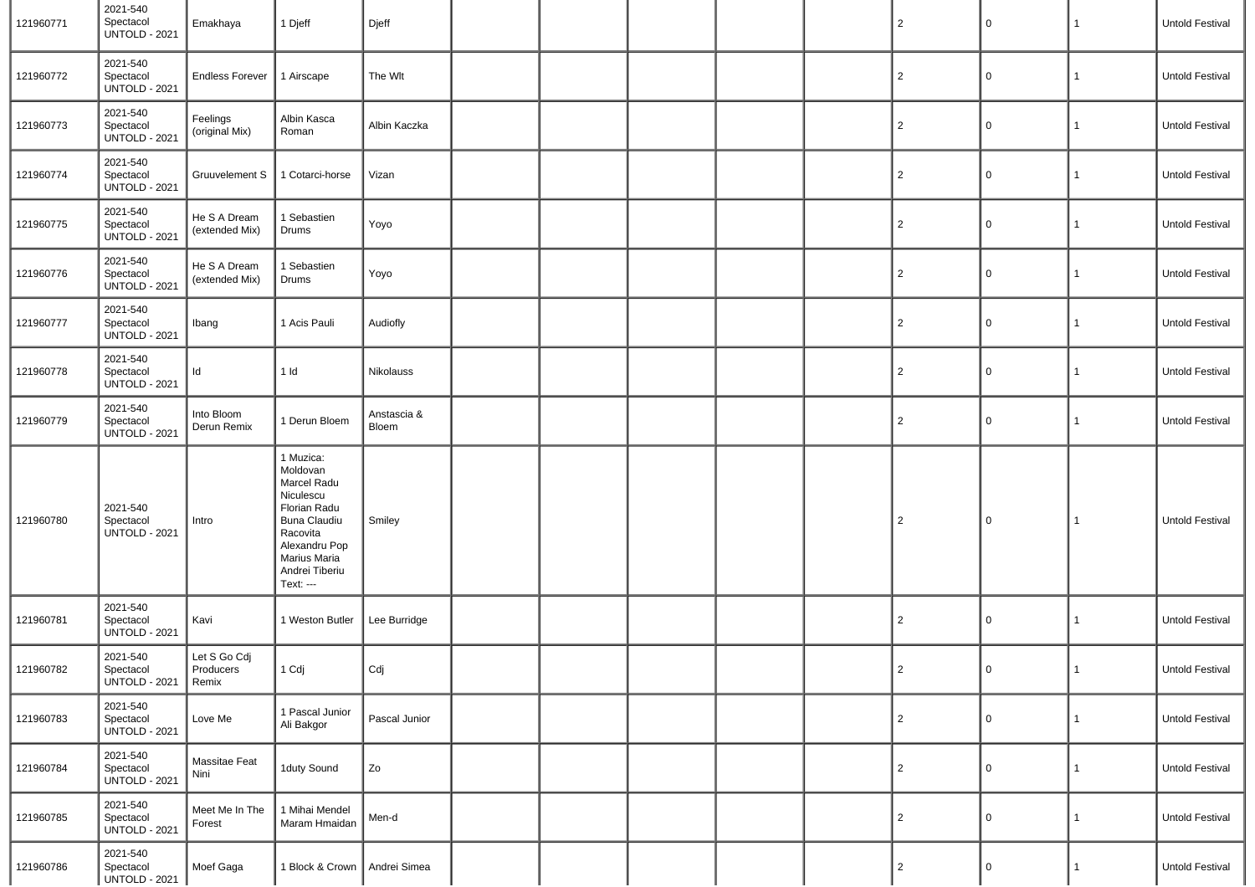| 121960771 | 2021-540<br>Spectacol<br><b>UNTOLD - 2021</b> | Emakhaya                           | 1 Djeff                                                                                                                                                              | Djeff                |  |  | $\overline{2}$ | $\mathsf 0$    | $\mathbf{1}$ | Untold Festival        |
|-----------|-----------------------------------------------|------------------------------------|----------------------------------------------------------------------------------------------------------------------------------------------------------------------|----------------------|--|--|----------------|----------------|--------------|------------------------|
| 121960772 | 2021-540<br>Spectacol<br><b>UNTOLD - 2021</b> | <b>Endless Forever</b>             | 1 Airscape                                                                                                                                                           | The Wlt              |  |  | $\overline{2}$ | 0              | $\mathbf{1}$ | Untold Festival        |
| 121960773 | 2021-540<br>Spectacol<br><b>UNTOLD - 2021</b> | Feelings<br>(original Mix)         | Albin Kasca<br>Roman                                                                                                                                                 | Albin Kaczka         |  |  | $\overline{2}$ | 0              | 1            | Untold Festival        |
| 121960774 | 2021-540<br>Spectacol<br><b>UNTOLD - 2021</b> | Gruuvelement S                     | 1 Cotarci-horse                                                                                                                                                      | Vizan                |  |  | $\overline{2}$ | 0              | 1            | Untold Festival        |
| 121960775 | 2021-540<br>Spectacol<br><b>UNTOLD - 2021</b> | He S A Dream<br>(extended Mix)     | 1 Sebastien<br>Drums                                                                                                                                                 | Yoyo                 |  |  | $\overline{2}$ | 0              | 1            | Untold Festival        |
| 121960776 | 2021-540<br>Spectacol<br><b>UNTOLD - 2021</b> | He S A Dream<br>(extended Mix)     | 1 Sebastien<br>Drums                                                                                                                                                 | Yoyo                 |  |  | $\overline{2}$ | 0              | 1            | Untold Festival        |
| 121960777 | 2021-540<br>Spectacol<br><b>UNTOLD - 2021</b> | Ibang                              | 1 Acis Pauli                                                                                                                                                         | Audiofly             |  |  | $\overline{2}$ | 0              | $\mathbf{1}$ | Untold Festival        |
| 121960778 | 2021-540<br>Spectacol<br><b>UNTOLD - 2021</b> | Id                                 | $1$ Id                                                                                                                                                               | Nikolauss            |  |  | $\overline{2}$ | 0              | $\mathbf{1}$ | Untold Festival        |
| 121960779 | 2021-540<br>Spectacol<br><b>UNTOLD - 2021</b> | Into Bloom<br>Derun Remix          | 1 Derun Bloem                                                                                                                                                        | Anstascia &<br>Bloem |  |  | $\overline{2}$ | 0              | 1            | Untold Festival        |
| 121960780 | 2021-540<br>Spectacol<br><b>UNTOLD - 2021</b> | Intro                              | 1 Muzica:<br>Moldovan<br>Marcel Radu<br>Niculescu<br>Florian Radu<br><b>Buna Claudiu</b><br>Racovita<br>Alexandru Pop<br>Marius Maria<br>Andrei Tiberiu<br>Text: --- | Smiley               |  |  | $\overline{2}$ | 0              | 1            | <b>Untold Festival</b> |
| 121960781 | 2021-540<br>Spectacol<br><b>UNTOLD - 2021</b> | Kavi                               | 1 Weston Butler                                                                                                                                                      | Lee Burridge         |  |  | $\overline{2}$ | 0              | $\mathbf{1}$ | Untold Festival        |
| 121960782 | 2021-540<br>Spectacol<br><b>UNTOLD - 2021</b> | Let S Go Cdj<br>Producers<br>Remix | $1$ Cdj                                                                                                                                                              | Cdj                  |  |  | $\overline{2}$ | 0              | $\mathbf{1}$ | Untold Festival        |
| 121960783 | 2021-540<br>Spectacol<br><b>UNTOLD - 2021</b> | Love Me                            | 1 Pascal Junior<br>Ali Bakgor                                                                                                                                        | Pascal Junior        |  |  | $\overline{2}$ | $\mathbf 0$    | 1            | Untold Festival        |
| 121960784 | 2021-540<br>Spectacol<br>UNTOLD - 2021        | Massitae Feat<br>Nini              | 1duty Sound                                                                                                                                                          | Zo                   |  |  | 2              | $\overline{0}$ | 1            | Untold Festival        |
| 121960785 | 2021-540<br>Spectacol<br><b>UNTOLD - 2021</b> | Meet Me In The<br>Forest           | 1 Mihai Mendel<br>Maram Hmaidan                                                                                                                                      | Men-d                |  |  | $\overline{2}$ | $\mathbf 0$    | 1            | Untold Festival        |
| 121960786 | 2021-540<br>Spectacol<br><b>UNTOLD - 2021</b> | Moef Gaga                          | 1 Block & Crown   Andrei Simea                                                                                                                                       |                      |  |  | 2              | $\mathbf 0$    | $\mathbf{1}$ | Untold Festival        |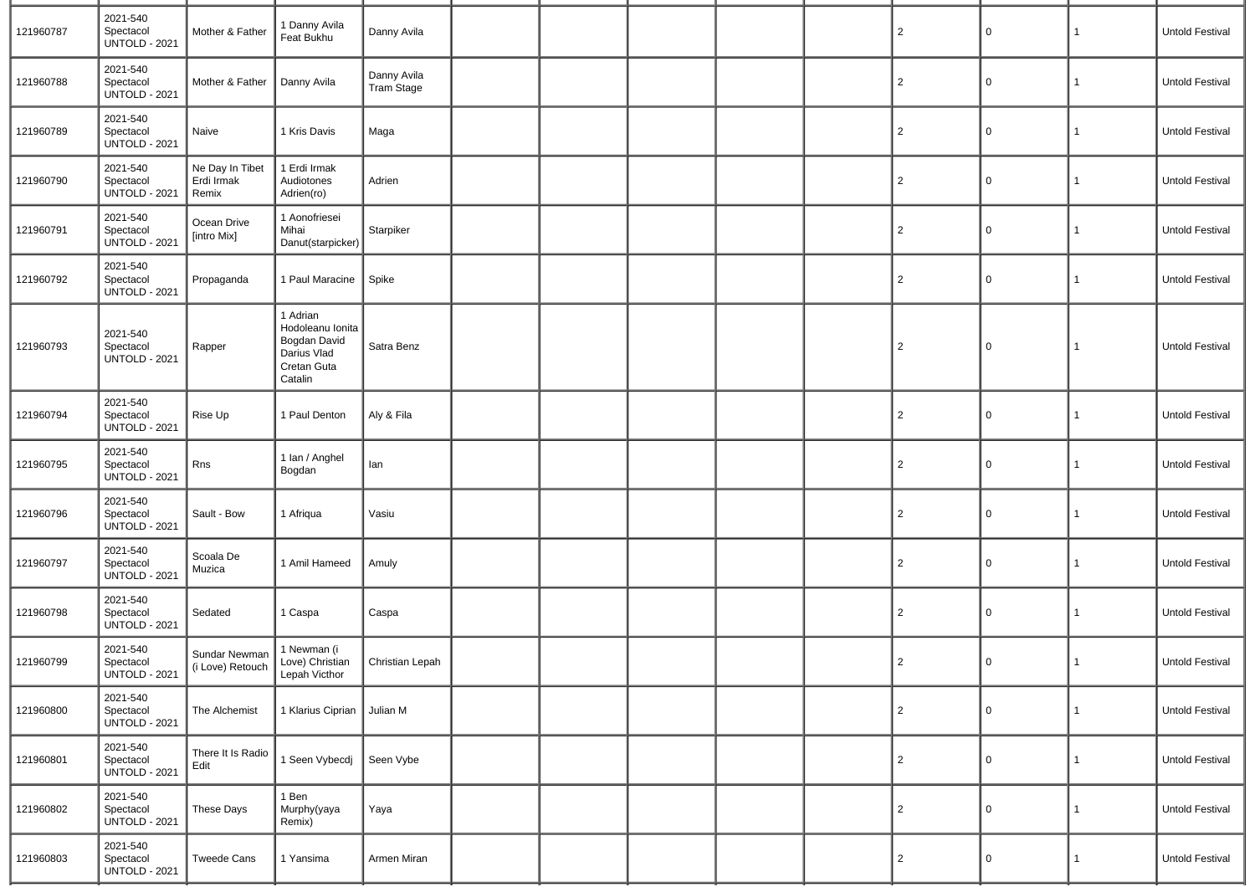| 121960787 | 2021-540<br>Spectacol<br><b>UNTOLD - 2021</b> | Mother & Father                                                                     | 1 Danny Avila<br>Feat Bukhu                                                           | Danny Avila                      |  |  | $\overline{2}$ | 0        | 1 | Untold Festival        |
|-----------|-----------------------------------------------|-------------------------------------------------------------------------------------|---------------------------------------------------------------------------------------|----------------------------------|--|--|----------------|----------|---|------------------------|
| 121960788 | 2021-540<br>Spectacol<br><b>UNTOLD - 2021</b> | Mother & Father                                                                     | Danny Avila                                                                           | Danny Avila<br><b>Tram Stage</b> |  |  | $\overline{2}$ | 0        | 1 | Untold Festival        |
| 121960789 | 2021-540<br>Spectacol<br><b>UNTOLD - 2021</b> | Naive                                                                               | 1 Kris Davis                                                                          | Maga                             |  |  | $\overline{2}$ | 0        | 1 | Untold Festival        |
| 121960790 | 2021-540<br>Spectacol<br><b>UNTOLD - 2021</b> | Ne Day In Tibet<br>Erdi Irmak<br>Remix                                              | 1 Erdi Irmak<br>Audiotones<br>Adrien(ro)                                              | Adrien                           |  |  | $\overline{2}$ | $\Omega$ | 1 | Untold Festival        |
| 121960791 | 2021-540<br>Spectacol<br><b>UNTOLD - 2021</b> | Ocean Drive<br>[intro Mix]                                                          | 1 Aonofriesei<br>Mihai<br>Danut(starpicker)                                           | Starpiker                        |  |  | $\overline{2}$ | 0        | 1 | Untold Festival        |
| 121960792 | 2021-540<br>Spectacol<br><b>UNTOLD - 2021</b> | Propaganda                                                                          | 1 Paul Maracine                                                                       | Spike                            |  |  | $\overline{2}$ | 0        | 1 | Untold Festival        |
| 121960793 | 2021-540<br>Spectacol<br><b>UNTOLD - 2021</b> | Rapper                                                                              | 1 Adrian<br>Hodoleanu Ionita<br>Bogdan David<br>Darius Vlad<br>Cretan Guta<br>Catalin | Satra Benz                       |  |  | $\overline{c}$ | 0        | 1 | Untold Festival        |
| 121960794 | 2021-540<br>Spectacol<br><b>UNTOLD - 2021</b> | Rise Up                                                                             | 1 Paul Denton                                                                         | Aly & Fila                       |  |  | $\overline{2}$ | 0        | 1 | Untold Festival        |
| 121960795 | 2021-540<br>Spectacol<br><b>UNTOLD - 2021</b> | Rns                                                                                 | 1 Ian / Anghel<br>Bogdan                                                              | lan                              |  |  | $\overline{2}$ | 0        | 1 | Untold Festival        |
| 121960796 | 2021-540<br>Spectacol<br><b>UNTOLD - 2021</b> | Sault - Bow                                                                         | 1 Afriqua                                                                             | Vasiu                            |  |  | $\overline{2}$ | 0        | 1 | Untold Festival        |
| 121960797 | 2021-540<br>Spectacol<br><b>UNTOLD - 2021</b> | Scoala De<br>Muzica                                                                 | 1 Amil Hameed                                                                         | Amuly                            |  |  | $\overline{2}$ | 0        | 1 | Untold Festival        |
| 121960798 | 2021-540<br>Spectacol<br><b>UNTOLD - 2021</b> | Sedated                                                                             | 1 Caspa                                                                               | Caspa                            |  |  | $\overline{2}$ | 0        | 1 | <b>Untold Festival</b> |
| 121960799 | 2021-540<br>Spectacol<br><b>UNTOLD - 2021</b> | Sundar Newman<br>(i Love) Retouch   Love, Strategy (i Love) Retouch   Lepah Victhor | 1 Newman (i<br>Love) Christian                                                        | Christian Lepah                  |  |  | $\overline{2}$ | 0        | 1 | Untold Festival        |
| 121960800 | 2021-540<br>Spectacol<br><b>UNTOLD - 2021</b> | The Alchemist                                                                       | 1 Klarius Ciprian Julian M                                                            |                                  |  |  | $\overline{2}$ | 0        | 1 | Untold Festival        |
| 121960801 | 2021-540<br>Spectacol<br><b>UNTOLD - 2021</b> | There It Is Radio<br>Edit                                                           | 1 Seen Vybecdj                                                                        | Seen Vybe                        |  |  | $\overline{2}$ | 0        | 1 | Untold Festival        |
| 121960802 | 2021-540<br>Spectacol<br><b>UNTOLD - 2021</b> | These Days                                                                          | $1$ Ben<br>Murphy(yaya<br>Remix)                                                      | Yaya                             |  |  | $\overline{c}$ | 0        | 1 | Untold Festival        |
| 121960803 | 2021-540<br>Spectacol<br><b>UNTOLD - 2021</b> | <b>Tweede Cans</b>                                                                  | 1 Yansima                                                                             | Armen Miran                      |  |  | $\overline{c}$ | $\Omega$ | 1 | Untold Festival        |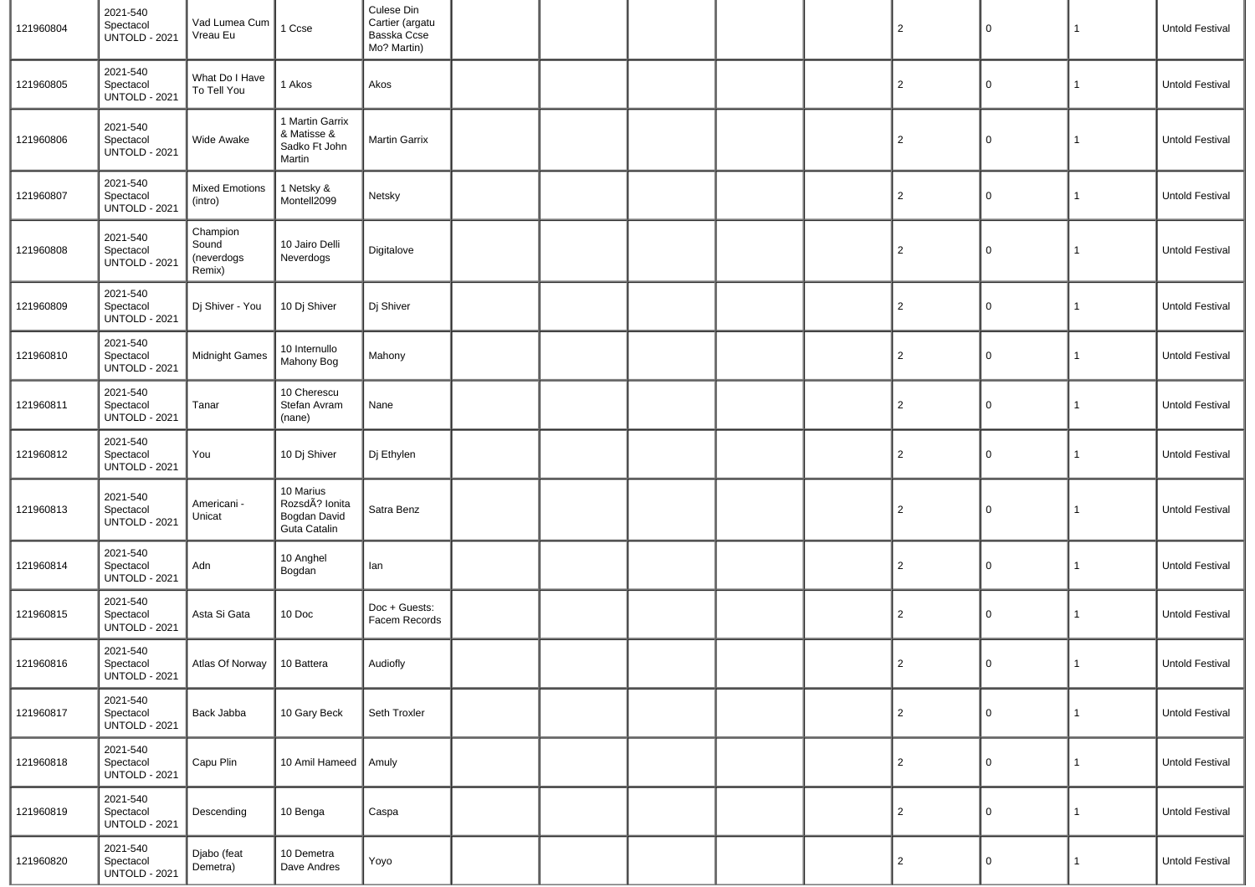| 121960804 | 2021-540<br>Spectacol<br><b>UNTOLD - 2021</b> | Vad Lumea Cum<br>Vreau Eu                 | 1 Ccse                                                      | Culese Din<br>Cartier (argatu<br>Basska Ccse<br>Mo? Martin) |  |  | $\overline{2}$ | $\mathsf 0$ | 1            | Untold Festival        |
|-----------|-----------------------------------------------|-------------------------------------------|-------------------------------------------------------------|-------------------------------------------------------------|--|--|----------------|-------------|--------------|------------------------|
| 121960805 | 2021-540<br>Spectacol<br><b>UNTOLD - 2021</b> | What Do I Have<br>To Tell You             | 1 Akos                                                      | Akos                                                        |  |  | $\overline{2}$ | $\mathsf 0$ | $\mathbf{1}$ | Untold Festival        |
| 121960806 | 2021-540<br>Spectacol<br><b>UNTOLD - 2021</b> | Wide Awake                                | 1 Martin Garrix<br>& Matisse &<br>Sadko Ft John<br>Martin   | Martin Garrix                                               |  |  | $\overline{2}$ | 0           | 1            | Untold Festival        |
| 121960807 | 2021-540<br>Spectacol<br><b>UNTOLD - 2021</b> | <b>Mixed Emotions</b><br>(intro)          | 1 Netsky &<br>Montell2099                                   | Netsky                                                      |  |  | $\overline{2}$ | $\mathsf 0$ | 1            | Untold Festival        |
| 121960808 | 2021-540<br>Spectacol<br><b>UNTOLD - 2021</b> | Champion<br>Sound<br>(neverdogs<br>Remix) | 10 Jairo Delli<br>Neverdogs                                 | Digitalove                                                  |  |  | $\overline{2}$ | 0           | $\mathbf{1}$ | Untold Festival        |
| 121960809 | 2021-540<br>Spectacol<br><b>UNTOLD - 2021</b> | Dj Shiver - You                           | 10 Dj Shiver                                                | Dj Shiver                                                   |  |  | $\overline{2}$ | 0           | 1            | <b>Untold Festival</b> |
| 121960810 | 2021-540<br>Spectacol<br><b>UNTOLD - 2021</b> | <b>Midnight Games</b>                     | 10 Internullo<br>Mahony Bog                                 | Mahony                                                      |  |  | $\overline{2}$ | 0           | $\mathbf{1}$ | Untold Festival        |
| 121960811 | 2021-540<br>Spectacol<br><b>UNTOLD - 2021</b> | Tanar                                     | 10 Cherescu<br>Stefan Avram<br>(nane)                       | Nane                                                        |  |  | $\overline{2}$ | 0           | 1            | Untold Festival        |
| 121960812 | 2021-540<br>Spectacol<br><b>UNTOLD - 2021</b> | You                                       | 10 Dj Shiver                                                | Dj Ethylen                                                  |  |  | $\overline{2}$ | 0           | 1            | Untold Festival        |
| 121960813 | 2021-540<br>Spectacol<br><b>UNTOLD - 2021</b> | Americani -<br>Unicat                     | 10 Marius<br>RozsdÃ? Ionita<br>Bogdan David<br>Guta Catalin | Satra Benz                                                  |  |  | $\overline{2}$ | $\mathsf 0$ | 1            | Untold Festival        |
| 121960814 | 2021-540<br>Spectacol<br><b>UNTOLD - 2021</b> | Adn                                       | 10 Anghel<br>Bogdan                                         | lan                                                         |  |  | $\overline{2}$ | 0           | $\mathbf{1}$ | Untold Festival        |
| 121960815 | 2021-540<br>Spectacol<br><b>UNTOLD - 2021</b> | Asta Si Gata                              | 10 Doc                                                      | Doc + Guests:<br>Facem Records                              |  |  | $\overline{2}$ | 0           | 1            | Untold Festival        |
| 121960816 | 2021-540<br>Spectacol<br><b>UNTOLD - 2021</b> | Atlas Of Norway   10 Battera              |                                                             | Audiofly                                                    |  |  | 2              | 0           | $\mathbf{1}$ | Untold Festival        |
| 121960817 | 2021-540<br>Spectacol<br><b>UNTOLD - 2021</b> | Back Jabba                                | 10 Gary Beck                                                | Seth Troxler                                                |  |  | $\overline{2}$ | $\mathbf 0$ | $\mathbf{1}$ | Untold Festival        |
| 121960818 | 2021-540<br>Spectacol<br><b>UNTOLD - 2021</b> | Capu Plin                                 | 10 Amil Hameed   Amuly                                      |                                                             |  |  | $\overline{2}$ | 0           | $\mathbf{1}$ | Untold Festival        |
| 121960819 | 2021-540<br>Spectacol<br><b>UNTOLD - 2021</b> | Descending                                | 10 Benga                                                    | Caspa                                                       |  |  | $\overline{2}$ | 0           | $\mathbf{1}$ | Untold Festival        |
| 121960820 | 2021-540<br>Spectacol<br><b>UNTOLD - 2021</b> | Djabo (feat<br>Demetra)                   | 10 Demetra<br>Dave Andres                                   | Yoyo                                                        |  |  | $\overline{2}$ | 0           | $\mathbf{1}$ | Untold Festival        |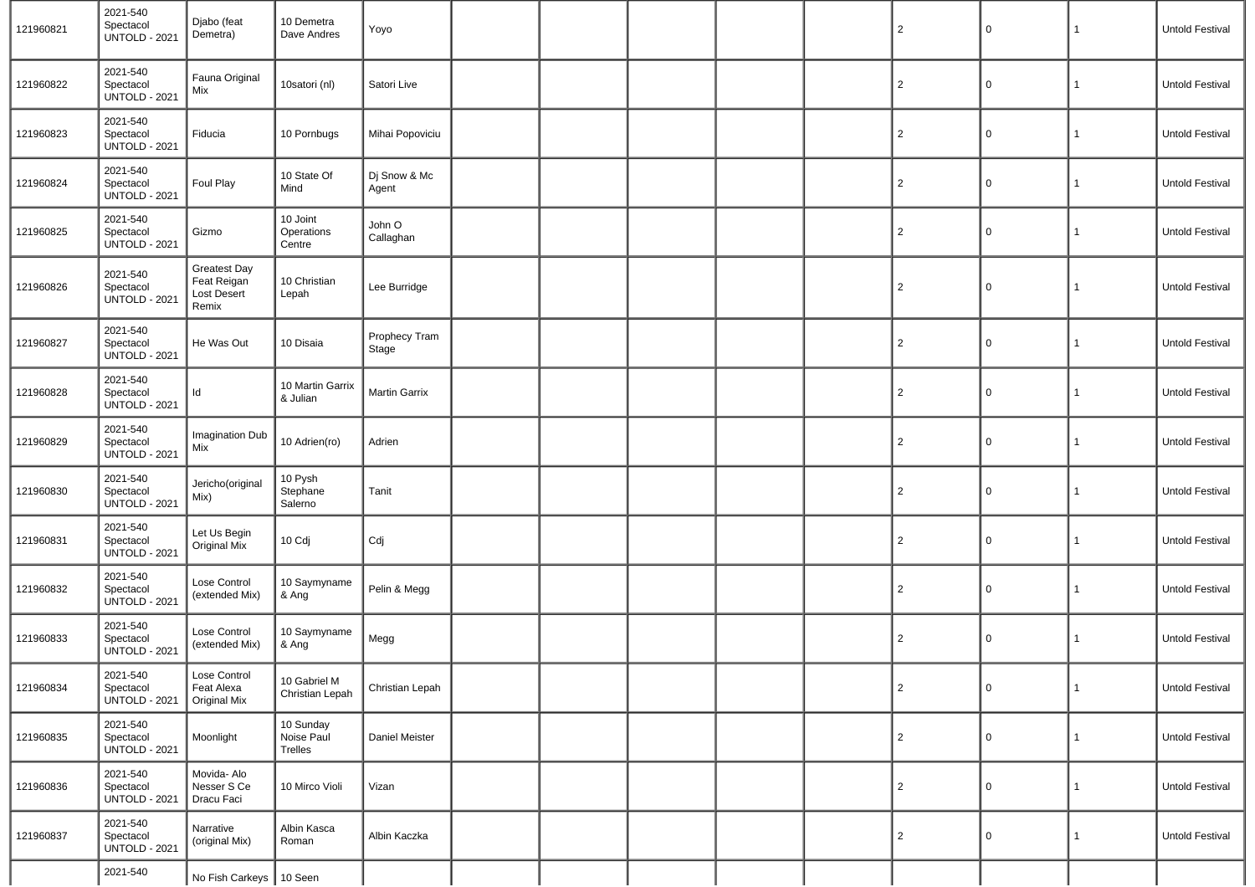| 121960821 | 2021-540<br>Spectacol<br><b>UNTOLD - 2021</b> | Djabo (feat<br>Demetra)                                    | 10 Demetra<br>Dave Andres          | Yoyo                   |  |  | $\overline{2}$ | $\Omega$    | 1            | <b>Untold Festival</b> |
|-----------|-----------------------------------------------|------------------------------------------------------------|------------------------------------|------------------------|--|--|----------------|-------------|--------------|------------------------|
| 121960822 | 2021-540<br>Spectacol<br><b>UNTOLD - 2021</b> | Fauna Original<br>Mix                                      | 10satori (nl)                      | Satori Live            |  |  | $\overline{2}$ | 0           | 1            | <b>Untold Festival</b> |
| 121960823 | 2021-540<br>Spectacol<br><b>UNTOLD - 2021</b> | Fiducia                                                    | 10 Pornbugs                        | Mihai Popoviciu        |  |  | $\overline{2}$ | 0           | 1            | <b>Untold Festival</b> |
| 121960824 | 2021-540<br>Spectacol<br><b>UNTOLD - 2021</b> | Foul Play                                                  | 10 State Of<br>Mind                | Dj Snow & Mc<br>Agent  |  |  | $\overline{2}$ | 0           | 1            | <b>Untold Festival</b> |
| 121960825 | 2021-540<br>Spectacol<br><b>UNTOLD - 2021</b> | Gizmo                                                      | 10 Joint<br>Operations<br>Centre   | John O<br>Callaghan    |  |  | $\overline{2}$ | 0           | 1            | Untold Festival        |
| 121960826 | 2021-540<br>Spectacol<br><b>UNTOLD - 2021</b> | <b>Greatest Day</b><br>Feat Reigan<br>Lost Desert<br>Remix | 10 Christian<br>Lepah              | Lee Burridge           |  |  | 2              | $\Omega$    | 1            | Untold Festival        |
| 121960827 | 2021-540<br>Spectacol<br><b>UNTOLD - 2021</b> | He Was Out                                                 | 10 Disaia                          | Prophecy Tram<br>Stage |  |  | $\overline{2}$ | $\Omega$    | 1            | <b>Untold Festival</b> |
| 121960828 | 2021-540<br>Spectacol<br><b>UNTOLD - 2021</b> | Id                                                         | 10 Martin Garrix<br>& Julian       | Martin Garrix          |  |  | $\overline{2}$ | $\Omega$    | 1            | Untold Festival        |
| 121960829 | 2021-540<br>Spectacol<br><b>UNTOLD - 2021</b> | Imagination Dub<br>Mix                                     | 10 Adrien(ro)                      | Adrien                 |  |  | $\overline{2}$ | $\Omega$    | 1            | <b>Untold Festival</b> |
| 121960830 | 2021-540<br>Spectacol<br><b>UNTOLD - 2021</b> | Jericho(original<br>Mix)                                   | 10 Pysh<br>Stephane<br>Salerno     | Tanit                  |  |  | $\overline{2}$ | 0           | 1            | <b>Untold Festival</b> |
| 121960831 | 2021-540<br>Spectacol<br>UNTOLD - 2021        | Let Us Begin<br><b>Original Mix</b>                        | 10 Cdj                             | Cdj                    |  |  | $\overline{2}$ | $\Omega$    | 1            | Untold Festival        |
| 121960832 | 2021-540<br>Spectacol<br><b>UNTOLD - 2021</b> | Lose Control<br>(extended Mix)                             | 10 Saymyname<br>& Ang              | Pelin & Megg           |  |  | $\overline{2}$ | $\Omega$    | 1            | Untold Festival        |
| 121960833 | 2021-540<br>Spectacol<br><b>UNTOLD - 2021</b> | Lose Control<br>(extended Mix)                             | 10 Saymyname<br>& Ang              | Megg                   |  |  | $\overline{2}$ | $\Omega$    | 1            | Untold Festival        |
| 121960834 | 2021-540<br>Spectacol<br><b>UNTOLD - 2021</b> | Lose Control<br>Feat Alexa<br><b>Original Mix</b>          | 10 Gabriel M<br>Christian Lepah    | Christian Lepah        |  |  | $\overline{c}$ | $\mathbf 0$ | $\mathbf{1}$ | Untold Festival        |
| 121960835 | 2021-540<br>Spectacol<br><b>UNTOLD - 2021</b> | Moonlight                                                  | 10 Sunday<br>Noise Paul<br>Trelles | Daniel Meister         |  |  | $\overline{2}$ | $\Omega$    | 1            | Untold Festival        |
| 121960836 | 2021-540<br>Spectacol<br><b>UNTOLD - 2021</b> | Movida- Alo<br>Nesser S Ce<br>Dracu Faci                   | 10 Mirco Violi                     | Vizan                  |  |  | $\overline{2}$ | 0           | 1            | Untold Festival        |
| 121960837 | 2021-540<br>Spectacol<br><b>UNTOLD - 2021</b> | Narrative<br>(original Mix)                                | Albin Kasca<br>Roman               | Albin Kaczka           |  |  | $\overline{2}$ | 0           | 1            | Untold Festival        |
|           | 2021-540                                      | No Fish Carkeys   10 Seen                                  |                                    |                        |  |  |                |             |              |                        |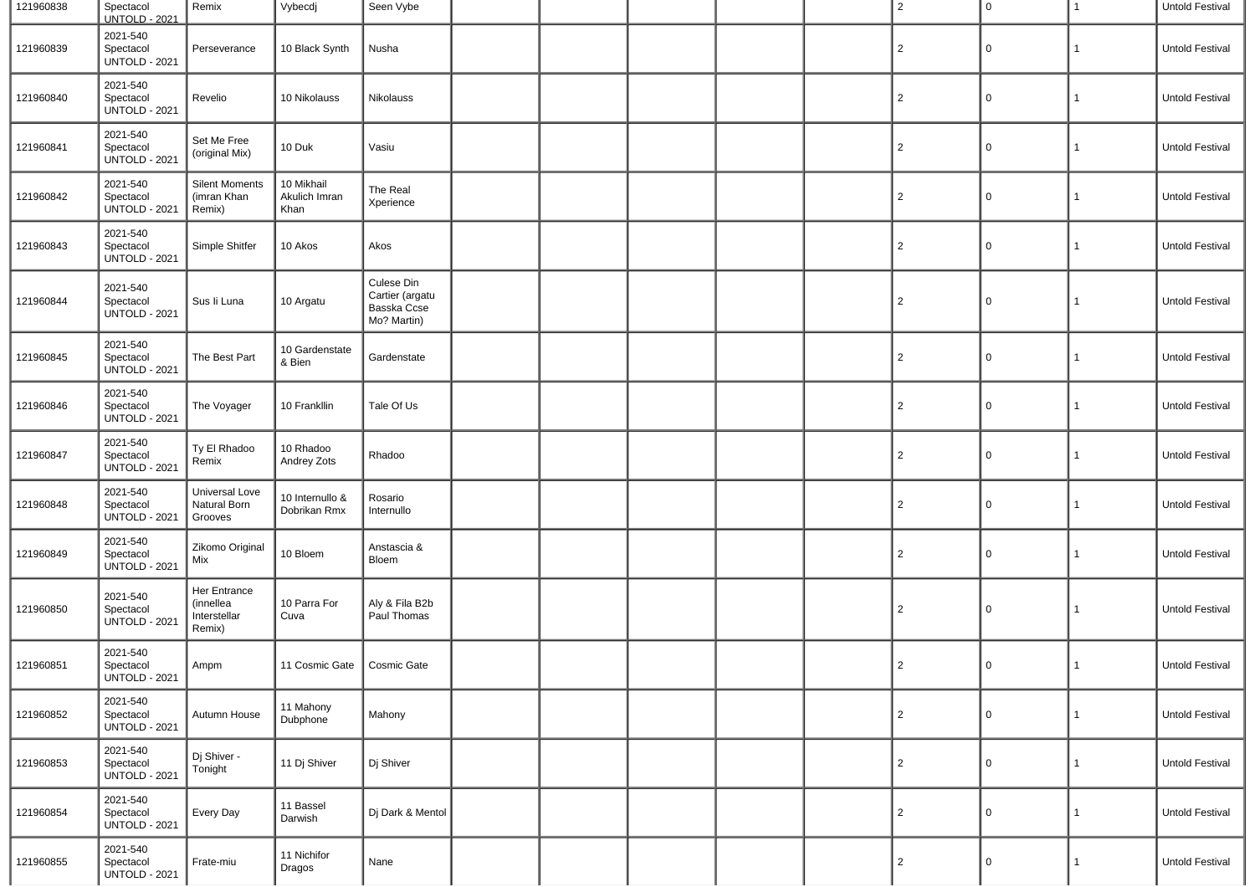| 121960838 | Spectacol<br><b>UNTOLD - 2021</b>             | Remix                                               | Vybecdj                             | Seen Vybe                                                   |  |  | $\overline{2}$ | 0           | $\mathbf{1}$ | Untold Festival |
|-----------|-----------------------------------------------|-----------------------------------------------------|-------------------------------------|-------------------------------------------------------------|--|--|----------------|-------------|--------------|-----------------|
| 121960839 | 2021-540<br>Spectacol<br><b>UNTOLD - 2021</b> | Perseverance                                        | 10 Black Synth                      | Nusha                                                       |  |  | $\overline{c}$ | 0           | 1            | Untold Festival |
| 121960840 | 2021-540<br>Spectacol<br><b>UNTOLD - 2021</b> | Revelio                                             | 10 Nikolauss                        | Nikolauss                                                   |  |  | $\overline{2}$ | 0           | 1            | Untold Festival |
| 121960841 | 2021-540<br>Spectacol<br><b>UNTOLD - 2021</b> | Set Me Free<br>(original Mix)                       | 10 Duk                              | Vasiu                                                       |  |  | $\overline{2}$ | 0           | 1            | Untold Festival |
| 121960842 | 2021-540<br>Spectacol<br><b>UNTOLD - 2021</b> | <b>Silent Moments</b><br>(imran Khan<br>Remix)      | 10 Mikhail<br>Akulich Imran<br>Khan | The Real<br>Xperience                                       |  |  | $\overline{2}$ | 0           | 1            | Untold Festival |
| 121960843 | 2021-540<br>Spectacol<br><b>UNTOLD - 2021</b> | Simple Shitfer                                      | 10 Akos                             | Akos                                                        |  |  | $\overline{2}$ | 0           | 1            | Untold Festival |
| 121960844 | 2021-540<br>Spectacol<br><b>UNTOLD - 2021</b> | Sus li Luna                                         | 10 Argatu                           | Culese Din<br>Cartier (argatu<br>Basska Ccse<br>Mo? Martin) |  |  | $\overline{2}$ | 0           | $\mathbf{1}$ | Untold Festival |
| 121960845 | 2021-540<br>Spectacol<br><b>UNTOLD - 2021</b> | The Best Part                                       | 10 Gardenstate<br>& Bien            | Gardenstate                                                 |  |  | $\overline{c}$ | 0           | 1            | Untold Festival |
| 121960846 | 2021-540<br>Spectacol<br><b>UNTOLD - 2021</b> | The Voyager                                         | 10 Frankllin                        | Tale Of Us                                                  |  |  | $\overline{2}$ | 0           | 1            | Untold Festival |
| 121960847 | 2021-540<br>Spectacol<br><b>UNTOLD - 2021</b> | Ty El Rhadoo<br>Remix                               | 10 Rhadoo<br>Andrey Zots            | Rhadoo                                                      |  |  | $\overline{2}$ | 0           | 1            | Untold Festival |
| 121960848 | 2021-540<br>Spectacol<br><b>UNTOLD - 2021</b> | Universal Love<br>Natural Born<br>Grooves           | 10 Internullo &<br>Dobrikan Rmx     | Rosario<br>Internullo                                       |  |  | $\overline{2}$ | 0           | 1            | Untold Festival |
| 121960849 | 2021-540<br>Spectacol<br><b>UNTOLD - 2021</b> | Zikomo Original<br>Mix                              | 10 Bloem                            | Anstascia &<br>Bloem                                        |  |  | $\overline{2}$ | 0           | 1            | Untold Festival |
| 121960850 | 2021-540<br>Spectacol<br><b>UNTOLD - 2021</b> | Her Entrance<br>(innellea<br>Interstellar<br>Remix) | 10 Parra For<br>Cuva                | Aly & Fila B2b<br>Paul Thomas                               |  |  | $\overline{2}$ | 0           | $\mathbf{1}$ | Untold Festival |
| 121960851 | 2021-540<br>Spectacol<br><b>UNTOLD - 2021</b> | Ampm                                                | 11 Cosmic Gate                      | Cosmic Gate                                                 |  |  | 2              | $\mathbf 0$ | 1            | Untold Festival |
| 121960852 | 2021-540<br>Spectacol<br><b>UNTOLD - 2021</b> | Autumn House                                        | 11 Mahony<br>Dubphone               | Mahony                                                      |  |  | $\overline{2}$ | 0           | $\mathbf{1}$ | Untold Festival |
| 121960853 | 2021-540<br>Spectacol<br><b>UNTOLD - 2021</b> | Dj Shiver -<br>Tonight                              | 11 Dj Shiver                        | Dj Shiver                                                   |  |  | $\overline{2}$ | 0           | 1            | Untold Festival |
| 121960854 | 2021-540<br>Spectacol<br><b>UNTOLD - 2021</b> | Every Day                                           | 11 Bassel<br>Darwish                | Di Dark & Mentol                                            |  |  | $\overline{2}$ | $\mathbf 0$ | 1            | Untold Festival |
| 121960855 | 2021-540<br>Spectacol<br><b>UNTOLD - 2021</b> | Frate-miu                                           | 11 Nichifor<br>Dragos               | Nane                                                        |  |  | $\overline{c}$ | 0           | 1            | Untold Festival |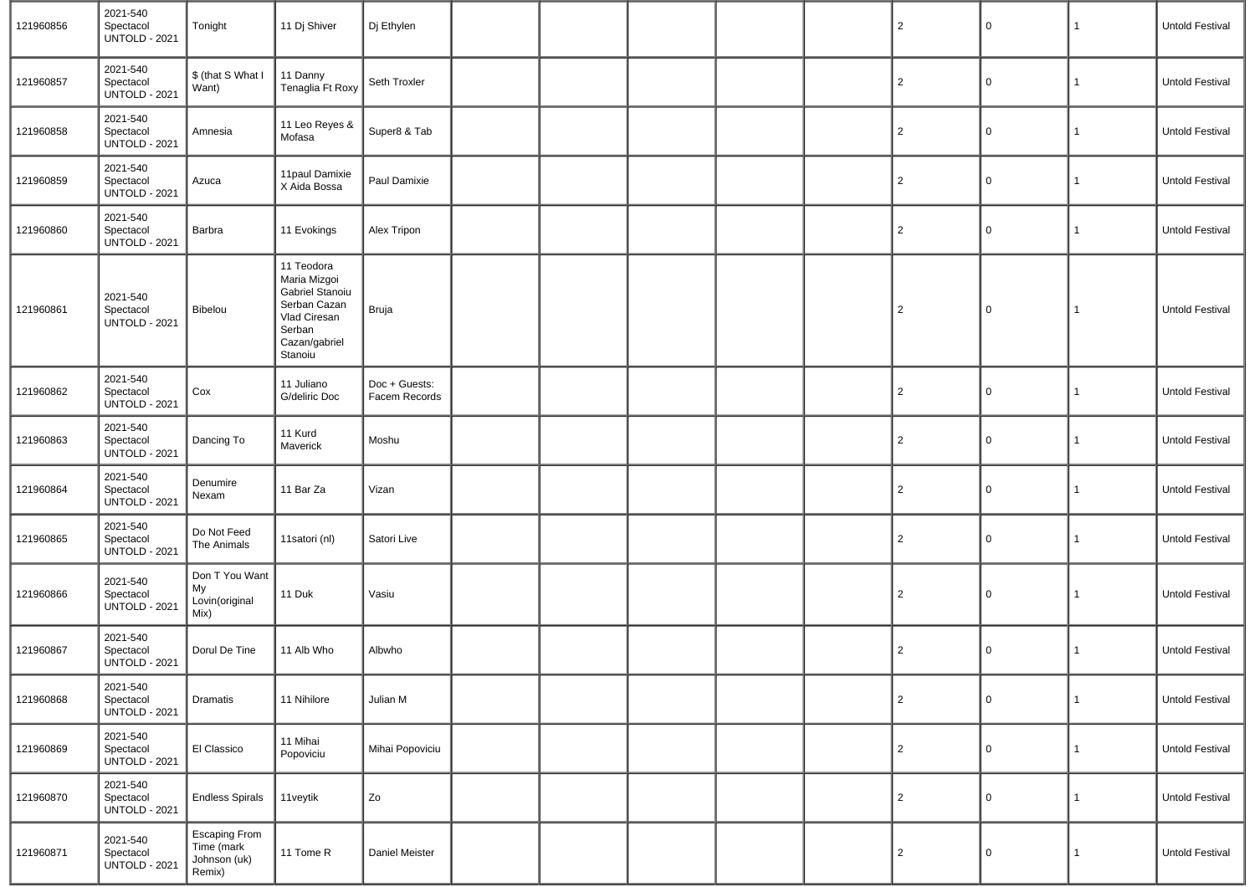| 121960856 | 2021-540<br>Spectacol<br><b>UNTOLD - 2021</b> | Tonight                                                      | 11 Dj Shiver                                                                                                        | Dj Ethylen                     |  |  | $\overline{c}$ | 0 | $\mathbf{1}$ | Untold Festival        |
|-----------|-----------------------------------------------|--------------------------------------------------------------|---------------------------------------------------------------------------------------------------------------------|--------------------------------|--|--|----------------|---|--------------|------------------------|
| 121960857 | 2021-540<br>Spectacol<br><b>UNTOLD - 2021</b> | \$ (that S What I<br>Want)                                   | 11 Danny<br>Tenaglia Ft Roxy                                                                                        | Seth Troxler                   |  |  | $\overline{c}$ | 0 | $\mathbf{1}$ | Untold Festival        |
| 121960858 | 2021-540<br>Spectacol<br><b>UNTOLD - 2021</b> | Amnesia                                                      | 11 Leo Reyes &<br>Mofasa                                                                                            | Super8 & Tab                   |  |  | $\overline{c}$ | 0 | $\mathbf{1}$ | <b>Untold Festival</b> |
| 121960859 | 2021-540<br>Spectacol<br><b>UNTOLD - 2021</b> | Azuca                                                        | 11paul Damixie<br>X Aida Bossa                                                                                      | Paul Damixie                   |  |  | $\overline{c}$ | 0 | $\mathbf{1}$ | Untold Festival        |
| 121960860 | 2021-540<br>Spectacol<br><b>UNTOLD - 2021</b> | Barbra                                                       | 11 Evokings                                                                                                         | Alex Tripon                    |  |  | $\overline{c}$ | 0 | $\mathbf{1}$ | Untold Festival        |
| 121960861 | 2021-540<br>Spectacol<br><b>UNTOLD - 2021</b> | Bibelou                                                      | 11 Teodora<br>Maria Mizgoi<br>Gabriel Stanoiu<br>Serban Cazan<br>Vlad Ciresan<br>Serban<br>Cazan/gabriel<br>Stanoiu | Bruja                          |  |  | $\overline{2}$ | 0 | $\mathbf{1}$ | Untold Festival        |
| 121960862 | 2021-540<br>Spectacol<br><b>UNTOLD - 2021</b> | Cox                                                          | 11 Juliano<br>G/deliric Doc                                                                                         | Doc + Guests:<br>Facem Records |  |  | $\overline{c}$ | 0 | $\mathbf{1}$ | Untold Festival        |
| 121960863 | 2021-540<br>Spectacol<br><b>UNTOLD - 2021</b> | Dancing To                                                   | 11 Kurd<br>Maverick                                                                                                 | Moshu                          |  |  | $\overline{c}$ | 0 | $\mathbf{1}$ | Untold Festival        |
| 121960864 | 2021-540<br>Spectacol<br><b>UNTOLD - 2021</b> | Denumire<br>Nexam                                            | 11 Bar Za                                                                                                           | Vizan                          |  |  | $\overline{c}$ | 0 | $\mathbf{1}$ | Untold Festival        |
| 121960865 | 2021-540<br>Spectacol<br><b>UNTOLD - 2021</b> | Do Not Feed<br>The Animals                                   | 11satori (nl)                                                                                                       | Satori Live                    |  |  | $\overline{c}$ | 0 | 1            | Untold Festival        |
| 121960866 | 2021-540<br>Spectacol<br><b>UNTOLD - 2021</b> | Don T You Want<br>My<br>Lovin(original<br>Mix)               | 11 Duk                                                                                                              | Vasiu                          |  |  | $\overline{c}$ | 0 | 1            | Untold Festival        |
| 121960867 | 2021-540<br>Spectacol<br><b>UNTOLD - 2021</b> | Dorul De Tine                                                | 11 Alb Who                                                                                                          | Albwho                         |  |  | $\overline{c}$ | 0 | $\mathbf{1}$ | Untold Festival        |
| 121960868 | 2021-540<br>Spectacol<br><b>UNTOLD - 2021</b> | Dramatis                                                     | 11 Nihilore                                                                                                         | Julian M                       |  |  | $\overline{c}$ | 0 | $\mathbf{1}$ | Untold Festival        |
| 121960869 | 2021-540<br>Spectacol<br><b>UNTOLD - 2021</b> | El Classico                                                  | 11 Mihai<br>Popoviciu                                                                                               | Mihai Popoviciu                |  |  | $\overline{c}$ | 0 | $\mathbf{1}$ | Untold Festival        |
| 121960870 | 2021-540<br>Spectacol<br><b>UNTOLD - 2021</b> | <b>Endless Spirals</b>                                       | 11veytik                                                                                                            | Zo                             |  |  | $\overline{c}$ | 0 | $\mathbf{1}$ | Untold Festival        |
| 121960871 | 2021-540<br>Spectacol<br><b>UNTOLD - 2021</b> | <b>Escaping From</b><br>Time (mark<br>Johnson (uk)<br>Remix) | 11 Tome R                                                                                                           | Daniel Meister                 |  |  | $\overline{2}$ | 0 | $\mathbf{1}$ | Untold Festival        |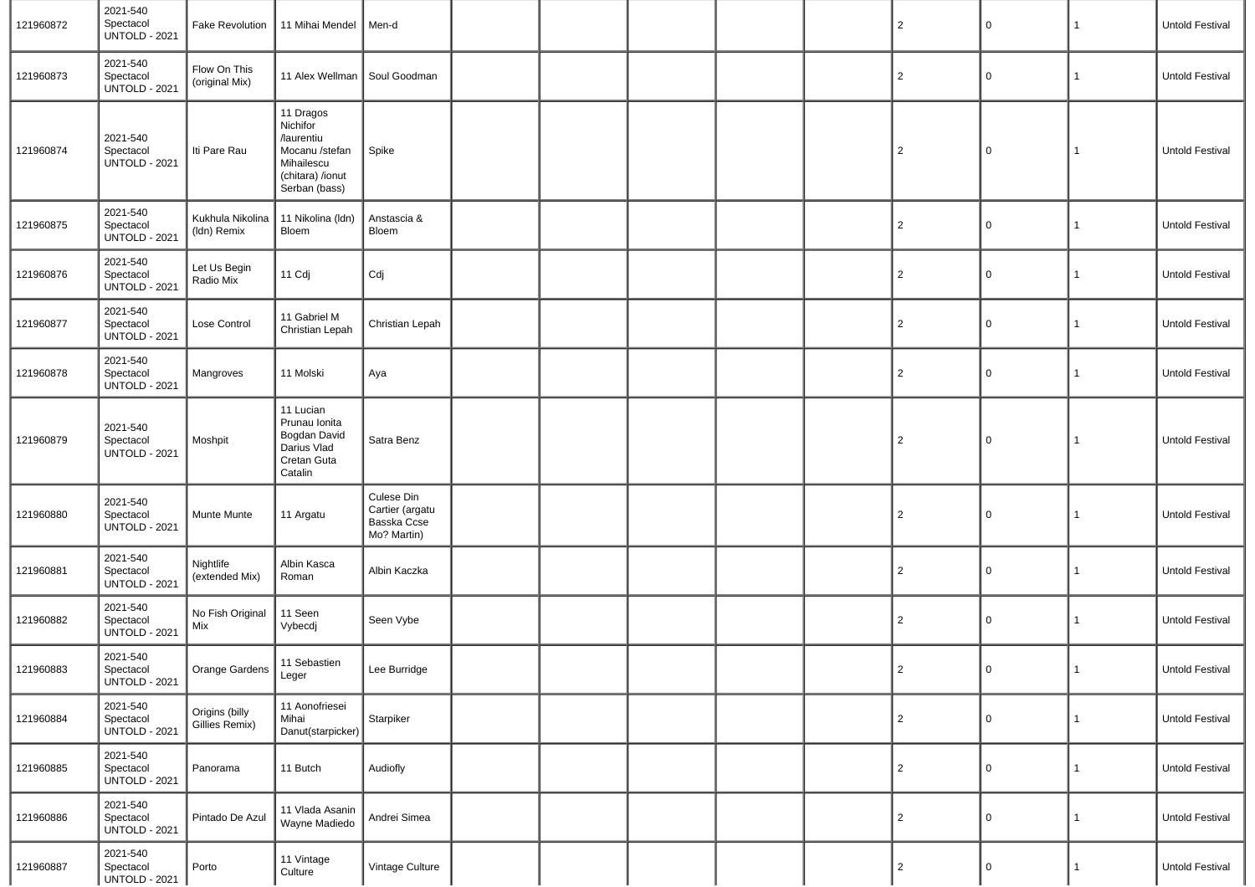| 121960872 | 2021-540<br>Spectacol<br><b>UNTOLD - 2021</b> | Fake Revolution                  | 11 Mihai Mendel                                                                                          | Men-d                                                       |  |  | $\overline{2}$ | $\mathsf 0$ | 1            | Untold Festival        |
|-----------|-----------------------------------------------|----------------------------------|----------------------------------------------------------------------------------------------------------|-------------------------------------------------------------|--|--|----------------|-------------|--------------|------------------------|
| 121960873 | 2021-540<br>Spectacol<br><b>UNTOLD - 2021</b> | Flow On This<br>(original Mix)   | 11 Alex Wellman                                                                                          | Soul Goodman                                                |  |  | $\overline{2}$ | 0           | 1            | Untold Festival        |
| 121960874 | 2021-540<br>Spectacol<br><b>UNTOLD - 2021</b> | Iti Pare Rau                     | 11 Dragos<br>Nichifor<br>/laurentiu<br>Mocanu /stefan<br>Mihailescu<br>(chitara) /ionut<br>Serban (bass) | Spike                                                       |  |  | $\overline{2}$ | $\mathsf 0$ | 1            | Untold Festival        |
| 121960875 | 2021-540<br>Spectacol<br><b>UNTOLD - 2021</b> | Kukhula Nikolina<br>(Idn) Remix  | 11 Nikolina (Idn)<br>Bloem                                                                               | Anstascia &<br>Bloem                                        |  |  | $\overline{2}$ | 0           | $\mathbf{1}$ | Untold Festival        |
| 121960876 | 2021-540<br>Spectacol<br><b>UNTOLD - 2021</b> | Let Us Begin<br>Radio Mix        | 11 Cdj                                                                                                   | Cdj                                                         |  |  | $\overline{2}$ | 0           |              | Untold Festival        |
| 121960877 | 2021-540<br>Spectacol<br><b>UNTOLD - 2021</b> | Lose Control                     | 11 Gabriel M<br>Christian Lepah                                                                          | Christian Lepah                                             |  |  | $\overline{2}$ | 0           | $\mathbf{1}$ | <b>Untold Festival</b> |
| 121960878 | 2021-540<br>Spectacol<br><b>UNTOLD - 2021</b> | Mangroves                        | 11 Molski                                                                                                | Aya                                                         |  |  | $\overline{2}$ | 0           | 1            | <b>Untold Festival</b> |
| 121960879 | 2021-540<br>Spectacol<br><b>UNTOLD - 2021</b> | Moshpit                          | 11 Lucian<br>Prunau Ionita<br>Bogdan David<br>Darius Vlad<br>Cretan Guta<br>Catalin                      | Satra Benz                                                  |  |  | $\overline{2}$ | 0           | 1            | Untold Festival        |
| 121960880 | 2021-540<br>Spectacol<br><b>UNTOLD - 2021</b> | Munte Munte                      | 11 Argatu                                                                                                | Culese Din<br>Cartier (argatu<br>Basska Ccse<br>Mo? Martin) |  |  | $\overline{2}$ | 0           | 1            | Untold Festival        |
| 121960881 | 2021-540<br>Spectacol<br><b>UNTOLD - 2021</b> | Nightlife<br>(extended Mix)      | Albin Kasca<br>Roman                                                                                     | Albin Kaczka                                                |  |  | $\overline{2}$ | $\mathbf 0$ | 1            | Untold Festival        |
| 121960882 | 2021-540<br>Spectacol<br><b>UNTOLD - 2021</b> | No Fish Original<br>Mix          | 11 Seen<br>Vybecdj                                                                                       | Seen Vybe                                                   |  |  | $\overline{2}$ | 0           | $\mathbf{1}$ | Untold Festival        |
| 121960883 | 2021-540<br>Spectacol<br><b>UNTOLD - 2021</b> | Orange Gardens 11 Sebastien      |                                                                                                          | Lee Burridge                                                |  |  | $\overline{2}$ | 0           | 1            | Untold Festival        |
| 121960884 | 2021-540<br>Spectacol<br><b>UNTOLD - 2021</b> | Origins (billy<br>Gillies Remix) | 11 Aonofriesei<br>Mihai<br>Danut(starpicker)                                                             | Starpiker                                                   |  |  | $\overline{2}$ | $\mathbf 0$ | 1            | Untold Festival        |
| 121960885 | 2021-540<br>Spectacol<br><b>UNTOLD - 2021</b> | Panorama                         | 11 Butch                                                                                                 | Audiofly                                                    |  |  | $\overline{2}$ | $\mathbf 0$ | 1            | Untold Festival        |
| 121960886 | 2021-540<br>Spectacol<br><b>UNTOLD - 2021</b> | Pintado De Azul                  | 11 Vlada Asanin<br>Wayne Madiedo                                                                         | Andrei Simea                                                |  |  | $\overline{2}$ | $\mathbf 0$ | 1            | Untold Festival        |
| 121960887 | 2021-540<br>Spectacol<br><b>UNTOLD - 2021</b> | Porto                            | 11 Vintage<br>Culture                                                                                    | Vintage Culture                                             |  |  | 2              | $\mathbf 0$ | $\mathbf{1}$ | Untold Festival        |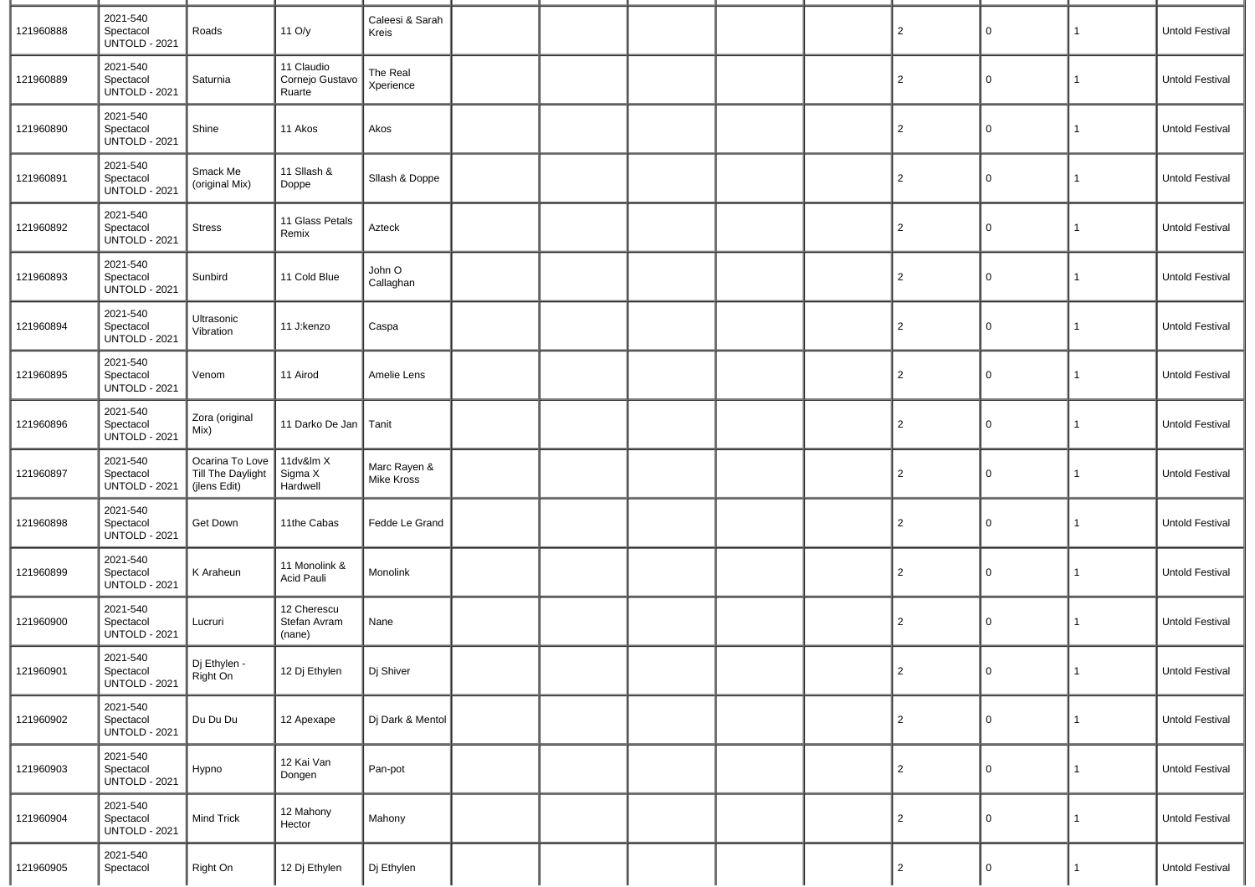| 121960888 | 2021-540<br>Spectacol<br><b>UNTOLD - 2021</b> | Roads                                                | 11 O/y                                  | Caleesi & Sarah<br>Kreis   |  |  | $\overline{2}$ | $\mathbf 0$ | 1            | <b>Untold Festival</b> |
|-----------|-----------------------------------------------|------------------------------------------------------|-----------------------------------------|----------------------------|--|--|----------------|-------------|--------------|------------------------|
| 121960889 | 2021-540<br>Spectacol<br><b>UNTOLD - 2021</b> | Saturnia                                             | 11 Claudio<br>Cornejo Gustavo<br>Ruarte | The Real<br>Xperience      |  |  | $\overline{2}$ | 0           | 1            | <b>Untold Festival</b> |
| 121960890 | 2021-540<br>Spectacol<br><b>UNTOLD - 2021</b> | Shine                                                | 11 Akos                                 | Akos                       |  |  | $\overline{2}$ | $\Omega$    | 1            | <b>Untold Festival</b> |
| 121960891 | 2021-540<br>Spectacol<br><b>UNTOLD - 2021</b> | Smack Me<br>(original Mix)                           | 11 Sllash &<br>Doppe                    | Sllash & Doppe             |  |  | $\overline{2}$ | 0           | 1            | <b>Untold Festival</b> |
| 121960892 | 2021-540<br>Spectacol<br><b>UNTOLD - 2021</b> | <b>Stress</b>                                        | 11 Glass Petals<br>Remix                | Azteck                     |  |  | $\overline{2}$ | 0           | 1            | <b>Untold Festival</b> |
| 121960893 | 2021-540<br>Spectacol<br><b>UNTOLD - 2021</b> | Sunbird                                              | 11 Cold Blue                            | John O<br>Callaghan        |  |  | $\overline{2}$ | 0           | 1            | Untold Festival        |
| 121960894 | 2021-540<br>Spectacol<br><b>UNTOLD - 2021</b> | Ultrasonic<br>Vibration                              | 11 J:kenzo                              | Caspa                      |  |  | $\overline{2}$ | 0           | 1            | <b>Untold Festival</b> |
| 121960895 | 2021-540<br>Spectacol<br><b>UNTOLD - 2021</b> | Venom                                                | 11 Airod                                | Amelie Lens                |  |  | $\overline{2}$ | $\Omega$    | 1            | <b>Untold Festival</b> |
| 121960896 | 2021-540<br>Spectacol<br><b>UNTOLD - 2021</b> | Zora (original<br>Mix)                               | 11 Darko De Jan                         | Tanit                      |  |  | $\overline{2}$ | 0           | 1            | <b>Untold Festival</b> |
| 121960897 | 2021-540<br>Spectacol<br><b>UNTOLD - 2021</b> | Ocarina To Love<br>Till The Daylight<br>(jlens Edit) | 11dv&lm X<br>Sigma X<br>Hardwell        | Marc Rayen &<br>Mike Kross |  |  | $\overline{c}$ | $\Omega$    | 1            | Untold Festival        |
| 121960898 | 2021-540<br>Spectacol<br><b>UNTOLD - 2021</b> | Get Down                                             | 11the Cabas                             | Fedde Le Grand             |  |  | $\overline{c}$ | $\Omega$    | 1            | <b>Untold Festival</b> |
| 121960899 | 2021-540<br>Spectacol<br><b>UNTOLD - 2021</b> | K Araheun                                            | 11 Monolink &<br>Acid Pauli             | Monolink                   |  |  | $\overline{2}$ | $\Omega$    | 1            | Untold Festival        |
| 121960900 | 2021-540<br>Spectacol<br><b>UNTOLD - 2021</b> | Lucruri                                              | 12 Cherescu<br>Stefan Avram<br>(nane)   | Nane                       |  |  | $\overline{2}$ | $\Omega$    | 1            | Untold Festival        |
| 121960901 | 2021-540<br>Spectacol<br><b>UNTOLD - 2021</b> | Dj Ethylen -<br>Right On                             | 12 Dj Ethylen                           | Dj Shiver                  |  |  | $\overline{2}$ | 0           | 1            | Untold Festival        |
| 121960902 | 2021-540<br>Spectacol<br><b>UNTOLD - 2021</b> | Du Du Du                                             | 12 Apexape                              | Dj Dark & Mentol           |  |  | $\overline{2}$ | $\mathbf 0$ | 1            | Untold Festival        |
| 121960903 | 2021-540<br>Spectacol<br><b>UNTOLD - 2021</b> | Hypno                                                | 12 Kai Van<br>Dongen                    | Pan-pot                    |  |  | $\overline{2}$ | 0           | 1            | Untold Festival        |
| 121960904 | 2021-540<br>Spectacol<br><b>UNTOLD - 2021</b> | <b>Mind Trick</b>                                    | 12 Mahony<br>Hector                     | Mahony                     |  |  | $\overline{2}$ | 0           | 1            | Untold Festival        |
| 121960905 | 2021-540<br>Spectacol                         | Right On                                             | 12 Dj Ethylen                           | Dj Ethylen                 |  |  | $\mathbf{2}$   | $\Omega$    | $\mathbf{1}$ | Untold Festival        |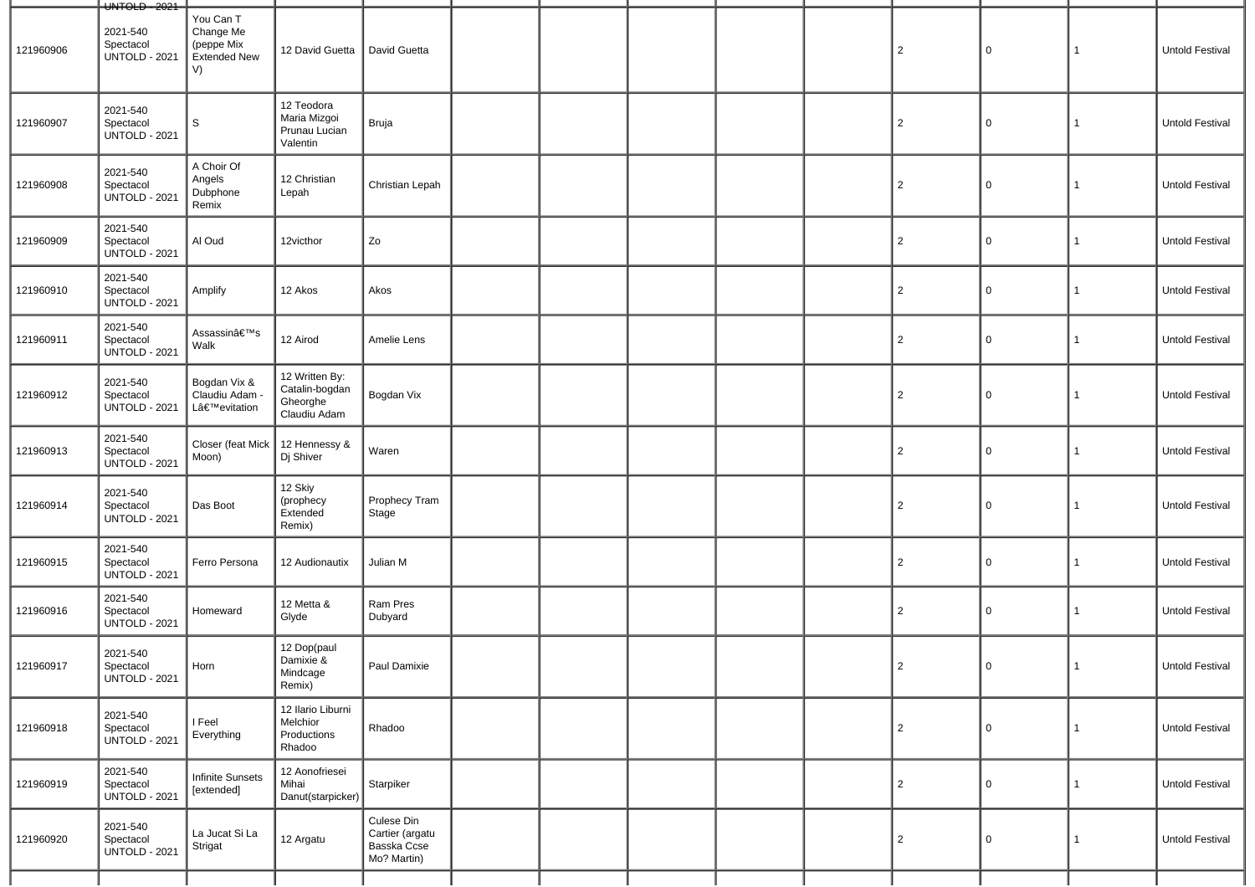|           | UNTOLD - 2021                                 |                                                                   |                                                              |                                                             |  |  |                |             |                |                        |
|-----------|-----------------------------------------------|-------------------------------------------------------------------|--------------------------------------------------------------|-------------------------------------------------------------|--|--|----------------|-------------|----------------|------------------------|
| 121960906 | 2021-540<br>Spectacol<br><b>UNTOLD - 2021</b> | You Can T<br>Change Me<br>(peppe Mix<br><b>Extended New</b><br>V) | 12 David Guetta   David Guetta                               |                                                             |  |  | $\overline{2}$ | $\mathbf 0$ | $\mathbf{1}$   | Untold Festival        |
| 121960907 | 2021-540<br>Spectacol<br><b>UNTOLD - 2021</b> | S                                                                 | 12 Teodora<br>Maria Mizgoi<br>Prunau Lucian<br>Valentin      | Bruja                                                       |  |  | $\overline{c}$ | 0           | -1             | Untold Festival        |
| 121960908 | 2021-540<br>Spectacol<br><b>UNTOLD - 2021</b> | A Choir Of<br>Angels<br>Dubphone<br>Remix                         | 12 Christian<br>Lepah                                        | Christian Lepah                                             |  |  | $\overline{2}$ | $\mathbf 0$ | 1              | Untold Festival        |
| 121960909 | 2021-540<br>Spectacol<br><b>UNTOLD - 2021</b> | Al Oud                                                            | 12victhor                                                    | Zo                                                          |  |  | $\overline{c}$ | $\mathbf 0$ | $\mathbf{1}$   | Untold Festival        |
| 121960910 | 2021-540<br>Spectacol<br><b>UNTOLD - 2021</b> | Amplify                                                           | 12 Akos                                                      | Akos                                                        |  |  | $\overline{c}$ | 0           | $\mathbf{1}$   | Untold Festival        |
| 121960911 | 2021-540<br>Spectacol<br><b>UNTOLD - 2021</b> | Assassin's<br>Walk                                                | 12 Airod                                                     | Amelie Lens                                                 |  |  | $\overline{2}$ | 0           | $\mathbf{1}$   | Untold Festival        |
| 121960912 | 2021-540<br>Spectacol<br><b>UNTOLD - 2021</b> | Bogdan Vix &<br>Claudiu Adam -<br>L'evitation                     | 12 Written By:<br>Catalin-bogdan<br>Gheorghe<br>Claudiu Adam | Bogdan Vix                                                  |  |  | $\overline{2}$ | 0           | $\mathbf{1}$   | Untold Festival        |
| 121960913 | 2021-540<br>Spectacol<br><b>UNTOLD - 2021</b> | Closer (feat Mick<br>Moon)                                        | 12 Hennessy &<br>Dj Shiver                                   | Waren                                                       |  |  | $\overline{2}$ | 0           | $\mathbf{1}$   | Untold Festival        |
| 121960914 | 2021-540<br>Spectacol<br><b>UNTOLD - 2021</b> | Das Boot                                                          | 12 Skiy<br>(prophecy<br>Extended<br>Remix)                   | Prophecy Tram<br>Stage                                      |  |  | $\overline{2}$ | 0           | $\mathbf{1}$   | Untold Festival        |
| 121960915 | 2021-540<br>Spectacol<br><b>UNTOLD - 2021</b> | Ferro Persona                                                     | 12 Audionautix                                               | Julian M                                                    |  |  | $\overline{c}$ | 0           | 1              | Untold Festival        |
| 121960916 | 2021-540<br>Spectacol<br><b>UNTOLD - 2021</b> | Homeward                                                          | 12 Metta &<br>Glyde                                          | Ram Pres<br>Dubyard                                         |  |  | 2              | 0           | 1              | Untold Festival        |
| 121960917 | 2021-540<br>Spectacol<br><b>UNTOLD - 2021</b> | Horn                                                              | 12 Dop(paul<br>Damixie &<br>Mindcage<br>Remix)               | Paul Damixie                                                |  |  | $\overline{2}$ | 0           | $\overline{1}$ | <b>Untold Festival</b> |
| 121960918 | 2021-540<br>Spectacol<br><b>UNTOLD - 2021</b> | I Feel<br>Everything                                              | 12 Ilario Liburni<br>Melchior<br>Productions<br>Rhadoo       | Rhadoo                                                      |  |  | 2              | $\mathbf 0$ | $\mathbf{1}$   | Untold Festival        |
| 121960919 | 2021-540<br>Spectacol<br><b>UNTOLD - 2021</b> | <b>Infinite Sunsets</b><br>[extended]                             | 12 Aonofriesei<br>Mihai<br>Danut(starpicker)                 | Starpiker                                                   |  |  | 2              | 0           | $\mathbf{1}$   | Untold Festival        |
| 121960920 | 2021-540<br>Spectacol<br><b>UNTOLD - 2021</b> | La Jucat Si La<br>Strigat                                         | 12 Argatu                                                    | Culese Din<br>Cartier (argatu<br>Basska Ccse<br>Mo? Martin) |  |  | $\overline{2}$ | 0           | 1              | Untold Festival        |
|           |                                               |                                                                   |                                                              |                                                             |  |  |                |             |                |                        |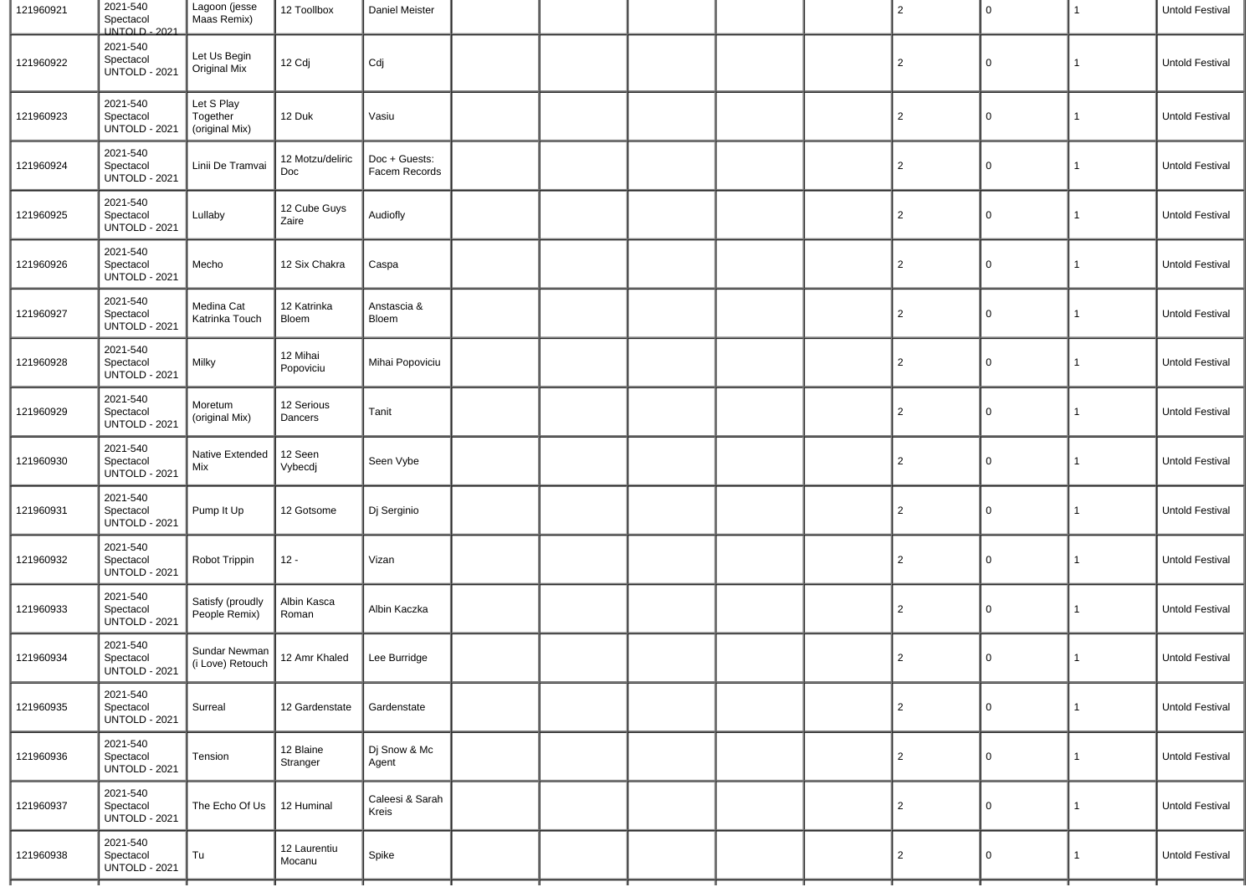| 121960921 | 2021-540<br>Spectacol<br>UNTOLD - 2021        | Lagoon (jesse<br>Maas Remix)             | 12 Toollbox             | Daniel Meister                 |  |  | $\overline{2}$ | $\mathbf 0$ | $\mathbf{1}$ | Untold Festival |
|-----------|-----------------------------------------------|------------------------------------------|-------------------------|--------------------------------|--|--|----------------|-------------|--------------|-----------------|
| 121960922 | 2021-540<br>Spectacol<br><b>UNTOLD - 2021</b> | Let Us Begin<br>Original Mix             | 12 Cdj                  | Cdj                            |  |  | $\overline{c}$ | $\Omega$    | 1            | Untold Festival |
| 121960923 | 2021-540<br>Spectacol<br><b>UNTOLD - 2021</b> | Let S Play<br>Together<br>(original Mix) | 12 Duk                  | Vasiu                          |  |  | $\overline{2}$ | 0           | 1            | Untold Festival |
| 121960924 | 2021-540<br>Spectacol<br><b>UNTOLD - 2021</b> | Linii De Tramvai                         | 12 Motzu/deliric<br>Doc | Doc + Guests:<br>Facem Records |  |  | $\overline{2}$ | 0           | $\mathbf{1}$ | Untold Festival |
| 121960925 | 2021-540<br>Spectacol<br><b>UNTOLD - 2021</b> | Lullaby                                  | 12 Cube Guys<br>Zaire   | Audiofly                       |  |  | $\overline{2}$ | 0           | 1            | Untold Festival |
| 121960926 | 2021-540<br>Spectacol<br><b>UNTOLD - 2021</b> | Mecho                                    | 12 Six Chakra           | Caspa                          |  |  | $\overline{2}$ | 0           | $\mathbf{1}$ | Untold Festival |
| 121960927 | 2021-540<br>Spectacol<br><b>UNTOLD - 2021</b> | Medina Cat<br>Katrinka Touch             | 12 Katrinka<br>Bloem    | Anstascia &<br>Bloem           |  |  | $\overline{2}$ | 0           | $\mathbf{1}$ | Untold Festival |
| 121960928 | 2021-540<br>Spectacol<br><b>UNTOLD - 2021</b> | Milky                                    | 12 Mihai<br>Popoviciu   | Mihai Popoviciu                |  |  | $\overline{2}$ | 0           | $\mathbf{1}$ | Untold Festival |
| 121960929 | 2021-540<br>Spectacol<br><b>UNTOLD - 2021</b> | Moretum<br>(original Mix)                | 12 Serious<br>Dancers   | Tanit                          |  |  | $\overline{2}$ | 0           | $\mathbf{1}$ | Untold Festival |
| 121960930 | 2021-540<br>Spectacol<br><b>UNTOLD - 2021</b> | Native Extended<br>Mix                   | 12 Seen<br>Vybecdj      | Seen Vybe                      |  |  | $\overline{2}$ | 0           | $\mathbf{1}$ | Untold Festival |
| 121960931 | 2021-540<br>Spectacol<br><b>UNTOLD - 2021</b> | Pump It Up                               | 12 Gotsome              | Dj Serginio                    |  |  | $\overline{2}$ | 0           | $\mathbf{1}$ | Untold Festival |
| 121960932 | 2021-540<br>Spectacol<br><b>UNTOLD - 2021</b> | Robot Trippin                            | $12 -$                  | Vizan                          |  |  | $\overline{2}$ | 0           | $\mathbf{1}$ | Untold Festival |
| 121960933 | 2021-540<br>Spectacol<br><b>UNTOLD - 2021</b> | Satisfy (proudly<br>People Remix)        | Albin Kasca<br>Roman    | Albin Kaczka                   |  |  | $\overline{2}$ | 0           | $\mathbf{1}$ | Untold Festival |
| 121960934 | 2021-540<br>Spectacol<br><b>UNTOLD - 2021</b> | Sundar Newman<br>(i Love) Retouch        | 12 Amr Khaled           | Lee Burridge                   |  |  | $\overline{2}$ | 0           | $\mathbf{1}$ | Untold Festival |
| 121960935 | 2021-540<br>Spectacol<br><b>UNTOLD - 2021</b> | Surreal                                  | 12 Gardenstate          | Gardenstate                    |  |  | $\overline{2}$ | $\mathsf 0$ | $\mathbf{1}$ | Untold Festival |
| 121960936 | 2021-540<br>Spectacol<br><b>UNTOLD - 2021</b> | Tension                                  | 12 Blaine<br>Stranger   | Dj Snow & Mc<br>Agent          |  |  | $\overline{2}$ | 0           | $\mathbf{1}$ | Untold Festival |
| 121960937 | 2021-540<br>Spectacol<br><b>UNTOLD - 2021</b> | The Echo Of Us                           | 12 Huminal              | Caleesi & Sarah<br>Kreis       |  |  | $\overline{2}$ | 0           | $\mathbf{1}$ | Untold Festival |
| 121960938 | 2021-540<br>Spectacol<br><b>UNTOLD - 2021</b> | Tu                                       | 12 Laurentiu<br>Mocanu  | Spike                          |  |  | $\overline{2}$ | 0           | $\mathbf{1}$ | Untold Festival |
|           |                                               |                                          |                         |                                |  |  |                |             |              |                 |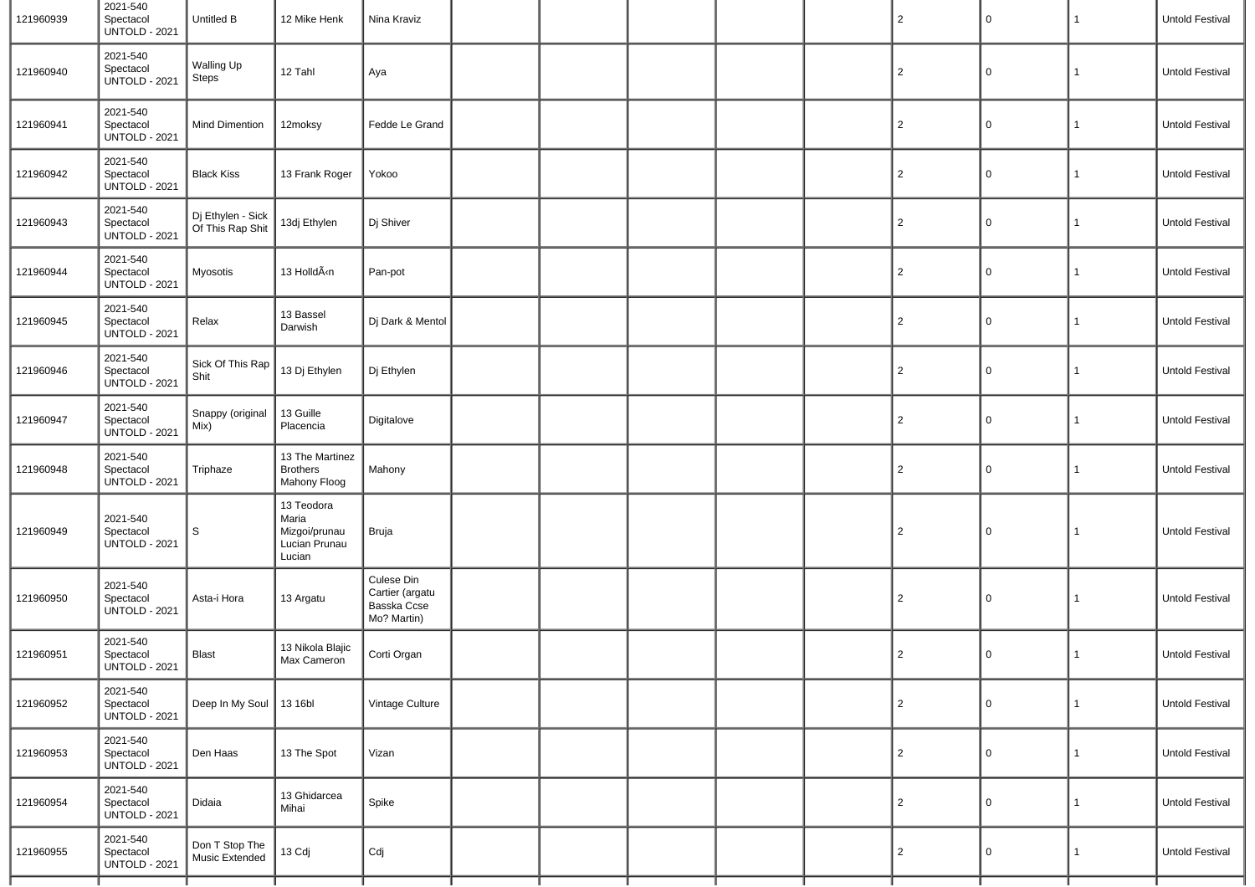| 121960939 | 2021-540<br>Spectacol<br><b>UNTOLD - 2021</b> | Untitled B                            | 12 Mike Henk                                                                                                                              | Nina Kraviz                                                 |  |  | $\overline{2}$ | 0           | $\mathbf{1}$ | Untold Festival |
|-----------|-----------------------------------------------|---------------------------------------|-------------------------------------------------------------------------------------------------------------------------------------------|-------------------------------------------------------------|--|--|----------------|-------------|--------------|-----------------|
| 121960940 | 2021-540<br>Spectacol<br><b>UNTOLD - 2021</b> | Walling Up<br>Steps                   | 12 Tahl                                                                                                                                   | Aya                                                         |  |  | $\overline{2}$ | 0           | 1            | Untold Festival |
| 121960941 | 2021-540<br>Spectacol<br><b>UNTOLD - 2021</b> | Mind Dimention                        | 12moksy                                                                                                                                   | Fedde Le Grand                                              |  |  | $\overline{2}$ | $\mathsf 0$ | $\mathbf{1}$ | Untold Festival |
| 121960942 | 2021-540<br>Spectacol<br><b>UNTOLD - 2021</b> | <b>Black Kiss</b>                     | 13 Frank Roger                                                                                                                            | Yokoo                                                       |  |  | $\overline{2}$ | 0           | 1            | Untold Festival |
| 121960943 | 2021-540<br>Spectacol<br><b>UNTOLD - 2021</b> | Dj Ethylen - Sick<br>Of This Rap Shit | 13dj Ethylen                                                                                                                              | Dj Shiver                                                   |  |  | $\overline{2}$ | $\mathsf 0$ | 1            | Untold Festival |
| 121960944 | 2021-540<br>Spectacol<br><b>UNTOLD - 2021</b> | Myosotis                              | 13 HolldÃ <n< td=""><td>Pan-pot</td><td></td><td></td><td><math>\overline{2}</math></td><td>0</td><td>1</td><td>Untold Festival</td></n<> | Pan-pot                                                     |  |  | $\overline{2}$ | 0           | 1            | Untold Festival |
| 121960945 | 2021-540<br>Spectacol<br><b>UNTOLD - 2021</b> | Relax                                 | 13 Bassel<br>Darwish                                                                                                                      | Dj Dark & Mentol                                            |  |  | $\overline{2}$ | $\mathsf 0$ | $\mathbf{1}$ | Untold Festival |
| 121960946 | 2021-540<br>Spectacol<br><b>UNTOLD - 2021</b> | Sick Of This Rap<br>Shit              | 13 Dj Ethylen                                                                                                                             | Dj Ethylen                                                  |  |  | $\overline{2}$ | 0           | 1            | Untold Festival |
| 121960947 | 2021-540<br>Spectacol<br><b>UNTOLD - 2021</b> | Snappy (original<br>Mix)              | 13 Guille<br>Placencia                                                                                                                    | Digitalove                                                  |  |  | $\overline{2}$ | $\mathsf 0$ | 1            | Untold Festival |
| 121960948 | 2021-540<br>Spectacol<br><b>UNTOLD - 2021</b> | Triphaze                              | 13 The Martinez<br><b>Brothers</b><br>Mahony Floog                                                                                        | Mahony                                                      |  |  | $\overline{2}$ | 0           | 1            | Untold Festival |
| 121960949 | 2021-540<br>Spectacol<br><b>UNTOLD - 2021</b> | $\mathsf S$                           | 13 Teodora<br>Maria<br>Mizgoi/prunau<br>Lucian Prunau<br>Lucian                                                                           | Bruja                                                       |  |  | $\overline{2}$ | 0           | 1            | Untold Festival |
| 121960950 | 2021-540<br>Spectacol<br><b>UNTOLD - 2021</b> | Asta-i Hora                           | 13 Argatu                                                                                                                                 | Culese Din<br>Cartier (argatu<br>Basska Ccse<br>Mo? Martin) |  |  | $\overline{2}$ | $\mathbf 0$ | $\mathbf{1}$ | Untold Festival |
| 121960951 | 2021-540<br>Spectacol<br><b>UNTOLD - 2021</b> | <b>Blast</b>                          | 13 Nikola Blajic<br>Max Cameron                                                                                                           | Corti Organ                                                 |  |  | $\overline{2}$ | 0           | 1            | Untold Festival |
| 121960952 | 2021-540<br>Spectacol<br><b>UNTOLD - 2021</b> | Deep In My Soul                       | 1316 <sub>b1</sub>                                                                                                                        | Vintage Culture                                             |  |  | $\overline{2}$ | 0           | $\mathbf{1}$ | Untold Festival |
| 121960953 | 2021-540<br>Spectacol<br><b>UNTOLD - 2021</b> | Den Haas                              | 13 The Spot                                                                                                                               | Vizan                                                       |  |  | $\overline{2}$ | 0           | $\mathbf{1}$ | Untold Festival |
| 121960954 | 2021-540<br>Spectacol<br><b>UNTOLD - 2021</b> | Didaia                                | 13 Ghidarcea<br>Mihai                                                                                                                     | Spike                                                       |  |  | $\overline{2}$ | 0           | $\mathbf{1}$ | Untold Festival |
| 121960955 | 2021-540<br>Spectacol<br><b>UNTOLD - 2021</b> | Don T Stop The<br>Music Extended      | 13 Cdj                                                                                                                                    | Cdj                                                         |  |  | $\overline{2}$ | 0           | $\mathbf{1}$ | Untold Festival |
|           |                                               |                                       |                                                                                                                                           |                                                             |  |  |                |             |              |                 |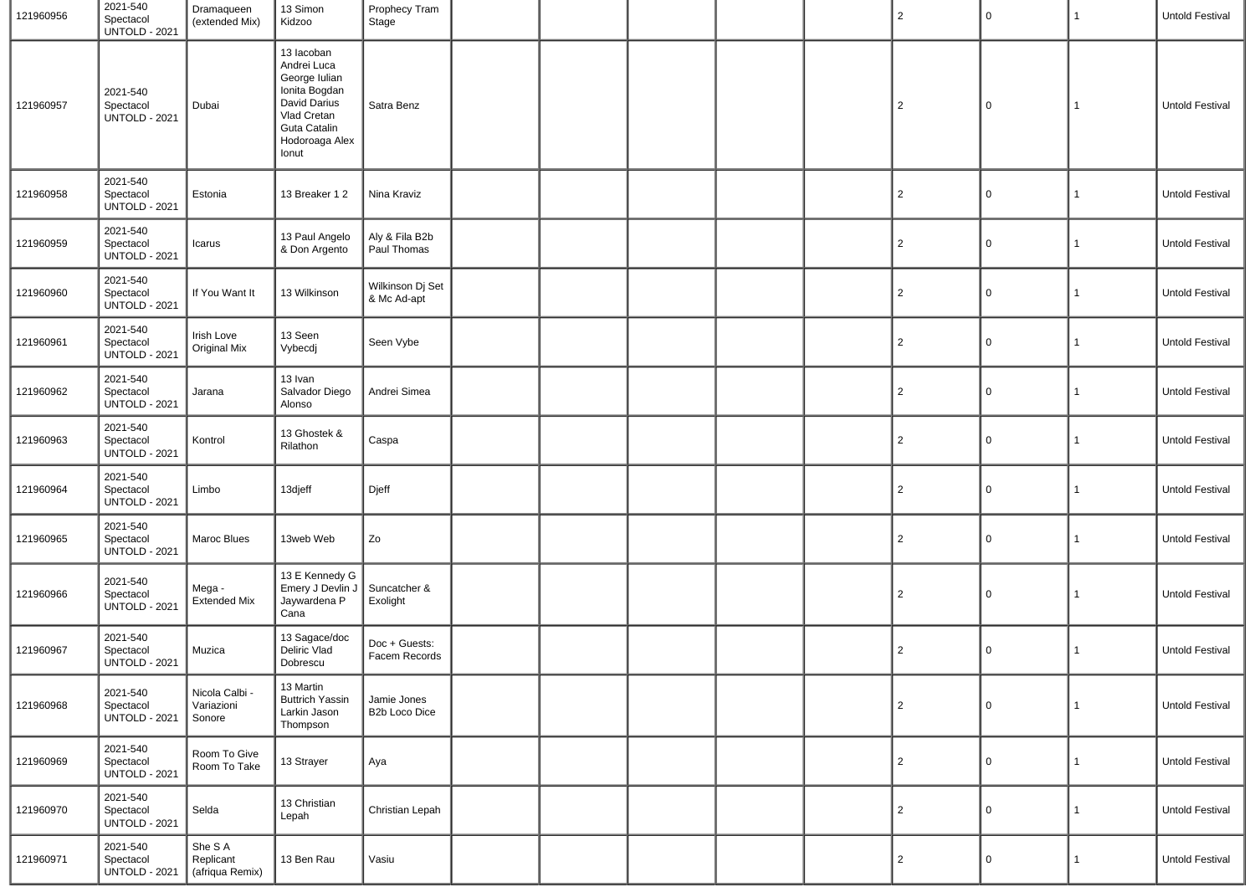| 121960956 | 2021-540<br>Spectacol<br><b>UNTOLD - 2021</b> | Dramaqueen<br>(extended Mix)            | 13 Simon<br>Kidzoo                                                                                                                    | Prophecy Tram<br>Stage          |  |  | $\overline{2}$ | $\mathbf 0$ | 1            | Untold Festival        |
|-----------|-----------------------------------------------|-----------------------------------------|---------------------------------------------------------------------------------------------------------------------------------------|---------------------------------|--|--|----------------|-------------|--------------|------------------------|
| 121960957 | 2021-540<br>Spectacol<br><b>UNTOLD - 2021</b> | Dubai                                   | 13 Iacoban<br>Andrei Luca<br>George Iulian<br>Ionita Bogdan<br>David Darius<br>Vlad Cretan<br>Guta Catalin<br>Hodoroaga Alex<br>Ionut | Satra Benz                      |  |  | $\overline{2}$ | 0           | 1            | Untold Festival        |
| 121960958 | 2021-540<br>Spectacol<br><b>UNTOLD - 2021</b> | Estonia                                 | 13 Breaker 12                                                                                                                         | Nina Kraviz                     |  |  | $\overline{2}$ | $\mathbf 0$ | $\mathbf{1}$ | Untold Festival        |
| 121960959 | 2021-540<br>Spectacol<br><b>UNTOLD - 2021</b> | Icarus                                  | 13 Paul Angelo<br>& Don Argento                                                                                                       | Aly & Fila B2b<br>Paul Thomas   |  |  | $\overline{2}$ | 0           | $\mathbf{1}$ | Untold Festival        |
| 121960960 | 2021-540<br>Spectacol<br><b>UNTOLD - 2021</b> | If You Want It                          | 13 Wilkinson                                                                                                                          | Wilkinson Dj Set<br>& Mc Ad-apt |  |  | $\overline{2}$ | 0           | $\mathbf{1}$ | Untold Festival        |
| 121960961 | 2021-540<br>Spectacol<br><b>UNTOLD - 2021</b> | Irish Love<br><b>Original Mix</b>       | 13 Seen<br>Vybecdj                                                                                                                    | Seen Vybe                       |  |  | $\overline{2}$ | 0           | 1            | <b>Untold Festival</b> |
| 121960962 | 2021-540<br>Spectacol<br><b>UNTOLD - 2021</b> | Jarana                                  | 13 Ivan<br>Salvador Diego<br>Alonso                                                                                                   | Andrei Simea                    |  |  | $\overline{2}$ | 0           | $\mathbf{1}$ | Untold Festival        |
| 121960963 | 2021-540<br>Spectacol<br><b>UNTOLD - 2021</b> | Kontrol                                 | 13 Ghostek &<br>Rilathon                                                                                                              | Caspa                           |  |  | $\overline{2}$ | 0           | 1            | Untold Festival        |
| 121960964 | 2021-540<br>Spectacol<br><b>UNTOLD - 2021</b> | Limbo                                   | 13djeff                                                                                                                               | Djeff                           |  |  | $\overline{2}$ | 0           | $\mathbf{1}$ | Untold Festival        |
| 121960965 | 2021-540<br>Spectacol<br><b>UNTOLD - 2021</b> | Maroc Blues                             | 13web Web                                                                                                                             | Zo                              |  |  | $\overline{2}$ | 0           | 1            | Untold Festival        |
| 121960966 | 2021-540<br>Spectacol<br><b>UNTOLD - 2021</b> | Mega -<br><b>Extended Mix</b>           | 13 E Kennedy G<br>Emery J Devlin J<br>Jaywardena P<br>Cana                                                                            | Suncatcher &<br>Exolight        |  |  | $\overline{2}$ | 0           | $\mathbf{1}$ | Untold Festival        |
| 121960967 | 2021-540<br>Spectacol<br><b>UNTOLD - 2021</b> | Muzica                                  | 13 Sagace/doc<br>Deliric Vlad<br>Dobrescu                                                                                             | Doc + Guests:<br>Facem Records  |  |  | 2              | 0           | $\mathbf{1}$ | Untold Festival        |
| 121960968 | 2021-540<br>Spectacol<br><b>UNTOLD - 2021</b> | Nicola Calbi<br>Variazioni<br>Sonore    | 13 Martin<br><b>Buttrich Yassin</b><br>Larkin Jason<br>Thompson                                                                       | Jamie Jones<br>B2b Loco Dice    |  |  | $\overline{2}$ | 0           | 1            | Untold Festival        |
| 121960969 | 2021-540<br>Spectacol<br><b>UNTOLD - 2021</b> | Room To Give<br>Room To Take            | 13 Strayer                                                                                                                            | Aya                             |  |  | $\overline{2}$ | 0           | $\mathbf{1}$ | Untold Festival        |
| 121960970 | 2021-540<br>Spectacol<br><b>UNTOLD - 2021</b> | Selda                                   | 13 Christian<br>Lepah                                                                                                                 | Christian Lepah                 |  |  | $\overline{2}$ | 0           | $\mathbf{1}$ | Untold Festival        |
| 121960971 | 2021-540<br>Spectacol<br><b>UNTOLD - 2021</b> | She S A<br>Replicant<br>(afriqua Remix) | 13 Ben Rau                                                                                                                            | Vasiu                           |  |  | $\overline{2}$ | 0           | $\mathbf{1}$ | Untold Festival        |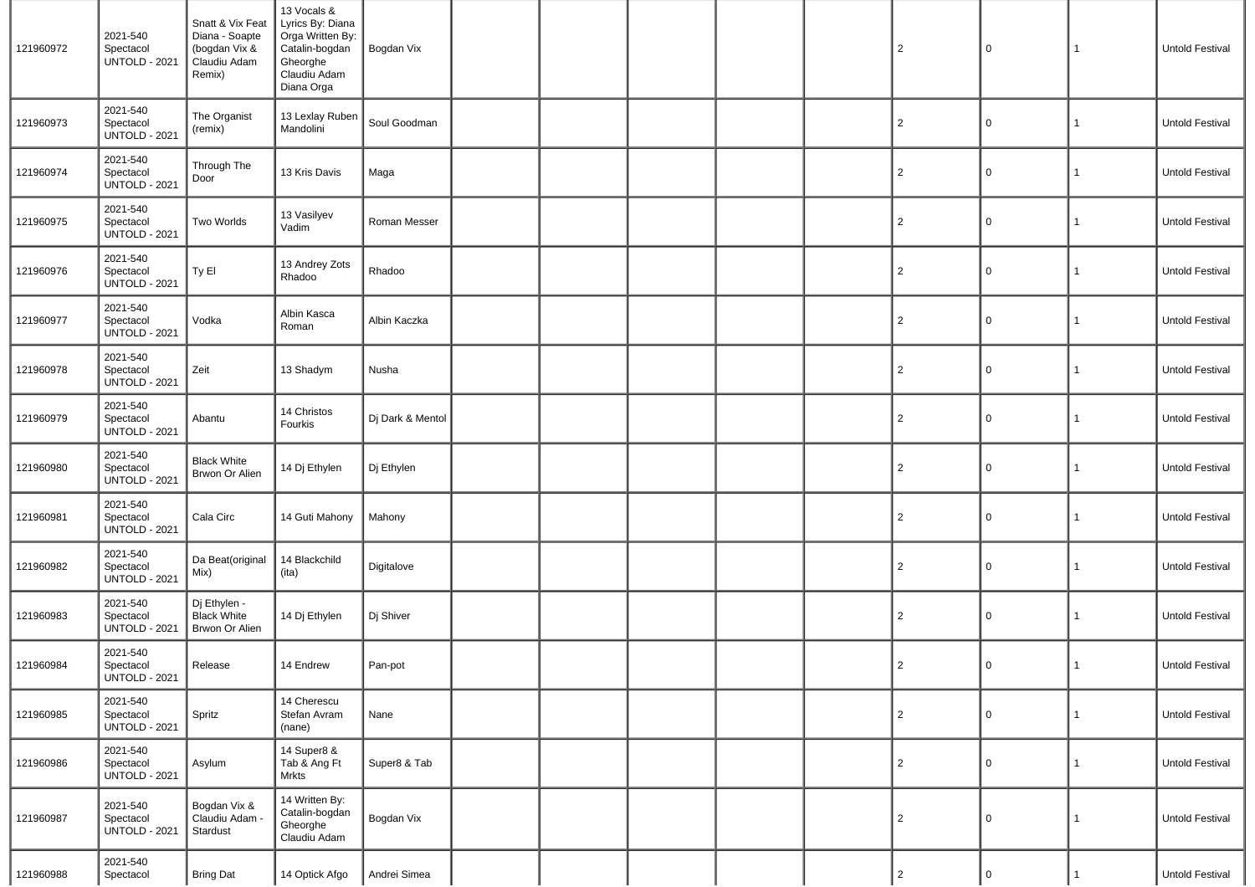| 121960972 | 2021-540<br>Spectacol<br><b>UNTOLD - 2021</b> | Snatt & Vix Feat<br>Diana - Soapte<br>(bogdan Vix &<br>Claudiu Adam<br>Remix) | 13 Vocals &<br>Lyrics By: Diana<br>Orga Written By:<br>Catalin-bogdan<br>Gheorghe<br>Claudiu Adam<br>Diana Orga | Bogdan Vix       |  |  | $\overline{2}$ | 0            | 1            | Untold Festival |
|-----------|-----------------------------------------------|-------------------------------------------------------------------------------|-----------------------------------------------------------------------------------------------------------------|------------------|--|--|----------------|--------------|--------------|-----------------|
| 121960973 | 2021-540<br>Spectacol<br><b>UNTOLD - 2021</b> | The Organist<br>(remix)                                                       | 13 Lexlay Ruben<br>Mandolini                                                                                    | Soul Goodman     |  |  | $\overline{c}$ | $\mathbf 0$  | 1            | Untold Festival |
| 121960974 | 2021-540<br>Spectacol<br><b>UNTOLD - 2021</b> | Through The<br>Door                                                           | 13 Kris Davis                                                                                                   | Maga             |  |  | $\overline{c}$ | 0            | 1            | Untold Festival |
| 121960975 | 2021-540<br>Spectacol<br><b>UNTOLD - 2021</b> | Two Worlds                                                                    | 13 Vasilyev<br>Vadim                                                                                            | Roman Messer     |  |  | $\overline{c}$ | 0            | 1            | Untold Festival |
| 121960976 | 2021-540<br>Spectacol<br><b>UNTOLD - 2021</b> | Ty El                                                                         | 13 Andrey Zots<br>Rhadoo                                                                                        | Rhadoo           |  |  | $\overline{c}$ | 0            | 1            | Untold Festival |
| 121960977 | 2021-540<br>Spectacol<br><b>UNTOLD - 2021</b> | Vodka                                                                         | Albin Kasca<br>Roman                                                                                            | Albin Kaczka     |  |  | $\overline{c}$ | 0            | 1            | Untold Festival |
| 121960978 | 2021-540<br>Spectacol<br><b>UNTOLD - 2021</b> | Zeit                                                                          | 13 Shadym                                                                                                       | Nusha            |  |  | $\overline{2}$ | 0            | 1            | Untold Festival |
| 121960979 | 2021-540<br>Spectacol<br><b>UNTOLD - 2021</b> | Abantu                                                                        | 14 Christos<br>Fourkis                                                                                          | Dj Dark & Mentol |  |  | $\overline{c}$ | 0            | 1            | Untold Festival |
| 121960980 | 2021-540<br>Spectacol<br><b>UNTOLD - 2021</b> | <b>Black White</b><br>Brwon Or Alien                                          | 14 Dj Ethylen                                                                                                   | Dj Ethylen       |  |  | $\overline{2}$ | 0            | 1            | Untold Festival |
| 121960981 | 2021-540<br>Spectacol<br><b>UNTOLD - 2021</b> | Cala Circ                                                                     | 14 Guti Mahony                                                                                                  | Mahony           |  |  | $\overline{c}$ | 0            | 1            | Untold Festival |
| 121960982 | 2021-540<br>Spectacol<br><b>UNTOLD - 2021</b> | Da Beat(original<br>Mix)                                                      | 14 Blackchild<br>(ita)                                                                                          | Digitalove       |  |  | $\overline{2}$ | 0            | 1            | Untold Festival |
| 121960983 | 2021-540<br>Spectacol<br><b>UNTOLD - 2021</b> | Dj Ethylen -<br><b>Black White</b><br>Brwon Or Alien                          | 14 Dj Ethylen                                                                                                   | Dj Shiver        |  |  | $\overline{c}$ | 0            | 1            | Untold Festival |
| 121960984 | 2021-540<br>Spectacol<br><b>UNTOLD - 2021</b> | Release                                                                       | 14 Endrew                                                                                                       | Pan-pot          |  |  | $\overline{2}$ | $\mathbf 0$  | 1            | Untold Festival |
| 121960985 | 2021-540<br>Spectacol<br><b>UNTOLD - 2021</b> | Spritz                                                                        | 14 Cherescu<br>Stefan Avram<br>(nane)                                                                           | Nane             |  |  | $\overline{2}$ | $\mathsf{O}$ | $\mathbf{1}$ | Untold Festival |
| 121960986 | 2021-540<br>Spectacol<br><b>UNTOLD - 2021</b> | Asylum                                                                        | 14 Super8 &<br>Tab & Ang Ft<br><b>Mrkts</b>                                                                     | Super8 & Tab     |  |  | $\overline{2}$ | $\mathbf 0$  | $\mathbf{1}$ | Untold Festival |
| 121960987 | 2021-540<br>Spectacol<br><b>UNTOLD - 2021</b> | Bogdan Vix &<br>Claudiu Adam<br>Stardust                                      | 14 Written By:<br>Catalin-bogdan<br>Gheorghe<br>Claudiu Adam                                                    | Bogdan Vix       |  |  | $\overline{c}$ | $\mathbf 0$  | $\mathbf{1}$ | Untold Festival |
| 121960988 | 2021-540<br>Spectacol                         | <b>Bring Dat</b>                                                              | 14 Optick Afgo                                                                                                  | Andrei Simea     |  |  | $\overline{2}$ | $\mathbf 0$  |              | Untold Festival |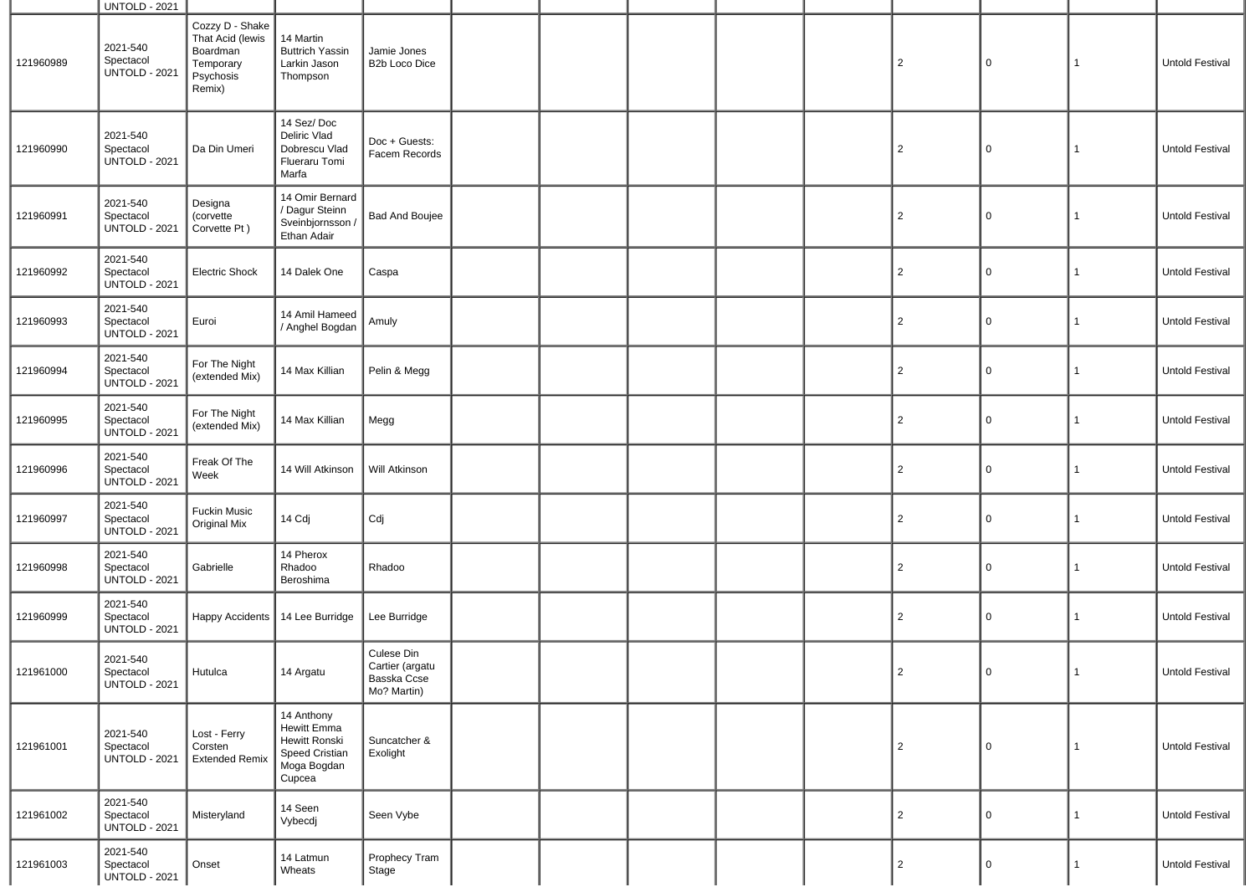|           | <b>UNTOLD - 2021</b>                          |                                                                                     |                                                                                       |                                                             |  |  |                |              |              |                        |
|-----------|-----------------------------------------------|-------------------------------------------------------------------------------------|---------------------------------------------------------------------------------------|-------------------------------------------------------------|--|--|----------------|--------------|--------------|------------------------|
| 121960989 | 2021-540<br>Spectacol<br><b>UNTOLD - 2021</b> | Cozzy D - Shake<br>That Acid (lewis<br>Boardman<br>Temporary<br>Psychosis<br>Remix) | 14 Martin<br><b>Buttrich Yassin</b><br>Larkin Jason<br>Thompson                       | Jamie Jones<br>B2b Loco Dice                                |  |  | $\overline{2}$ | 0            | 1            | Untold Festival        |
| 121960990 | 2021-540<br>Spectacol<br><b>UNTOLD - 2021</b> | Da Din Umeri                                                                        | 14 Sez/Doc<br>Deliric Vlad<br>Dobrescu Vlad<br>Flueraru Tomi<br>Marfa                 | Doc + Guests:<br>Facem Records                              |  |  | $\overline{2}$ | 0            | $\mathbf{1}$ | <b>Untold Festival</b> |
| 121960991 | 2021-540<br>Spectacol<br><b>UNTOLD - 2021</b> | Designa<br>(corvette<br>Corvette Pt)                                                | 14 Omir Bernard<br>/ Dagur Steinn<br>Sveinbjornsson /<br>Ethan Adair                  | <b>Bad And Boujee</b>                                       |  |  | $\overline{c}$ | 0            | $\mathbf{1}$ | Untold Festival        |
| 121960992 | 2021-540<br>Spectacol<br><b>UNTOLD - 2021</b> | Electric Shock                                                                      | 14 Dalek One                                                                          | Caspa                                                       |  |  | $\overline{c}$ | 0            | $\mathbf{1}$ | Untold Festival        |
| 121960993 | 2021-540<br>Spectacol<br><b>UNTOLD - 2021</b> | Euroi                                                                               | 14 Amil Hameed<br>/ Anghel Bogdan                                                     | Amuly                                                       |  |  | $\overline{c}$ | 0            | $\mathbf{1}$ | Untold Festival        |
| 121960994 | 2021-540<br>Spectacol<br><b>UNTOLD - 2021</b> | For The Night<br>(extended Mix)                                                     | 14 Max Killian                                                                        | Pelin & Megg                                                |  |  | $\overline{c}$ | 0            | $\mathbf{1}$ | Untold Festival        |
| 121960995 | 2021-540<br>Spectacol<br><b>UNTOLD - 2021</b> | For The Night<br>(extended Mix)                                                     | 14 Max Killian                                                                        | Megg                                                        |  |  | $\overline{c}$ | 0            | $\mathbf{1}$ | Untold Festival        |
| 121960996 | 2021-540<br>Spectacol<br><b>UNTOLD - 2021</b> | Freak Of The<br>Week                                                                | 14 Will Atkinson                                                                      | Will Atkinson                                               |  |  | $\overline{c}$ | 0            | $\mathbf{1}$ | Untold Festival        |
| 121960997 | 2021-540<br>Spectacol<br><b>UNTOLD - 2021</b> | <b>Fuckin Music</b><br>Original Mix                                                 | 14 Cdj                                                                                | Cdj                                                         |  |  | $\overline{c}$ | 0            | $\mathbf{1}$ | Untold Festival        |
| 121960998 | 2021-540<br>Spectacol<br><b>UNTOLD - 2021</b> | Gabrielle                                                                           | 14 Pherox<br>Rhadoo<br>Beroshima                                                      | Rhadoo                                                      |  |  | $\overline{c}$ | 0            | $\mathbf{1}$ | Untold Festival        |
| 121960999 | 2021-540<br>Spectacol<br><b>UNTOLD - 2021</b> | <b>Happy Accidents</b>                                                              | 14 Lee Burridge                                                                       | Lee Burridge                                                |  |  | $\overline{2}$ | 0            | $\mathbf{1}$ | Untold Festival        |
| 121961000 | 2021-540<br>Spectacol<br><b>UNTOLD - 2021</b> | Hutulca                                                                             | 14 Argatu                                                                             | Culese Din<br>Cartier (argatu<br>Basska Ccse<br>Mo? Martin) |  |  | $\mathbf{Z}$   | O            | $\perp$      | Untold Festival        |
| 121961001 | 2021-540<br>Spectacol<br><b>UNTOLD - 2021</b> | Lost - Ferry<br>Corsten<br><b>Extended Remix</b>                                    | 14 Anthony<br>Hewitt Emma<br>Hewitt Ronski<br>Speed Cristian<br>Moga Bogdan<br>Cupcea | Suncatcher &<br>Exolight                                    |  |  | $\overline{2}$ | $\mathsf{O}$ | $\mathbf{1}$ | Untold Festival        |
| 121961002 | 2021-540<br>Spectacol<br><b>UNTOLD - 2021</b> | Misteryland                                                                         | 14 Seen<br>Vybecdj                                                                    | Seen Vybe                                                   |  |  | $\overline{2}$ | $\mathsf{O}$ | $\mathbf{1}$ | Untold Festival        |
| 121961003 | 2021-540<br>Spectacol<br><b>UNTOLD - 2021</b> | Onset                                                                               | 14 Latmun<br>Wheats                                                                   | Prophecy Tram<br>Stage                                      |  |  | $\overline{2}$ | 0            | $\mathbf{1}$ | Untold Festival        |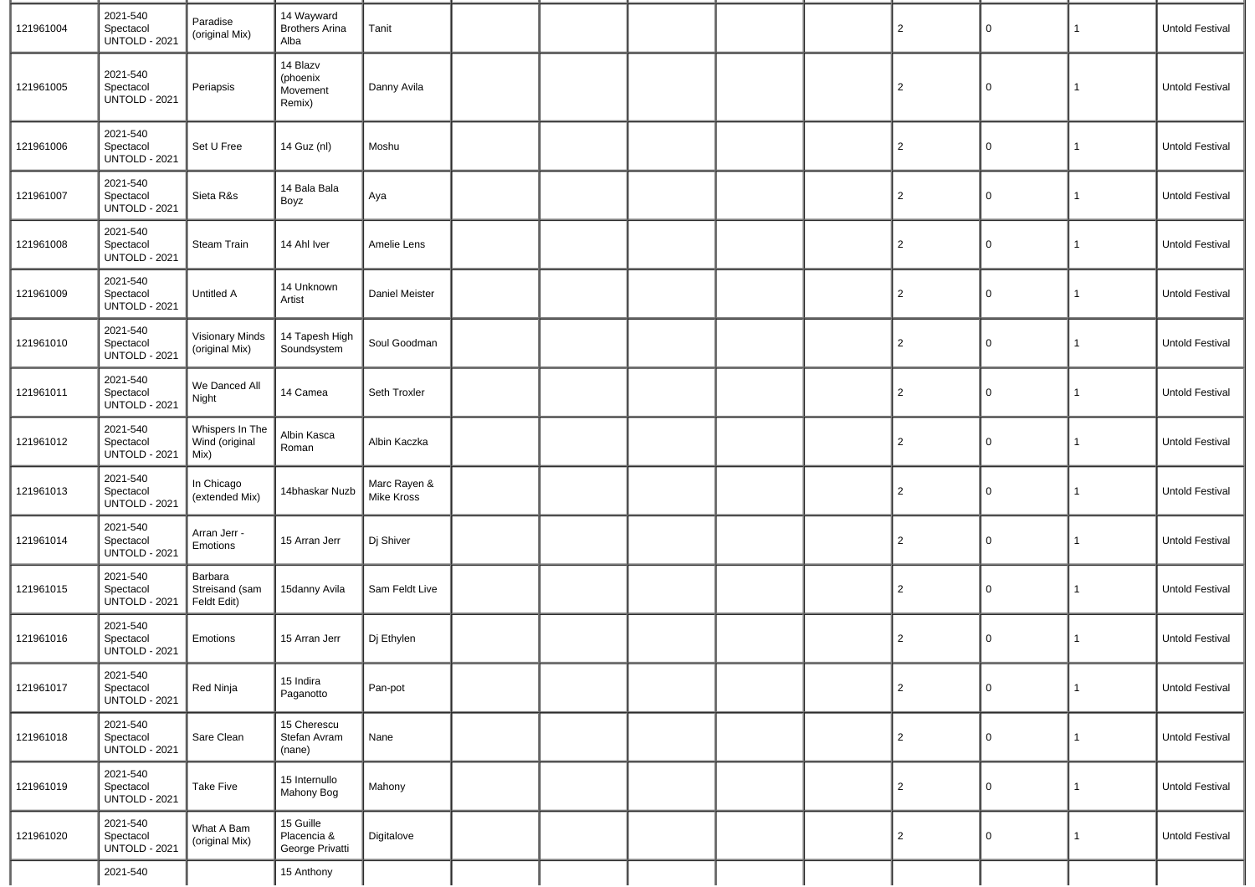| 121961004 | 2021-540<br>Spectacol<br><b>UNTOLD - 2021</b> | Paradise<br>(original Mix)                | 14 Wayward<br><b>Brothers Arina</b><br>Alba | Tanit                      |  |  | $\overline{c}$ | 0           | $\mathbf{1}$ | Untold Festival        |
|-----------|-----------------------------------------------|-------------------------------------------|---------------------------------------------|----------------------------|--|--|----------------|-------------|--------------|------------------------|
| 121961005 | 2021-540<br>Spectacol<br><b>UNTOLD - 2021</b> | Periapsis                                 | 14 Blazv<br>(phoenix<br>Movement<br>Remix)  | Danny Avila                |  |  | $\overline{c}$ | $\Omega$    | $\mathbf{1}$ | <b>Untold Festival</b> |
| 121961006 | 2021-540<br>Spectacol<br><b>UNTOLD - 2021</b> | Set U Free                                | 14 Guz (nl)                                 | Moshu                      |  |  | $\overline{2}$ | $\Omega$    | $\mathbf{1}$ | Untold Festival        |
| 121961007 | 2021-540<br>Spectacol<br><b>UNTOLD - 2021</b> | Sieta R&s                                 | 14 Bala Bala<br>Boyz                        | Aya                        |  |  | $\overline{2}$ | $\Omega$    | 1            | Untold Festival        |
| 121961008 | 2021-540<br>Spectacol<br><b>UNTOLD - 2021</b> | <b>Steam Train</b>                        | 14 Ahl Iver                                 | Amelie Lens                |  |  | $\overline{c}$ | $\Omega$    | 1            | Untold Festival        |
| 121961009 | 2021-540<br>Spectacol<br><b>UNTOLD - 2021</b> | Untitled A                                | 14 Unknown<br>Artist                        | Daniel Meister             |  |  | $\overline{2}$ | 0           | 1            | <b>Untold Festival</b> |
| 121961010 | 2021-540<br>Spectacol<br>UNTOLD - 2021        | <b>Visionary Minds</b><br>(original Mix)  | 14 Tapesh High<br>Soundsystem               | Soul Goodman               |  |  | $\overline{2}$ | $\Omega$    | $\mathbf{1}$ | <b>Untold Festival</b> |
| 121961011 | 2021-540<br>Spectacol<br><b>UNTOLD - 2021</b> | We Danced All<br>Night                    | 14 Camea                                    | Seth Troxler               |  |  | $\overline{2}$ | $\Omega$    | 1            | <b>Untold Festival</b> |
| 121961012 | 2021-540<br>Spectacol<br><b>UNTOLD - 2021</b> | Whispers In The<br>Wind (original<br>Mix) | Albin Kasca<br>Roman                        | Albin Kaczka               |  |  | $\overline{c}$ | $\Omega$    | 1            | Untold Festival        |
| 121961013 | 2021-540<br>Spectacol<br><b>UNTOLD - 2021</b> | In Chicago<br>(extended Mix)              | 14bhaskar Nuzb                              | Marc Rayen &<br>Mike Kross |  |  | $\overline{c}$ | $\Omega$    | 1            | Untold Festival        |
| 121961014 | 2021-540<br>Spectacol<br><b>UNTOLD - 2021</b> | Arran Jerr -<br>Emotions                  | 15 Arran Jerr                               | Dj Shiver                  |  |  | $\overline{2}$ | $\Omega$    | $\mathbf{1}$ | <b>Untold Festival</b> |
| 121961015 | 2021-540<br>Spectacol<br><b>UNTOLD - 2021</b> | Barbara<br>Streisand (sam<br>Feldt Edit)  | 15danny Avila                               | Sam Feldt Live             |  |  | $\overline{2}$ | 0           | $\mathbf{1}$ | <b>Untold Festival</b> |
| 121961016 | 2021-540<br>Spectacol<br><b>UNTOLD - 2021</b> | Emotions                                  | 15 Arran Jerr                               | Dj Ethylen                 |  |  | $\overline{2}$ | $\Omega$    | 1            | <b>Untold Festival</b> |
| 121961017 | 2021-540<br>Spectacol<br><b>UNTOLD - 2021</b> | Red Ninja                                 | 15 Indira<br>Paganotto                      | Pan-pot                    |  |  | $\overline{2}$ | $\mathbf 0$ | $\mathbf{1}$ | <b>Untold Festival</b> |
| 121961018 | 2021-540<br>Spectacol<br><b>UNTOLD - 2021</b> | Sare Clean                                | 15 Cherescu<br>Stefan Avram<br>(nane)       | Nane                       |  |  | $\overline{2}$ | $\Omega$    | 1            | Untold Festival        |
| 121961019 | 2021-540<br>Spectacol<br><b>UNTOLD - 2021</b> | <b>Take Five</b>                          | 15 Internullo<br>Mahony Bog                 | Mahony                     |  |  | $\overline{2}$ | $\mathbf 0$ | $\mathbf{1}$ | Untold Festival        |
| 121961020 | 2021-540<br>Spectacol<br><b>UNTOLD - 2021</b> | What A Bam<br>(original Mix)              | 15 Guille<br>Placencia &<br>George Privatti | Digitalove                 |  |  | $\overline{c}$ | $\Omega$    | 1            | Untold Festival        |
|           | 2021-540                                      |                                           | 15 Anthony                                  |                            |  |  |                |             |              |                        |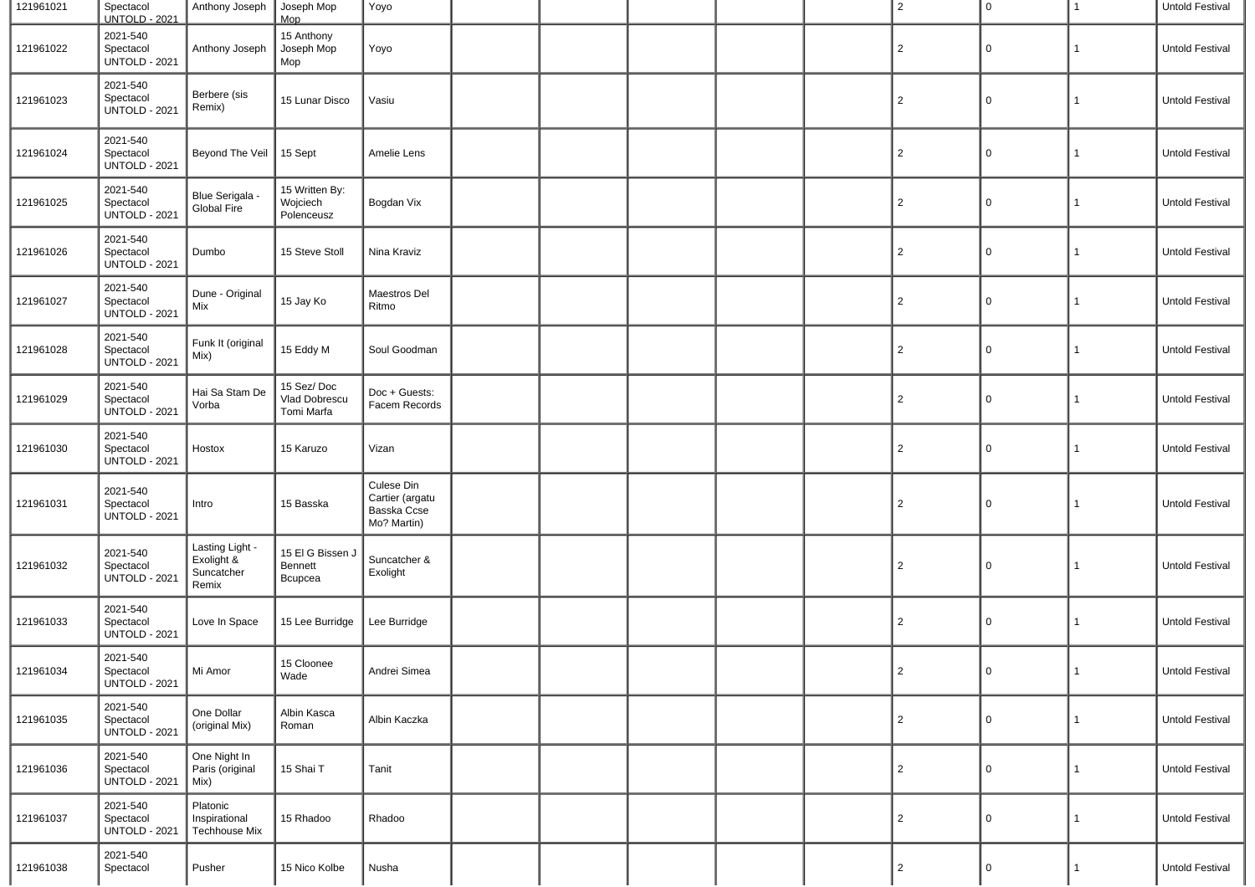| 121961021 | Spectacol<br><b>UNTOLD - 2021</b>             | Anthony Joseph   Joseph Mop                          | Mop                                       | Yoyo                                                        |  |  | $\overline{2}$ | $\overline{0}$ | 1            | Untold Festival |
|-----------|-----------------------------------------------|------------------------------------------------------|-------------------------------------------|-------------------------------------------------------------|--|--|----------------|----------------|--------------|-----------------|
| 121961022 | 2021-540<br>Spectacol<br><b>UNTOLD - 2021</b> | Anthony Joseph                                       | 15 Anthony<br>Joseph Mop<br>Mop           | Yoyo                                                        |  |  | $\overline{2}$ | 0              | 1            | Untold Festival |
| 121961023 | 2021-540<br>Spectacol<br><b>UNTOLD - 2021</b> | Berbere (sis<br>Remix)                               | 15 Lunar Disco                            | Vasiu                                                       |  |  | $\overline{c}$ | 0              | 1            | Untold Festival |
| 121961024 | 2021-540<br>Spectacol<br><b>UNTOLD - 2021</b> | Beyond The Veil                                      | $15$ Sept                                 | Amelie Lens                                                 |  |  | $\overline{2}$ | 0              | 1            | Untold Festival |
| 121961025 | 2021-540<br>Spectacol<br>UNTOLD - 2021        | Blue Serigala<br>Global Fire                         | 15 Written By:<br>Wojciech<br>Polenceusz  | Bogdan Vix                                                  |  |  | $\overline{2}$ | 0              | $\mathbf{1}$ | Untold Festival |
| 121961026 | 2021-540<br>Spectacol<br><b>UNTOLD - 2021</b> | Dumbo                                                | 15 Steve Stoll                            | Nina Kraviz                                                 |  |  | $\overline{2}$ | 0              | 1            | Untold Festival |
| 121961027 | 2021-540<br>Spectacol<br><b>UNTOLD - 2021</b> | Dune - Original<br>Mix                               | 15 Jay Ko                                 | Maestros Del<br>Ritmo                                       |  |  | $\overline{c}$ | 0              | 1            | Untold Festival |
| 121961028 | 2021-540<br>Spectacol<br><b>UNTOLD - 2021</b> | Funk It (original<br>Mix)                            | 15 Eddy M                                 | Soul Goodman                                                |  |  | $\overline{2}$ | 0              | 1            | Untold Festival |
| 121961029 | 2021-540<br>Spectacol<br><b>UNTOLD - 2021</b> | Hai Sa Stam De<br>Vorba                              | 15 Sez/Doc<br>Vlad Dobrescu<br>Tomi Marfa | Doc + Guests:<br>Facem Records                              |  |  | $\overline{2}$ | 0              | $\mathbf{1}$ | Untold Festival |
| 121961030 | 2021-540<br>Spectacol<br><b>UNTOLD - 2021</b> | Hostox                                               | 15 Karuzo                                 | Vizan                                                       |  |  | $\overline{2}$ | 0              | 1            | Untold Festival |
| 121961031 | 2021-540<br>Spectacol<br><b>UNTOLD - 2021</b> | Intro                                                | 15 Basska                                 | Culese Din<br>Cartier (argatu<br>Basska Ccse<br>Mo? Martin) |  |  | $\overline{2}$ | 0              | 1            | Untold Festival |
| 121961032 | 2021-540<br>Spectacol<br><b>UNTOLD - 2021</b> | Lasting Light -<br>Exolight &<br>Suncatcher<br>Remix | 15 El G Bissen J<br>Bennett<br>Bcupcea    | Suncatcher &<br>Exolight                                    |  |  | $\overline{c}$ | 0              | 1            | Untold Festival |
| 121961033 | 2021-540<br>Spectacol<br><b>UNTOLD - 2021</b> | Love In Space                                        | 15 Lee Burridge                           | Lee Burridge                                                |  |  | $\overline{2}$ | 0              | 1            | Untold Festival |
| 121961034 | 2021-540<br>Spectacol<br><b>UNTOLD - 2021</b> | Mi Amor                                              | 15 Cloonee<br>Wade                        | Andrei Simea                                                |  |  | $\overline{c}$ | $\mathbf 0$    |              | Untold Festival |
| 121961035 | 2021-540<br>Spectacol<br><b>UNTOLD - 2021</b> | One Dollar<br>(original Mix)                         | Albin Kasca<br>Roman                      | Albin Kaczka                                                |  |  | $\overline{2}$ | $\mathbf 0$    | $\mathbf{1}$ | Untold Festival |
| 121961036 | 2021-540<br>Spectacol<br><b>UNTOLD - 2021</b> | One Night In<br>Paris (original<br>Mix)              | 15 Shai T                                 | Tanit                                                       |  |  | $\overline{2}$ | $\mathbf 0$    | $\mathbf{1}$ | Untold Festival |
| 121961037 | 2021-540<br>Spectacol<br><b>UNTOLD - 2021</b> | Platonic<br>Inspirational<br>Techhouse Mix           | 15 Rhadoo                                 | Rhadoo                                                      |  |  | $\overline{2}$ | $\mathbf 0$    | $\mathbf{1}$ | Untold Festival |
| 121961038 | 2021-540<br>Spectacol                         | Pusher                                               | 15 Nico Kolbe                             | Nusha                                                       |  |  | $\overline{2}$ | 0              | 1            | Untold Festival |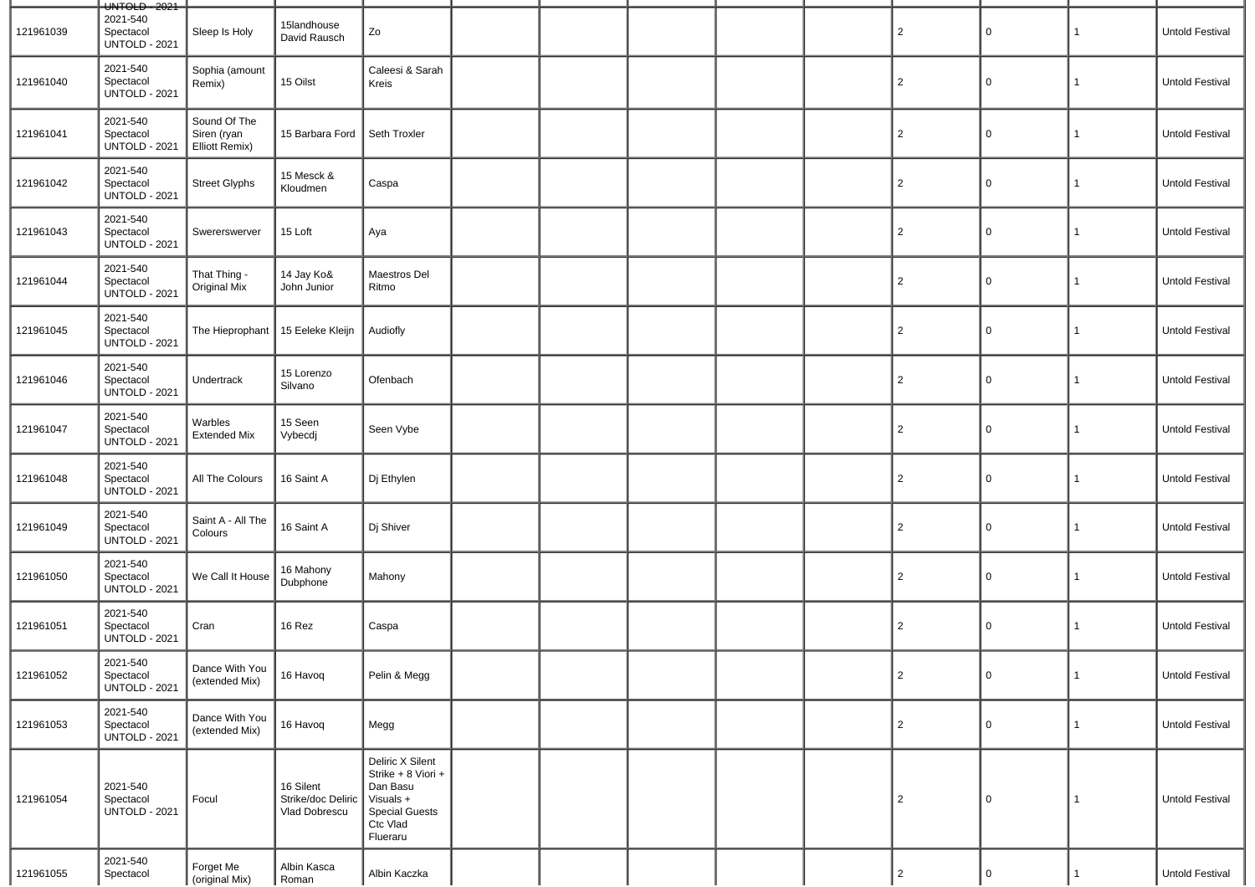|           | $-$ UNTOLD $-2021$                            |                                               |                                                  |                                                                                                                  |  |  |                |                |              |                        |
|-----------|-----------------------------------------------|-----------------------------------------------|--------------------------------------------------|------------------------------------------------------------------------------------------------------------------|--|--|----------------|----------------|--------------|------------------------|
| 121961039 | 2021-540<br>Spectacol<br><b>UNTOLD - 2021</b> | Sleep Is Holy                                 | 15landhouse<br>David Rausch                      | Zo                                                                                                               |  |  | $\overline{2}$ | $\Omega$       | 1            | Untold Festival        |
| 121961040 | 2021-540<br>Spectacol<br><b>UNTOLD - 2021</b> | Sophia (amount<br>Remix)                      | 15 Oilst                                         | Caleesi & Sarah<br>Kreis                                                                                         |  |  | $\overline{2}$ | $\Omega$       | 1            | <b>Untold Festival</b> |
| 121961041 | 2021-540<br>Spectacol<br><b>UNTOLD - 2021</b> | Sound Of The<br>Siren (ryan<br>Elliott Remix) | 15 Barbara Ford                                  | Seth Troxler                                                                                                     |  |  | $\overline{2}$ | $\Omega$       | $\mathbf{1}$ | Untold Festival        |
| 121961042 | 2021-540<br>Spectacol<br><b>UNTOLD - 2021</b> | Street Glyphs                                 | 15 Mesck &<br>Kloudmen                           | Caspa                                                                                                            |  |  | $\overline{c}$ | $\Omega$       | $\mathbf{1}$ | Untold Festival        |
| 121961043 | 2021-540<br>Spectacol<br><b>UNTOLD - 2021</b> | Swererswerver                                 | 15 Loft                                          | Aya                                                                                                              |  |  | $\overline{c}$ | 0              | $\mathbf{1}$ | <b>Untold Festival</b> |
| 121961044 | 2021-540<br>Spectacol<br><b>UNTOLD - 2021</b> | That Thing -<br>Original Mix                  | 14 Jay Ko&<br>John Junior                        | Maestros Del<br>Ritmo                                                                                            |  |  | $\overline{2}$ | 0              | 1            | <b>Untold Festival</b> |
| 121961045 | 2021-540<br>Spectacol<br><b>UNTOLD - 2021</b> | The Hieprophant   15 Eeleke Kleijn            |                                                  | Audiofly                                                                                                         |  |  | $\overline{2}$ | 0              | $\mathbf{1}$ | Untold Festival        |
| 121961046 | 2021-540<br>Spectacol<br><b>UNTOLD - 2021</b> | Undertrack                                    | 15 Lorenzo<br>Silvano                            | Ofenbach                                                                                                         |  |  | $\overline{2}$ | 0              | 1            | <b>Untold Festival</b> |
| 121961047 | 2021-540<br>Spectacol<br><b>UNTOLD - 2021</b> | Warbles<br><b>Extended Mix</b>                | 15 Seen<br>Vybecdj                               | Seen Vybe                                                                                                        |  |  | $\overline{c}$ | 0              | $\mathbf{1}$ | <b>Untold Festival</b> |
| 121961048 | 2021-540<br>Spectacol<br><b>UNTOLD - 2021</b> | All The Colours                               | 16 Saint A                                       | Dj Ethylen                                                                                                       |  |  | $\overline{2}$ | 0              | $\mathbf{1}$ | <b>Untold Festival</b> |
| 121961049 | 2021-540<br>Spectacol<br><b>UNTOLD - 2021</b> | Saint A - All The<br>Colours                  | 16 Saint A                                       | Dj Shiver                                                                                                        |  |  | $\overline{a}$ | $\Omega$       | $\mathbf{1}$ | Untold Festival        |
| 121961050 | 2021-540<br>Spectacol<br><b>UNTOLD - 2021</b> | We Call It House                              | 16 Mahony<br>Dubphone                            | Mahony                                                                                                           |  |  | $\overline{c}$ | $\Omega$       | 1            | Untold Festival        |
| 121961051 | 2021-540<br>Spectacol<br><b>UNTOLD - 2021</b> | Cran                                          | 16 Rez                                           | Caspa                                                                                                            |  |  | $\overline{c}$ | 0              | $\mathbf{1}$ | Untold Festival        |
| 121961052 | 2021-540<br>Spectacol<br><b>UNTOLD - 2021</b> | Dance With You<br>(extended Mix)              | 16 Havoq                                         | Pelin & Megg                                                                                                     |  |  | $\overline{2}$ | $\overline{0}$ | 1            | Untold Festival        |
| 121961053 | 2021-540<br>Spectacol<br><b>UNTOLD - 2021</b> | Dance With You<br>(extended Mix)              | 16 Havoq                                         | Megg                                                                                                             |  |  | $\overline{2}$ | 0              | $\mathbf{1}$ | Untold Festival        |
| 121961054 | 2021-540<br>Spectacol<br><b>UNTOLD - 2021</b> | Focul                                         | 16 Silent<br>Strike/doc Deliric<br>Vlad Dobrescu | Deliric X Silent<br>Strike + 8 Viori +<br>Dan Basu<br>Visuals +<br><b>Special Guests</b><br>Ctc Vlad<br>Flueraru |  |  | $\overline{2}$ | $\mathbf 0$    | 1            | Untold Festival        |
| 121961055 | 2021-540<br>Spectacol                         | Forget Me<br>(original Mix)                   | Albin Kasca<br>Roman                             | Albin Kaczka                                                                                                     |  |  | $\overline{c}$ | $\mathbf 0$    | $\mathbf{1}$ | Untold Festival        |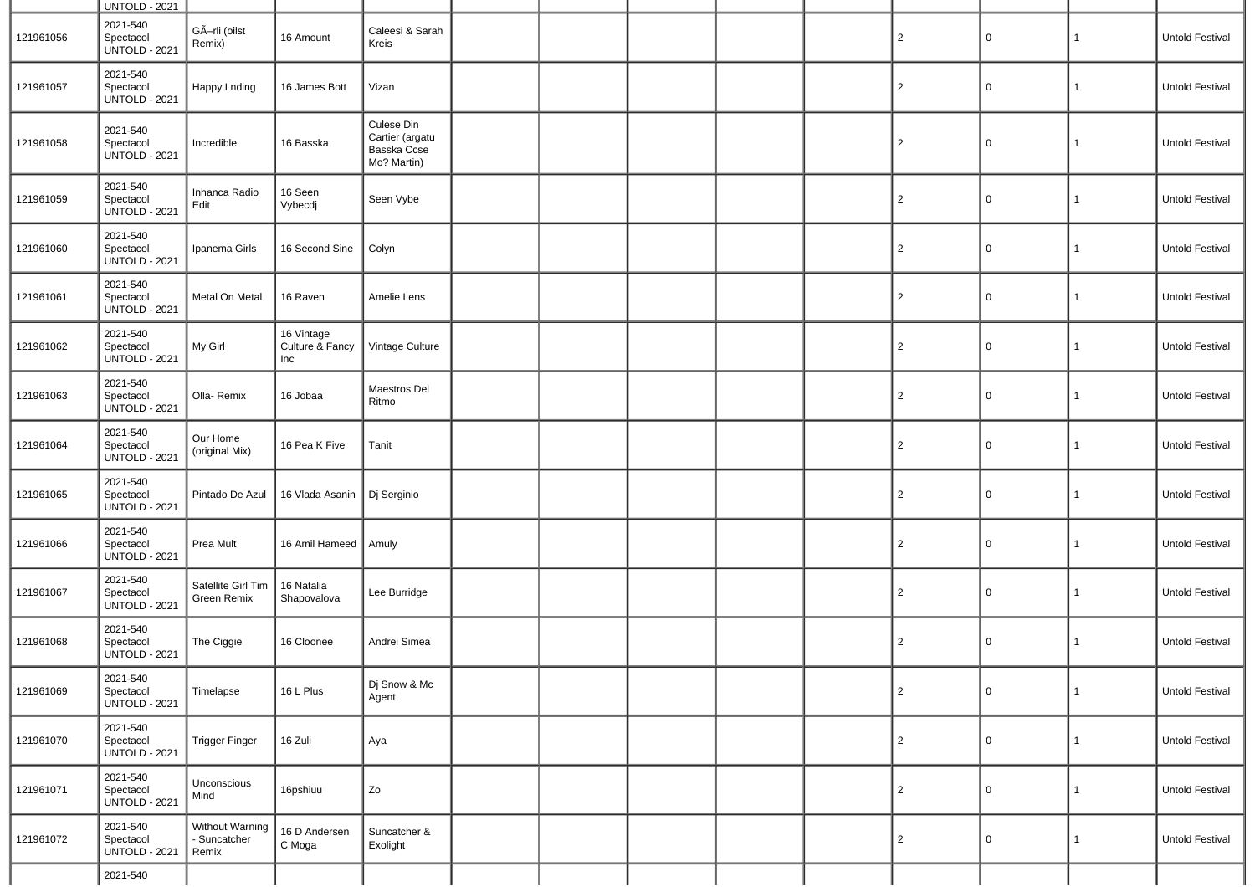|           | <b>UNTOLD - 2021</b>                          |                                          |                                      |                                                             |  |  |                |              |              |                 |
|-----------|-----------------------------------------------|------------------------------------------|--------------------------------------|-------------------------------------------------------------|--|--|----------------|--------------|--------------|-----------------|
| 121961056 | 2021-540<br>Spectacol<br><b>UNTOLD - 2021</b> | GÃ-rli (oilst<br>Remix)                  | 16 Amount                            | Caleesi & Sarah<br>Kreis                                    |  |  | $\overline{2}$ | $\mathsf{O}$ | $\mathbf{1}$ | Untold Festival |
| 121961057 | 2021-540<br>Spectacol<br><b>UNTOLD - 2021</b> | <b>Happy Lnding</b>                      | 16 James Bott                        | Vizan                                                       |  |  | $\overline{2}$ | $\mathbf 0$  | $\mathbf{1}$ | Untold Festival |
| 121961058 | 2021-540<br>Spectacol<br><b>UNTOLD - 2021</b> | Incredible                               | 16 Basska                            | Culese Din<br>Cartier (argatu<br>Basska Ccse<br>Mo? Martin) |  |  | $\overline{2}$ | $\mathbf 0$  | $\mathbf{1}$ | Untold Festival |
| 121961059 | 2021-540<br>Spectacol<br><b>UNTOLD - 2021</b> | Inhanca Radio<br>Edit                    | 16 Seen<br>Vybecdj                   | Seen Vybe                                                   |  |  | $\overline{2}$ | $\mathbf 0$  | $\mathbf{1}$ | Untold Festival |
| 121961060 | 2021-540<br>Spectacol<br><b>UNTOLD - 2021</b> | Ipanema Girls                            | 16 Second Sine                       | Colyn                                                       |  |  | $\overline{2}$ | $\mathbf 0$  | $\mathbf{1}$ | Untold Festival |
| 121961061 | 2021-540<br>Spectacol<br><b>UNTOLD - 2021</b> | Metal On Metal                           | 16 Raven                             | Amelie Lens                                                 |  |  | $\overline{2}$ | $\mathbf 0$  | $\mathbf{1}$ | Untold Festival |
| 121961062 | 2021-540<br>Spectacol<br><b>UNTOLD - 2021</b> | My Girl                                  | 16 Vintage<br>Culture & Fancy<br>Inc | Vintage Culture                                             |  |  | $\overline{2}$ | $\mathbf 0$  | $\mathbf{1}$ | Untold Festival |
| 121961063 | 2021-540<br>Spectacol<br><b>UNTOLD - 2021</b> | Olla-Remix                               | 16 Jobaa                             | Maestros Del<br>Ritmo                                       |  |  | $\overline{c}$ | $\mathbf 0$  | $\mathbf{1}$ | Untold Festival |
| 121961064 | 2021-540<br>Spectacol<br><b>UNTOLD - 2021</b> | Our Home<br>(original Mix)               | 16 Pea K Five                        | Tanit                                                       |  |  | $\overline{2}$ | 0            | 1            | Untold Festival |
| 121961065 | 2021-540<br>Spectacol<br><b>UNTOLD - 2021</b> | Pintado De Azul                          | 16 Vlada Asanin                      | Dj Serginio                                                 |  |  | $\overline{2}$ | $\mathbf 0$  | $\mathbf{1}$ | Untold Festival |
| 121961066 | 2021-540<br>Spectacol<br><b>UNTOLD - 2021</b> | Prea Mult                                | 16 Amil Hameed                       | Amuly                                                       |  |  | $\overline{2}$ | 0            | 1            | Untold Festival |
| 121961067 | 2021-540<br>Spectacol<br><b>UNTOLD - 2021</b> | Satellite Girl Tim<br><b>Green Remix</b> | 16 Natalia<br>Shapovalova            | Lee Burridge                                                |  |  | $\overline{c}$ | 0            | $\mathbf{1}$ | Untold Festival |
| 121961068 | 2021-540<br>Spectacol<br><b>UNTOLD - 2021</b> | The Ciggie                               | 16 Cloonee                           | Andrei Simea                                                |  |  | $\overline{2}$ | 0            | 1            | Untold Festival |
| 121961069 | 2021-540<br>Spectacol<br><b>UNTOLD - 2021</b> | Timelapse                                | 16 L Plus                            | Dj Snow & Mc<br>Agent                                       |  |  | $\overline{c}$ | $\mathsf{O}$ | $\vert$ 1    | Untold Festival |
| 121961070 | 2021-540<br>Spectacol<br><b>UNTOLD - 2021</b> | <b>Trigger Finger</b>                    | 16 Zuli                              | Aya                                                         |  |  | $\overline{2}$ | 0            | 1            | Untold Festival |
| 121961071 | 2021-540<br>Spectacol<br><b>UNTOLD - 2021</b> | Unconscious<br>Mind                      | 16pshiuu                             | Zo                                                          |  |  | $\overline{c}$ | 0            | $\mathbf{1}$ | Untold Festival |
| 121961072 | 2021-540<br>Spectacol<br><b>UNTOLD - 2021</b> | Without Warning<br>- Suncatcher<br>Remix | 16 D Andersen<br>C Moga              | Suncatcher &<br>Exolight                                    |  |  | $\overline{2}$ | 0            | 1            | Untold Festival |
|           | 2021-540                                      |                                          |                                      |                                                             |  |  |                |              |              |                 |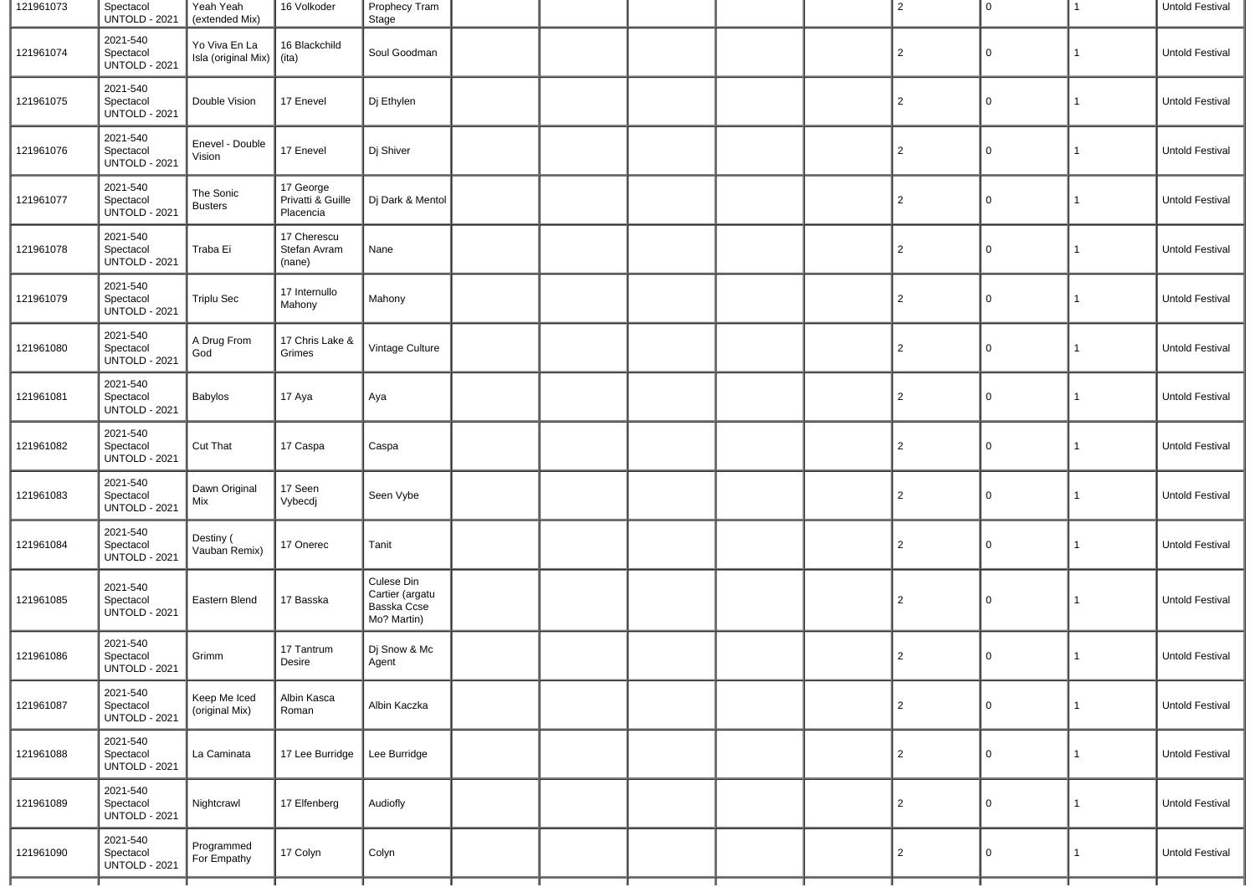| 121961073 | Spectacol<br><b>UNTOLD - 2021</b>             | Yeah Yeah<br>(extended Mix)                | 16 Volkoder                                 | Prophecy Tram<br>Stage                                      |  |  | $\overline{2}$ | 0           | $\mathbf{1}$ | Untold Festival |
|-----------|-----------------------------------------------|--------------------------------------------|---------------------------------------------|-------------------------------------------------------------|--|--|----------------|-------------|--------------|-----------------|
| 121961074 | 2021-540<br>Spectacol<br><b>UNTOLD - 2021</b> | Yo Viva En La<br>Isla (original Mix) (ita) | 16 Blackchild                               | Soul Goodman                                                |  |  | $\overline{2}$ | 0           | 1            | Untold Festival |
| 121961075 | 2021-540<br>Spectacol<br><b>UNTOLD - 2021</b> | Double Vision                              | 17 Enevel                                   | Dj Ethylen                                                  |  |  | $\overline{2}$ | 0           | 1            | Untold Festival |
| 121961076 | 2021-540<br>Spectacol<br><b>UNTOLD - 2021</b> | Enevel - Double<br>Vision                  | 17 Enevel                                   | Dj Shiver                                                   |  |  | $\overline{2}$ | 0           | 1            | Untold Festival |
| 121961077 | 2021-540<br>Spectacol<br><b>UNTOLD - 2021</b> | The Sonic<br><b>Busters</b>                | 17 George<br>Privatti & Guille<br>Placencia | Dj Dark & Mentol                                            |  |  | $\overline{2}$ | 0           | 1            | Untold Festival |
| 121961078 | 2021-540<br>Spectacol<br><b>UNTOLD - 2021</b> | Traba Ei                                   | 17 Cherescu<br>Stefan Avram<br>(nane)       | Nane                                                        |  |  | $\overline{2}$ | 0           | $\mathbf{1}$ | Untold Festival |
| 121961079 | 2021-540<br>Spectacol<br><b>UNTOLD - 2021</b> | <b>Triplu Sec</b>                          | 17 Internullo<br>Mahony                     | Mahony                                                      |  |  | $\overline{2}$ | 0           | $\mathbf{1}$ | Untold Festival |
| 121961080 | 2021-540<br>Spectacol<br><b>UNTOLD - 2021</b> | A Drug From<br>God                         | 17 Chris Lake &<br>Grimes                   | Vintage Culture                                             |  |  | $\overline{2}$ | 0           | 1            | Untold Festival |
| 121961081 | 2021-540<br>Spectacol<br><b>UNTOLD - 2021</b> | <b>Babylos</b>                             | 17 Aya                                      | Aya                                                         |  |  | $\overline{2}$ | 0           | $\mathbf{1}$ | Untold Festival |
| 121961082 | 2021-540<br>Spectacol<br><b>UNTOLD - 2021</b> | Cut That                                   | 17 Caspa                                    | Caspa                                                       |  |  | $\overline{2}$ | $\mathbf 0$ | $\mathbf{1}$ | Untold Festival |
| 121961083 | 2021-540<br>Spectacol<br><b>UNTOLD - 2021</b> | Dawn Original<br>Mix                       | 17 Seen<br>Vybecdj                          | Seen Vybe                                                   |  |  | $\overline{2}$ | 0           | $\mathbf{1}$ | Untold Festival |
| 121961084 | 2021-540<br>Spectacol<br><b>UNTOLD - 2021</b> | Destiny (<br>Vauban Remix)                 | 17 Onerec                                   | Tanit                                                       |  |  | $\overline{2}$ | 0           | 1            | Untold Festival |
| 121961085 | 2021-540<br>Spectacol<br><b>UNTOLD - 2021</b> | Eastern Blend                              | 17 Basska                                   | Culese Din<br>Cartier (argatu<br>Basska Ccse<br>Mo? Martin) |  |  | $\overline{2}$ | 0           | 1            | Untold Festival |
| 121961086 | 2021-540<br>Spectacol<br><b>UNTOLD - 2021</b> | Grimm                                      | 17 Tantrum<br>Desire                        | Dj Snow & Mc<br>Agent                                       |  |  | $\overline{2}$ | $\mathbf 0$ | 1            | Untold Festival |
| 121961087 | 2021-540<br>Spectacol<br><b>UNTOLD - 2021</b> | Keep Me Iced<br>(original Mix)             | Albin Kasca<br>Roman                        | Albin Kaczka                                                |  |  | $\overline{2}$ | $\mathbf 0$ | $\mathbf{1}$ | Untold Festival |
| 121961088 | 2021-540<br>Spectacol<br><b>UNTOLD - 2021</b> | La Caminata                                | 17 Lee Burridge                             | Lee Burridge                                                |  |  | $\overline{2}$ | 0           | 1            | Untold Festival |
| 121961089 | 2021-540<br>Spectacol<br><b>UNTOLD - 2021</b> | Nightcrawl                                 | 17 Elfenberg                                | Audiofly                                                    |  |  | $\overline{2}$ | $\mathbf 0$ | 1            | Untold Festival |
| 121961090 | 2021-540<br>Spectacol<br>UNTOLD - 2021        | Programmed<br>For Empathy                  | 17 Colyn                                    | Colyn                                                       |  |  | $\overline{2}$ | 0           | $\mathbf{1}$ | Untold Festival |
|           |                                               |                                            |                                             |                                                             |  |  |                |             |              |                 |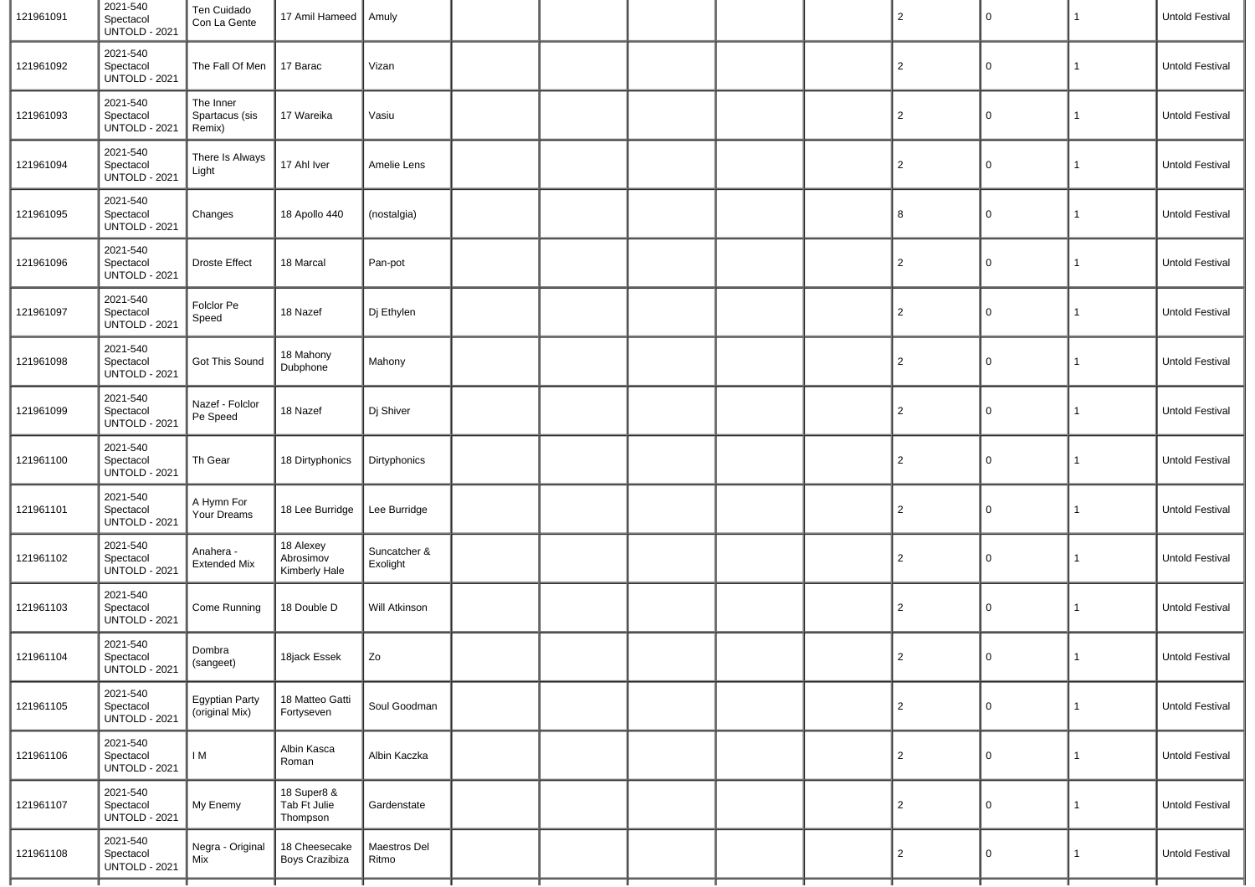| 121961091 | 2021-540<br>Spectacol<br><b>UNTOLD - 2021</b> | Ten Cuidado<br>Con La Gente             | 17 Amil Hameed   Amuly                  |                          |  |  | $\overline{c}$ | 0 | 1            | <b>Untold Festival</b> |
|-----------|-----------------------------------------------|-----------------------------------------|-----------------------------------------|--------------------------|--|--|----------------|---|--------------|------------------------|
| 121961092 | 2021-540<br>Spectacol<br><b>UNTOLD - 2021</b> | The Fall Of Men                         | 17 Barac                                | Vizan                    |  |  | $\overline{2}$ | 0 |              | <b>Untold Festival</b> |
| 121961093 | 2021-540<br>Spectacol<br><b>UNTOLD - 2021</b> | The Inner<br>Spartacus (sis<br>Remix)   | 17 Wareika                              | Vasiu                    |  |  | $\overline{2}$ | 0 | 1            | Untold Festival        |
| 121961094 | 2021-540<br>Spectacol<br><b>UNTOLD - 2021</b> | There Is Always<br>Light                | 17 Ahl Iver                             | Amelie Lens              |  |  | $\overline{2}$ | 0 |              | <b>Untold Festival</b> |
| 121961095 | 2021-540<br>Spectacol<br><b>UNTOLD - 2021</b> | Changes                                 | 18 Apollo 440                           | (nostalgia)              |  |  | 8              | 0 | 1            | <b>Untold Festival</b> |
| 121961096 | 2021-540<br>Spectacol<br><b>UNTOLD - 2021</b> | <b>Droste Effect</b>                    | 18 Marcal                               | Pan-pot                  |  |  | $\overline{c}$ | 0 | 1            | Untold Festival        |
| 121961097 | 2021-540<br>Spectacol<br><b>UNTOLD - 2021</b> | Folclor Pe<br>Speed                     | 18 Nazef                                | Dj Ethylen               |  |  | $\overline{2}$ | 0 | 1            | Untold Festival        |
| 121961098 | 2021-540<br>Spectacol<br><b>UNTOLD - 2021</b> | Got This Sound                          | 18 Mahony<br>Dubphone                   | Mahony                   |  |  | $\overline{c}$ | 0 |              | <b>Untold Festival</b> |
| 121961099 | 2021-540<br>Spectacol<br><b>UNTOLD - 2021</b> | Nazef - Folclor<br>Pe Speed             | 18 Nazef                                | Dj Shiver                |  |  | $\overline{c}$ | 0 | 1            | <b>Untold Festival</b> |
| 121961100 | 2021-540<br>Spectacol<br><b>UNTOLD - 2021</b> | Th Gear                                 | 18 Dirtyphonics                         | Dirtyphonics             |  |  | $\overline{c}$ | 0 |              | <b>Untold Festival</b> |
| 121961101 | 2021-540<br>Spectacol<br><b>UNTOLD - 2021</b> | A Hymn For<br>Your Dreams               | 18 Lee Burridge                         | Lee Burridge             |  |  | $\overline{c}$ | 0 | 1            | Untold Festival        |
| 121961102 | 2021-540<br>Spectacol<br><b>UNTOLD - 2021</b> | Anahera -<br><b>Extended Mix</b>        | 18 Alexey<br>Abrosimov<br>Kimberly Hale | Suncatcher &<br>Exolight |  |  | $\overline{c}$ | 0 |              | <b>Untold Festival</b> |
| 121961103 | 2021-540<br>Spectacol<br><b>UNTOLD - 2021</b> | Come Running                            | 18 Double D                             | <b>Will Atkinson</b>     |  |  | $\overline{c}$ | 0 | 1            | <b>Untold Festival</b> |
| 121961104 | 2021-540<br>Spectacol<br><b>UNTOLD - 2021</b> | Dombra<br>(sangeet)                     | 18jack Essek                            | Zo                       |  |  | $\overline{2}$ | 0 | 1            | Untold Festival        |
| 121961105 | 2021-540<br>Spectacol<br><b>UNTOLD - 2021</b> | <b>Egyptian Party</b><br>(original Mix) | 18 Matteo Gatti<br>Fortyseven           | Soul Goodman             |  |  | $\overline{c}$ | 0 | $\mathbf{1}$ | Untold Festival        |
| 121961106 | 2021-540<br>Spectacol<br><b>UNTOLD - 2021</b> | I M                                     | Albin Kasca<br>Roman                    | Albin Kaczka             |  |  | $\overline{2}$ | 0 | 1            | Untold Festival        |
| 121961107 | 2021-540<br>Spectacol<br><b>UNTOLD - 2021</b> | My Enemy                                | 18 Super8 &<br>Tab Ft Julie<br>Thompson | Gardenstate              |  |  | $\overline{c}$ | 0 | 1            | Untold Festival        |
| 121961108 | 2021-540<br>Spectacol<br><b>UNTOLD - 2021</b> | Negra - Original<br>Mix                 | 18 Cheesecake<br>Boys Crazibiza         | Maestros Del<br>Ritmo    |  |  | $\overline{c}$ | 0 | 1            | Untold Festival        |
|           |                                               |                                         |                                         |                          |  |  |                |   |              |                        |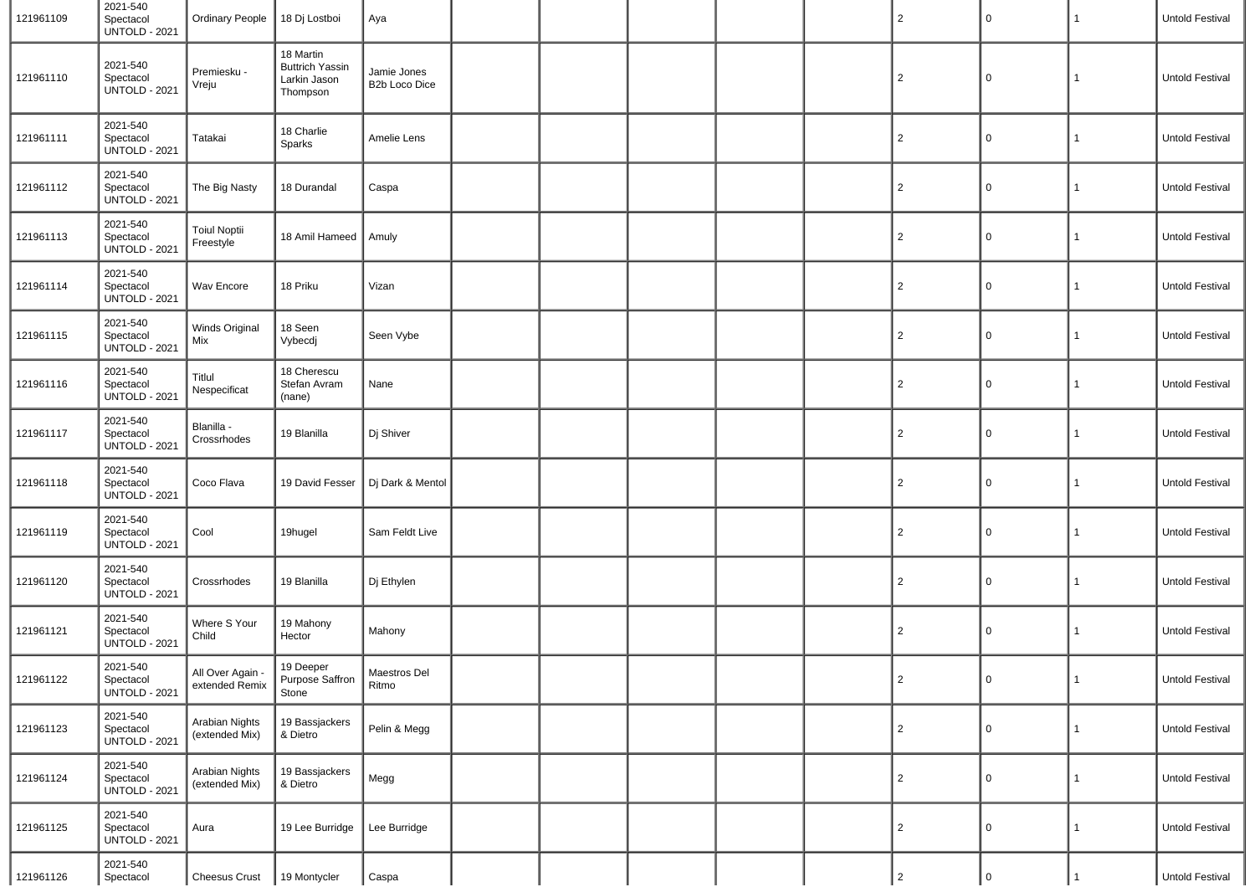| 121961109 | 2021-540<br>Spectacol<br><b>UNTOLD - 2021</b> | <b>Ordinary People</b>                  | 18 Dj Lostboi                                                   | Aya                          |  |  | $\overline{2}$ | 0           | 1            | <b>Untold Festival</b> |
|-----------|-----------------------------------------------|-----------------------------------------|-----------------------------------------------------------------|------------------------------|--|--|----------------|-------------|--------------|------------------------|
| 121961110 | 2021-540<br>Spectacol<br><b>UNTOLD - 2021</b> | Premiesku -<br>Vreju                    | 18 Martin<br><b>Buttrich Yassin</b><br>Larkin Jason<br>Thompson | Jamie Jones<br>B2b Loco Dice |  |  | $\overline{c}$ | 0           |              | <b>Untold Festival</b> |
| 121961111 | 2021-540<br>Spectacol<br><b>UNTOLD - 2021</b> | Tatakai                                 | 18 Charlie<br>Sparks                                            | Amelie Lens                  |  |  | $\overline{c}$ | 0           | 1            | <b>Untold Festival</b> |
| 121961112 | 2021-540<br>Spectacol<br><b>UNTOLD - 2021</b> | The Big Nasty                           | 18 Durandal                                                     | Caspa                        |  |  | $\overline{c}$ | 0           |              | Untold Festival        |
| 121961113 | 2021-540<br>Spectacol<br><b>UNTOLD - 2021</b> | <b>Toiul Noptii</b><br>Freestyle        | 18 Amil Hameed                                                  | Amuly                        |  |  | $\overline{c}$ | 0           |              | <b>Untold Festival</b> |
| 121961114 | 2021-540<br>Spectacol<br><b>UNTOLD - 2021</b> | Wav Encore                              | 18 Priku                                                        | Vizan                        |  |  | $\overline{c}$ | $\mathbf 0$ | 1            | <b>Untold Festival</b> |
| 121961115 | 2021-540<br>Spectacol<br><b>UNTOLD - 2021</b> | Winds Original<br>Mix                   | 18 Seen<br>Vybecdj                                              | Seen Vybe                    |  |  | $\overline{c}$ | 0           |              | <b>Untold Festival</b> |
| 121961116 | 2021-540<br>Spectacol<br><b>UNTOLD - 2021</b> | Titlul<br>Nespecificat                  | 18 Cherescu<br>Stefan Avram<br>(nane)                           | Nane                         |  |  | $\overline{c}$ | 0           | 1            | Untold Festival        |
| 121961117 | 2021-540<br>Spectacol<br><b>UNTOLD - 2021</b> | Blanilla -<br>Crossrhodes               | 19 Blanilla                                                     | Dj Shiver                    |  |  | $\overline{2}$ | 0           |              | <b>Untold Festival</b> |
| 121961118 | 2021-540<br>Spectacol<br><b>UNTOLD - 2021</b> | Coco Flava                              | 19 David Fesser                                                 | Dj Dark & Mentol             |  |  | $\overline{c}$ | 0           | $\mathbf{1}$ | Untold Festival        |
| 121961119 | 2021-540<br>Spectacol<br><b>UNTOLD - 2021</b> | Cool                                    | 19hugel                                                         | Sam Feldt Live               |  |  | $\overline{2}$ | 0           | 1            | <b>Untold Festival</b> |
| 121961120 | 2021-540<br>Spectacol<br><b>UNTOLD - 2021</b> | Crossrhodes                             | 19 Blanilla                                                     | Dj Ethylen                   |  |  | $\overline{c}$ | 0           | 1            | Untold Festival        |
| 121961121 | 2021-540<br>Spectacol<br><b>UNTOLD - 2021</b> | Where S Your<br>Child                   | 19 Mahony<br>Hector                                             | Mahony                       |  |  | $\overline{2}$ | 0           | 1            | Untold Festival        |
| 121961122 | 2021-540<br>Spectacol<br><b>UNTOLD - 2021</b> | All Over Again -<br>extended Remix      | 19 Deeper<br>Purpose Saffron<br>Stone                           | Maestros Del<br>Ritmo        |  |  | $\overline{c}$ | $\mathbf 0$ | $\mathbf{1}$ | Untold Festival        |
| 121961123 | 2021-540<br>Spectacol<br><b>UNTOLD - 2021</b> | <b>Arabian Nights</b><br>(extended Mix) | 19 Bassjackers<br>& Dietro                                      | Pelin & Megg                 |  |  | $\overline{2}$ | 0           | $\mathbf{1}$ | Untold Festival        |
| 121961124 | 2021-540<br>Spectacol<br><b>UNTOLD - 2021</b> | <b>Arabian Nights</b><br>(extended Mix) | 19 Bassjackers<br>& Dietro                                      | Megg                         |  |  | $\overline{c}$ | 0           | 1            | Untold Festival        |
| 121961125 | 2021-540<br>Spectacol<br><b>UNTOLD - 2021</b> | Aura                                    | 19 Lee Burridge                                                 | Lee Burridge                 |  |  | $\overline{c}$ | 0           | 1            | Untold Festival        |
| 121961126 | 2021-540<br>Spectacol                         | Cheesus Crust                           | 19 Montycler                                                    | Caspa                        |  |  | $\overline{2}$ | $\mathbf 0$ |              | Untold Festival        |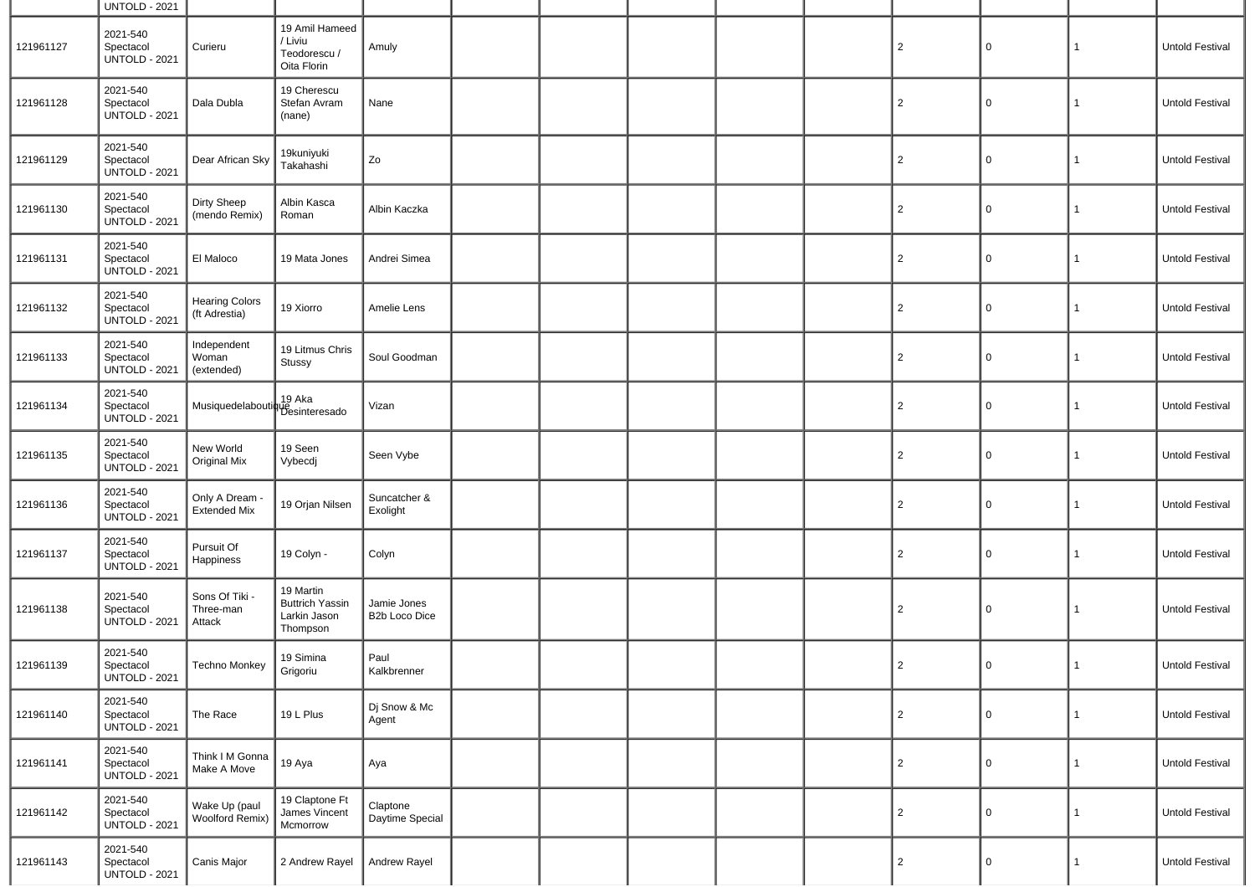|           | <b>UNTOLD - 2021</b>                          |                                        |                                                                 |                              |  |  |                |              |              |                 |
|-----------|-----------------------------------------------|----------------------------------------|-----------------------------------------------------------------|------------------------------|--|--|----------------|--------------|--------------|-----------------|
| 121961127 | 2021-540<br>Spectacol<br><b>UNTOLD - 2021</b> | Curieru                                | 19 Amil Hameed<br>/ Liviu<br>Teodorescu /<br>Oita Florin        | Amuly                        |  |  | $\overline{2}$ | 0            | $\mathbf{1}$ | Untold Festival |
| 121961128 | 2021-540<br>Spectacol<br><b>UNTOLD - 2021</b> | Dala Dubla                             | 19 Cherescu<br>Stefan Avram<br>(nane)                           | Nane                         |  |  | $\overline{2}$ | $\mathbf 0$  | $\mathbf{1}$ | Untold Festival |
| 121961129 | 2021-540<br>Spectacol<br><b>UNTOLD - 2021</b> | Dear African Sky                       | 19kuniyuki<br>Takahashi                                         | Zo                           |  |  | $\overline{2}$ | $\mathsf{O}$ | 1            | Untold Festival |
| 121961130 | 2021-540<br>Spectacol<br><b>UNTOLD - 2021</b> | Dirty Sheep<br>(mendo Remix)           | Albin Kasca<br>Roman                                            | Albin Kaczka                 |  |  | $\overline{2}$ | 0            | $\mathbf{1}$ | Untold Festival |
| 121961131 | 2021-540<br>Spectacol<br><b>UNTOLD - 2021</b> | El Maloco                              | 19 Mata Jones                                                   | Andrei Simea                 |  |  | $\overline{2}$ | $\mathsf{O}$ | $\mathbf{1}$ | Untold Festival |
| 121961132 | 2021-540<br>Spectacol<br><b>UNTOLD - 2021</b> | <b>Hearing Colors</b><br>(ft Adrestia) | 19 Xiorro                                                       | Amelie Lens                  |  |  | $\overline{2}$ | 0            | $\mathbf{1}$ | Untold Festival |
| 121961133 | 2021-540<br>Spectacol<br><b>UNTOLD - 2021</b> | Independent<br>Woman<br>(extended)     | 19 Litmus Chris<br>Stussy                                       | Soul Goodman                 |  |  | $\overline{2}$ | $\mathsf{O}$ | $\mathbf{1}$ | Untold Festival |
| 121961134 | 2021-540<br>Spectacol<br><b>UNTOLD - 2021</b> | Musiquedelaboutique (Contractor)       | 19 Aka                                                          | Vizan                        |  |  | $\overline{2}$ | $\mathsf{O}$ | $\mathbf{1}$ | Untold Festival |
| 121961135 | 2021-540<br>Spectacol<br><b>UNTOLD - 2021</b> | New World<br>Original Mix              | 19 Seen<br>Vybecdj                                              | Seen Vybe                    |  |  | $\overline{2}$ | $\mathsf{O}$ | $\mathbf{1}$ | Untold Festival |
| 121961136 | 2021-540<br>Spectacol<br><b>UNTOLD - 2021</b> | Only A Dream -<br><b>Extended Mix</b>  | 19 Orjan Nilsen                                                 | Suncatcher &<br>Exolight     |  |  | $\overline{2}$ | $\mathbf 0$  | $\mathbf{1}$ | Untold Festival |
| 121961137 | 2021-540<br>Spectacol<br><b>UNTOLD - 2021</b> | Pursuit Of<br>Happiness                | 19 Colyn -                                                      | Colyn                        |  |  | $\overline{2}$ | 0            | $\mathbf{1}$ | Untold Festival |
| 121961138 | 2021-540<br>Spectacol<br><b>UNTOLD - 2021</b> | Sons Of Tiki<br>Three-man<br>Attack    | 19 Martin<br><b>Buttrich Yassin</b><br>Larkin Jason<br>Thompson | Jamie Jones<br>B2b Loco Dice |  |  | $\overline{2}$ | 0            | $\mathbf{1}$ | Untold Festival |
| 121961139 | 2021-540<br>Spectacol<br><b>UNTOLD - 2021</b> | Techno Monkey                          | 19 Simina<br>Grigoriu                                           | Paul<br>Kalkbrenner          |  |  | 2              | $\mathbf 0$  | $\mathbf{1}$ | Untold Festival |
| 121961140 | 2021-540<br>Spectacol<br><b>UNTOLD - 2021</b> | The Race                               | 19 L Plus                                                       | Dj Snow & Mc<br>Agent        |  |  | $\overline{c}$ | $\mathsf{O}$ | 1            | Untold Festival |
| 121961141 | 2021-540<br>Spectacol<br><b>UNTOLD - 2021</b> | Think I M Gonna<br>Make A Move         | 19 Aya                                                          | Aya                          |  |  | $\overline{c}$ | $\mathsf{O}$ | $\mathbf{1}$ | Untold Festival |
| 121961142 | 2021-540<br>Spectacol<br><b>UNTOLD - 2021</b> | Wake Up (paul<br>Woolford Remix)       | 19 Claptone Ft<br>James Vincent<br>Mcmorrow                     | Claptone<br>Daytime Special  |  |  | $\overline{2}$ | $\mathbf 0$  | 1            | Untold Festival |
| 121961143 | 2021-540<br>Spectacol<br><b>UNTOLD - 2021</b> | Canis Major                            | 2 Andrew Rayel                                                  | Andrew Rayel                 |  |  | $\overline{c}$ | 0            | $\mathbf{1}$ | Untold Festival |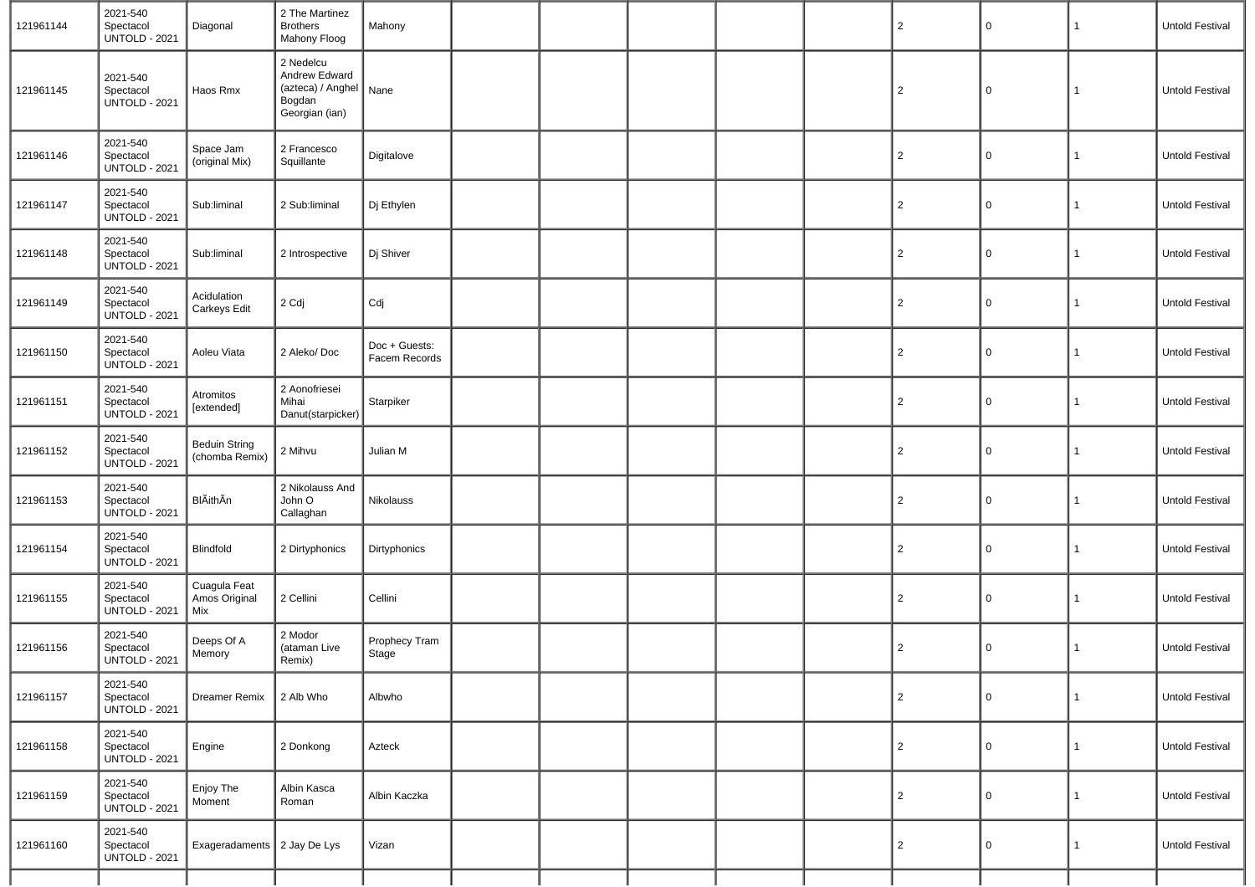| 121961144 | 2021-540<br>Spectacol<br><b>UNTOLD - 2021</b> | Diagonal                               | 2 The Martinez<br><b>Brothers</b><br>Mahony Floog                                  | Mahony                         |  |  | $\overline{2}$ | 0        | $\mathbf{1}$ | <b>Untold Festival</b> |
|-----------|-----------------------------------------------|----------------------------------------|------------------------------------------------------------------------------------|--------------------------------|--|--|----------------|----------|--------------|------------------------|
| 121961145 | 2021-540<br>Spectacol<br><b>UNTOLD - 2021</b> | Haos Rmx                               | 2 Nedelcu<br>Andrew Edward<br>(azteca) / Anghel   Nane<br>Bogdan<br>Georgian (ian) |                                |  |  | $\overline{c}$ | $\Omega$ | $\mathbf{1}$ | Untold Festival        |
| 121961146 | 2021-540<br>Spectacol<br><b>UNTOLD - 2021</b> | Space Jam<br>(original Mix)            | 2 Francesco<br>Squillante                                                          | Digitalove                     |  |  | $\overline{c}$ | $\Omega$ | 1            | Untold Festival        |
| 121961147 | 2021-540<br>Spectacol<br><b>UNTOLD - 2021</b> | Sub:liminal                            | 2 Sub:liminal                                                                      | Dj Ethylen                     |  |  | $\overline{2}$ | $\Omega$ | 1            | <b>Untold Festival</b> |
| 121961148 | 2021-540<br>Spectacol<br><b>UNTOLD - 2021</b> | Sub:liminal                            | 2 Introspective                                                                    | Dj Shiver                      |  |  | $\overline{a}$ | $\Omega$ | 1            | <b>Untold Festival</b> |
| 121961149 | 2021-540<br>Spectacol<br><b>UNTOLD - 2021</b> | Acidulation<br>Carkeys Edit            | 2 Cdj                                                                              | Cdj                            |  |  | $\overline{c}$ | $\Omega$ | 1            | Untold Festival        |
| 121961150 | 2021-540<br>Spectacol<br><b>UNTOLD - 2021</b> | Aoleu Viata                            | 2 Aleko/Doc                                                                        | Doc + Guests:<br>Facem Records |  |  | $\overline{2}$ | $\Omega$ | 1            | <b>Untold Festival</b> |
| 121961151 | 2021-540<br>Spectacol<br><b>UNTOLD - 2021</b> | Atromitos<br>[extended]                | 2 Aonofriesei<br>Mihai<br>Danut(starpicker)                                        | Starpiker                      |  |  | $\overline{2}$ | $\Omega$ | $\mathbf{1}$ | <b>Untold Festival</b> |
| 121961152 | 2021-540<br>Spectacol<br><b>UNTOLD - 2021</b> | <b>Beduin String</b><br>(chomba Remix) | 2 Mihvu                                                                            | Julian M                       |  |  | $\overline{2}$ | $\Omega$ | 1            | Untold Festival        |
| 121961153 | 2021-540<br>Spectacol<br><b>UNTOLD - 2021</b> | BlÃithÃn                               | 2 Nikolauss And<br>John O<br>Callaghan                                             | Nikolauss                      |  |  | $\overline{c}$ | $\Omega$ | 1            | Untold Festival        |
| 121961154 | 2021-540<br>Spectacol<br><b>UNTOLD - 2021</b> | Blindfold                              | 2 Dirtyphonics                                                                     | Dirtyphonics                   |  |  | $\overline{2}$ | $\Omega$ | 1            | Untold Festival        |
| 121961155 | 2021-540<br>Spectacol<br><b>UNTOLD - 2021</b> | Cuagula Feat<br>Amos Original<br>Mix   | 2 Cellini                                                                          | Cellini                        |  |  | $\overline{c}$ | $\Omega$ | 1            | Untold Festival        |
| 121961156 | 2021-540<br>Spectacol<br><b>UNTOLD - 2021</b> | Deeps Of A<br>Memory                   | 2 Modor<br>(ataman Live<br>Remix)                                                  | Prophecy Tram<br>Stage         |  |  | $\overline{a}$ | $\Omega$ | 1            | Untold Festival        |
| 121961157 | 2021-540<br>Spectacol<br><b>UNTOLD - 2021</b> | <b>Dreamer Remix</b>                   | 2 Alb Who                                                                          | Albwho                         |  |  | $\overline{c}$ | 0        | $\mathbf{1}$ | Untold Festival        |
| 121961158 | 2021-540<br>Spectacol<br><b>UNTOLD - 2021</b> | Engine                                 | 2 Donkong                                                                          | Azteck                         |  |  | $\overline{2}$ | $\Omega$ | 1            | Untold Festival        |
| 121961159 | 2021-540<br>Spectacol<br><b>UNTOLD - 2021</b> | Enjoy The<br>Moment                    | Albin Kasca<br>Roman                                                               | Albin Kaczka                   |  |  | $\overline{2}$ | $\Omega$ | 1            | Untold Festival        |
| 121961160 | 2021-540<br>Spectacol<br><b>UNTOLD - 2021</b> | Exageradaments 2 Jay De Lys            |                                                                                    | Vizan                          |  |  | $\overline{2}$ | $\Omega$ | 1            | Untold Festival        |
|           |                                               |                                        |                                                                                    |                                |  |  |                |          |              |                        |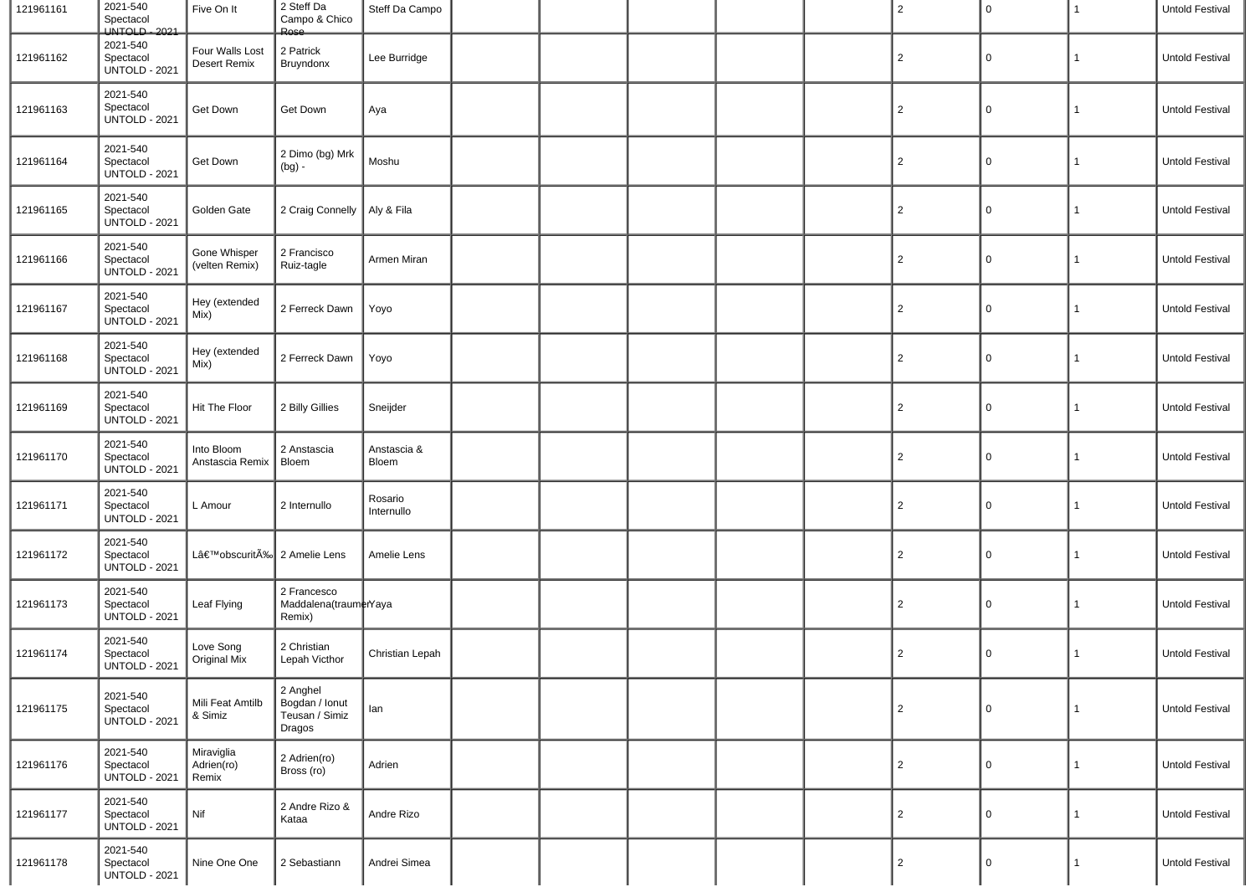| 121961161 | 2021-540<br>Spectacol<br>UNTOLD - 2021        | Five On It                        | 2 Steff Da<br>Campo & Chico<br>Rose                    | Steff Da Campo        |  |  | $\overline{2}$ | 0 | 1            | Untold Festival        |
|-----------|-----------------------------------------------|-----------------------------------|--------------------------------------------------------|-----------------------|--|--|----------------|---|--------------|------------------------|
| 121961162 | 2021-540<br>Spectacol<br><b>UNTOLD - 2021</b> | Four Walls Lost<br>Desert Remix   | 2 Patrick<br>Bruyndonx                                 | Lee Burridge          |  |  | $\overline{2}$ | 0 | 1            | Untold Festival        |
| 121961163 | 2021-540<br>Spectacol<br><b>UNTOLD - 2021</b> | Get Down                          | Get Down                                               | Aya                   |  |  | $\overline{2}$ | 0 | 1            | Untold Festival        |
| 121961164 | 2021-540<br>Spectacol<br><b>UNTOLD - 2021</b> | Get Down                          | 2 Dimo (bg) Mrk<br>$(bg)$ -                            | Moshu                 |  |  | $\overline{2}$ | 0 | 1            | Untold Festival        |
| 121961165 | 2021-540<br>Spectacol<br><b>UNTOLD - 2021</b> | Golden Gate                       | 2 Craig Connelly   Aly & Fila                          |                       |  |  | $\overline{2}$ | 0 | 1            | Untold Festival        |
| 121961166 | 2021-540<br>Spectacol<br><b>UNTOLD - 2021</b> | Gone Whisper<br>(velten Remix)    | 2 Francisco<br>Ruiz-tagle                              | Armen Miran           |  |  | $\overline{2}$ | 0 | 1            | Untold Festival        |
| 121961167 | 2021-540<br>Spectacol<br><b>UNTOLD - 2021</b> | Hey (extended<br>Mix)             | 2 Ferreck Dawn                                         | Yoyo                  |  |  | $\overline{2}$ | 0 | 1            | <b>Untold Festival</b> |
| 121961168 | 2021-540<br>Spectacol<br><b>UNTOLD - 2021</b> | Hey (extended<br>Mix)             | 2 Ferreck Dawn                                         | Yoyo                  |  |  | $\overline{2}$ | 0 | 1            | Untold Festival        |
| 121961169 | 2021-540<br>Spectacol<br><b>UNTOLD - 2021</b> | Hit The Floor                     | 2 Billy Gillies                                        | Sneijder              |  |  | $\overline{2}$ | 0 | $\mathbf{1}$ | <b>Untold Festival</b> |
| 121961170 | 2021-540<br>Spectacol<br><b>UNTOLD - 2021</b> | Into Bloom<br>Anstascia Remix     | 2 Anstascia<br>Bloem                                   | Anstascia &<br>Bloem  |  |  | $\overline{2}$ | 0 | 1            | Untold Festival        |
| 121961171 | 2021-540<br>Spectacol<br><b>UNTOLD - 2021</b> | L Amour                           | 2 Internullo                                           | Rosario<br>Internullo |  |  | $\overline{2}$ | 0 | $\mathbf{1}$ | Untold Festival        |
| 121961172 | 2021-540<br>Spectacol<br><b>UNTOLD - 2021</b> | L'obscuritÉ 2 Amelie Lens         |                                                        | Amelie Lens           |  |  | $\overline{2}$ | 0 | $\mathbf{1}$ | Untold Festival        |
| 121961173 | 2021-540<br>Spectacol<br><b>UNTOLD - 2021</b> | Leaf Flying                       | 2 Francesco<br>Maddalena(traumerYaya<br>Remix)         |                       |  |  | $\overline{2}$ | 0 | $\mathbf{1}$ | Untold Festival        |
| 121961174 | 2021-540<br>Spectacol<br><b>UNTOLD - 2021</b> | Love Song<br>Original Mix         | 2 Christian<br>Lepah Victhor                           | Christian Lepah       |  |  | $\overline{2}$ | 0 | $\mathbf{1}$ | Untold Festival        |
| 121961175 | 2021-540<br>Spectacol<br><b>UNTOLD - 2021</b> | Mili Feat Amtilb<br>& Simiz       | 2 Anghel<br>Bogdan / Ionut<br>Teusan / Simiz<br>Dragos | lan                   |  |  | $\overline{c}$ | 0 | $\mathbf{1}$ | Untold Festival        |
| 121961176 | 2021-540<br>Spectacol<br><b>UNTOLD - 2021</b> | Miraviglia<br>Adrien(ro)<br>Remix | 2 Adrien(ro)<br>Bross (ro)                             | Adrien                |  |  | $\overline{2}$ | 0 | 1            | Untold Festival        |
| 121961177 | 2021-540<br>Spectacol<br><b>UNTOLD - 2021</b> | Nif                               | 2 Andre Rizo &<br>Kataa                                | Andre Rizo            |  |  | $\overline{2}$ | 0 | 1            | Untold Festival        |
| 121961178 | 2021-540<br>Spectacol<br><b>UNTOLD - 2021</b> | Nine One One                      | 2 Sebastiann                                           | Andrei Simea          |  |  | $\overline{2}$ | 0 | 1            | Untold Festival        |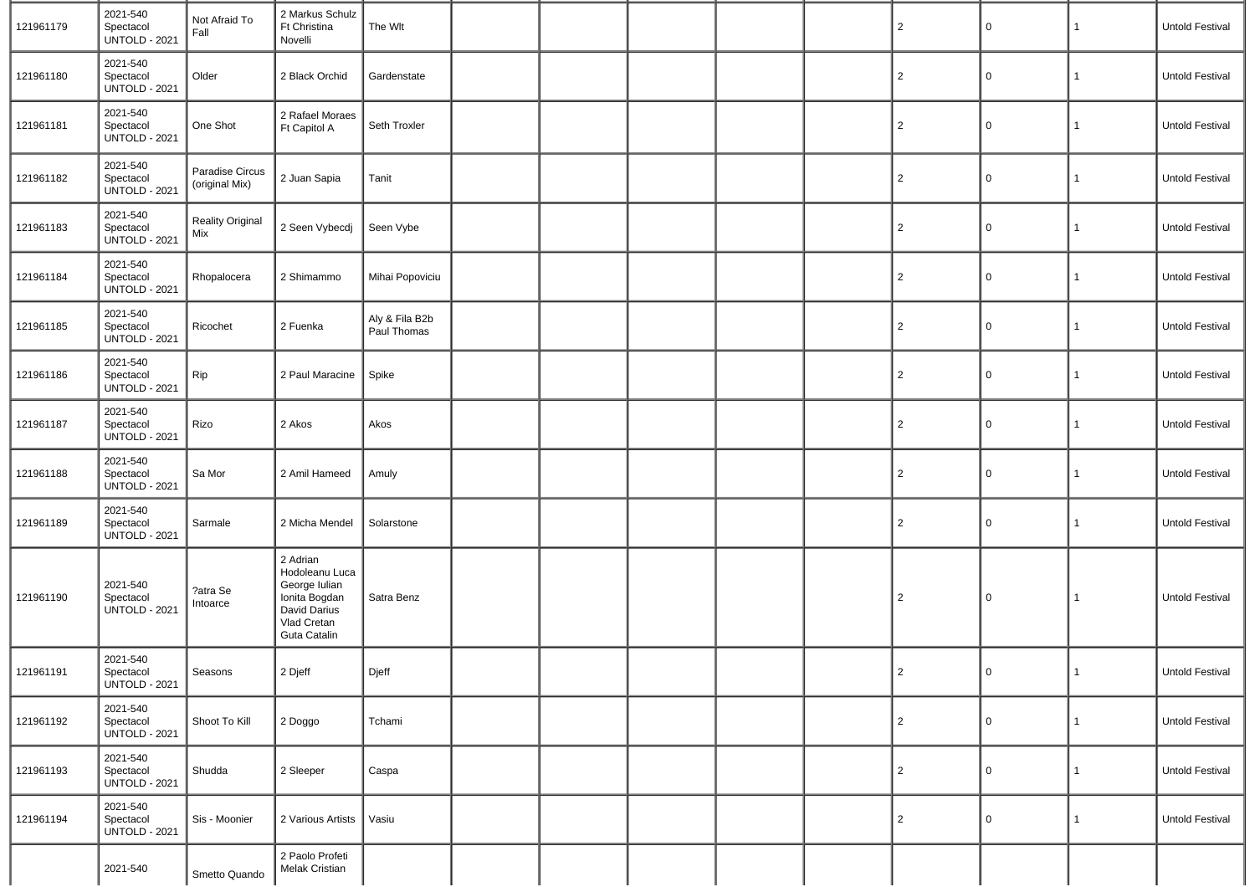| 121961179 | 2021-540<br>Spectacol<br><b>UNTOLD - 2021</b> | Not Afraid To<br>Fall             | 2 Markus Schulz<br>Ft Christina<br>Novelli                                                                  | The Wlt                       |  |  | $\overline{2}$ | $\mathbf 0$    | 1              | Untold Festival        |
|-----------|-----------------------------------------------|-----------------------------------|-------------------------------------------------------------------------------------------------------------|-------------------------------|--|--|----------------|----------------|----------------|------------------------|
| 121961180 | 2021-540<br>Spectacol<br><b>UNTOLD - 2021</b> | Older                             | 2 Black Orchid                                                                                              | Gardenstate                   |  |  | $\overline{2}$ | $\mathbf 0$    | $\mathbf{1}$   | Untold Festival        |
| 121961181 | 2021-540<br>Spectacol<br><b>UNTOLD - 2021</b> | One Shot                          | 2 Rafael Moraes<br>Ft Capitol A                                                                             | Seth Troxler                  |  |  | $\overline{2}$ | 0              | 1              | Untold Festival        |
| 121961182 | 2021-540<br>Spectacol<br><b>UNTOLD - 2021</b> | Paradise Circus<br>(original Mix) | 2 Juan Sapia                                                                                                | Tanit                         |  |  | $\overline{c}$ | 0              | $\mathbf{1}$   | Untold Festival        |
| 121961183 | 2021-540<br>Spectacol<br><b>UNTOLD - 2021</b> | <b>Reality Original</b><br>Mix    | 2 Seen Vybecdj                                                                                              | Seen Vybe                     |  |  | $\overline{2}$ | 0              | $\mathbf{1}$   | Untold Festival        |
| 121961184 | 2021-540<br>Spectacol<br><b>UNTOLD - 2021</b> | Rhopalocera                       | 2 Shimammo                                                                                                  | Mihai Popoviciu               |  |  | $\overline{2}$ | $\mathbf 0$    | $\mathbf{1}$   | Untold Festival        |
| 121961185 | 2021-540<br>Spectacol<br><b>UNTOLD - 2021</b> | Ricochet                          | 2 Fuenka                                                                                                    | Aly & Fila B2b<br>Paul Thomas |  |  | $\overline{2}$ | $\mathbf 0$    | $\mathbf{1}$   | Untold Festival        |
| 121961186 | 2021-540<br>Spectacol<br><b>UNTOLD - 2021</b> | Rip                               | 2 Paul Maracine                                                                                             | Spike                         |  |  | $\overline{2}$ | 0              | 1              | Untold Festival        |
| 121961187 | 2021-540<br>Spectacol<br><b>UNTOLD - 2021</b> | Rizo                              | 2 Akos                                                                                                      | Akos                          |  |  | $\overline{2}$ | 0              | $\mathbf{1}$   | Untold Festival        |
| 121961188 | 2021-540<br>Spectacol<br><b>UNTOLD - 2021</b> | Sa Mor                            | 2 Amil Hameed                                                                                               | Amuly                         |  |  | $\overline{2}$ | $\mathbf 0$    | $\mathbf{1}$   | Untold Festival        |
| 121961189 | 2021-540<br>Spectacol<br><b>UNTOLD - 2021</b> | Sarmale                           | 2 Micha Mendel                                                                                              | Solarstone                    |  |  | $\overline{2}$ | $\mathbf 0$    | $\mathbf{1}$   | Untold Festival        |
| 121961190 | 2021-540<br>Spectacol<br><b>UNTOLD - 2021</b> | ?atra Se<br>Intoarce              | 2 Adrian<br>Hodoleanu Luca<br>George Iulian<br>Ionita Bogdan<br>David Darius<br>Vlad Cretan<br>Guta Catalin | Satra Benz                    |  |  | $\overline{2}$ | $\mathbf 0$    | 1              | <b>Untold Festival</b> |
| 121961191 | 2021-540<br>Spectacol<br><b>UNTOLD - 2021</b> | Seasons                           | 2 Djeff                                                                                                     | Djeff                         |  |  | $\overline{2}$ | $\overline{0}$ | $\mathbf{1}$   | Untold Festival        |
| 121961192 | 2021-540<br>Spectacol<br><b>UNTOLD - 2021</b> | Shoot To Kill                     | 2 Doggo                                                                                                     | Tchami                        |  |  | $\overline{2}$ | $\mathbf 0$    | $\mathbf{1}$   | Untold Festival        |
| 121961193 | 2021-540<br>Spectacol<br><b>UNTOLD - 2021</b> | Shudda                            | 2 Sleeper                                                                                                   | Caspa                         |  |  | $\overline{2}$ | $\mathbf 0$    | $\mathbf{1}$   | Untold Festival        |
| 121961194 | 2021-540<br>Spectacol<br><b>UNTOLD - 2021</b> | Sis - Moonier                     | 2 Various Artists                                                                                           | Vasiu                         |  |  | $\overline{2}$ | $\mathbf 0$    | $\overline{1}$ | Untold Festival        |
|           | 2021-540                                      | Smetto Quando                     | 2 Paolo Profeti<br>Melak Cristian                                                                           |                               |  |  |                |                |                |                        |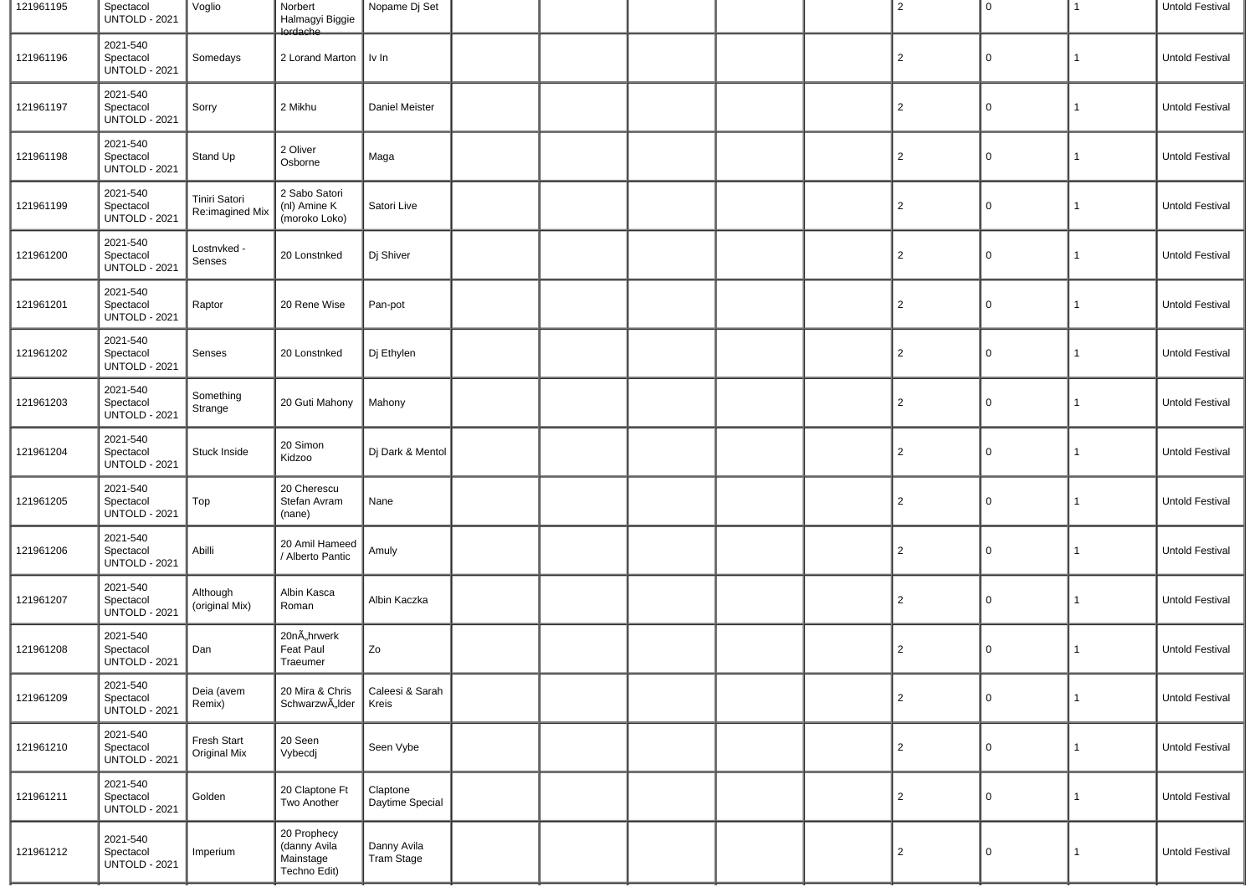| 121961195 | Spectacol<br><b>UNTOLD - 2021</b>             | Voglio                           | Norbert<br>Halmagyi Biggie<br>lordache                   | Nopame Dj Set                    |  |  | 2              | $\mathbf 0$ | 1            | Untold Festival |
|-----------|-----------------------------------------------|----------------------------------|----------------------------------------------------------|----------------------------------|--|--|----------------|-------------|--------------|-----------------|
| 121961196 | 2021-540<br>Spectacol<br><b>UNTOLD - 2021</b> | Somedays                         | 2 Lorand Marton                                          | $\parallel$ lv In                |  |  | $\overline{2}$ | 0           | 1            | Untold Festival |
| 121961197 | 2021-540<br>Spectacol<br><b>UNTOLD - 2021</b> | Sorry                            | 2 Mikhu                                                  | Daniel Meister                   |  |  | $\overline{2}$ | 0           | 1            | Untold Festival |
| 121961198 | 2021-540<br>Spectacol<br><b>UNTOLD - 2021</b> | Stand Up                         | 2 Oliver<br>Osborne                                      | Maga                             |  |  | $\overline{2}$ | 0           | 1            | Untold Festival |
| 121961199 | 2021-540<br>Spectacol<br><b>UNTOLD - 2021</b> | Tiniri Satori<br>Re:imagined Mix | 2 Sabo Satori<br>(nl) Amine K<br>(moroko Loko)           | Satori Live                      |  |  | $\overline{2}$ | 0           | 1            | Untold Festival |
| 121961200 | 2021-540<br>Spectacol<br><b>UNTOLD - 2021</b> | Lostnvked -<br>Senses            | 20 Lonstnked                                             | Dj Shiver                        |  |  | $\overline{2}$ | 0           | 1            | Untold Festival |
| 121961201 | 2021-540<br>Spectacol<br><b>UNTOLD - 2021</b> | Raptor                           | 20 Rene Wise                                             | Pan-pot                          |  |  | $\overline{2}$ | 0           | 1            | Untold Festival |
| 121961202 | 2021-540<br>Spectacol<br><b>UNTOLD - 2021</b> | Senses                           | 20 Lonstnked                                             | Dj Ethylen                       |  |  | $\overline{2}$ | 0           | 1            | Untold Festival |
| 121961203 | 2021-540<br>Spectacol<br><b>UNTOLD - 2021</b> | Something<br>Strange             | 20 Guti Mahony                                           | Mahony                           |  |  | $\overline{2}$ | 0           | 1            | Untold Festival |
| 121961204 | 2021-540<br>Spectacol<br><b>UNTOLD - 2021</b> | Stuck Inside                     | 20 Simon<br>Kidzoo                                       | Dj Dark & Mentol                 |  |  | $\overline{2}$ | 0           | 1            | Untold Festival |
| 121961205 | 2021-540<br>Spectacol<br><b>UNTOLD - 2021</b> | Top                              | 20 Cherescu<br>Stefan Avram<br>(nane)                    | Nane                             |  |  | $\overline{2}$ | 0           | $\mathbf{1}$ | Untold Festival |
| 121961206 | 2021-540<br>Spectacol<br><b>UNTOLD - 2021</b> | Abilli                           | 20 Amil Hameed<br>/ Alberto Pantic                       | Amuly                            |  |  | $\overline{2}$ | 0           | 1            | Untold Festival |
| 121961207 | 2021-540<br>Spectacol<br><b>UNTOLD - 2021</b> | Although<br>(original Mix)       | Albin Kasca<br>Roman                                     | Albin Kaczka                     |  |  | $\overline{2}$ | 0           | 1            | Untold Festival |
| 121961208 | 2021-540<br>Spectacol<br><b>UNTOLD - 2021</b> | Dan                              | 20nÄhrwerk<br>Feat Paul<br>Traeumer                      | Ζo                               |  |  | $\overline{2}$ | 0           | 1            | Untold Festival |
| 121961209 | 2021-540<br>Spectacol<br><b>UNTOLD - 2021</b> | Deia (avem<br>Remix)             | 20 Mira & Chris<br>Schwarzw"lder                         | Caleesi & Sarah<br>Kreis         |  |  | $\overline{2}$ | $\mathbf 0$ | $\mathbf{1}$ | Untold Festival |
| 121961210 | 2021-540<br>Spectacol<br><b>UNTOLD - 2021</b> | Fresh Start<br>Original Mix      | 20 Seen<br>Vybecdj                                       | Seen Vybe                        |  |  | $\overline{2}$ | 0           | $\mathbf{1}$ | Untold Festival |
| 121961211 | 2021-540<br>Spectacol<br><b>UNTOLD - 2021</b> | Golden                           | 20 Claptone Ft<br>Two Another                            | Claptone<br>Daytime Special      |  |  | $\overline{2}$ | 0           | $\mathbf{1}$ | Untold Festival |
| 121961212 | 2021-540<br>Spectacol<br><b>UNTOLD - 2021</b> | Imperium                         | 20 Prophecy<br>(danny Avila<br>Mainstage<br>Techno Edit) | Danny Avila<br><b>Tram Stage</b> |  |  | $\overline{2}$ | 0           | $\mathbf{1}$ | Untold Festival |
|           |                                               |                                  |                                                          |                                  |  |  |                |             |              |                 |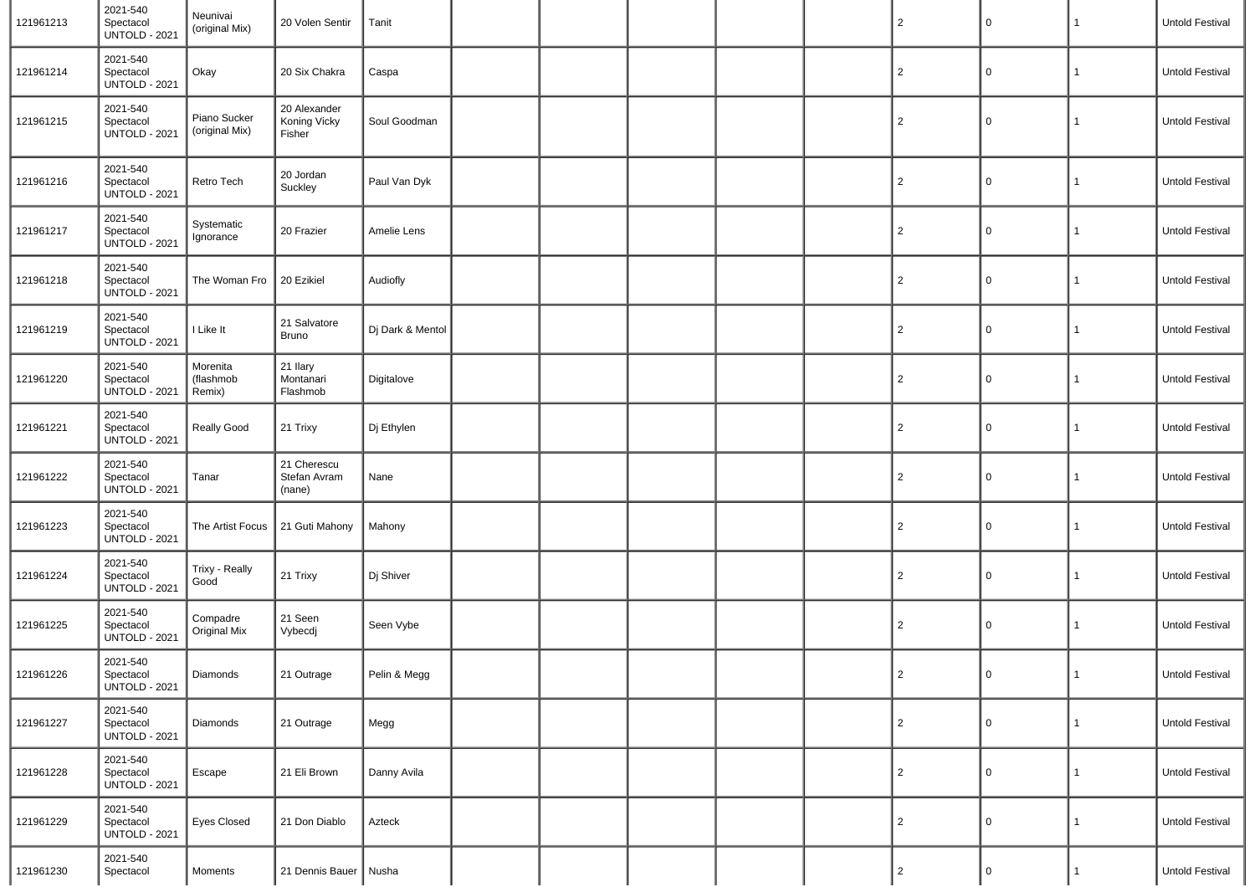| 121961213 | 2021-540<br>Spectacol<br><b>UNTOLD - 2021</b> | Neunivai<br>(original Mix)      | 20 Volen Sentir                        | Tanit            |  |  | $\overline{2}$ | 0           | $\mathbf{1}$ | Untold Festival |
|-----------|-----------------------------------------------|---------------------------------|----------------------------------------|------------------|--|--|----------------|-------------|--------------|-----------------|
| 121961214 | 2021-540<br>Spectacol<br><b>UNTOLD - 2021</b> | Okay                            | 20 Six Chakra                          | Caspa            |  |  | $\overline{2}$ | 0           | $\mathbf{1}$ | Untold Festival |
| 121961215 | 2021-540<br>Spectacol<br><b>UNTOLD - 2021</b> | Piano Sucker<br>(original Mix)  | 20 Alexander<br>Koning Vicky<br>Fisher | Soul Goodman     |  |  | $\overline{2}$ | 0           | $\mathbf{1}$ | Untold Festival |
| 121961216 | 2021-540<br>Spectacol<br><b>UNTOLD - 2021</b> | Retro Tech                      | 20 Jordan<br>Suckley                   | Paul Van Dyk     |  |  | $\overline{2}$ | 0           | 1            | Untold Festival |
| 121961217 | 2021-540<br>Spectacol<br><b>UNTOLD - 2021</b> | Systematic<br>Ignorance         | 20 Frazier                             | Amelie Lens      |  |  | $\overline{2}$ | 0           | 1            | Untold Festival |
| 121961218 | 2021-540<br>Spectacol<br><b>UNTOLD - 2021</b> | The Woman Fro                   | 20 Ezikiel                             | Audiofly         |  |  | $\overline{2}$ | 0           | 1            | Untold Festival |
| 121961219 | 2021-540<br>Spectacol<br><b>UNTOLD - 2021</b> | I Like It                       | 21 Salvatore<br><b>Bruno</b>           | Dj Dark & Mentol |  |  | $\overline{2}$ | 0           | 1            | Untold Festival |
| 121961220 | 2021-540<br>Spectacol<br><b>UNTOLD - 2021</b> | Morenita<br>(flashmob<br>Remix) | 21 Ilary<br>Montanari<br>Flashmob      | Digitalove       |  |  | $\overline{2}$ | 0           | 1            | Untold Festival |
| 121961221 | 2021-540<br>Spectacol<br><b>UNTOLD - 2021</b> | Really Good                     | 21 Trixy                               | Dj Ethylen       |  |  | $\overline{2}$ | 0           | 1            | Untold Festival |
| 121961222 | 2021-540<br>Spectacol<br><b>UNTOLD - 2021</b> | Tanar                           | 21 Cherescu<br>Stefan Avram<br>(nane)  | Nane             |  |  | $\overline{2}$ | 0           | 1            | Untold Festival |
| 121961223 | 2021-540<br>Spectacol<br><b>UNTOLD - 2021</b> | The Artist Focus                | 21 Guti Mahony                         | Mahony           |  |  | $\overline{2}$ | $\mathbf 0$ | 1            | Untold Festival |
| 121961224 | 2021-540<br>Spectacol<br><b>UNTOLD - 2021</b> | Trixy - Really<br>Good          | 21 Trixy                               | Dj Shiver        |  |  | $\overline{2}$ | 0           | 1            | Untold Festival |
| 121961225 | 2021-540<br>Spectacol<br><b>UNTOLD - 2021</b> | Compadre<br><b>Original Mix</b> | 21 Seen<br>Vybecdj                     | Seen Vybe        |  |  | $\overline{2}$ | $\mathsf 0$ | 1            | Untold Festival |
| 121961226 | 2021-540<br>Spectacol<br><b>UNTOLD - 2021</b> | Diamonds                        | 21 Outrage                             | Pelin & Megg     |  |  | $\overline{2}$ | 0           | $\mathbf{1}$ | Untold Festival |
| 121961227 | 2021-540<br>Spectacol<br><b>UNTOLD - 2021</b> | Diamonds                        | 21 Outrage                             | Megg             |  |  | 2              | 0           | 1            | Untold Festival |
| 121961228 | 2021-540<br>Spectacol<br><b>UNTOLD - 2021</b> | Escape                          | 21 Eli Brown                           | Danny Avila      |  |  | $\overline{2}$ | $\mathsf 0$ | $\mathbf{1}$ | Untold Festival |
| 121961229 | 2021-540<br>Spectacol<br><b>UNTOLD - 2021</b> | <b>Eyes Closed</b>              | 21 Don Diablo                          | Azteck           |  |  | 2              | $\mathsf 0$ | $\mathbf{1}$ | Untold Festival |
| 121961230 | 2021-540<br>Spectacol                         | Moments                         | 21 Dennis Bauer   Nusha                |                  |  |  | 2              | 0           | $\mathbf{1}$ | Untold Festival |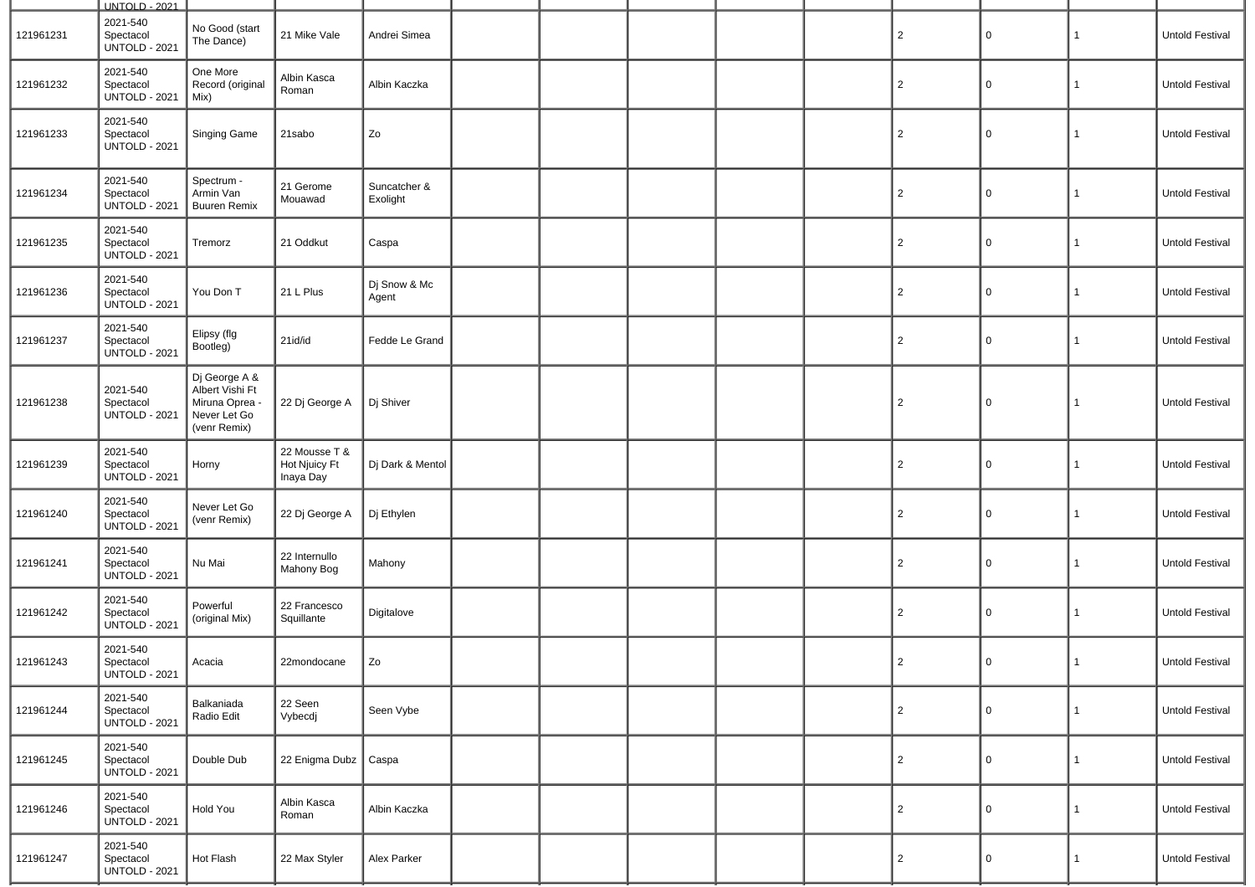|           | UNTOLD - 2021                                 |                                                                                    |                                             |                          |  |  |                |   |              |                        |
|-----------|-----------------------------------------------|------------------------------------------------------------------------------------|---------------------------------------------|--------------------------|--|--|----------------|---|--------------|------------------------|
| 121961231 | 2021-540<br>Spectacol<br><b>UNTOLD - 2021</b> | No Good (start<br>The Dance)                                                       | 21 Mike Vale                                | Andrei Simea             |  |  | 2              | 0 | $\mathbf{1}$ | Untold Festival        |
| 121961232 | 2021-540<br>Spectacol<br><b>UNTOLD - 2021</b> | One More<br>Record (original<br>Mix)                                               | Albin Kasca<br>Roman                        | Albin Kaczka             |  |  | 2              | 0 | $\mathbf{1}$ | <b>Untold Festival</b> |
| 121961233 | 2021-540<br>Spectacol<br><b>UNTOLD - 2021</b> | Singing Game                                                                       | 21sabo                                      | Zo                       |  |  | 2              | 0 | $\mathbf{1}$ | <b>Untold Festival</b> |
| 121961234 | 2021-540<br>Spectacol<br><b>UNTOLD - 2021</b> | Spectrum -<br>Armin Van<br><b>Buuren Remix</b>                                     | 21 Gerome<br>Mouawad                        | Suncatcher &<br>Exolight |  |  | $\overline{2}$ | 0 | $\mathbf{1}$ | <b>Untold Festival</b> |
| 121961235 | 2021-540<br>Spectacol<br><b>UNTOLD - 2021</b> | Tremorz                                                                            | 21 Oddkut                                   | Caspa                    |  |  | $\overline{2}$ | 0 | $\mathbf{1}$ | <b>Untold Festival</b> |
| 121961236 | 2021-540<br>Spectacol<br><b>UNTOLD - 2021</b> | You Don T                                                                          | 21 L Plus                                   | Dj Snow & Mc<br>Agent    |  |  | $\overline{2}$ | 0 | $\mathbf{1}$ | <b>Untold Festival</b> |
| 121961237 | 2021-540<br>Spectacol<br><b>UNTOLD - 2021</b> | Elipsy (flg<br>Bootleg)                                                            | 21id/id                                     | Fedde Le Grand           |  |  | $\overline{2}$ | 0 | $\mathbf{1}$ | Untold Festival        |
| 121961238 | 2021-540<br>Spectacol<br><b>UNTOLD - 2021</b> | Dj George A &<br>Albert Vishi Ft<br>Miruna Oprea -<br>Never Let Go<br>(venr Remix) | 22 Dj George A                              | Dj Shiver                |  |  | $\overline{2}$ | 0 | $\mathbf{1}$ | <b>Untold Festival</b> |
| 121961239 | 2021-540<br>Spectacol<br><b>UNTOLD - 2021</b> | Horny                                                                              | 22 Mousse T &<br>Hot Njuicy Ft<br>Inaya Day | Dj Dark & Mentol         |  |  | 2              | 0 | $\mathbf{1}$ | Untold Festival        |
| 121961240 | 2021-540<br>Spectacol<br><b>UNTOLD - 2021</b> | Never Let Go<br>(venr Remix)                                                       | 22 Dj George A                              | Dj Ethylen               |  |  | 2              | 0 | $\mathbf{1}$ | <b>Untold Festival</b> |
| 121961241 | 2021-540<br>Spectacol<br><b>UNTOLD - 2021</b> | Nu Mai                                                                             | 22 Internullo<br>Mahony Bog                 | Mahony                   |  |  | 2              | 0 | $\mathbf{1}$ | <b>Untold Festival</b> |
| 121961242 | 2021-540<br>Spectacol<br><b>UNTOLD - 2021</b> | Powerful<br>(original Mix)                                                         | 22 Francesco<br>Squillante                  | Digitalove               |  |  | 2              | 0 | $\mathbf{1}$ | <b>Untold Festival</b> |
| 121961243 | 2021-540<br>Spectacol<br><b>UNTOLD - 2021</b> | Acacia                                                                             | 22mondocane                                 | Zo                       |  |  | $\overline{2}$ | 0 | 1            | Untold Festival        |
| 121961244 | 2021-540<br>Spectacol<br><b>UNTOLD - 2021</b> | Balkaniada<br>Radio Edit                                                           | 22 Seen<br>Vybecdj                          | Seen Vybe                |  |  | 2              | 0 | $\mathbf{1}$ | Untold Festival        |
| 121961245 | 2021-540<br>Spectacol<br><b>UNTOLD - 2021</b> | Double Dub                                                                         | 22 Enigma Dubz   Caspa                      |                          |  |  | $\overline{2}$ | 0 | $\mathbf{1}$ | Untold Festival        |
| 121961246 | 2021-540<br>Spectacol<br><b>UNTOLD - 2021</b> | Hold You                                                                           | Albin Kasca<br>Roman                        | Albin Kaczka             |  |  | $\overline{2}$ | 0 | $\mathbf{1}$ | Untold Festival        |
| 121961247 | 2021-540<br>Spectacol<br><b>UNTOLD - 2021</b> | Hot Flash                                                                          | 22 Max Styler                               | Alex Parker              |  |  | 2              | 0 | $\mathbf{1}$ | Untold Festival        |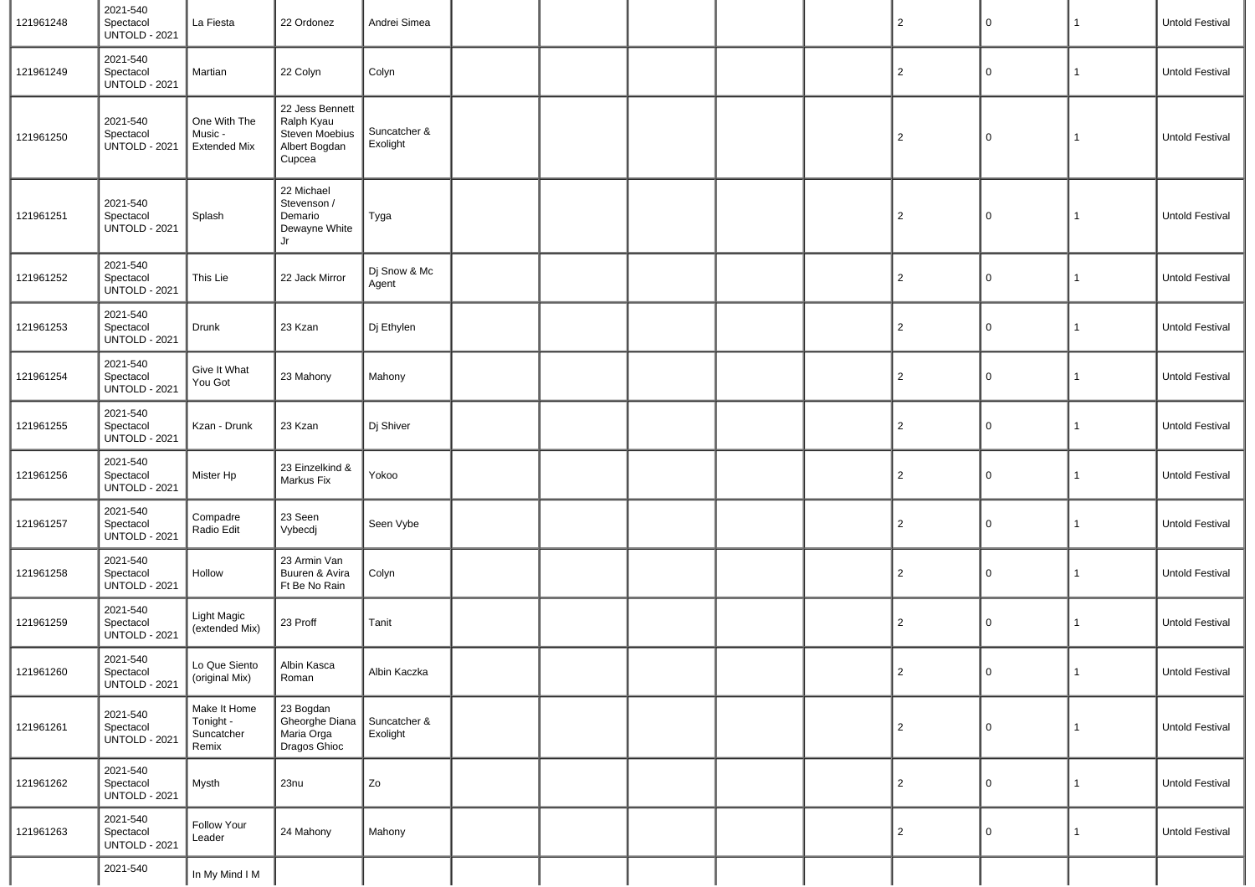| 121961248 | 2021-540<br>Spectacol<br><b>UNTOLD - 2021</b> | La Fiesta                                        | 22 Ordonez                                                                 | Andrei Simea             |  |  | $\overline{2}$ | $\mathsf 0$ | $\mathbf{1}$ | Untold Festival |
|-----------|-----------------------------------------------|--------------------------------------------------|----------------------------------------------------------------------------|--------------------------|--|--|----------------|-------------|--------------|-----------------|
| 121961249 | 2021-540<br>Spectacol<br><b>UNTOLD - 2021</b> | Martian                                          | 22 Colyn                                                                   | Colyn                    |  |  | $\overline{2}$ | 0           | $\mathbf{1}$ | Untold Festival |
| 121961250 | 2021-540<br>Spectacol<br><b>UNTOLD - 2021</b> | One With The<br>Music -<br><b>Extended Mix</b>   | 22 Jess Bennett<br>Ralph Kyau<br>Steven Moebius<br>Albert Bogdan<br>Cupcea | Suncatcher &<br>Exolight |  |  | $\overline{2}$ | 0           | 1            | Untold Festival |
| 121961251 | 2021-540<br>Spectacol<br><b>UNTOLD - 2021</b> | Splash                                           | 22 Michael<br>Stevenson /<br>Demario<br>Dewayne White<br>Jr                | Tyga                     |  |  | $\overline{2}$ | $\mathsf 0$ | 1            | Untold Festival |
| 121961252 | 2021-540<br>Spectacol<br><b>UNTOLD - 2021</b> | This Lie                                         | 22 Jack Mirror                                                             | Dj Snow & Mc<br>Agent    |  |  | $\overline{2}$ | 0           | 1            | Untold Festival |
| 121961253 | 2021-540<br>Spectacol<br><b>UNTOLD - 2021</b> | Drunk                                            | 23 Kzan                                                                    | Dj Ethylen               |  |  | $\overline{2}$ | 0           | 1            | Untold Festival |
| 121961254 | 2021-540<br>Spectacol<br><b>UNTOLD - 2021</b> | Give It What<br>You Got                          | 23 Mahony                                                                  | Mahony                   |  |  | $\overline{2}$ | 0           | $\mathbf{1}$ | Untold Festival |
| 121961255 | 2021-540<br>Spectacol<br><b>UNTOLD - 2021</b> | Kzan - Drunk                                     | 23 Kzan                                                                    | Dj Shiver                |  |  | $\overline{2}$ | 0           | $\mathbf{1}$ | Untold Festival |
| 121961256 | 2021-540<br>Spectacol<br><b>UNTOLD - 2021</b> | Mister Hp                                        | 23 Einzelkind &<br>Markus Fix                                              | Yokoo                    |  |  | $\overline{2}$ | 0           | $\mathbf{1}$ | Untold Festival |
| 121961257 | 2021-540<br>Spectacol<br><b>UNTOLD - 2021</b> | Compadre<br>Radio Edit                           | 23 Seen<br>Vybecdj                                                         | Seen Vybe                |  |  | $\overline{2}$ | 0           | 1            | Untold Festival |
| 121961258 | 2021-540<br>Spectacol<br><b>UNTOLD - 2021</b> | Hollow                                           | 23 Armin Van<br>Buuren & Avira<br>Ft Be No Rain                            | Colyn                    |  |  | $\overline{2}$ | 0           | 1            | Untold Festival |
| 121961259 | 2021-540<br>Spectacol<br><b>UNTOLD - 2021</b> | <b>Light Magic</b><br>(extended Mix)             | 23 Proff                                                                   | Tanit                    |  |  | $\overline{2}$ | 0           | $\mathbf{1}$ | Untold Festival |
| 121961260 | 2021-540<br>Spectacol<br><b>UNTOLD - 2021</b> | Lo Que Siento<br>(original Mix)                  | Albin Kasca<br>Roman                                                       | Albin Kaczka             |  |  | $\mathbf{z}$   | $\cup$      | $\mathbf{1}$ | Untold Festival |
| 121961261 | 2021-540<br>Spectacol<br><b>UNTOLD - 2021</b> | Make It Home<br>Tonight -<br>Suncatcher<br>Remix | 23 Bogdan<br>Gheorghe Diana<br>Maria Orga<br>Dragos Ghioc                  | Suncatcher &<br>Exolight |  |  | 2              | 0           | 1            | Untold Festival |
| 121961262 | 2021-540<br>Spectacol<br><b>UNTOLD - 2021</b> | Mysth                                            | 23nu                                                                       | Zo                       |  |  | $\overline{2}$ | 0           | $\mathbf{1}$ | Untold Festival |
| 121961263 | 2021-540<br>Spectacol<br><b>UNTOLD - 2021</b> | Follow Your<br>Leader                            | 24 Mahony                                                                  | Mahony                   |  |  | $\overline{2}$ | 0           | $\mathbf{1}$ | Untold Festival |
|           | 2021-540                                      | In My Mind I M                                   |                                                                            |                          |  |  |                |             |              |                 |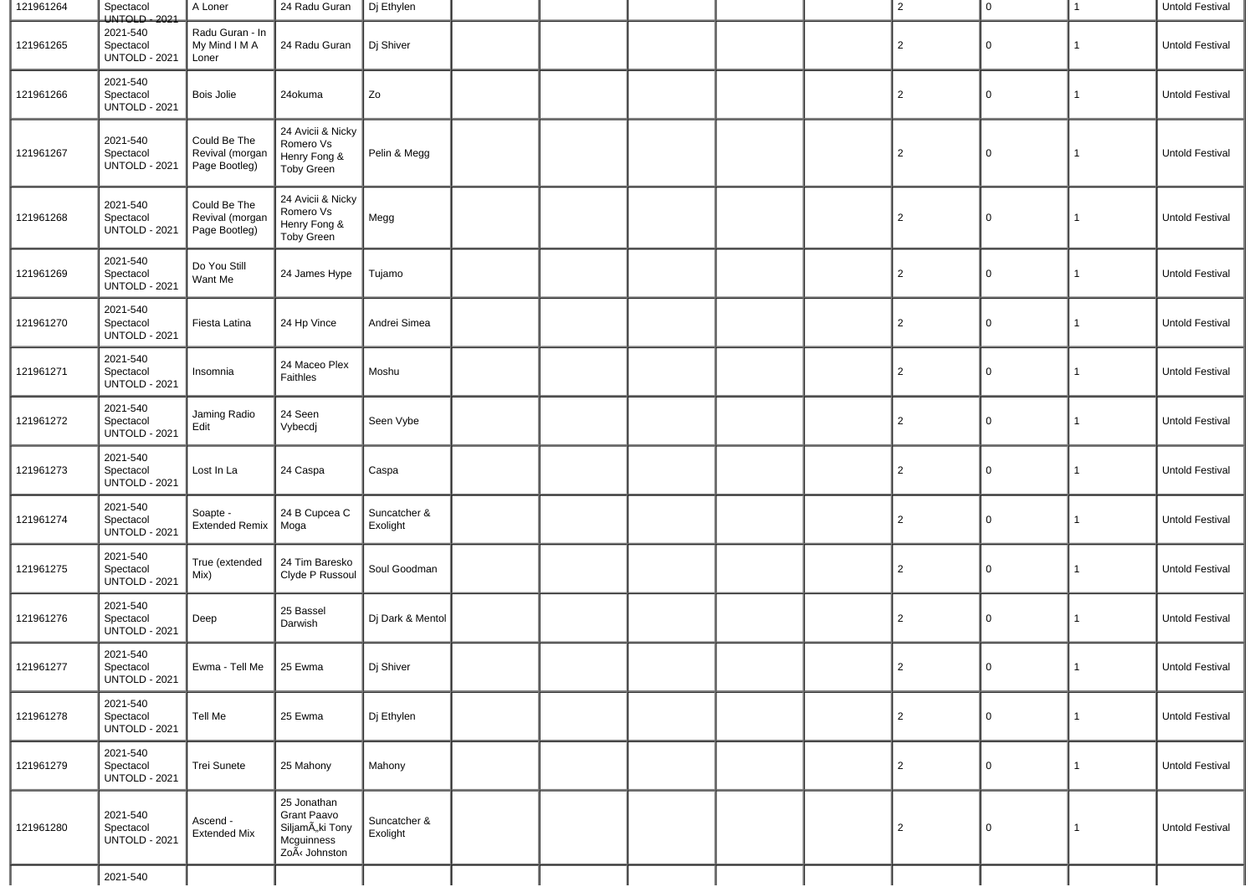| 121961264 | Spectacol<br>UNTOLD - 2021                    | A Loner                                          | 24 Radu Guran                                                                      | Dj Ethylen               |  |  | $\overline{2}$ | $\mathbf 0$ | 1            | Untold Festival        |
|-----------|-----------------------------------------------|--------------------------------------------------|------------------------------------------------------------------------------------|--------------------------|--|--|----------------|-------------|--------------|------------------------|
| 121961265 | 2021-540<br>Spectacol<br><b>UNTOLD - 2021</b> | Radu Guran - In<br>My Mind I M A<br>Loner        | 24 Radu Guran                                                                      | Dj Shiver                |  |  | $\overline{2}$ | 0           | 1            | Untold Festival        |
| 121961266 | 2021-540<br>Spectacol<br><b>UNTOLD - 2021</b> | Bois Jolie                                       | 24okuma                                                                            | Zo                       |  |  | $\overline{2}$ | $\Omega$    | 1            | Untold Festival        |
| 121961267 | 2021-540<br>Spectacol<br><b>UNTOLD - 2021</b> | Could Be The<br>Revival (morgan<br>Page Bootleg) | 24 Avicii & Nicky<br>Romero Vs<br>Henry Fong &<br><b>Toby Green</b>                | Pelin & Megg             |  |  | $\overline{2}$ | $\Omega$    | 1            | <b>Untold Festival</b> |
| 121961268 | 2021-540<br>Spectacol<br><b>UNTOLD - 2021</b> | Could Be The<br>Revival (morgan<br>Page Bootleg) | 24 Avicii & Nicky<br>Romero Vs<br>Henry Fong &<br><b>Toby Green</b>                | Megg                     |  |  | $\overline{2}$ | $\Omega$    | 1            | Untold Festival        |
| 121961269 | 2021-540<br>Spectacol<br><b>UNTOLD - 2021</b> | Do You Still<br>Want Me                          | 24 James Hype                                                                      | Tujamo                   |  |  | $\overline{2}$ | 0           | 1            | Untold Festival        |
| 121961270 | 2021-540<br>Spectacol<br><b>UNTOLD - 2021</b> | Fiesta Latina                                    | 24 Hp Vince                                                                        | Andrei Simea             |  |  | $\overline{2}$ | 0           | 1            | Untold Festival        |
| 121961271 | 2021-540<br>Spectacol<br><b>UNTOLD - 2021</b> | Insomnia                                         | 24 Maceo Plex<br>Faithles                                                          | Moshu                    |  |  | $\overline{2}$ | 0           | 1            | Untold Festival        |
| 121961272 | 2021-540<br>Spectacol<br><b>UNTOLD - 2021</b> | Jaming Radio<br>Edit                             | 24 Seen<br>Vybecdj                                                                 | Seen Vybe                |  |  | $\overline{2}$ | 0           | $\mathbf{1}$ | Untold Festival        |
| 121961273 | 2021-540<br>Spectacol<br><b>UNTOLD - 2021</b> | Lost In La                                       | 24 Caspa                                                                           | Caspa                    |  |  | $\overline{2}$ | 0           | 1            | Untold Festival        |
| 121961274 | 2021-540<br>Spectacol<br><b>UNTOLD - 2021</b> | Soapte -<br>Extended Remix                       | 24 B Cupcea C<br>Moga                                                              | Suncatcher &<br>Exolight |  |  | $\overline{2}$ | 0           | 1            | Untold Festival        |
| 121961275 | 2021-540<br>Spectacol<br><b>UNTOLD - 2021</b> | True (extended<br>Mix)                           | 24 Tim Baresko<br>Clyde P Russoul                                                  | Soul Goodman             |  |  | $\overline{2}$ | 0           | 1            | Untold Festival        |
| 121961276 | 2021-540<br>Spectacol<br><b>UNTOLD - 2021</b> | Deep                                             | 25 Bassel<br>Darwish                                                               | Dj Dark & Mentol         |  |  | $\overline{2}$ | 0           | 1            | Untold Festival        |
| 121961277 | 2021-540<br>Spectacol<br><b>UNTOLD - 2021</b> | Ewma - Tell Me   25 Ewma                         |                                                                                    | Dj Shiver                |  |  | $\mathcal{P}$  | 0           |              | Untold Festival        |
| 121961278 | 2021-540<br>Spectacol<br><b>UNTOLD - 2021</b> | Tell Me                                          | 25 Ewma                                                                            | Dj Ethylen               |  |  | $\overline{c}$ | $\mathbf 0$ | $\mathbf{1}$ | Untold Festival        |
| 121961279 | 2021-540<br>Spectacol<br><b>UNTOLD - 2021</b> | Trei Sunete                                      | 25 Mahony                                                                          | Mahony                   |  |  | $\overline{2}$ | $\mathbf 0$ | $\mathbf{1}$ | Untold Festival        |
| 121961280 | 2021-540<br>Spectacol<br><b>UNTOLD - 2021</b> | Ascend -<br><b>Extended Mix</b>                  | 25 Jonathan<br><b>Grant Paavo</b><br>SiljamÄki Tony<br>Mcguinness<br>ZoÃ< Johnston | Suncatcher &<br>Exolight |  |  | $\overline{2}$ | 0           | $\mathbf{1}$ | Untold Festival        |
|           | 2021-540                                      |                                                  |                                                                                    |                          |  |  |                |             |              |                        |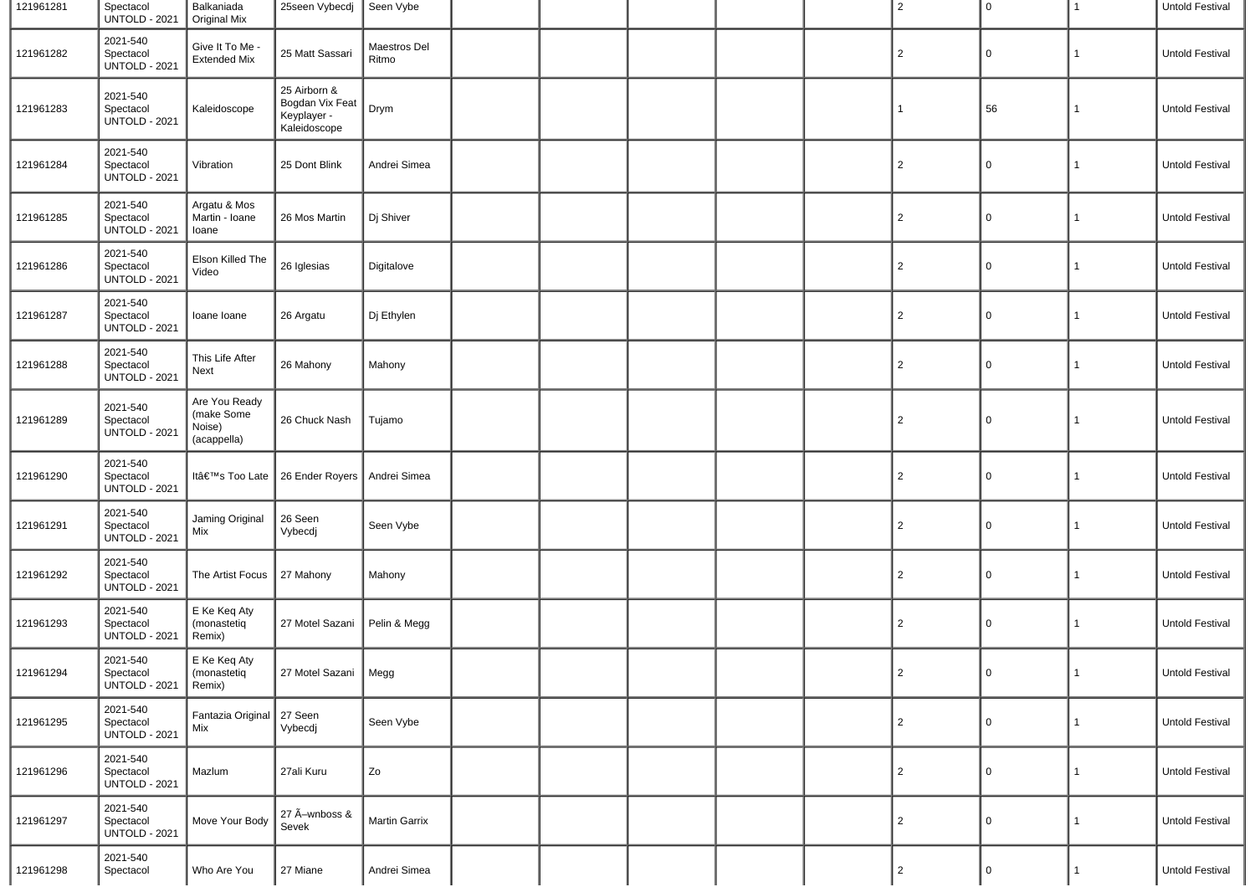| 121961281 | Spectacol<br><b>UNTOLD - 2021</b>             | Balkaniada<br>Original Mix                           | 25seen Vybecdj                                                 | Seen Vybe             |  |  | $\overline{2}$ | $\overline{0}$ | $\mathbf{1}$ | Untold Festival |
|-----------|-----------------------------------------------|------------------------------------------------------|----------------------------------------------------------------|-----------------------|--|--|----------------|----------------|--------------|-----------------|
| 121961282 | 2021-540<br>Spectacol<br><b>UNTOLD - 2021</b> | Give It To Me -<br><b>Extended Mix</b>               | 25 Matt Sassari                                                | Maestros Del<br>Ritmo |  |  | $\overline{2}$ | $\mathbf 0$    | 1            | Untold Festival |
| 121961283 | 2021-540<br>Spectacol<br><b>UNTOLD - 2021</b> | Kaleidoscope                                         | 25 Airborn &<br>Bogdan Vix Feat<br>Keyplayer -<br>Kaleidoscope | Drym                  |  |  | 1              | 56             | 1            | Untold Festival |
| 121961284 | 2021-540<br>Spectacol<br><b>UNTOLD - 2021</b> | Vibration                                            | 25 Dont Blink                                                  | Andrei Simea          |  |  | 2              | 0              | 1            | Untold Festival |
| 121961285 | 2021-540<br>Spectacol<br><b>UNTOLD - 2021</b> | Argatu & Mos<br>Martin - Ioane<br>Ioane              | 26 Mos Martin                                                  | Dj Shiver             |  |  | $\overline{2}$ | $\mathbf 0$    | 1            | Untold Festival |
| 121961286 | 2021-540<br>Spectacol<br><b>UNTOLD - 2021</b> | Elson Killed The<br>Video                            | 26 Iglesias                                                    | Digitalove            |  |  | $\overline{2}$ | 0              | 1            | Untold Festival |
| 121961287 | 2021-540<br>Spectacol<br><b>UNTOLD - 2021</b> | Ioane Ioane                                          | 26 Argatu                                                      | Dj Ethylen            |  |  | $\overline{2}$ | $\mathbf 0$    | 1            | Untold Festival |
| 121961288 | 2021-540<br>Spectacol<br><b>UNTOLD - 2021</b> | This Life After<br>Next                              | 26 Mahony                                                      | Mahony                |  |  | $\overline{2}$ | $\mathbf 0$    | 1            | Untold Festival |
| 121961289 | 2021-540<br>Spectacol<br><b>UNTOLD - 2021</b> | Are You Ready<br>(make Some<br>Noise)<br>(acappella) | 26 Chuck Nash                                                  | Tujamo                |  |  | $\overline{2}$ | $\mathbf 0$    | 1            | Untold Festival |
| 121961290 | 2021-540<br>Spectacol<br><b>UNTOLD - 2021</b> | It's Too Late                                        | 26 Ender Royers                                                | Andrei Simea          |  |  | $\overline{2}$ | $\overline{0}$ | 1            | Untold Festival |
| 121961291 | 2021-540<br>Spectacol<br><b>UNTOLD - 2021</b> | Jaming Original<br>Mix                               | 26 Seen<br>Vybecdj                                             | Seen Vybe             |  |  | $\overline{2}$ | $\mathbf 0$    | 1            | Untold Festival |
| 121961292 | 2021-540<br>Spectacol<br><b>UNTOLD - 2021</b> | The Artist Focus                                     | 27 Mahony                                                      | Mahony                |  |  | $\overline{2}$ | $\mathbf 0$    | 1            | Untold Festival |
| 121961293 | 2021-540<br>Spectacol<br><b>UNTOLD - 2021</b> | E Ke Keq Aty<br>(monastetiq<br>Remix)                | 27 Motel Sazani                                                | Pelin & Megg          |  |  | $\overline{2}$ | $\mathbf 0$    | 1            | Untold Festival |
| 121961294 | 2021-540<br>Spectacol<br><b>UNTOLD - 2021</b> | E Ke Keq Aty<br>(monastetig<br>Remix)                | 27 Motel Sazani   Megg                                         |                       |  |  | $\mathbf{2}$   | $\overline{0}$ | 1            | Untold Festival |
| 121961295 | 2021-540<br>Spectacol<br><b>UNTOLD - 2021</b> | Fantazia Original   27 Seen<br>Mix                   | Vybecdj                                                        | Seen Vybe             |  |  | $\overline{2}$ | $\mathbf 0$    | 1            | Untold Festival |
| 121961296 | 2021-540<br>Spectacol<br><b>UNTOLD - 2021</b> | Mazlum                                               | 27ali Kuru                                                     | Zo                    |  |  | $\overline{2}$ | $\mathbf 0$    | 1            | Untold Festival |
| 121961297 | 2021-540<br>Spectacol<br><b>UNTOLD - 2021</b> | Move Your Body                                       | 27 Ã-wnboss &<br>Sevek                                         | Martin Garrix         |  |  | $\overline{2}$ | $\overline{0}$ | $\mathbf{1}$ | Untold Festival |
| 121961298 | 2021-540<br>Spectacol                         | Who Are You                                          | 27 Miane                                                       | Andrei Simea          |  |  | $\overline{2}$ | $\mathsf 0$    | $\mathbf{1}$ | Untold Festival |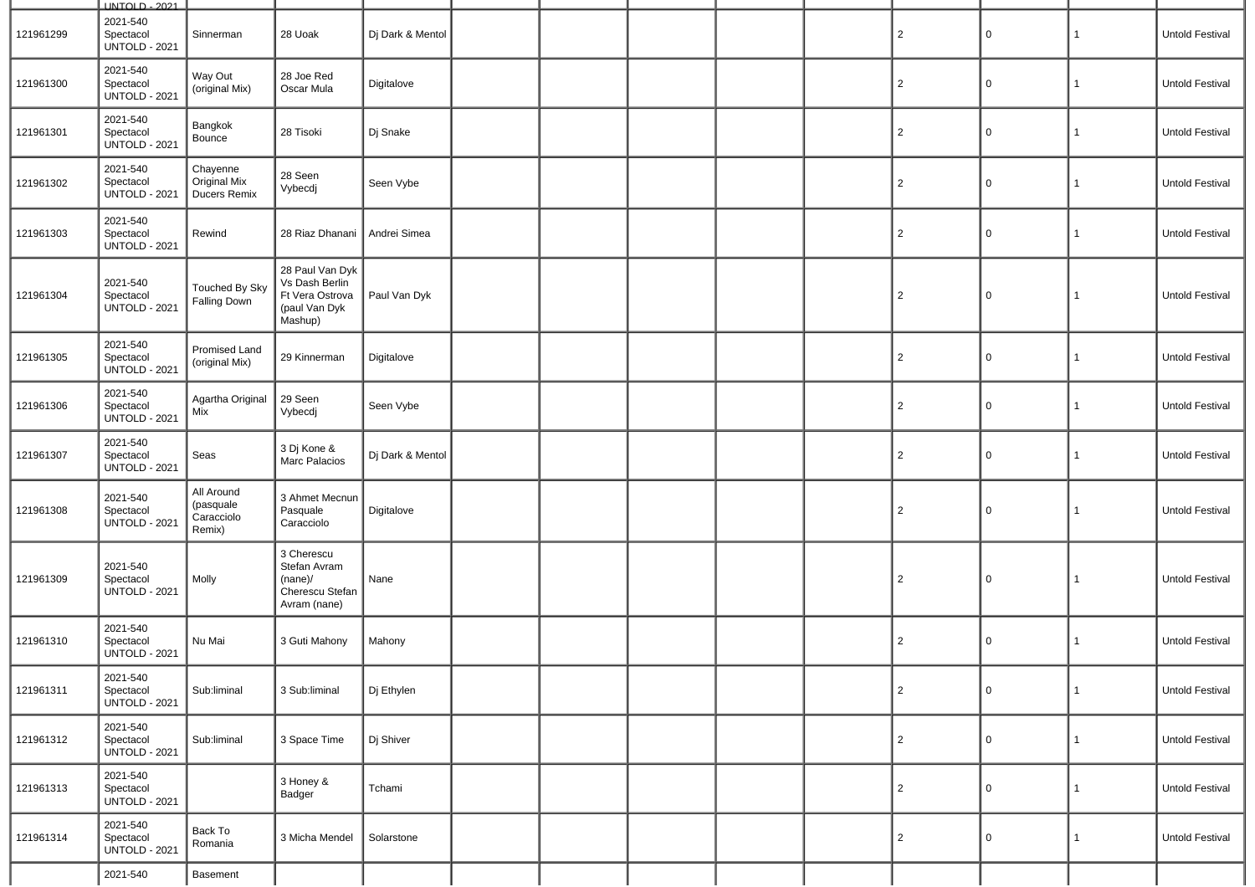|           | <b>UNTOLD - 2021</b>                          |                                                 |                                                                                  |                  |  |  |                |             |              |                        |
|-----------|-----------------------------------------------|-------------------------------------------------|----------------------------------------------------------------------------------|------------------|--|--|----------------|-------------|--------------|------------------------|
| 121961299 | 2021-540<br>Spectacol<br><b>UNTOLD - 2021</b> | Sinnerman                                       | 28 Uoak                                                                          | Dj Dark & Mentol |  |  | $\overline{2}$ | 0           | 1            | Untold Festival        |
| 121961300 | 2021-540<br>Spectacol<br><b>UNTOLD - 2021</b> | Way Out<br>(original Mix)                       | 28 Joe Red<br>Oscar Mula                                                         | Digitalove       |  |  | $\overline{2}$ | 0           | 1            | Untold Festival        |
| 121961301 | 2021-540<br>Spectacol<br><b>UNTOLD - 2021</b> | Bangkok<br>Bounce                               | 28 Tisoki                                                                        | Dj Snake         |  |  | $\overline{2}$ | 0           | 1            | Untold Festival        |
| 121961302 | 2021-540<br>Spectacol<br><b>UNTOLD - 2021</b> | Chayenne<br>Original Mix<br><b>Ducers Remix</b> | 28 Seen<br>Vybecdj                                                               | Seen Vybe        |  |  | $\overline{2}$ | 0           | $\mathbf{1}$ | Untold Festival        |
| 121961303 | 2021-540<br>Spectacol<br><b>UNTOLD - 2021</b> | Rewind                                          | 28 Riaz Dhanani                                                                  | Andrei Simea     |  |  | $\overline{2}$ | 0           | $\mathbf{1}$ | Untold Festival        |
| 121961304 | 2021-540<br>Spectacol<br><b>UNTOLD - 2021</b> | Touched By Sky<br><b>Falling Down</b>           | 28 Paul Van Dyk<br>Vs Dash Berlin<br>Ft Vera Ostrova<br>(paul Van Dyk<br>Mashup) | Paul Van Dyk     |  |  | $\overline{2}$ | 0           | $\mathbf{1}$ | Untold Festival        |
| 121961305 | 2021-540<br>Spectacol<br><b>UNTOLD - 2021</b> | Promised Land<br>(original Mix)                 | 29 Kinnerman                                                                     | Digitalove       |  |  | $\overline{2}$ | $\mathsf 0$ | $\mathbf{1}$ | Untold Festival        |
| 121961306 | 2021-540<br>Spectacol<br><b>UNTOLD - 2021</b> | Agartha Original<br>Mix                         | 29 Seen<br>Vybecdj                                                               | Seen Vybe        |  |  | $\overline{2}$ | 0           | 1            | Untold Festival        |
| 121961307 | 2021-540<br>Spectacol<br><b>UNTOLD - 2021</b> | Seas                                            | 3 Dj Kone &<br>Marc Palacios                                                     | Dj Dark & Mentol |  |  | $\overline{2}$ | $\mathsf 0$ | $\mathbf{1}$ | Untold Festival        |
| 121961308 | 2021-540<br>Spectacol<br><b>UNTOLD - 2021</b> | All Around<br>(pasquale<br>Caracciolo<br>Remix) | 3 Ahmet Mecnun<br>Pasquale<br>Caracciolo                                         | Digitalove       |  |  | $\overline{2}$ | 0           | $\mathbf{1}$ | Untold Festival        |
| 121961309 | 2021-540<br>Spectacol<br><b>UNTOLD - 2021</b> | Molly                                           | 3 Cherescu<br>Stefan Avram<br>(name)/<br>Cherescu Stefan<br>Avram (nane)         | Nane             |  |  | $\overline{2}$ | 0           | 1            | Untold Festival        |
| 121961310 | 2021-540<br>Spectacol<br><b>UNTOLD - 2021</b> | Nu Mai                                          | 3 Guti Mahony                                                                    | Mahony           |  |  | $\overline{2}$ | 0           | $\mathbf{1}$ | <b>Untold Festival</b> |
| 121961311 | 2021-540<br>Spectacol<br><b>UNTOLD - 2021</b> | Sub:liminal                                     | 3 Sub:liminal                                                                    | Dj Ethylen       |  |  | $\overline{c}$ | 0           | $\mathbf{1}$ | Untold Festival        |
| 121961312 | 2021-540<br>Spectacol<br><b>UNTOLD - 2021</b> | Sub:liminal                                     | 3 Space Time                                                                     | Dj Shiver        |  |  | $\overline{2}$ | 0           | $\mathbf{1}$ | Untold Festival        |
| 121961313 | 2021-540<br>Spectacol<br><b>UNTOLD - 2021</b> |                                                 | 3 Honey &<br>Badger                                                              | Tchami           |  |  | $\overline{2}$ | 0           | $\mathbf{1}$ | Untold Festival        |
| 121961314 | 2021-540<br>Spectacol<br><b>UNTOLD - 2021</b> | Back To<br>Romania                              | 3 Micha Mendel                                                                   | Solarstone       |  |  | $\overline{2}$ | 0           | $\mathbf{1}$ | Untold Festival        |
|           | 2021-540                                      | Basement                                        |                                                                                  |                  |  |  |                |             |              |                        |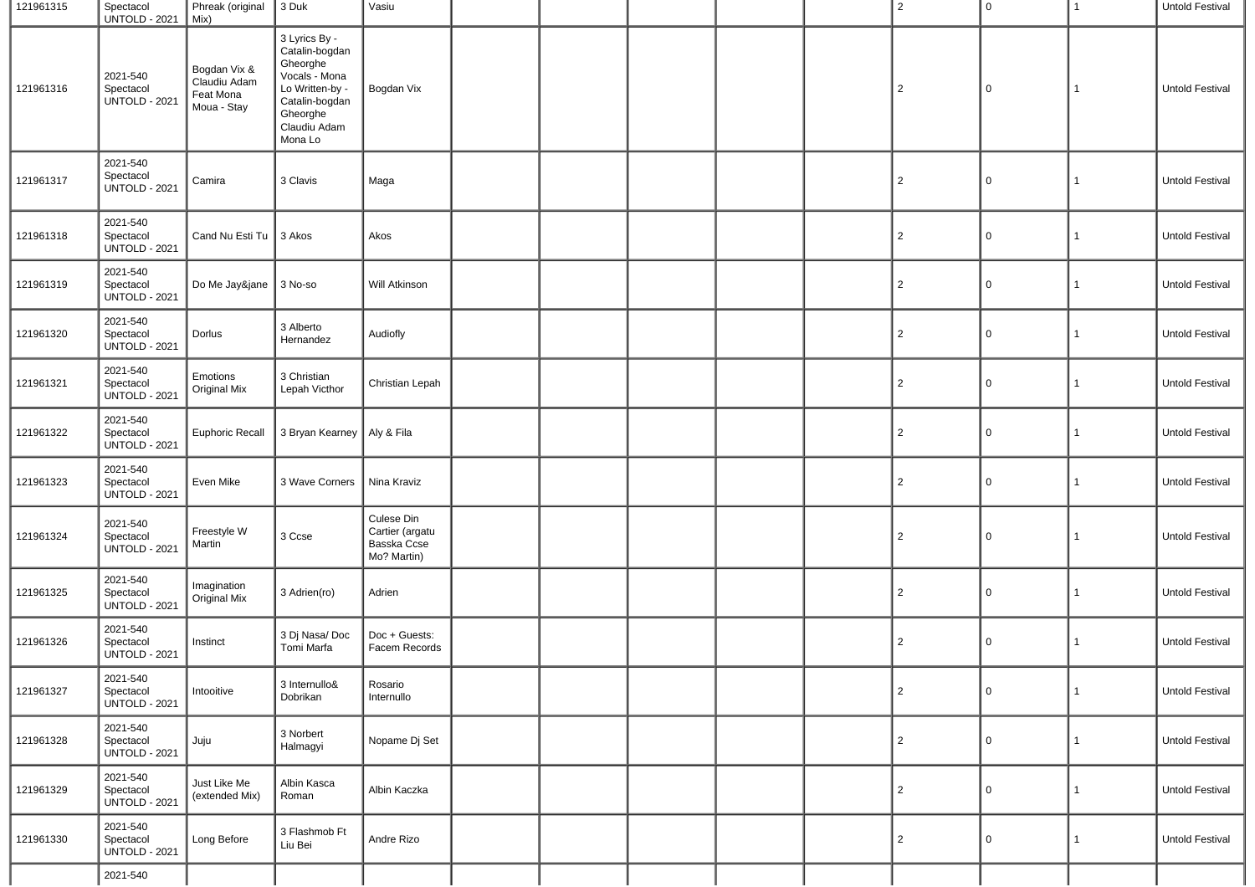| 121961315 | Spectacol<br><b>UNTOLD - 2021</b>             | Phreak (original 3 Duk<br>Mix)                           |                                                                                                                                          | Vasiu                                                       |  |  | 2              | 0        | 1            | Untold Festival        |
|-----------|-----------------------------------------------|----------------------------------------------------------|------------------------------------------------------------------------------------------------------------------------------------------|-------------------------------------------------------------|--|--|----------------|----------|--------------|------------------------|
| 121961316 | 2021-540<br>Spectacol<br>UNTOLD - 2021        | Bogdan Vix &<br>Claudiu Adam<br>Feat Mona<br>Moua - Stay | 3 Lyrics By -<br>Catalin-bogdan<br>Gheorghe<br>Vocals - Mona<br>Lo Written-by -<br>Catalin-bogdan<br>Gheorghe<br>Claudiu Adam<br>Mona Lo | Bogdan Vix                                                  |  |  | 2              | 0        | 1            | Untold Festival        |
| 121961317 | 2021-540<br>Spectacol<br><b>UNTOLD - 2021</b> | Camira                                                   | 3 Clavis                                                                                                                                 | Maga                                                        |  |  | $\overline{c}$ | 0        | 1            | Untold Festival        |
| 121961318 | 2021-540<br>Spectacol<br><b>UNTOLD - 2021</b> | Cand Nu Esti Tu                                          | 3 Akos                                                                                                                                   | Akos                                                        |  |  | $\overline{c}$ | 0        | 1            | Untold Festival        |
| 121961319 | 2021-540<br>Spectacol<br><b>UNTOLD - 2021</b> | Do Me Jay&jane                                           | 3 No-so                                                                                                                                  | Will Atkinson                                               |  |  | $\overline{c}$ | 0        | $\mathbf{1}$ | Untold Festival        |
| 121961320 | 2021-540<br>Spectacol<br><b>UNTOLD - 2021</b> | Dorlus                                                   | 3 Alberto<br>Hernandez                                                                                                                   | Audiofly                                                    |  |  | $\overline{2}$ | 0        | 1            | Untold Festival        |
| 121961321 | 2021-540<br>Spectacol<br>UNTOLD - 2021        | Emotions<br><b>Original Mix</b>                          | 3 Christian<br>Lepah Victhor                                                                                                             | Christian Lepah                                             |  |  | $\overline{c}$ | $\Omega$ | 1            | Untold Festival        |
| 121961322 | 2021-540<br>Spectacol<br><b>UNTOLD - 2021</b> | <b>Euphoric Recall</b>                                   | 3 Bryan Kearney   Aly & Fila                                                                                                             |                                                             |  |  | $\overline{2}$ | 0        | 1            | Untold Festival        |
| 121961323 | 2021-540<br>Spectacol<br><b>UNTOLD - 2021</b> | Even Mike                                                | 3 Wave Corners                                                                                                                           | Nina Kraviz                                                 |  |  | $\overline{2}$ | 0        | 1            | <b>Untold Festival</b> |
| 121961324 | 2021-540<br>Spectacol<br><b>UNTOLD - 2021</b> | Freestyle W<br>Martin                                    | 3 Ccse                                                                                                                                   | Culese Din<br>Cartier (argatu<br>Basska Ccse<br>Mo? Martin) |  |  | $\overline{c}$ | 0        | 1            | Untold Festival        |
| 121961325 | 2021-540<br>Spectacol<br><b>UNTOLD - 2021</b> | Imagination<br><b>Original Mix</b>                       | 3 Adrien(ro)                                                                                                                             | Adrien                                                      |  |  | $\overline{c}$ | 0        | 1            | Untold Festival        |
| 121961326 | 2021-540<br>Spectacol<br><b>UNTOLD - 2021</b> | Instinct                                                 | 3 Dj Nasa/Doc<br>Tomi Marfa                                                                                                              | Doc + Guests:<br>Facem Records                              |  |  | $\overline{c}$ | 0        | 1            | Untold Festival        |
| 121961327 | 2021-540<br>Spectacol<br><b>UNTOLD - 2021</b> | Intooitive                                               | 3 Internullo&<br>Dobrikan                                                                                                                | Rosario<br>Internullo                                       |  |  | $\overline{2}$ | 0        | $\mathbf{1}$ | Untold Festival        |
| 121961328 | 2021-540<br>Spectacol<br><b>UNTOLD - 2021</b> | Juju                                                     | 3 Norbert<br>Halmagyi                                                                                                                    | Nopame Dj Set                                               |  |  | $\overline{2}$ | 0        | $\mathbf{1}$ | Untold Festival        |
| 121961329 | 2021-540<br>Spectacol<br><b>UNTOLD - 2021</b> | Just Like Me<br>(extended Mix)                           | Albin Kasca<br>Roman                                                                                                                     | Albin Kaczka                                                |  |  | $\overline{2}$ | 0        | $\mathbf{1}$ | Untold Festival        |
| 121961330 | 2021-540<br>Spectacol<br><b>UNTOLD - 2021</b> | Long Before                                              | 3 Flashmob Ft<br>Liu Bei                                                                                                                 | Andre Rizo                                                  |  |  | $\overline{c}$ | $\Omega$ | $\mathbf{1}$ | Untold Festival        |
|           | 2021-540                                      |                                                          |                                                                                                                                          |                                                             |  |  |                |          |              |                        |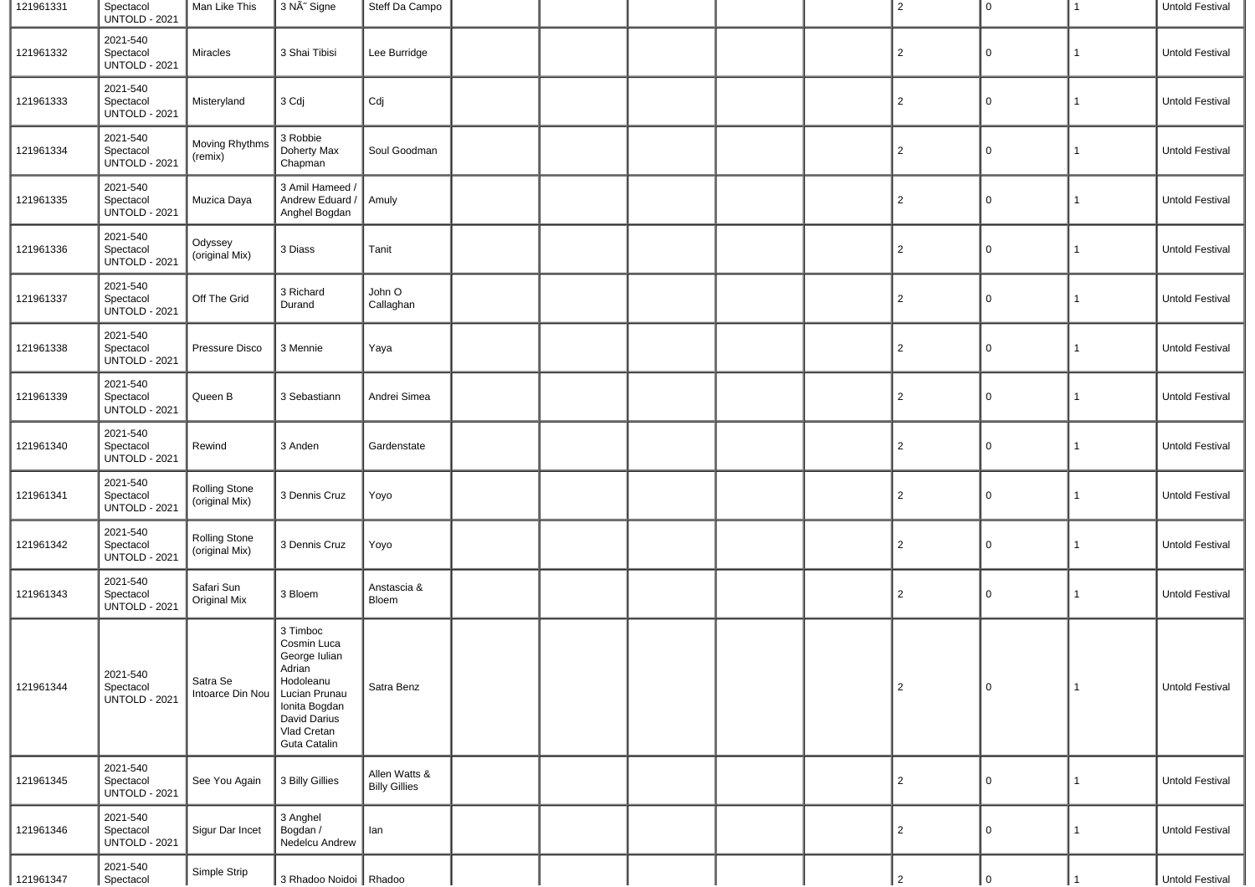| 121961331 | Spectacol<br><b>UNTOLD - 2021</b>             | Man Like This                          | 3 NÄ <sup>~</sup> Signe                                                                                                                          | Steff Da Campo                        |  |  | $\overline{2}$ | 0           | 1            | Untold Festival |
|-----------|-----------------------------------------------|----------------------------------------|--------------------------------------------------------------------------------------------------------------------------------------------------|---------------------------------------|--|--|----------------|-------------|--------------|-----------------|
| 121961332 | 2021-540<br>Spectacol<br><b>UNTOLD - 2021</b> | <b>Miracles</b>                        | 3 Shai Tibisi                                                                                                                                    | Lee Burridge                          |  |  | $\overline{2}$ | 0           | 1            | Untold Festival |
| 121961333 | 2021-540<br>Spectacol<br><b>UNTOLD - 2021</b> | Misteryland                            | 3 Cdj                                                                                                                                            | Cdj                                   |  |  | $\overline{2}$ | 0           | 1            | Untold Festival |
| 121961334 | 2021-540<br>Spectacol<br><b>UNTOLD - 2021</b> | Moving Rhythms<br>(remix)              | 3 Robbie<br>Doherty Max<br>Chapman                                                                                                               | Soul Goodman                          |  |  | $\overline{c}$ | 0           | 1            | Untold Festival |
| 121961335 | 2021-540<br>Spectacol<br><b>UNTOLD - 2021</b> | Muzica Daya                            | 3 Amil Hameed /<br>Andrew Eduard /<br>Anghel Bogdan                                                                                              | Amuly                                 |  |  | $\overline{c}$ | 0           | 1            | Untold Festival |
| 121961336 | 2021-540<br>Spectacol<br><b>UNTOLD - 2021</b> | Odyssey<br>(original Mix)              | 3 Diass                                                                                                                                          | Tanit                                 |  |  | $\overline{2}$ | $\mathbf 0$ | 1            | Untold Festival |
| 121961337 | 2021-540<br>Spectacol<br><b>UNTOLD - 2021</b> | Off The Grid                           | 3 Richard<br>Durand                                                                                                                              | John O<br>Callaghan                   |  |  | $\overline{2}$ | 0           | 1            | Untold Festival |
| 121961338 | 2021-540<br>Spectacol<br><b>UNTOLD - 2021</b> | Pressure Disco                         | 3 Mennie                                                                                                                                         | Yaya                                  |  |  | 2              | 0           | 1            | Untold Festival |
| 121961339 | 2021-540<br>Spectacol<br><b>UNTOLD - 2021</b> | Queen B                                | 3 Sebastiann                                                                                                                                     | Andrei Simea                          |  |  | $\overline{c}$ | 0           | 1            | Untold Festival |
| 121961340 | 2021-540<br>Spectacol<br><b>UNTOLD - 2021</b> | Rewind                                 | 3 Anden                                                                                                                                          | Gardenstate                           |  |  | $\overline{2}$ | $\mathbf 0$ | 1            | Untold Festival |
| 121961341 | 2021-540<br>Spectacol<br><b>UNTOLD - 2021</b> | <b>Rolling Stone</b><br>(original Mix) | 3 Dennis Cruz                                                                                                                                    | Yoyo                                  |  |  | $\overline{2}$ | $\mathbf 0$ | 1            | Untold Festival |
| 121961342 | 2021-540<br>Spectacol<br><b>UNTOLD - 2021</b> | Rolling Stone<br>(original Mix)        | 3 Dennis Cruz                                                                                                                                    | Yoyo                                  |  |  | 2              | 0           | 1            | Untold Festival |
| 121961343 | 2021-540<br>Spectacol<br><b>UNTOLD - 2021</b> | Safari Sun<br><b>Original Mix</b>      | 3 Bloem                                                                                                                                          | Anstascia &<br>Bloem                  |  |  | $\overline{2}$ | 0           | 1            | Untold Festival |
| 121961344 | 2021-540<br>Spectacol<br><b>UNTOLD - 2021</b> | Satra Se<br>Intoarce Din Nou           | 3 Timboc<br>Cosmin Luca<br>George Iulian<br>Adrian<br>Hodoleanu<br>Lucian Prunau<br>Ionita Bogdan<br>David Darius<br>Vlad Cretan<br>Guta Catalin | Satra Benz                            |  |  | $\overline{2}$ | 0           | 1            | Untold Festival |
| 121961345 | 2021-540<br>Spectacol<br><b>UNTOLD - 2021</b> | See You Again                          | 3 Billy Gillies                                                                                                                                  | Allen Watts &<br><b>Billy Gillies</b> |  |  | $\overline{2}$ | 0           | $\mathbf{1}$ | Untold Festival |
| 121961346 | 2021-540<br>Spectacol<br><b>UNTOLD - 2021</b> | Sigur Dar Incet                        | 3 Anghel<br>Bogdan /<br>Nedelcu Andrew                                                                                                           | lan                                   |  |  | $\overline{2}$ | 0           | $\mathbf{1}$ | Untold Festival |
| 121961347 | 2021-540<br>Spectacol                         | Simple Strip                           | 3 Rhadoo Noidoi Rhadoo                                                                                                                           |                                       |  |  | $\overline{2}$ | $\cap$      |              | Untold Festival |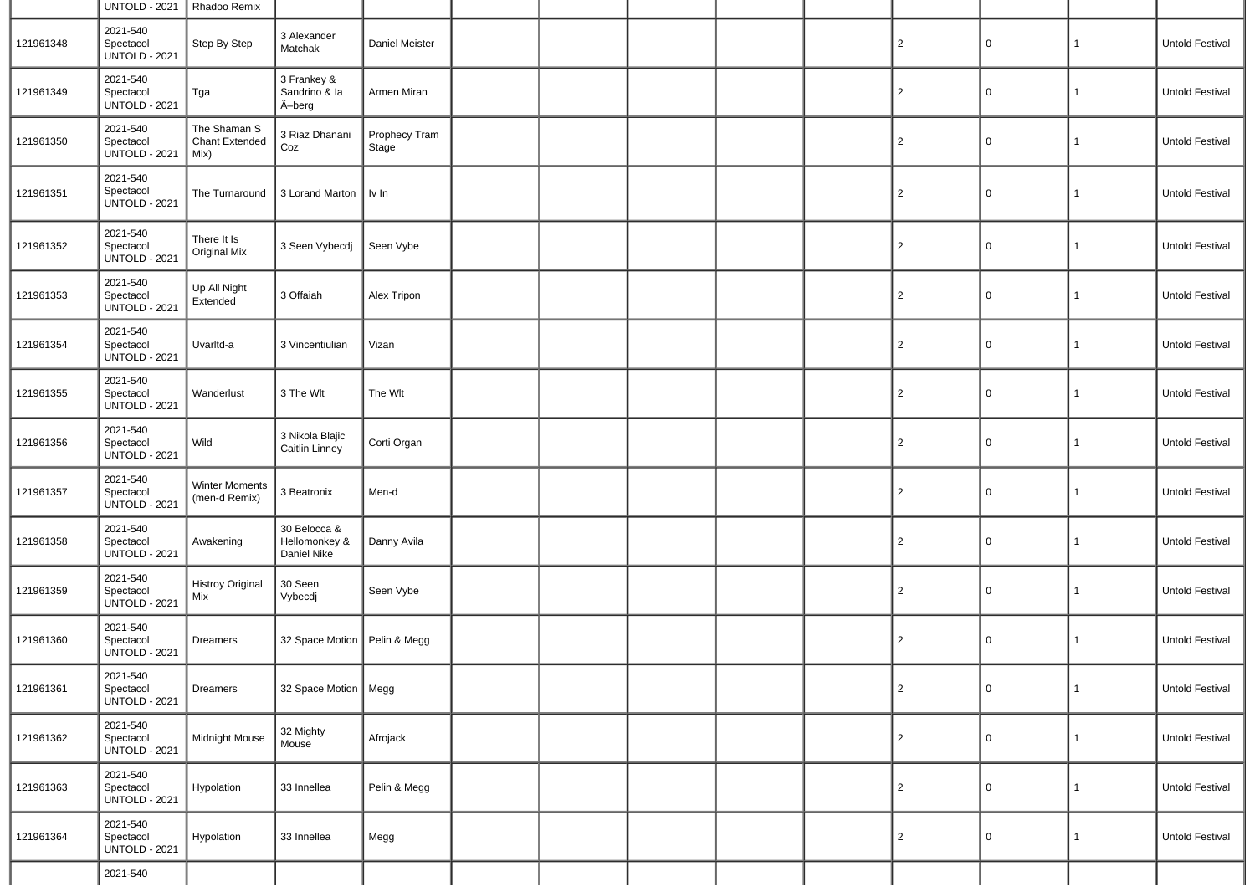|           | <b>UNTOLD - 2021</b>                          | Rhadoo Remix                                  |                                              |                        |  |  |                |   |              |                 |
|-----------|-----------------------------------------------|-----------------------------------------------|----------------------------------------------|------------------------|--|--|----------------|---|--------------|-----------------|
| 121961348 | 2021-540<br>Spectacol<br><b>UNTOLD - 2021</b> | Step By Step                                  | 3 Alexander<br>Matchak                       | Daniel Meister         |  |  | $\overline{2}$ | 0 | 1            | Untold Festival |
| 121961349 | 2021-540<br>Spectacol<br><b>UNTOLD - 2021</b> | Tga                                           | 3 Frankey &<br>Sandrino & la<br>Ã-berg       | Armen Miran            |  |  | $\overline{2}$ | 0 | 1            | Untold Festival |
| 121961350 | 2021-540<br>Spectacol<br><b>UNTOLD - 2021</b> | The Shaman S<br><b>Chant Extended</b><br>Mix) | 3 Riaz Dhanani<br>Coz                        | Prophecy Tram<br>Stage |  |  | $\overline{2}$ | 0 | 1            | Untold Festival |
| 121961351 | 2021-540<br>Spectacol<br><b>UNTOLD - 2021</b> | The Turnaround                                | 3 Lorand Marton                              | $\parallel$ Iv In      |  |  | $\overline{2}$ | 0 | $\mathbf{1}$ | Untold Festival |
| 121961352 | 2021-540<br>Spectacol<br><b>UNTOLD - 2021</b> | There It Is<br>Original Mix                   | 3 Seen Vybecdj                               | Seen Vybe              |  |  | $\overline{2}$ | 0 | $\mathbf{1}$ | Untold Festival |
| 121961353 | 2021-540<br>Spectacol<br><b>UNTOLD - 2021</b> | Up All Night<br>Extended                      | 3 Offaiah                                    | Alex Tripon            |  |  | $\overline{2}$ | 0 | 1            | Untold Festival |
| 121961354 | 2021-540<br>Spectacol<br><b>UNTOLD - 2021</b> | Uvarltd-a                                     | 3 Vincentiulian                              | Vizan                  |  |  | $\overline{2}$ | 0 | $\mathbf{1}$ | Untold Festival |
| 121961355 | 2021-540<br>Spectacol<br><b>UNTOLD - 2021</b> | Wanderlust                                    | 3 The Wlt                                    | The Wlt                |  |  | $\overline{2}$ | 0 | $\mathbf{1}$ | Untold Festival |
| 121961356 | 2021-540<br>Spectacol<br><b>UNTOLD - 2021</b> | Wild                                          | 3 Nikola Blajic<br>Caitlin Linney            | Corti Organ            |  |  | $\overline{2}$ | 0 | $\mathbf{1}$ | Untold Festival |
| 121961357 | 2021-540<br>Spectacol<br><b>UNTOLD - 2021</b> | <b>Winter Moments</b><br>(men-d Remix)        | 3 Beatronix                                  | Men-d                  |  |  | $\overline{2}$ | 0 | $\mathbf{1}$ | Untold Festival |
| 121961358 | 2021-540<br>Spectacol<br><b>UNTOLD - 2021</b> | Awakening                                     | 30 Belocca &<br>Hellomonkey &<br>Daniel Nike | Danny Avila            |  |  | $\overline{2}$ | 0 | 1            | Untold Festival |
| 121961359 | 2021-540<br>Spectacol<br><b>UNTOLD - 2021</b> | <b>Histroy Original</b><br>Mix                | 30 Seen<br>Vybecdj                           | Seen Vybe              |  |  | $\overline{2}$ | 0 | $\mathbf{1}$ | Untold Festival |
| 121961360 | 2021-540<br>Spectacol<br><b>UNTOLD - 2021</b> | <b>Dreamers</b>                               | 32 Space Motion                              | Pelin & Megg           |  |  | $\overline{2}$ | 0 | 1            | Untold Festival |
| 121961361 | 2021-540<br>Spectacol<br><b>UNTOLD - 2021</b> | Dreamers                                      | 32 Space Motion   Megg                       |                        |  |  | 2              | 0 | $\mathbf{1}$ | Untold Festival |
| 121961362 | 2021-540<br>Spectacol<br><b>UNTOLD - 2021</b> | Midnight Mouse                                | 32 Mighty<br>Mouse                           | Afrojack               |  |  | $\overline{2}$ | 0 | $\mathbf{1}$ | Untold Festival |
| 121961363 | 2021-540<br>Spectacol<br><b>UNTOLD - 2021</b> | Hypolation                                    | 33 Innellea                                  | Pelin & Megg           |  |  | $\overline{2}$ | 0 | 1            | Untold Festival |
| 121961364 | 2021-540<br>Spectacol<br><b>UNTOLD - 2021</b> | Hypolation                                    | 33 Innellea                                  | Megg                   |  |  | $\overline{2}$ | 0 | $\mathbf{1}$ | Untold Festival |
|           | 2021-540                                      |                                               |                                              |                        |  |  |                |   |              |                 |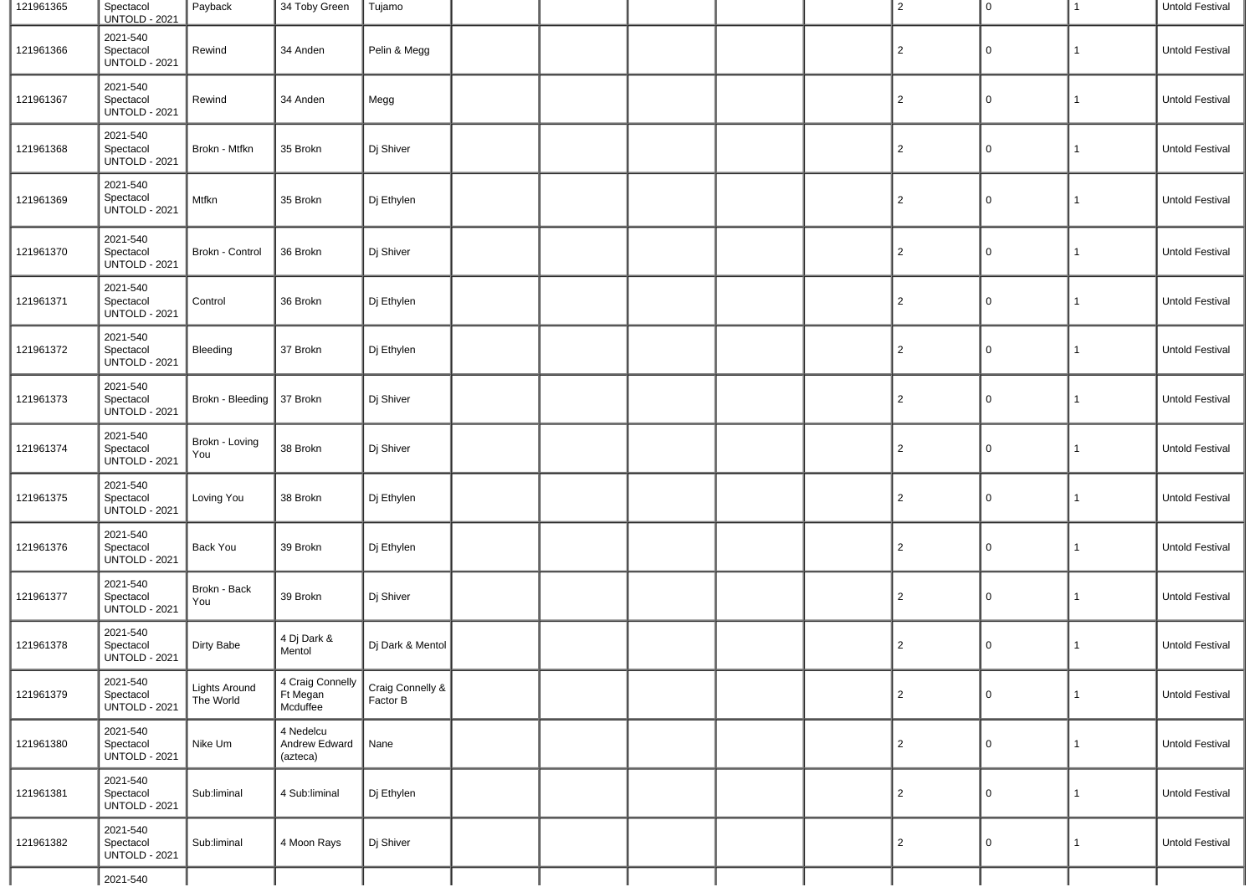| 121961365 | Spectacol<br><b>UNTOLD - 2021</b>             | Payback                           | 34 Toby Green                            | Tujamo                       |  |  | $\overline{2}$ | 0                   | $\mathbf{1}$ | Untold Festival |
|-----------|-----------------------------------------------|-----------------------------------|------------------------------------------|------------------------------|--|--|----------------|---------------------|--------------|-----------------|
| 121961366 | 2021-540<br>Spectacol<br><b>UNTOLD - 2021</b> | Rewind                            | 34 Anden                                 | Pelin & Megg                 |  |  | $\overline{2}$ | 0                   | $\mathbf{1}$ | Untold Festival |
| 121961367 | 2021-540<br>Spectacol<br><b>UNTOLD - 2021</b> | Rewind                            | 34 Anden                                 | Megg                         |  |  | $\overline{2}$ | 0                   | $\mathbf{1}$ | Untold Festival |
| 121961368 | 2021-540<br>Spectacol<br><b>UNTOLD - 2021</b> | Brokn - Mtfkn                     | 35 Brokn                                 | Dj Shiver                    |  |  | $\overline{c}$ | 0                   | $\mathbf{1}$ | Untold Festival |
| 121961369 | 2021-540<br>Spectacol<br><b>UNTOLD - 2021</b> | Mtfkn                             | 35 Brokn                                 | Dj Ethylen                   |  |  | $\overline{c}$ | 0                   | 1            | Untold Festival |
| 121961370 | 2021-540<br>Spectacol<br><b>UNTOLD - 2021</b> | Brokn - Control                   | 36 Brokn                                 | Dj Shiver                    |  |  | $\overline{2}$ | 0                   | $\mathbf{1}$ | Untold Festival |
| 121961371 | 2021-540<br>Spectacol<br><b>UNTOLD - 2021</b> | Control                           | 36 Brokn                                 | Dj Ethylen                   |  |  | $\overline{2}$ | 0                   | $\mathbf{1}$ | Untold Festival |
| 121961372 | 2021-540<br>Spectacol<br><b>UNTOLD - 2021</b> | Bleeding                          | 37 Brokn                                 | Dj Ethylen                   |  |  | $\overline{2}$ | 0                   | $\mathbf{1}$ | Untold Festival |
| 121961373 | 2021-540<br>Spectacol<br><b>UNTOLD - 2021</b> | Brokn - Bleeding                  | 37 Brokn                                 | Dj Shiver                    |  |  | $\overline{c}$ | 0                   | $\mathbf{1}$ | Untold Festival |
| 121961374 | 2021-540<br>Spectacol<br><b>UNTOLD - 2021</b> | Brokn - Loving<br>You             | 38 Brokn                                 | Dj Shiver                    |  |  | $\overline{2}$ | 0                   | $\mathbf{1}$ | Untold Festival |
| 121961375 | 2021-540<br>Spectacol<br><b>UNTOLD - 2021</b> | Loving You                        | 38 Brokn                                 | Dj Ethylen                   |  |  | $\overline{2}$ | 0                   | $\mathbf{1}$ | Untold Festival |
| 121961376 | 2021-540<br>Spectacol<br><b>UNTOLD - 2021</b> | <b>Back You</b>                   | 39 Brokn                                 | Dj Ethylen                   |  |  | $\overline{2}$ | 0                   | $\mathbf{1}$ | Untold Festival |
| 121961377 | 2021-540<br>Spectacol<br><b>UNTOLD - 2021</b> | Brokn - Back<br>You               | 39 Brokn                                 | Dj Shiver                    |  |  | $\overline{2}$ | 0                   | $\mathbf{1}$ | Untold Festival |
| 121961378 | 2021-540<br>Spectacol<br><b>UNTOLD - 2021</b> | Dirty Babe                        | 4 Dj Dark &<br>Mentol                    | Dj Dark & Mentol             |  |  | $\overline{2}$ | 0                   | $\mathbf{1}$ | Untold Festival |
| 121961379 | 2021-540<br>Spectacol<br>UNTOLD - 2021        | <b>Lights Around</b><br>The World | 4 Craig Connelly<br>Ft Megan<br>Mcduffee | Craig Connelly &<br>Factor B |  |  | $\overline{2}$ | $\mathsf{O}\xspace$ | $\mathbf{1}$ | Untold Festival |
| 121961380 | 2021-540<br>Spectacol<br><b>UNTOLD - 2021</b> | Nike Um                           | 4 Nedelcu<br>Andrew Edward<br>(azteca)   | Nane                         |  |  | $\mathbf{2}$   | 0                   | $\mathbf{1}$ | Untold Festival |
| 121961381 | 2021-540<br>Spectacol<br><b>UNTOLD - 2021</b> | Sub:liminal                       | 4 Sub:liminal                            | Dj Ethylen                   |  |  | $\overline{2}$ | 0                   | $\mathbf{1}$ | Untold Festival |
| 121961382 | 2021-540<br>Spectacol<br><b>UNTOLD - 2021</b> | Sub:liminal                       | 4 Moon Rays                              | Dj Shiver                    |  |  | $\overline{2}$ | 0                   | $\mathbf{1}$ | Untold Festival |
|           | 2021-540                                      |                                   |                                          |                              |  |  |                |                     |              |                 |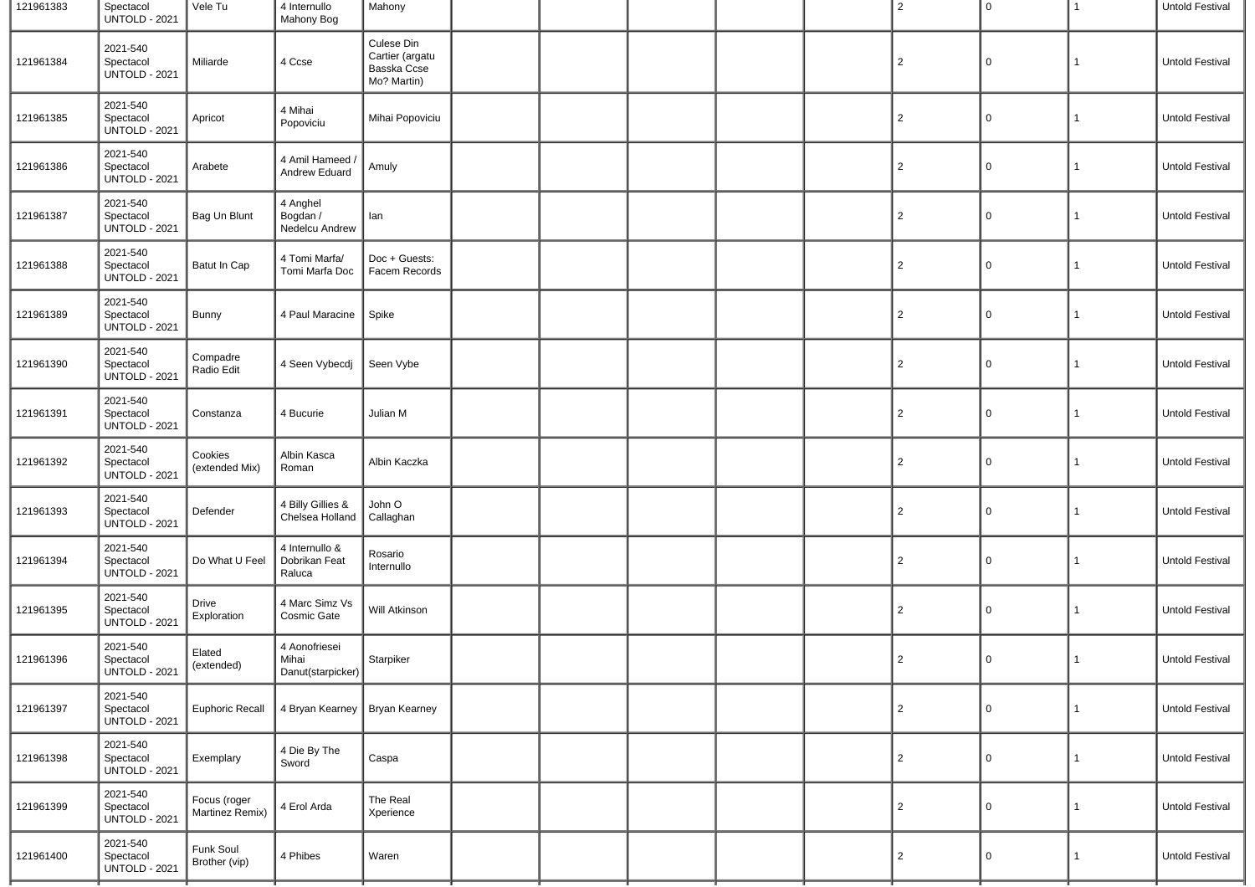| 121961383 | Spectacol<br><b>UNTOLD - 2021</b>             | Vele Tu                         | 4 Internullo<br>Mahony Bog                       | Mahony                                                      |  |  | 2              | $\mathbf 0$ | 1            | Untold Festival |
|-----------|-----------------------------------------------|---------------------------------|--------------------------------------------------|-------------------------------------------------------------|--|--|----------------|-------------|--------------|-----------------|
| 121961384 | 2021-540<br>Spectacol<br><b>UNTOLD - 2021</b> | Miliarde                        | 4 Ccse                                           | Culese Din<br>Cartier (argatu<br>Basska Ccse<br>Mo? Martin) |  |  | $\overline{c}$ | $\mathbf 0$ | 1            | Untold Festival |
| 121961385 | 2021-540<br>Spectacol<br><b>UNTOLD - 2021</b> | Apricot                         | 4 Mihai<br>Popoviciu                             | Mihai Popoviciu                                             |  |  | $\overline{2}$ | 0           | 1            | Untold Festival |
| 121961386 | 2021-540<br>Spectacol<br><b>UNTOLD - 2021</b> | Arabete                         | 4 Amil Hameed /<br>Andrew Eduard                 | Amuly                                                       |  |  | $\overline{2}$ | 0           | 1            | Untold Festival |
| 121961387 | 2021-540<br>Spectacol<br><b>UNTOLD - 2021</b> | Bag Un Blunt                    | 4 Anghel<br>Bogdan /<br>Nedelcu Andrew           | lan                                                         |  |  | $\overline{c}$ | 0           | 1            | Untold Festival |
| 121961388 | 2021-540<br>Spectacol<br><b>UNTOLD - 2021</b> | Batut In Cap                    | 4 Tomi Marfa/<br>Tomi Marfa Doc                  | Doc + Guests:<br>Facem Records                              |  |  | $\overline{c}$ | 0           | 1            | Untold Festival |
| 121961389 | 2021-540<br>Spectacol<br><b>UNTOLD - 2021</b> | Bunny                           | 4 Paul Maracine                                  | Spike                                                       |  |  | 2              | 0           | 1            | Untold Festival |
| 121961390 | 2021-540<br>Spectacol<br><b>UNTOLD - 2021</b> | Compadre<br>Radio Edit          | 4 Seen Vybecdj                                   | Seen Vybe                                                   |  |  | 2              | 0           | 1            | Untold Festival |
| 121961391 | 2021-540<br>Spectacol<br><b>UNTOLD - 2021</b> | Constanza                       | 4 Bucurie                                        | Julian M                                                    |  |  | $\overline{2}$ | 0           | $\mathbf{1}$ | Untold Festival |
| 121961392 | 2021-540<br>Spectacol<br><b>UNTOLD - 2021</b> | Cookies<br>(extended Mix)       | Albin Kasca<br>Roman                             | Albin Kaczka                                                |  |  | $\overline{c}$ | 0           | $\mathbf{1}$ | Untold Festival |
| 121961393 | 2021-540<br>Spectacol<br><b>UNTOLD - 2021</b> | Defender                        | 4 Billy Gillies &<br>Chelsea Holland             | John O<br>Callaghan                                         |  |  | 2              | 0           | 1            | Untold Festival |
| 121961394 | 2021-540<br>Spectacol<br><b>UNTOLD - 2021</b> | Do What U Feel                  | 4 Internullo &<br>Dobrikan Feat<br>Raluca        | Rosario<br>Internullo                                       |  |  | 2              | 0           | 1            | Untold Festival |
| 121961395 | 2021-540<br>Spectacol<br><b>UNTOLD - 2021</b> | Drive<br>Exploration            | 4 Marc Simz Vs<br>Cosmic Gate                    | Will Atkinson                                               |  |  | $\overline{2}$ | 0           | $\mathbf{1}$ | Untold Festival |
| 121961396 | 2021-540<br>Spectacol<br><b>UNTOLD - 2021</b> | Elated<br>(extended)            | 4 Aonofriesei<br>Mihai<br>Danut(starpicker) $\ $ | Starpiker                                                   |  |  | $\overline{2}$ | 0           | 1            | Untold Festival |
| 121961397 | 2021-540<br>Spectacol<br><b>UNTOLD - 2021</b> | <b>Euphoric Recall</b>          | 4 Bryan Kearney   Bryan Kearney                  |                                                             |  |  | $\overline{2}$ | 0           | $\mathbf{1}$ | Untold Festival |
| 121961398 | 2021-540<br>Spectacol<br><b>UNTOLD - 2021</b> | Exemplary                       | 4 Die By The<br>Sword                            | Caspa                                                       |  |  | $\overline{2}$ | 0           | $\mathbf{1}$ | Untold Festival |
| 121961399 | 2021-540<br>Spectacol<br><b>UNTOLD - 2021</b> | Focus (roger<br>Martinez Remix) | 4 Erol Arda                                      | The Real<br>Xperience                                       |  |  | $\overline{2}$ | 0           | $\mathbf{1}$ | Untold Festival |
| 121961400 | 2021-540<br>Spectacol<br><b>UNTOLD - 2021</b> | Funk Soul<br>Brother (vip)      | 4 Phibes                                         | Waren                                                       |  |  | $\overline{2}$ | 0           | 1            | Untold Festival |
|           |                                               |                                 |                                                  |                                                             |  |  |                |             |              |                 |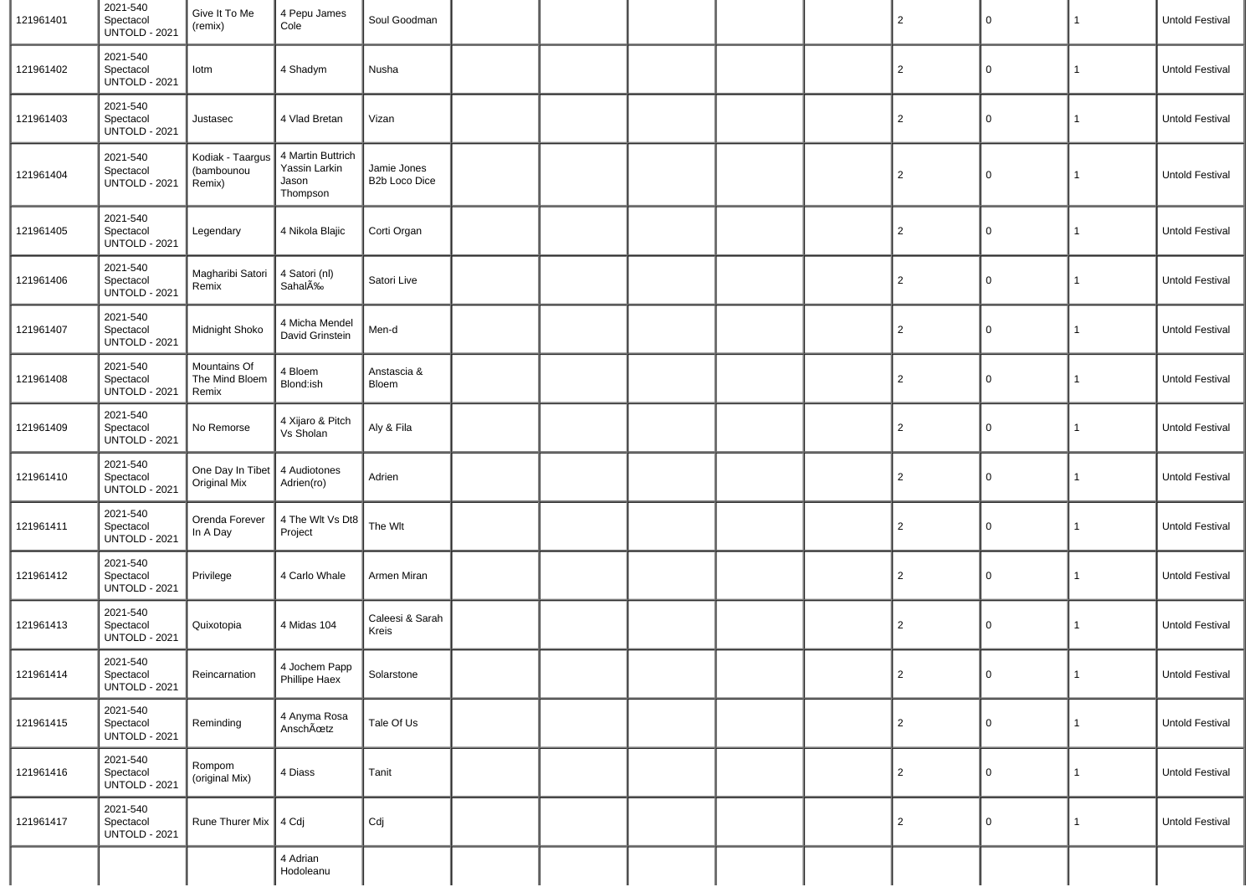| 121961401 | 2021-540<br>Spectacol<br><b>UNTOLD - 2021</b> | Give It To Me<br>(remix)                 | 4 Pepu James<br>Cole                                    | Soul Goodman                 |  |  | $\overline{2}$ | $\mathsf 0$ | $\mathbf{1}$ | Untold Festival |
|-----------|-----------------------------------------------|------------------------------------------|---------------------------------------------------------|------------------------------|--|--|----------------|-------------|--------------|-----------------|
| 121961402 | 2021-540<br>Spectacol<br><b>UNTOLD - 2021</b> | lotm                                     | 4 Shadym                                                | Nusha                        |  |  | $\overline{2}$ | 0           | 1            | Untold Festival |
| 121961403 | 2021-540<br>Spectacol<br><b>UNTOLD - 2021</b> | Justasec                                 | 4 Vlad Bretan                                           | Vizan                        |  |  | $\overline{2}$ | 0           | $\mathbf{1}$ | Untold Festival |
| 121961404 | 2021-540<br>Spectacol<br><b>UNTOLD - 2021</b> | Kodiak - Taargus<br>(bambounou<br>Remix) | 4 Martin Buttrich<br>Yassin Larkin<br>Jason<br>Thompson | Jamie Jones<br>B2b Loco Dice |  |  | $\overline{2}$ | 0           | 1            | Untold Festival |
| 121961405 | 2021-540<br>Spectacol<br><b>UNTOLD - 2021</b> | Legendary                                | 4 Nikola Blajic                                         | Corti Organ                  |  |  | $\overline{2}$ | 0           | 1            | Untold Festival |
| 121961406 | 2021-540<br>Spectacol<br><b>UNTOLD - 2021</b> | Magharibi Satori<br>Remix                | 4 Satori (nl)<br>SahalA‰                                | Satori Live                  |  |  | $\overline{2}$ | 0           | 1            | Untold Festival |
| 121961407 | 2021-540<br>Spectacol<br><b>UNTOLD - 2021</b> | Midnight Shoko                           | 4 Micha Mendel<br>David Grinstein                       | Men-d                        |  |  | $\overline{2}$ | 0           | $\mathbf{1}$ | Untold Festival |
| 121961408 | 2021-540<br>Spectacol<br><b>UNTOLD - 2021</b> | Mountains Of<br>The Mind Bloem<br>Remix  | 4 Bloem<br>Blond:ish                                    | Anstascia &<br>Bloem         |  |  | $\overline{2}$ | 0           | 1            | Untold Festival |
| 121961409 | 2021-540<br>Spectacol<br><b>UNTOLD - 2021</b> | No Remorse                               | 4 Xijaro & Pitch<br>Vs Sholan                           | Aly & Fila                   |  |  | $\overline{2}$ | 0           | 1            | Untold Festival |
| 121961410 | 2021-540<br>Spectacol<br><b>UNTOLD - 2021</b> | One Day In Tibet<br>Original Mix         | 4 Audiotones<br>Adrien(ro)                              | Adrien                       |  |  | $\overline{2}$ | 0           | 1            | Untold Festival |
| 121961411 | 2021-540<br>Spectacol<br><b>UNTOLD - 2021</b> | Orenda Forever<br>In A Day               | 4 The Wit Vs Dt8<br>Project                             | The Wlt                      |  |  | $\overline{2}$ | $\mathbf 0$ | 1            | Untold Festival |
| 121961412 | 2021-540<br>Spectacol<br><b>UNTOLD - 2021</b> | Privilege                                | 4 Carlo Whale                                           | Armen Miran                  |  |  | $\overline{2}$ | 0           | 1            | Untold Festival |
| 121961413 | 2021-540<br>Spectacol<br><b>UNTOLD - 2021</b> | Quixotopia                               | 4 Midas 104                                             | Caleesi & Sarah<br>Kreis     |  |  | $\overline{2}$ | $\mathsf 0$ | 1            | Untold Festival |
| 121961414 | 2021-540<br>Spectacol<br><b>UNTOLD - 2021</b> | Reincarnation                            | 4 Jochem Papp<br>Phillipe Haex                          | Solarstone                   |  |  | $\overline{2}$ | 0           | 1            | Untold Festival |
| 121961415 | 2021-540<br>Spectacol<br><b>UNTOLD - 2021</b> | Reminding                                | 4 Anyma Rosa<br>AnschÜtz                                | Tale Of Us                   |  |  | $\overline{2}$ | $\mathbf 0$ | 1            | Untold Festival |
| 121961416 | 2021-540<br>Spectacol<br><b>UNTOLD - 2021</b> | Rompom<br>(original Mix)                 | 4 Diass                                                 | Tanit                        |  |  | $\overline{2}$ | $\mathsf 0$ | 1            | Untold Festival |
| 121961417 | 2021-540<br>Spectacol<br><b>UNTOLD - 2021</b> | Rune Thurer Mix   4 Cdj                  |                                                         | Cdj                          |  |  | $\overline{2}$ | 0           | $\mathbf{1}$ | Untold Festival |
|           |                                               |                                          | 4 Adrian<br>Hodoleanu                                   |                              |  |  |                |             |              |                 |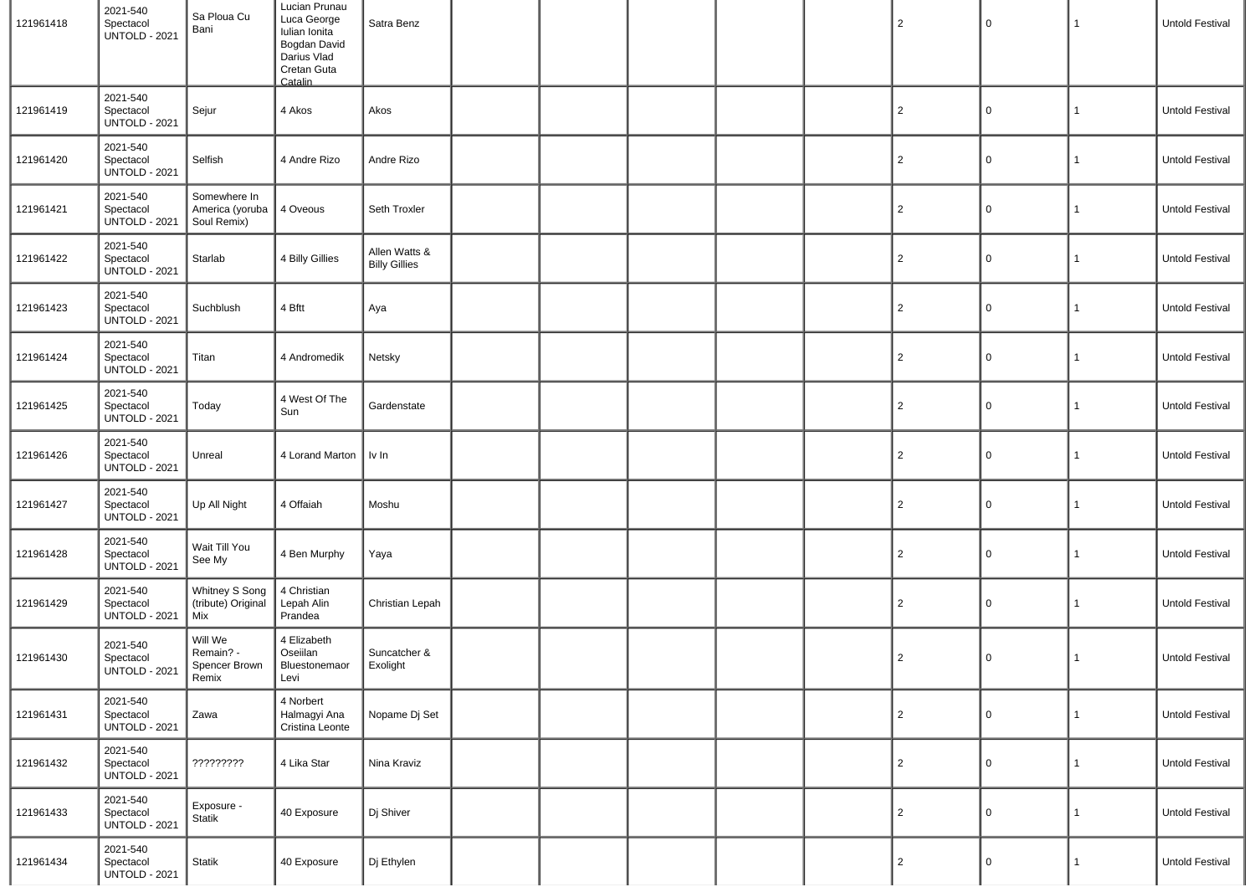| 121961418 | 2021-540<br>Spectacol<br><b>UNTOLD - 2021</b> | Sa Ploua Cu<br>Bani                            | Lucian Prunau<br>Luca George<br>Iulian Ionita<br>Bogdan David<br>Darius Vlad<br>Cretan Guta<br>Catalin | Satra Benz                            |  |  | $\overline{2}$ | $\mathbf 0$  | $\mathbf{1}$ | Untold Festival |
|-----------|-----------------------------------------------|------------------------------------------------|--------------------------------------------------------------------------------------------------------|---------------------------------------|--|--|----------------|--------------|--------------|-----------------|
| 121961419 | 2021-540<br>Spectacol<br><b>UNTOLD - 2021</b> | Sejur                                          | 4 Akos                                                                                                 | Akos                                  |  |  | $\overline{c}$ | 0            | $\mathbf{1}$ | Untold Festival |
| 121961420 | 2021-540<br>Spectacol<br><b>UNTOLD - 2021</b> | Selfish                                        | 4 Andre Rizo                                                                                           | Andre Rizo                            |  |  | $\overline{c}$ | 0            | $\mathbf{1}$ | Untold Festival |
| 121961421 | 2021-540<br>Spectacol<br><b>UNTOLD - 2021</b> | Somewhere In<br>America (yoruba<br>Soul Remix) | 4 Oveous                                                                                               | Seth Troxler                          |  |  | $\overline{2}$ | 0            | $\mathbf{1}$ | Untold Festival |
| 121961422 | 2021-540<br>Spectacol<br><b>UNTOLD - 2021</b> | Starlab                                        | 4 Billy Gillies                                                                                        | Allen Watts &<br><b>Billy Gillies</b> |  |  | $\overline{2}$ | 0            | $\mathbf{1}$ | Untold Festival |
| 121961423 | 2021-540<br>Spectacol<br><b>UNTOLD - 2021</b> | Suchblush                                      | 4 Bftt                                                                                                 | Aya                                   |  |  | $\overline{c}$ | 0            | $\mathbf{1}$ | Untold Festival |
| 121961424 | 2021-540<br>Spectacol<br><b>UNTOLD - 2021</b> | Titan                                          | 4 Andromedik                                                                                           | Netsky                                |  |  | $\overline{2}$ | 0            | $\mathbf{1}$ | Untold Festival |
| 121961425 | 2021-540<br>Spectacol<br><b>UNTOLD - 2021</b> | Today                                          | 4 West Of The<br>Sun                                                                                   | Gardenstate                           |  |  | $\overline{c}$ | 0            | $\mathbf{1}$ | Untold Festival |
| 121961426 | 2021-540<br>Spectacol<br><b>UNTOLD - 2021</b> | Unreal                                         | 4 Lorand Marton   Iv In                                                                                |                                       |  |  | $\overline{2}$ | $\mathbf 0$  | $\mathbf{1}$ | Untold Festival |
| 121961427 | 2021-540<br>Spectacol<br><b>UNTOLD - 2021</b> | Up All Night                                   | 4 Offaiah                                                                                              | Moshu                                 |  |  | $\overline{c}$ | 0            | $\mathbf{1}$ | Untold Festival |
| 121961428 | 2021-540<br>Spectacol<br><b>UNTOLD - 2021</b> | Wait Till You<br>See My                        | 4 Ben Murphy                                                                                           | Yaya                                  |  |  | $\overline{c}$ | 0            | $\mathbf{1}$ | Untold Festival |
| 121961429 | 2021-540<br>Spectacol<br><b>UNTOLD - 2021</b> | Whitney S Song<br>(tribute) Original<br>Mix    | 4 Christian<br>Lepah Alin<br>Prandea                                                                   | Christian Lepah                       |  |  | $\overline{c}$ | 0            | $\mathbf{1}$ | Untold Festival |
| 121961430 | 2021-540<br>Spectacol<br><b>UNTOLD - 2021</b> | Will We<br>Remain? -<br>Spencer Brown<br>Remix | 4 Elizabeth<br>Oseiilan<br>Bluestonemaor<br>Levi                                                       | Suncatcher &<br>Exolight              |  |  | $\overline{2}$ | 0            | 1            | Untold Festival |
| 121961431 | 2021-540<br>Spectacol<br><b>UNTOLD - 2021</b> | Zawa                                           | 4 Norbert<br>Halmagyi Ana<br>Cristina Leonte                                                           | Nopame Dj Set                         |  |  | $\overline{c}$ | $\mathbf 0$  | $\mathbf{1}$ | Untold Festival |
| 121961432 | 2021-540<br>Spectacol<br><b>UNTOLD - 2021</b> | ?????????                                      | 4 Lika Star                                                                                            | Nina Kraviz                           |  |  | 2              | 0            | $\mathbf{1}$ | Untold Festival |
| 121961433 | 2021-540<br>Spectacol<br><b>UNTOLD - 2021</b> | Exposure -<br>Statik                           | 40 Exposure                                                                                            | Dj Shiver                             |  |  | $\overline{2}$ | $\mathsf{O}$ | $\mathbf{1}$ | Untold Festival |
| 121961434 | 2021-540<br>Spectacol<br><b>UNTOLD - 2021</b> | <b>Statik</b>                                  | 40 Exposure                                                                                            | Dj Ethylen                            |  |  | $\overline{2}$ | 0            | $\mathbf{1}$ | Untold Festival |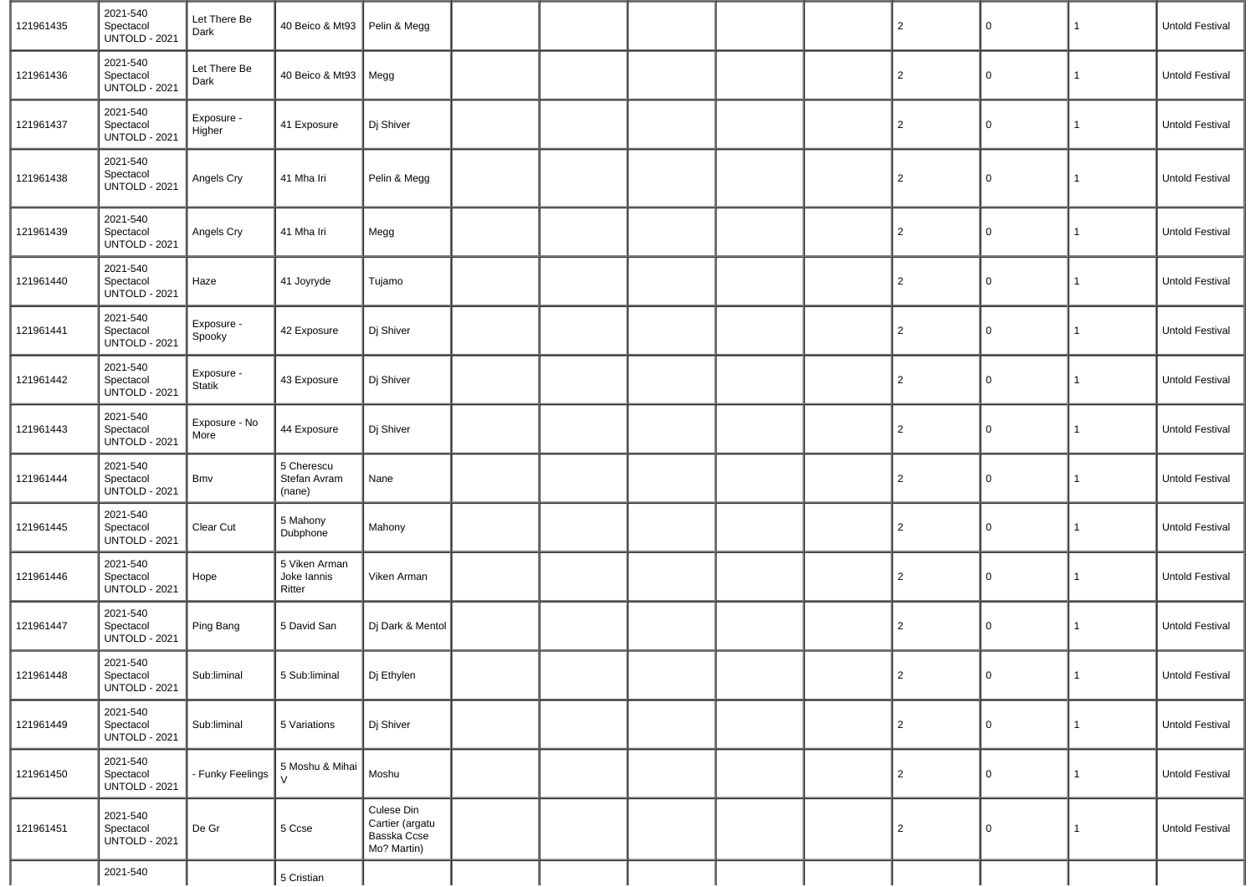| 121961435 | 2021-540<br>Spectacol<br><b>UNTOLD - 2021</b> | Let There Be<br>Dark  | 40 Beico & Mt93   Pelin & Megg         |                                                             |  |  | $\overline{2}$ | 0           | 1            | Untold Festival        |
|-----------|-----------------------------------------------|-----------------------|----------------------------------------|-------------------------------------------------------------|--|--|----------------|-------------|--------------|------------------------|
| 121961436 | 2021-540<br>Spectacol<br><b>UNTOLD - 2021</b> | Let There Be<br>Dark  | 40 Beico & Mt93                        | Megg                                                        |  |  | $\overline{2}$ | 0           | $\mathbf{1}$ | Untold Festival        |
| 121961437 | 2021-540<br>Spectacol<br><b>UNTOLD - 2021</b> | Exposure -<br>Higher  | 41 Exposure                            | Dj Shiver                                                   |  |  | $\overline{2}$ | 0           | 1            | Untold Festival        |
| 121961438 | 2021-540<br>Spectacol<br><b>UNTOLD - 2021</b> | Angels Cry            | 41 Mha Iri                             | Pelin & Megg                                                |  |  | $\overline{c}$ | 0           | 1            | Untold Festival        |
| 121961439 | 2021-540<br>Spectacol<br><b>UNTOLD - 2021</b> | Angels Cry            | 41 Mha Iri                             | Megg                                                        |  |  | $\overline{2}$ | $\Omega$    | 1            | Untold Festival        |
| 121961440 | 2021-540<br>Spectacol<br><b>UNTOLD - 2021</b> | Haze                  | 41 Joyryde                             | Tujamo                                                      |  |  | $\overline{2}$ | $\Omega$    | 1            | Untold Festival        |
| 121961441 | 2021-540<br>Spectacol<br><b>UNTOLD - 2021</b> | Exposure -<br>Spooky  | 42 Exposure                            | Dj Shiver                                                   |  |  | $\overline{2}$ | $\Omega$    | 1            | Untold Festival        |
| 121961442 | 2021-540<br>Spectacol<br><b>UNTOLD - 2021</b> | Exposure -<br>Statik  | 43 Exposure                            | Dj Shiver                                                   |  |  | $\overline{2}$ | $\Omega$    | 1            | <b>Untold Festival</b> |
| 121961443 | 2021-540<br>Spectacol<br><b>UNTOLD - 2021</b> | Exposure - No<br>More | 44 Exposure                            | Dj Shiver                                                   |  |  | $\overline{2}$ | 0           | 1            | <b>Untold Festival</b> |
| 121961444 | 2021-540<br>Spectacol<br><b>UNTOLD - 2021</b> | Bmv                   | 5 Cherescu<br>Stefan Avram<br>(nane)   | Nane                                                        |  |  | $\overline{2}$ | $\Omega$    | 1            | Untold Festival        |
| 121961445 | 2021-540<br>Spectacol<br><b>UNTOLD - 2021</b> | Clear Cut             | 5 Mahony<br>Dubphone                   | Mahony                                                      |  |  | $\overline{2}$ | 0           | 1            | Untold Festival        |
| 121961446 | 2021-540<br>Spectacol<br><b>UNTOLD - 2021</b> | Hope                  | 5 Viken Arman<br>Joke lannis<br>Ritter | Viken Arman                                                 |  |  | $\overline{2}$ | $\mathbf 0$ | 1            | <b>Untold Festival</b> |
| 121961447 | 2021-540<br>Spectacol<br><b>UNTOLD - 2021</b> | Ping Bang             | 5 David San                            | Dj Dark & Mentol                                            |  |  | $\overline{2}$ | 0           | 1            | Untold Festival        |
| 121961448 | 2021-540<br>Spectacol<br><b>UNTOLD - 2021</b> | Sub:liminal           | 5 Sub:liminal                          | Dj Ethylen                                                  |  |  | $\overline{2}$ | $\Omega$    |              | Untold Festival        |
| 121961449 | 2021-540<br>Spectacol<br><b>UNTOLD - 2021</b> | Sub:liminal           | 5 Variations                           | Dj Shiver                                                   |  |  | $\overline{c}$ | $\mathbf 0$ | 1            | Untold Festival        |
| 121961450 | 2021-540<br>Spectacol<br><b>UNTOLD - 2021</b> | - Funky Feelings      | 5 Moshu & Mihai<br>$\mathcal{U}$       | Moshu                                                       |  |  | $\overline{c}$ | $\mathbf 0$ | 1            | Untold Festival        |
| 121961451 | 2021-540<br>Spectacol<br><b>UNTOLD - 2021</b> | De Gr                 | 5 Ccse                                 | Culese Din<br>Cartier (argatu<br>Basska Ccse<br>Mo? Martin) |  |  | $\overline{c}$ | $\mathbf 0$ | $\mathbf{1}$ | Untold Festival        |
|           | 2021-540                                      |                       | 5 Cristian                             |                                                             |  |  |                |             |              |                        |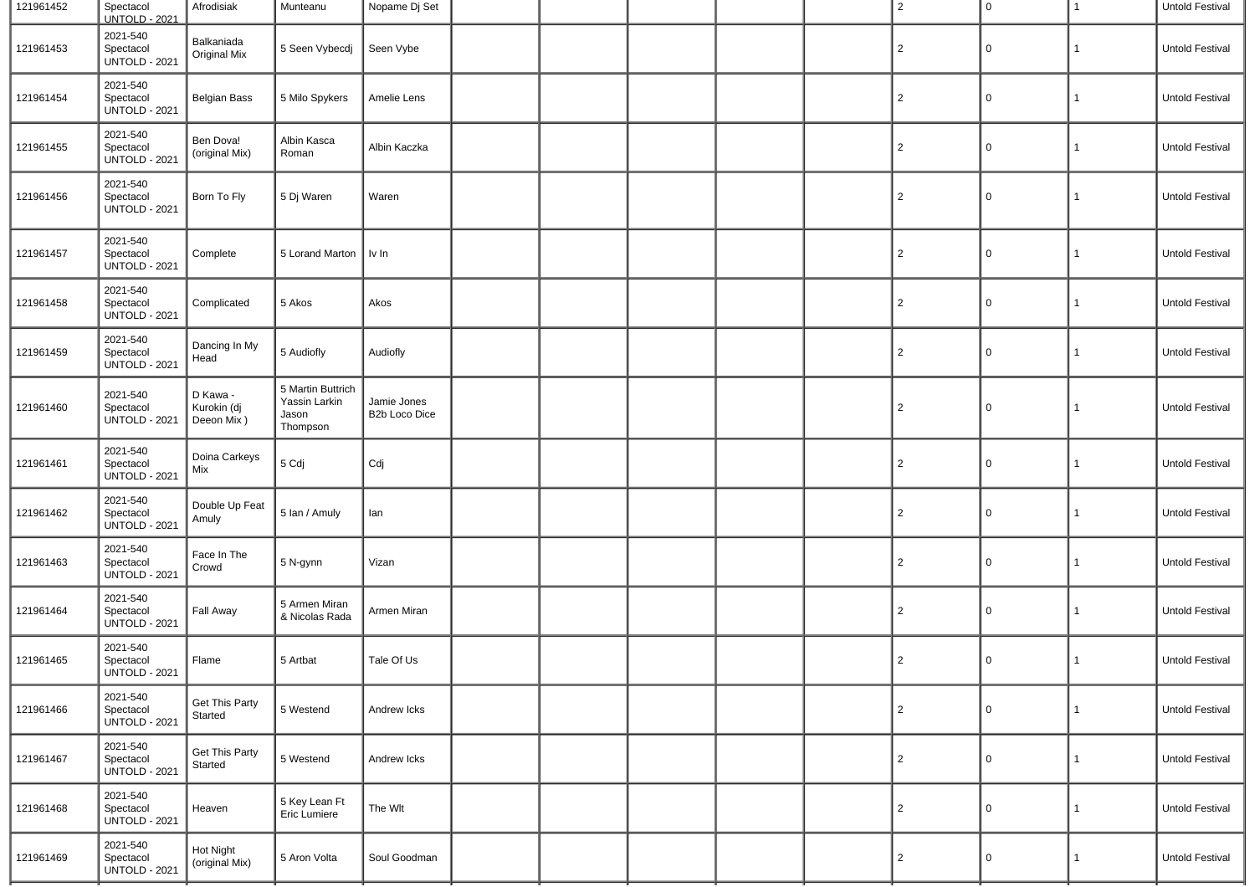| 121961452 | Spectacol<br><b>UNTOLD - 2021</b>             | Afrodisiak                            | Munteanu                                                | Nopame Dj Set                |  |  | $\overline{2}$ | 0           | $\mathbf{1}$ | Untold Festival |
|-----------|-----------------------------------------------|---------------------------------------|---------------------------------------------------------|------------------------------|--|--|----------------|-------------|--------------|-----------------|
| 121961453 | 2021-540<br>Spectacol<br><b>UNTOLD - 2021</b> | Balkaniada<br><b>Original Mix</b>     | 5 Seen Vybecdj                                          | Seen Vybe                    |  |  | $\overline{c}$ | 0           | 1            | Untold Festival |
| 121961454 | 2021-540<br>Spectacol<br><b>UNTOLD - 2021</b> | <b>Belgian Bass</b>                   | 5 Milo Spykers                                          | Amelie Lens                  |  |  | $\overline{2}$ | 0           | 1            | Untold Festival |
| 121961455 | 2021-540<br>Spectacol<br><b>UNTOLD - 2021</b> | Ben Dova!<br>(original Mix)           | Albin Kasca<br>Roman                                    | Albin Kaczka                 |  |  | $\overline{2}$ | 0           | 1            | Untold Festival |
| 121961456 | 2021-540<br>Spectacol<br><b>UNTOLD - 2021</b> | Born To Fly                           | 5 Dj Waren                                              | Waren                        |  |  | $\overline{2}$ | 0           | 1            | Untold Festival |
| 121961457 | 2021-540<br>Spectacol<br><b>UNTOLD - 2021</b> | Complete                              | 5 Lorand Marton   Iv In                                 |                              |  |  | $\overline{c}$ | 0           | 1            | Untold Festival |
| 121961458 | 2021-540<br>Spectacol<br><b>UNTOLD - 2021</b> | Complicated                           | 5 Akos                                                  | Akos                         |  |  | $\overline{c}$ | 0           | 1            | Untold Festival |
| 121961459 | 2021-540<br>Spectacol<br><b>UNTOLD - 2021</b> | Dancing In My<br>Head                 | 5 Audiofly                                              | Audiofly                     |  |  | $\overline{2}$ | 0           | 1            | Untold Festival |
| 121961460 | 2021-540<br>Spectacol<br><b>UNTOLD - 2021</b> | D Kawa -<br>Kurokin (dj<br>Deeon Mix) | 5 Martin Buttrich<br>Yassin Larkin<br>Jason<br>Thompson | Jamie Jones<br>B2b Loco Dice |  |  | $\overline{2}$ | 0           | $\mathbf{1}$ | Untold Festival |
| 121961461 | 2021-540<br>Spectacol<br><b>UNTOLD - 2021</b> | Doina Carkeys<br>Mix                  | 5 Cdj                                                   | Cdj                          |  |  | $\overline{2}$ | 0           | 1            | Untold Festival |
| 121961462 | 2021-540<br>Spectacol<br><b>UNTOLD - 2021</b> | Double Up Feat<br>Amuly               | 5 Ian / Amuly                                           | lan                          |  |  | $\overline{2}$ | 0           | 1            | Untold Festival |
| 121961463 | 2021-540<br>Spectacol<br><b>UNTOLD - 2021</b> | Face In The<br>Crowd                  | 5 N-gynn                                                | Vizan                        |  |  | $\overline{c}$ | 0           | 1            | Untold Festival |
| 121961464 | 2021-540<br>Spectacol<br><b>UNTOLD - 2021</b> | Fall Away                             | 5 Armen Miran<br>& Nicolas Rada                         | Armen Miran                  |  |  | $\overline{2}$ | 0           | $\mathbf{1}$ | Untold Festival |
| 121961465 | 2021-540<br>Spectacol<br><b>UNTOLD - 2021</b> | Flame                                 | 5 Artbat                                                | Tale Of Us                   |  |  | $\overline{2}$ | 0           | 1            | Untold Festival |
| 121961466 | 2021-540<br>Spectacol<br><b>UNTOLD - 2021</b> | <b>Get This Party</b><br>Started      | 5 Westend                                               | Andrew Icks                  |  |  | $\overline{2}$ | 0           | $\mathbf{1}$ | Untold Festival |
| 121961467 | 2021-540<br>Spectacol<br><b>UNTOLD - 2021</b> | <b>Get This Party</b><br>Started      | 5 Westend                                               | Andrew Icks                  |  |  | $\overline{2}$ | $\mathbf 0$ | 1            | Untold Festival |
| 121961468 | 2021-540<br>Spectacol<br><b>UNTOLD - 2021</b> | Heaven                                | 5 Key Lean Ft<br>Eric Lumiere                           | The Wlt                      |  |  | $\overline{c}$ | 0           | 1            | Untold Festival |
| 121961469 | 2021-540<br>Spectacol<br><b>UNTOLD - 2021</b> | Hot Night<br>(original Mix)           | 5 Aron Volta                                            | Soul Goodman                 |  |  | $\overline{2}$ | 0           | 1            | Untold Festival |
|           |                                               |                                       |                                                         |                              |  |  |                |             |              |                 |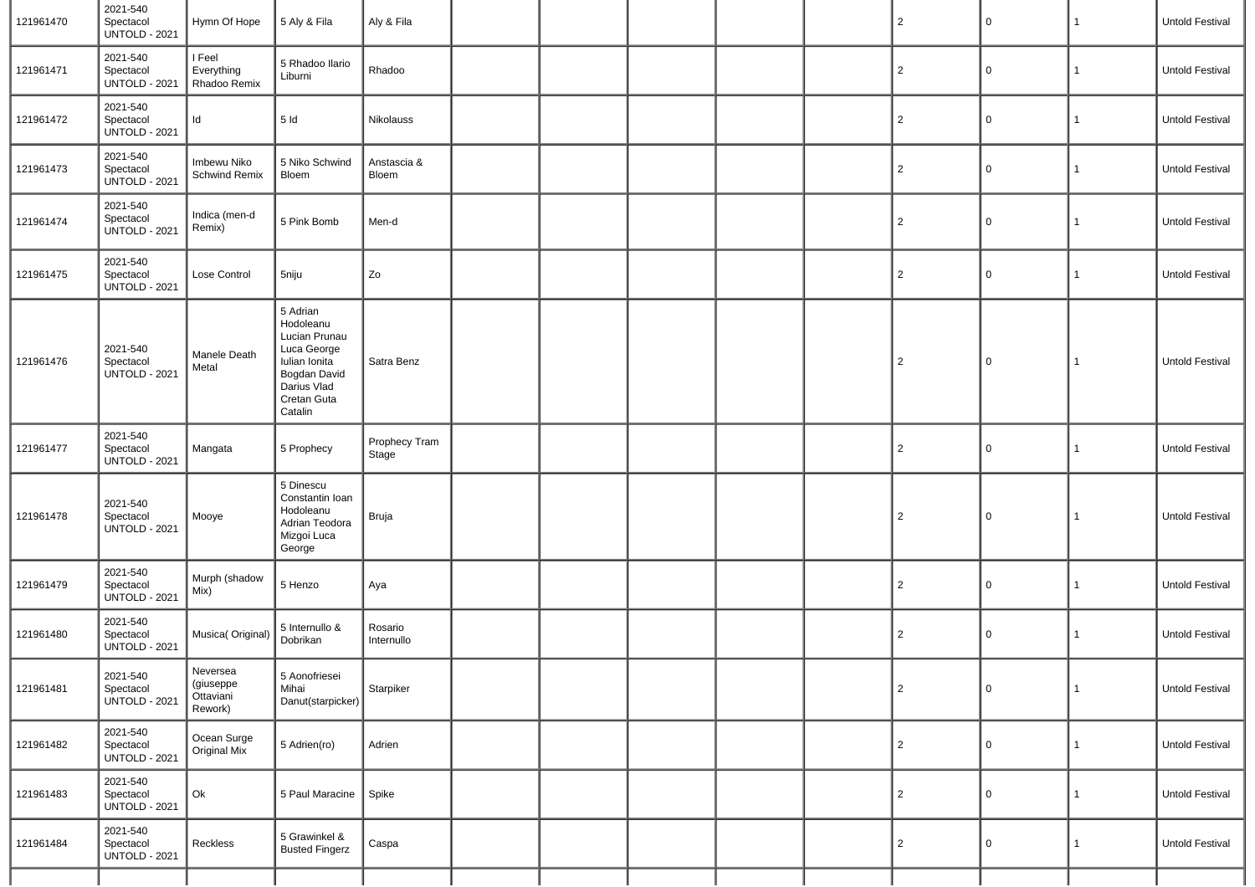| 121961470 | 2021-540<br>Spectacol<br><b>UNTOLD - 2021</b> | Hymn Of Hope                                  | 5 Aly & Fila                                                                                                                    | Aly & Fila             |  |  | $\overline{2}$ | $\pmb{0}$   | $\mathbf{1}$ | Untold Festival        |
|-----------|-----------------------------------------------|-----------------------------------------------|---------------------------------------------------------------------------------------------------------------------------------|------------------------|--|--|----------------|-------------|--------------|------------------------|
| 121961471 | 2021-540<br>Spectacol<br><b>UNTOLD - 2021</b> | I Feel<br>Everything<br>Rhadoo Remix          | 5 Rhadoo Ilario<br>Liburni                                                                                                      | Rhadoo                 |  |  | $\overline{2}$ | $\mathsf 0$ | $\mathbf{1}$ | Untold Festival        |
| 121961472 | 2021-540<br>Spectacol<br><b>UNTOLD - 2021</b> | Id                                            | 5ld                                                                                                                             | Nikolauss              |  |  | $\overline{2}$ | 0           | 1            | Untold Festival        |
| 121961473 | 2021-540<br>Spectacol<br><b>UNTOLD - 2021</b> | Imbewu Niko<br>Schwind Remix                  | 5 Niko Schwind<br>Bloem                                                                                                         | Anstascia &<br>Bloem   |  |  | $\overline{2}$ | $\mathsf 0$ | 1            | Untold Festival        |
| 121961474 | 2021-540<br>Spectacol<br><b>UNTOLD - 2021</b> | Indica (men-d<br>Remix)                       | 5 Pink Bomb                                                                                                                     | Men-d                  |  |  | $\overline{2}$ | 0           | 1            | Untold Festival        |
| 121961475 | 2021-540<br>Spectacol<br><b>UNTOLD - 2021</b> | Lose Control                                  | 5niju                                                                                                                           | Zo                     |  |  | $\overline{2}$ | 0           | 1            | Untold Festival        |
| 121961476 | 2021-540<br>Spectacol<br><b>UNTOLD - 2021</b> | Manele Death<br>Metal                         | 5 Adrian<br>Hodoleanu<br>Lucian Prunau<br>Luca George<br>Iulian Ionita<br>Bogdan David<br>Darius Vlad<br>Cretan Guta<br>Catalin | Satra Benz             |  |  | $\overline{2}$ | $\mathsf 0$ | $\mathbf{1}$ | Untold Festival        |
| 121961477 | 2021-540<br>Spectacol<br><b>UNTOLD - 2021</b> | Mangata                                       | 5 Prophecy                                                                                                                      | Prophecy Tram<br>Stage |  |  | 2              | 0           | $\mathbf{1}$ | Untold Festival        |
| 121961478 | 2021-540<br>Spectacol<br><b>UNTOLD - 2021</b> | Mooye                                         | 5 Dinescu<br>Constantin Ioan<br>Hodoleanu<br>Adrian Teodora<br>Mizgoi Luca<br>George                                            | Bruja                  |  |  | $\overline{2}$ | $\mathsf 0$ | $\mathbf{1}$ | <b>Untold Festival</b> |
| 121961479 | 2021-540<br>Spectacol<br><b>UNTOLD - 2021</b> | Murph (shadow<br>Mix)                         | 5 Henzo                                                                                                                         | Aya                    |  |  | $\overline{2}$ | 0           | $\mathbf{1}$ | Untold Festival        |
| 121961480 | 2021-540<br>Spectacol<br><b>UNTOLD - 2021</b> | Musica( Original)                             | 5 Internullo &<br>Dobrikan                                                                                                      | Rosario<br>Internullo  |  |  | $\overline{2}$ | 0           | 1            | Untold Festival        |
| 121961481 | 2021-540<br>Spectacol<br><b>UNTOLD - 2021</b> | Neversea<br>(giuseppe<br>Ottaviani<br>Rework) | 5 Aonofriesei<br>Mihai<br>Danut(starpicker)                                                                                     | Starpiker              |  |  | 2              | 0           | $\mathbf{1}$ | Untold Festival        |
| 121961482 | 2021-540<br>Spectacol<br><b>UNTOLD - 2021</b> | Ocean Surge<br>Original Mix                   | 5 Adrien(ro)                                                                                                                    | Adrien                 |  |  | 2              | 0           | $\mathbf{1}$ | Untold Festival        |
| 121961483 | 2021-540<br>Spectacol<br><b>UNTOLD - 2021</b> | Ok                                            | 5 Paul Maracine                                                                                                                 | Spike                  |  |  | $\overline{2}$ | 0           | 1            | Untold Festival        |
| 121961484 | 2021-540<br>Spectacol<br><b>UNTOLD - 2021</b> | Reckless                                      | 5 Grawinkel &<br><b>Busted Fingerz</b>                                                                                          | Caspa                  |  |  | $\overline{2}$ | 0           | $\mathbf{1}$ | Untold Festival        |
|           |                                               |                                               |                                                                                                                                 |                        |  |  |                |             |              |                        |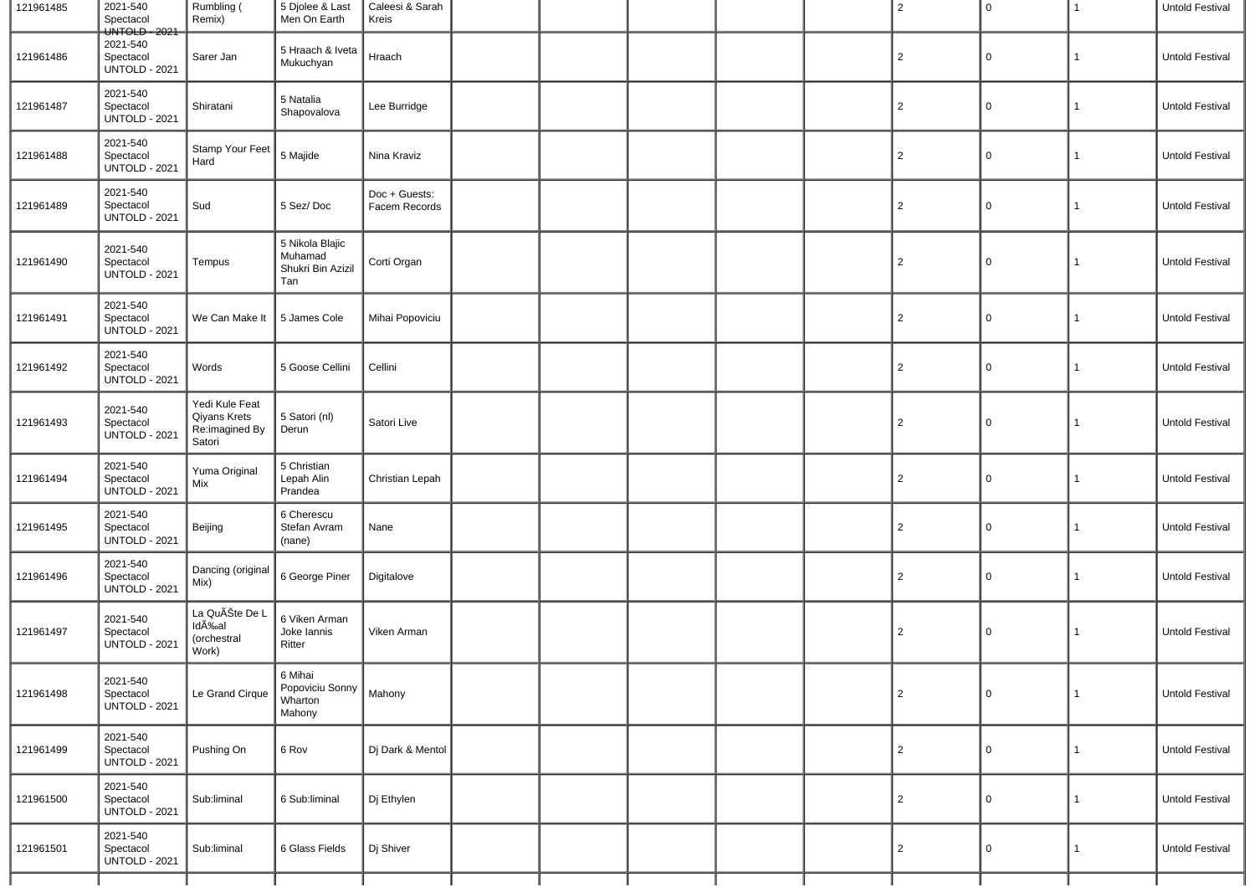| 121961485 | 2021-540<br>Spectacol<br>UNTOLD - 2021        | Rumbling (<br>Remix)                                         | 5 Djolee & Last<br>Men On Earth                        | Caleesi & Sarah<br>Kreis       |  |  | $\overline{2}$ | 0           | 1            | Untold Festival |
|-----------|-----------------------------------------------|--------------------------------------------------------------|--------------------------------------------------------|--------------------------------|--|--|----------------|-------------|--------------|-----------------|
| 121961486 | 2021-540<br>Spectacol<br><b>UNTOLD - 2021</b> | Sarer Jan                                                    | 5 Hraach & Iveta<br>Mukuchyan                          | Hraach                         |  |  | $\overline{2}$ | 0           | $\mathbf{1}$ | Untold Festival |
| 121961487 | 2021-540<br>Spectacol<br><b>UNTOLD - 2021</b> | Shiratani                                                    | 5 Natalia<br>Shapovalova                               | Lee Burridge                   |  |  | $\overline{2}$ | 0           | $\mathbf{1}$ | Untold Festival |
| 121961488 | 2021-540<br>Spectacol<br><b>UNTOLD - 2021</b> | Stamp Your Feet<br>Hard                                      | 5 Majide                                               | Nina Kraviz                    |  |  | $\overline{2}$ | 0           | $\mathbf{1}$ | Untold Festival |
| 121961489 | 2021-540<br>Spectacol<br><b>UNTOLD - 2021</b> | Sud                                                          | 5 Sez/Doc                                              | Doc + Guests:<br>Facem Records |  |  | $\overline{2}$ | 0           | $\mathbf{1}$ | Untold Festival |
| 121961490 | 2021-540<br>Spectacol<br><b>UNTOLD - 2021</b> | Tempus                                                       | 5 Nikola Blajic<br>Muhamad<br>Shukri Bin Azizil<br>Tan | Corti Organ                    |  |  | $\overline{2}$ | 0           | $\mathbf{1}$ | Untold Festival |
| 121961491 | 2021-540<br>Spectacol<br><b>UNTOLD - 2021</b> | We Can Make It                                               | 5 James Cole                                           | Mihai Popoviciu                |  |  | $\overline{c}$ | 0           | $\mathbf{1}$ | Untold Festival |
| 121961492 | 2021-540<br>Spectacol<br><b>UNTOLD - 2021</b> | Words                                                        | 5 Goose Cellini                                        | Cellini                        |  |  | $\overline{2}$ | 0           | $\mathbf{1}$ | Untold Festival |
| 121961493 | 2021-540<br>Spectacol<br><b>UNTOLD - 2021</b> | Yedi Kule Feat<br>Qiyans Krets<br>Re:imagined By<br>Satori   | 5 Satori (nl)<br>Derun                                 | Satori Live                    |  |  | $\overline{2}$ | 0           | $\mathbf{1}$ | Untold Festival |
| 121961494 | 2021-540<br>Spectacol<br><b>UNTOLD - 2021</b> | Yuma Original<br>Mix                                         | 5 Christian<br>Lepah Alin<br>Prandea                   | Christian Lepah                |  |  | $\overline{2}$ | 0           | $\mathbf{1}$ | Untold Festival |
| 121961495 | 2021-540<br>Spectacol<br><b>UNTOLD - 2021</b> | Beijing                                                      | 6 Cherescu<br>Stefan Avram<br>(nane)                   | Nane                           |  |  | $\overline{2}$ | 0           | 1            | Untold Festival |
| 121961496 | 2021-540<br>Spectacol<br><b>UNTOLD - 2021</b> | Dancing (original<br>Mix)                                    | 6 George Piner                                         | Digitalove                     |  |  | $\overline{c}$ | 0           | 1            | Untold Festival |
| 121961497 | 2021-540<br>Spectacol<br><b>UNTOLD - 2021</b> | La QuÊte De L<br>Id <sub>A</sub> ‰al<br>(orchestral<br>Work) | 6 Viken Arman<br>Joke lannis<br>Ritter                 | Viken Arman                    |  |  | 2              | 0           | $\mathbf{1}$ | Untold Festival |
| 121961498 | 2021-540<br>Spectacol<br><b>UNTOLD - 2021</b> | Le Grand Cirque                                              | 6 Mihai<br>Popoviciu Sonny<br>Wharton<br>Mahony        | Mahony                         |  |  | $\overline{2}$ | $\mathbf 0$ | $\mathbf{1}$ | Untold Festival |
| 121961499 | 2021-540<br>Spectacol<br><b>UNTOLD - 2021</b> | Pushing On                                                   | 6 Rov                                                  | Dj Dark & Mentol               |  |  | $\overline{2}$ | 0           | $\mathbf{1}$ | Untold Festival |
| 121961500 | 2021-540<br>Spectacol<br><b>UNTOLD - 2021</b> | Sub:liminal                                                  | 6 Sub:liminal                                          | Dj Ethylen                     |  |  | $\overline{2}$ | 0           | $\mathbf{1}$ | Untold Festival |
| 121961501 | 2021-540<br>Spectacol<br><b>UNTOLD - 2021</b> | Sub:liminal                                                  | 6 Glass Fields                                         | Dj Shiver                      |  |  | $\overline{2}$ | 0           | $\mathbf{1}$ | Untold Festival |
|           |                                               |                                                              |                                                        |                                |  |  |                |             |              |                 |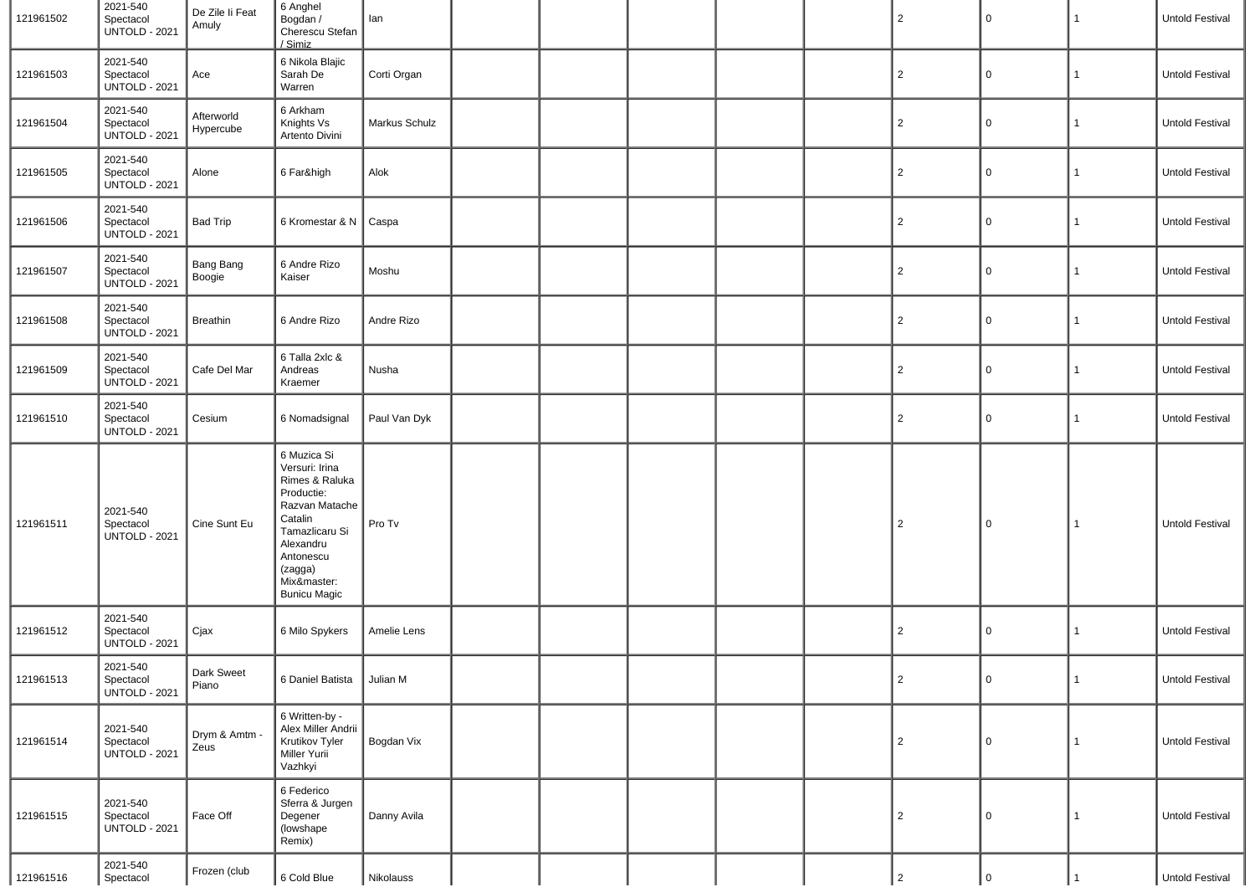| 121961502 | 2021-540<br>Spectacol<br><b>UNTOLD - 2021</b> | De Zile li Feat<br>Amuly   | 6 Anghel<br>Bogdan /<br>Cherescu Stefan<br>/ Simiz                                                                                                                                      | lan           |  |  | $\overline{2}$ | 0           | $\mathbf{1}$ | Untold Festival |
|-----------|-----------------------------------------------|----------------------------|-----------------------------------------------------------------------------------------------------------------------------------------------------------------------------------------|---------------|--|--|----------------|-------------|--------------|-----------------|
| 121961503 | 2021-540<br>Spectacol<br><b>UNTOLD - 2021</b> | Ace                        | 6 Nikola Blajic<br>Sarah De<br>Warren                                                                                                                                                   | Corti Organ   |  |  | $\overline{2}$ | 0           | $\mathbf{1}$ | Untold Festival |
| 121961504 | 2021-540<br>Spectacol<br><b>UNTOLD - 2021</b> | Afterworld<br>Hypercube    | 6 Arkham<br>Knights Vs<br>Artento Divini                                                                                                                                                | Markus Schulz |  |  | $\overline{2}$ | 0           | $\mathbf{1}$ | Untold Festival |
| 121961505 | 2021-540<br>Spectacol<br><b>UNTOLD - 2021</b> | Alone                      | 6 Far&high                                                                                                                                                                              | Alok          |  |  | $\overline{2}$ | 0           | 1            | Untold Festival |
| 121961506 | 2021-540<br>Spectacol<br><b>UNTOLD - 2021</b> | <b>Bad Trip</b>            | 6 Kromestar & N                                                                                                                                                                         | Caspa         |  |  | $\overline{2}$ | 0           | 1            | Untold Festival |
| 121961507 | 2021-540<br>Spectacol<br><b>UNTOLD - 2021</b> | <b>Bang Bang</b><br>Boogie | 6 Andre Rizo<br>Kaiser                                                                                                                                                                  | Moshu         |  |  | $\overline{2}$ | 0           | 1            | Untold Festival |
| 121961508 | 2021-540<br>Spectacol<br><b>UNTOLD - 2021</b> | <b>Breathin</b>            | 6 Andre Rizo                                                                                                                                                                            | Andre Rizo    |  |  | $\overline{2}$ | 0           | 1            | Untold Festival |
| 121961509 | 2021-540<br>Spectacol<br><b>UNTOLD - 2021</b> | Cafe Del Mar               | 6 Talla 2xlc &<br>Andreas<br>Kraemer                                                                                                                                                    | Nusha         |  |  | $\overline{2}$ | 0           | $\mathbf{1}$ | Untold Festival |
| 121961510 | 2021-540<br>Spectacol<br><b>UNTOLD - 2021</b> | Cesium                     | 6 Nomadsignal                                                                                                                                                                           | Paul Van Dyk  |  |  | $\overline{2}$ | 0           | 1            | Untold Festival |
| 121961511 | 2021-540<br>Spectacol<br><b>UNTOLD - 2021</b> | Cine Sunt Eu               | 6 Muzica Si<br>Versuri: Irina<br>Rimes & Raluka<br>Productie:<br>Razvan Matache<br>Catalin<br>Tamazlicaru Si<br>Alexandru<br>Antonescu<br>(zagga)<br>Mix&master:<br><b>Bunicu Magic</b> | Pro Tv        |  |  | $\overline{2}$ | $\mathbf 0$ | $\mathbf{1}$ | Untold Festival |
| 121961512 | 2021-540<br>Spectacol<br><b>UNTOLD - 2021</b> | Cjax                       | 6 Milo Spykers                                                                                                                                                                          | Amelie Lens   |  |  | $\overline{2}$ | 0           | 1            | Untold Festival |
| 121961513 | 2021-540<br>Spectacol<br><b>UNTOLD - 2021</b> | Dark Sweet<br>Piano        | 6 Daniel Batista                                                                                                                                                                        | Julian M      |  |  | 2              | $\mathbf 0$ | $\mathbf{1}$ | Untold Festival |
| 121961514 | 2021-540<br>Spectacol<br><b>UNTOLD - 2021</b> | Drym & Amtm -<br>Zeus      | 6 Written-by -<br>Alex Miller Andrii<br>Krutikov Tyler<br>Miller Yurii<br>Vazhkyi                                                                                                       | Bogdan Vix    |  |  | $\overline{2}$ | $\mathbf 0$ | $\mathbf{1}$ | Untold Festival |
| 121961515 | 2021-540<br>Spectacol<br><b>UNTOLD - 2021</b> | Face Off                   | 6 Federico<br>Sferra & Jurgen<br>Degener<br>(lowshape<br>Remix)                                                                                                                         | Danny Avila   |  |  | $\overline{2}$ | 0           | 1            | Untold Festival |
| 121961516 | 2021-540<br>Spectacol                         | Frozen (club               | 6 Cold Blue                                                                                                                                                                             | Nikolauss     |  |  | 2              | $\Omega$    |              | Untold Festival |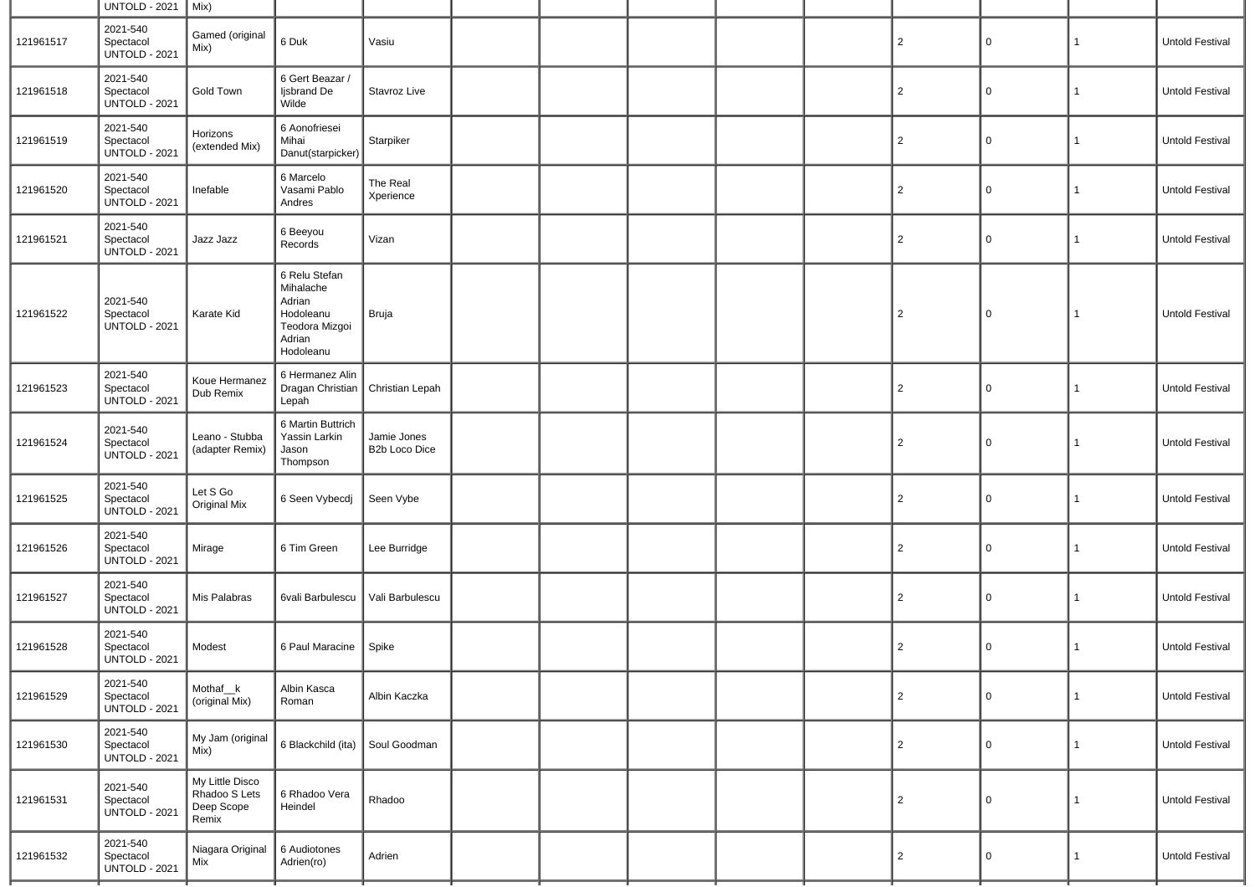|           | <b>UNTOLD - 2021</b>                          | Mix)                                                    |                                                                                            |                              |  |  |                |             |                |                        |
|-----------|-----------------------------------------------|---------------------------------------------------------|--------------------------------------------------------------------------------------------|------------------------------|--|--|----------------|-------------|----------------|------------------------|
| 121961517 | 2021-540<br>Spectacol<br><b>UNTOLD - 2021</b> | Gamed (original<br>Mix)                                 | 6 Duk                                                                                      | Vasiu                        |  |  | $\overline{2}$ | 0           | $\mathbf{1}$   | Untold Festival        |
| 121961518 | 2021-540<br>Spectacol<br><b>UNTOLD - 2021</b> | Gold Town                                               | 6 Gert Beazar /<br>Ijsbrand De<br>Wilde                                                    | Stavroz Live                 |  |  | $\overline{2}$ | 0           | $\mathbf{1}$   | Untold Festival        |
| 121961519 | 2021-540<br>Spectacol<br><b>UNTOLD - 2021</b> | Horizons<br>(extended Mix)                              | 6 Aonofriesei<br>Mihai<br>Danut(starpicker)                                                | Starpiker                    |  |  | $\overline{2}$ | 0           | $\mathbf{1}$   | <b>Untold Festival</b> |
| 121961520 | 2021-540<br>Spectacol<br><b>UNTOLD - 2021</b> | Inefable                                                | 6 Marcelo<br>Vasami Pablo<br>Andres                                                        | The Real<br>Xperience        |  |  | $\overline{2}$ | $\Omega$    | $\mathbf{1}$   | Untold Festival        |
| 121961521 | 2021-540<br>Spectacol<br><b>UNTOLD - 2021</b> | Jazz Jazz                                               | 6 Beeyou<br>Records                                                                        | Vizan                        |  |  | 2              | 0           | $\mathbf{1}$   | Untold Festival        |
| 121961522 | 2021-540<br>Spectacol<br><b>UNTOLD - 2021</b> | Karate Kid                                              | 6 Relu Stefan<br>Mihalache<br>Adrian<br>Hodoleanu<br>Teodora Mizgoi<br>Adrian<br>Hodoleanu | Bruja                        |  |  | $\overline{2}$ | 0           | 1              | Untold Festival        |
| 121961523 | 2021-540<br>Spectacol<br><b>UNTOLD - 2021</b> | Koue Hermanez<br>Dub Remix                              | 6 Hermanez Alin<br>Dragan Christian<br>Lepah                                               | Christian Lepah              |  |  | $\overline{2}$ | 0           | $\mathbf{1}$   | Untold Festival        |
| 121961524 | 2021-540<br>Spectacol<br><b>UNTOLD - 2021</b> | Leano - Stubba<br>(adapter Remix)                       | 6 Martin Buttrich<br>Yassin Larkin<br>Jason<br>Thompson                                    | Jamie Jones<br>B2b Loco Dice |  |  | $\overline{c}$ | 0           | $\mathbf 1$    | Untold Festival        |
| 121961525 | 2021-540<br>Spectacol<br><b>UNTOLD - 2021</b> | Let S Go<br>Original Mix                                | 6 Seen Vybecdj                                                                             | Seen Vybe                    |  |  | $\overline{c}$ | 0           | $\mathbf{1}$   | Untold Festival        |
| 121961526 | 2021-540<br>Spectacol<br><b>UNTOLD - 2021</b> | Mirage                                                  | 6 Tim Green                                                                                | Lee Burridge                 |  |  | $\overline{2}$ | 0           | 1              | Untold Festival        |
| 121961527 | 2021-540<br>Spectacol<br><b>UNTOLD - 2021</b> | Mis Palabras                                            | 6vali Barbulescu                                                                           | Vali Barbulescu              |  |  | $\overline{2}$ | 0           | 1              | Untold Festival        |
| 121961528 | 2021-540<br>Spectacol<br><b>UNTOLD - 2021</b> | Modest                                                  | 6 Paul Maracine                                                                            | Spike                        |  |  | $\overline{2}$ | 0           | 1              | Untold Festival        |
| 121961529 | 2021-540<br>Spectacol<br><b>UNTOLD - 2021</b> | Mothaf <sub>k</sub><br>(original Mix)                   | Albin Kasca<br>Roman                                                                       | Albin Kaczka                 |  |  | $\overline{2}$ | 0           | $\mathbf{1}$   | Untold Festival        |
| 121961530 | 2021-540<br>Spectacol<br><b>UNTOLD - 2021</b> | My Jam (original<br>Mix)                                | 6 Blackchild (ita)                                                                         | Soul Goodman                 |  |  | $\overline{2}$ | 0           | $\mathbf{1}$   | Untold Festival        |
| 121961531 | 2021-540<br>Spectacol<br><b>UNTOLD - 2021</b> | My Little Disco<br>Rhadoo S Lets<br>Deep Scope<br>Remix | 6 Rhadoo Vera<br>Heindel                                                                   | Rhadoo                       |  |  | $\overline{c}$ | $\mathbf 0$ | $\overline{1}$ | Untold Festival        |
| 121961532 | 2021-540<br>Spectacol<br><b>UNTOLD - 2021</b> | Niagara Original<br>Mix                                 | 6 Audiotones<br>Adrien(ro)                                                                 | Adrien                       |  |  | 2              | 0           | $\mathbf{1}$   | Untold Festival        |
|           |                                               |                                                         |                                                                                            |                              |  |  |                |             |                |                        |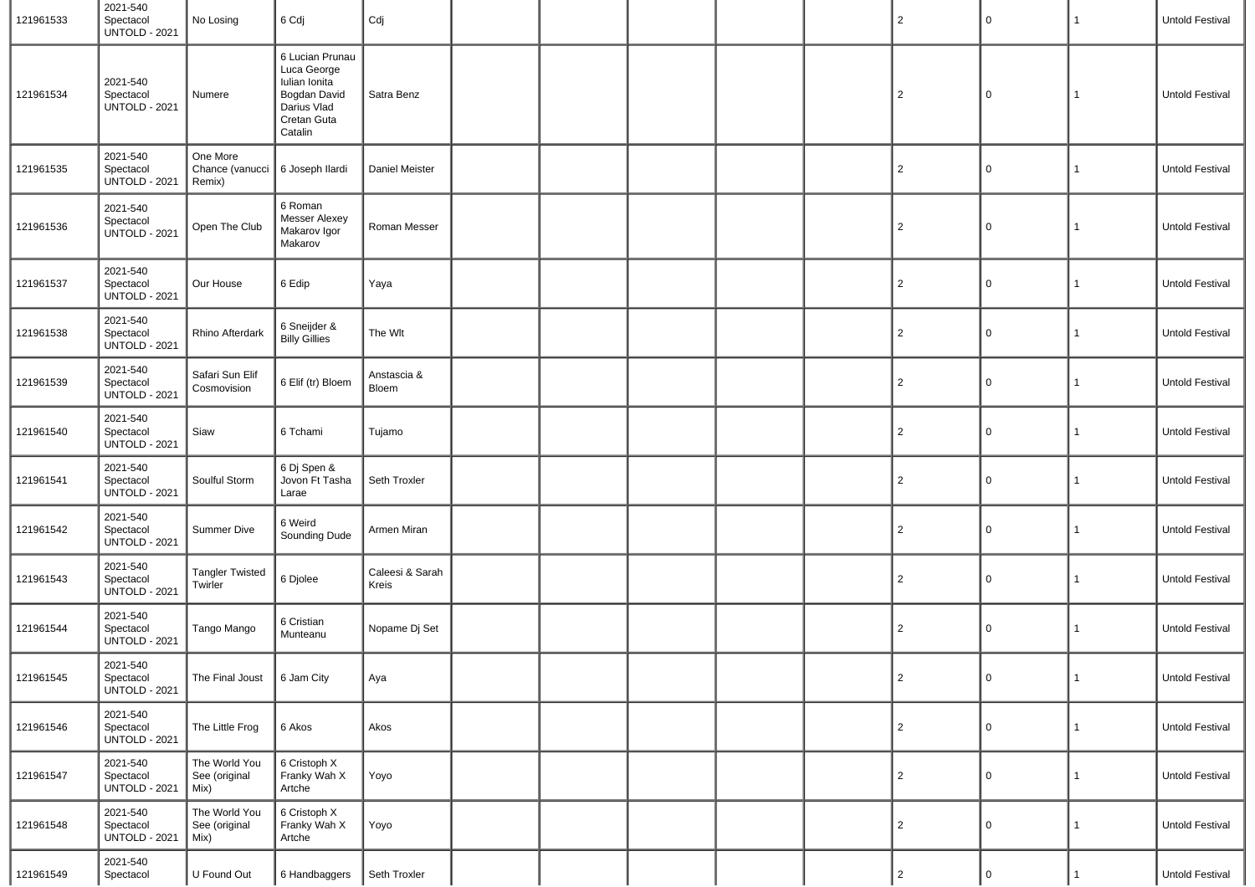| 121961533 | 2021-540<br>Spectacol<br><b>UNTOLD - 2021</b> | No Losing                              | 6 Cdj                                                                                                           | Cdj                      |  |  | $\overline{2}$ | $\mathsf 0$    | $\mathbf{1}$ | Untold Festival        |
|-----------|-----------------------------------------------|----------------------------------------|-----------------------------------------------------------------------------------------------------------------|--------------------------|--|--|----------------|----------------|--------------|------------------------|
| 121961534 | 2021-540<br>Spectacol<br><b>UNTOLD - 2021</b> | Numere                                 | 6 Lucian Prunau<br>Luca George<br><b>Iulian Ionita</b><br>Bogdan David<br>Darius Vlad<br>Cretan Guta<br>Catalin | Satra Benz               |  |  | $\overline{2}$ | $\mathbf 0$    | $\mathbf{1}$ | Untold Festival        |
| 121961535 | 2021-540<br>Spectacol<br><b>UNTOLD - 2021</b> | One More<br>Chance (vanucci<br>Remix)  | 6 Joseph Ilardi                                                                                                 | Daniel Meister           |  |  | $\overline{2}$ | $\mathbf 0$    | $\mathbf{1}$ | Untold Festival        |
| 121961536 | 2021-540<br>Spectacol<br><b>UNTOLD - 2021</b> | Open The Club                          | 6 Roman<br><b>Messer Alexey</b><br>Makarov Igor<br>Makarov                                                      | Roman Messer             |  |  | $\overline{2}$ | 0              | 1            | Untold Festival        |
| 121961537 | 2021-540<br>Spectacol<br><b>UNTOLD - 2021</b> | Our House                              | 6 Edip                                                                                                          | Yaya                     |  |  | $\overline{2}$ | $\mathbf 0$    | $\mathbf{1}$ | Untold Festival        |
| 121961538 | 2021-540<br>Spectacol<br><b>UNTOLD - 2021</b> | Rhino Afterdark                        | 6 Sneijder &<br><b>Billy Gillies</b>                                                                            | The Wlt                  |  |  | $\overline{2}$ | 0              | 1            | Untold Festival        |
| 121961539 | 2021-540<br>Spectacol<br><b>UNTOLD - 2021</b> | Safari Sun Elif<br>Cosmovision         | 6 Elif (tr) Bloem                                                                                               | Anstascia &<br>Bloem     |  |  | $\overline{2}$ | 0              | $\mathbf{1}$ | Untold Festival        |
| 121961540 | 2021-540<br>Spectacol<br><b>UNTOLD - 2021</b> | Siaw                                   | 6 Tchami                                                                                                        | Tujamo                   |  |  | $\overline{2}$ | 0              | $\mathbf{1}$ | Untold Festival        |
| 121961541 | 2021-540<br>Spectacol<br><b>UNTOLD - 2021</b> | Soulful Storm                          | 6 Dj Spen &<br>Jovon Ft Tasha<br>Larae                                                                          | Seth Troxler             |  |  | $\overline{2}$ | 0              | $\mathbf{1}$ | Untold Festival        |
| 121961542 | 2021-540<br>Spectacol<br><b>UNTOLD - 2021</b> | <b>Summer Dive</b>                     | 6 Weird<br>Sounding Dude                                                                                        | Armen Miran              |  |  | $\overline{2}$ | 0              | $\mathbf{1}$ | <b>Untold Festival</b> |
| 121961543 | 2021-540<br>Spectacol<br><b>UNTOLD - 2021</b> | <b>Tangler Twisted</b><br>Twirler      | 6 Djolee                                                                                                        | Caleesi & Sarah<br>Kreis |  |  | $\overline{2}$ | 0              | $\mathbf{1}$ | Untold Festival        |
| 121961544 | 2021-540<br>Spectacol<br><b>UNTOLD - 2021</b> | Tango Mango                            | 6 Cristian<br>Munteanu                                                                                          | Nopame Dj Set            |  |  | $\overline{2}$ | 0              | 1            | <b>Untold Festival</b> |
| 121961545 | 2021-540<br>Spectacol<br><b>UNTOLD - 2021</b> | The Final Joust                        | 6 Jam City                                                                                                      | Aya                      |  |  | 2              | $\overline{0}$ | 1            | Untold Festival        |
| 121961546 | 2021-540<br>Spectacol<br><b>UNTOLD - 2021</b> | The Little Frog                        | 6 Akos                                                                                                          | Akos                     |  |  | $\overline{2}$ | 0              | $\mathbf{1}$ | Untold Festival        |
| 121961547 | 2021-540<br>Spectacol<br><b>UNTOLD - 2021</b> | The World You<br>See (original<br>Mix) | 6 Cristoph X<br>Franky Wah X<br>Artche                                                                          | Yoyo                     |  |  | $\overline{2}$ | 0              | $\mathbf{1}$ | Untold Festival        |
| 121961548 | 2021-540<br>Spectacol<br><b>UNTOLD - 2021</b> | The World You<br>See (original<br>Mix) | 6 Cristoph X<br>Franky Wah X<br>Artche                                                                          | Yoyo                     |  |  | $\overline{2}$ | 0              | $\mathbf{1}$ | Untold Festival        |
| 121961549 | 2021-540<br>Spectacol                         | U Found Out                            | 6 Handbaggers                                                                                                   | Seth Troxler             |  |  | $\overline{2}$ | 0              | $\mathbf{1}$ | Untold Festival        |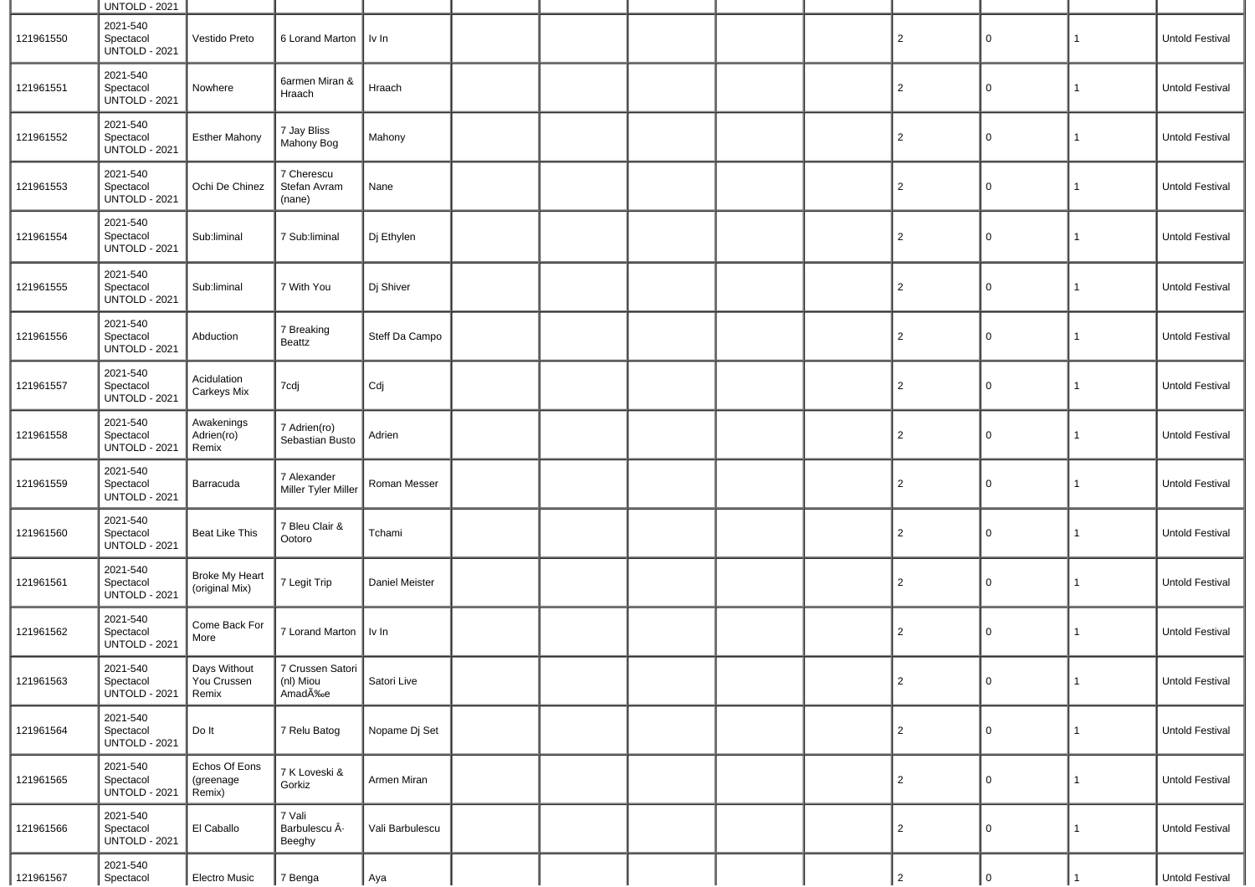|           | <b>UNTOLD - 2021</b>                          |                                         |                                         |                   |  |  |                |                     |              |                        |
|-----------|-----------------------------------------------|-----------------------------------------|-----------------------------------------|-------------------|--|--|----------------|---------------------|--------------|------------------------|
| 121961550 | 2021-540<br>Spectacol<br><b>UNTOLD - 2021</b> | Vestido Preto                           | 6 Lorand Marton                         | Iv In             |  |  | $\overline{2}$ | 0                   | $\mathbf{1}$ | Untold Festival        |
| 121961551 | 2021-540<br>Spectacol<br><b>UNTOLD - 2021</b> | Nowhere                                 | 6armen Miran &<br>Hraach                | Hraach            |  |  | $\overline{2}$ | 0                   | $\mathbf{1}$ | Untold Festival        |
| 121961552 | 2021-540<br>Spectacol<br><b>UNTOLD - 2021</b> | <b>Esther Mahony</b>                    | 7 Jay Bliss<br>Mahony Bog               | Mahony            |  |  | $\overline{c}$ | 0                   | $\mathbf{1}$ | Untold Festival        |
| 121961553 | 2021-540<br>Spectacol<br><b>UNTOLD - 2021</b> | Ochi De Chinez                          | 7 Cherescu<br>Stefan Avram<br>(nane)    | Nane              |  |  | $\overline{2}$ | 0                   | 1            | Untold Festival        |
| 121961554 | 2021-540<br>Spectacol<br><b>UNTOLD - 2021</b> | Sub:liminal                             | 7 Sub:liminal                           | Dj Ethylen        |  |  | $\overline{c}$ | $\mathbf 0$         | $\mathbf{1}$ | Untold Festival        |
| 121961555 | 2021-540<br>Spectacol<br><b>UNTOLD - 2021</b> | Sub:liminal                             | 7 With You                              | Dj Shiver         |  |  | $\overline{2}$ | 0                   | $\mathbf{1}$ | Untold Festival        |
| 121961556 | 2021-540<br>Spectacol<br><b>UNTOLD - 2021</b> | Abduction                               | 7 Breaking<br>Beattz                    | Steff Da Campo    |  |  | $\overline{2}$ | 0                   | $\mathbf{1}$ | <b>Untold Festival</b> |
| 121961557 | 2021-540<br>Spectacol<br><b>UNTOLD - 2021</b> | Acidulation<br>Carkeys Mix              | 7cdj                                    | Cdj               |  |  | $\overline{2}$ | 0                   | $\mathbf{1}$ | <b>Untold Festival</b> |
| 121961558 | 2021-540<br>Spectacol<br><b>UNTOLD - 2021</b> | Awakenings<br>Adrien(ro)<br>Remix       | 7 Adrien(ro)<br>Sebastian Busto         | Adrien            |  |  | $\overline{2}$ | 0                   | $\mathbf{1}$ | Untold Festival        |
| 121961559 | 2021-540<br>Spectacol<br><b>UNTOLD - 2021</b> | Barracuda                               | 7 Alexander<br>Miller Tyler Miller      | Roman Messer      |  |  | $\overline{2}$ | $\mathbf 0$         | $\mathbf{1}$ | Untold Festival        |
| 121961560 | 2021-540<br>Spectacol<br><b>UNTOLD - 2021</b> | <b>Beat Like This</b>                   | 7 Bleu Clair &<br>Ootoro                | Tchami            |  |  | $\overline{2}$ | 0                   | $\mathbf{1}$ | Untold Festival        |
| 121961561 | 2021-540<br>Spectacol<br><b>UNTOLD - 2021</b> | <b>Broke My Heart</b><br>(original Mix) | 7 Legit Trip                            | Daniel Meister    |  |  | $\overline{2}$ | 0                   | $\mathbf{1}$ | Untold Festival        |
| 121961562 | 2021-540<br>Spectacol<br><b>UNTOLD - 2021</b> | Come Back For<br>More                   | 7 Lorand Marton                         | $\parallel$ Iv In |  |  | $\overline{2}$ | 0                   | $\mathbf{1}$ | <b>Untold Festival</b> |
| 121961563 | 2021-540<br>Spectacol<br><b>UNTOLD - 2021</b> | Days Without<br>You Crussen<br>Remix    | 7 Crussen Satori<br>(nl) Miou<br>AmadÉe | Satori Live       |  |  | $\sqrt{2}$     | $\mathsf{O}\xspace$ | $\mathbf{1}$ | Untold Festival        |
| 121961564 | 2021-540<br>Spectacol<br><b>UNTOLD - 2021</b> | Do It                                   | 7 Relu Batog                            | Nopame Dj Set     |  |  | $\overline{2}$ | $\mathsf{O}$        | $\mathbf{1}$ | <b>Untold Festival</b> |
| 121961565 | 2021-540<br>Spectacol<br><b>UNTOLD - 2021</b> | Echos Of Eons<br>(greenage<br>Remix)    | 7 K Loveski &<br>Gorkiz                 | Armen Miran       |  |  | $\overline{2}$ | 0                   | $\mathbf{1}$ | Untold Festival        |
| 121961566 | 2021-540<br>Spectacol<br><b>UNTOLD - 2021</b> | El Caballo                              | 7 Vali<br>Barbulescu Â-<br>Beeghy       | Vali Barbulescu   |  |  | $\overline{2}$ | 0                   | $\mathbf{1}$ | <b>Untold Festival</b> |
| 121961567 | 2021-540<br>Spectacol                         | Electro Music                           | 7 Benga                                 | Aya               |  |  | $\overline{2}$ | 0                   |              | Untold Festival        |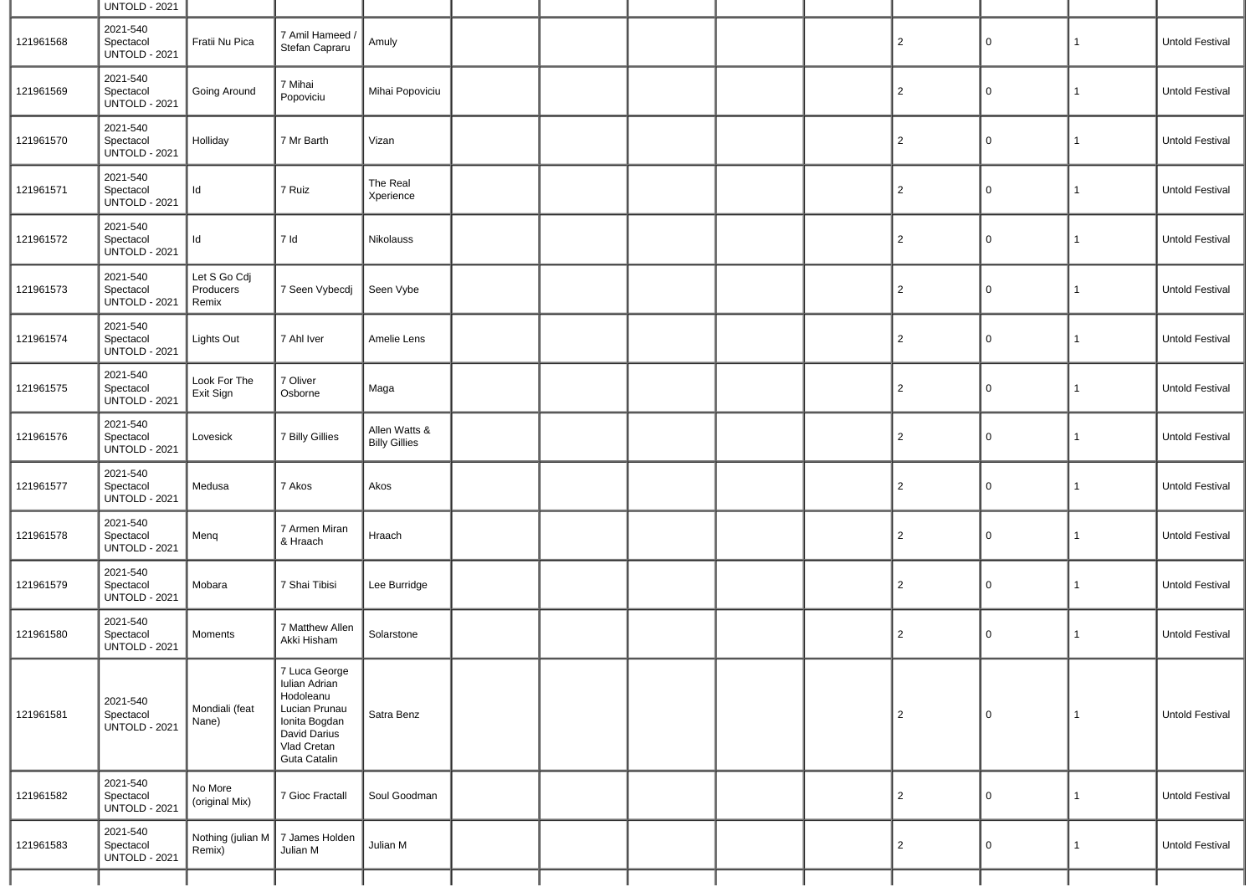|           | <b>UNTOLD - 2021</b>                          |                                    |                                                                                                                              |                                       |  |  |                |              |                 |                        |
|-----------|-----------------------------------------------|------------------------------------|------------------------------------------------------------------------------------------------------------------------------|---------------------------------------|--|--|----------------|--------------|-----------------|------------------------|
| 121961568 | 2021-540<br>Spectacol<br><b>UNTOLD - 2021</b> | Fratii Nu Pica                     | 7 Amil Hameed<br>Stefan Capraru                                                                                              | Amuly                                 |  |  | $\overline{2}$ | 0            | $\mathbf{1}$    | Untold Festival        |
| 121961569 | 2021-540<br>Spectacol<br><b>UNTOLD - 2021</b> | Going Around                       | 7 Mihai<br>Popoviciu                                                                                                         | Mihai Popoviciu                       |  |  | $\overline{2}$ | 0            | 1               | <b>Untold Festival</b> |
| 121961570 | 2021-540<br>Spectacol<br><b>UNTOLD - 2021</b> | Holliday                           | 7 Mr Barth                                                                                                                   | Vizan                                 |  |  | $\overline{2}$ | $\mathbf 0$  | $\mathbf{1}$    | Untold Festival        |
| 121961571 | 2021-540<br>Spectacol<br><b>UNTOLD - 2021</b> | Id                                 | 7 Ruiz                                                                                                                       | The Real<br>Xperience                 |  |  | $\overline{2}$ | 0            | 1               | Untold Festival        |
| 121961572 | 2021-540<br>Spectacol<br><b>UNTOLD - 2021</b> | Id                                 | 7 Id                                                                                                                         | Nikolauss                             |  |  | $\overline{2}$ | 0            | $\mathbf{1}$    | Untold Festival        |
| 121961573 | 2021-540<br>Spectacol<br><b>UNTOLD - 2021</b> | Let S Go Cdj<br>Producers<br>Remix | 7 Seen Vybecdj                                                                                                               | Seen Vybe                             |  |  | $\overline{2}$ | 0            | $\mathbf{1}$    | Untold Festival        |
| 121961574 | 2021-540<br>Spectacol<br><b>UNTOLD - 2021</b> | Lights Out                         | 7 Ahl Iver                                                                                                                   | Amelie Lens                           |  |  | 2              | $\mathsf 0$  | $\mathbf{1}$    | Untold Festival        |
| 121961575 | 2021-540<br>Spectacol<br><b>UNTOLD - 2021</b> | Look For The<br>Exit Sign          | 7 Oliver<br>Osborne                                                                                                          | Maga                                  |  |  | $\overline{2}$ | 0            | 1               | Untold Festival        |
| 121961576 | 2021-540<br>Spectacol<br><b>UNTOLD - 2021</b> | Lovesick                           | 7 Billy Gillies                                                                                                              | Allen Watts &<br><b>Billy Gillies</b> |  |  | 2              | $\mathsf 0$  | 1               | Untold Festival        |
| 121961577 | 2021-540<br>Spectacol<br><b>UNTOLD - 2021</b> | Medusa                             | 7 Akos                                                                                                                       | Akos                                  |  |  | $\overline{2}$ | 0            | 1               | Untold Festival        |
| 121961578 | 2021-540<br>Spectacol<br><b>UNTOLD - 2021</b> | Menq                               | 7 Armen Miran<br>& Hraach                                                                                                    | Hraach                                |  |  | $\overline{2}$ | $\mathsf 0$  | $\mathbf{1}$    | Untold Festival        |
| 121961579 | 2021-540<br>Spectacol<br><b>UNTOLD - 2021</b> | Mobara                             | 7 Shai Tibisi                                                                                                                | Lee Burridge                          |  |  | $\overline{2}$ | 0            | 1               | Untold Festival        |
| 121961580 | 2021-540<br>Spectacol<br><b>UNTOLD - 2021</b> | Moments                            | 7 Matthew Allen<br>Akki Hisham                                                                                               | Solarstone                            |  |  | $\overline{2}$ | 0            | 1               | Untold Festival        |
| 121961581 | 2021-540<br>Spectacol<br><b>UNTOLD - 2021</b> | Mondiali (feat<br>Nane)            | 7 Luca George<br>Iulian Adrian<br>Hodoleanu<br>Lucian Prunau<br>Ionita Bogdan<br>David Darius<br>Vlad Cretan<br>Guta Catalin | Satra Benz                            |  |  | $\overline{2}$ | $\mathbf{0}$ | $\vert 1 \vert$ | Untold Festival        |
| 121961582 | 2021-540<br>Spectacol<br><b>UNTOLD - 2021</b> | No More<br>(original Mix)          | 7 Gioc Fractall                                                                                                              | Soul Goodman                          |  |  | $\overline{c}$ | $\mathbf 0$  | $\mathbf{1}$    | Untold Festival        |
| 121961583 | 2021-540<br>Spectacol<br><b>UNTOLD - 2021</b> | Nothing (julian M<br>Remix)        | 7 James Holden<br>Julian M                                                                                                   | Julian M                              |  |  | $\overline{2}$ | 0            | 1               | Untold Festival        |
|           |                                               |                                    |                                                                                                                              |                                       |  |  |                |              |                 |                        |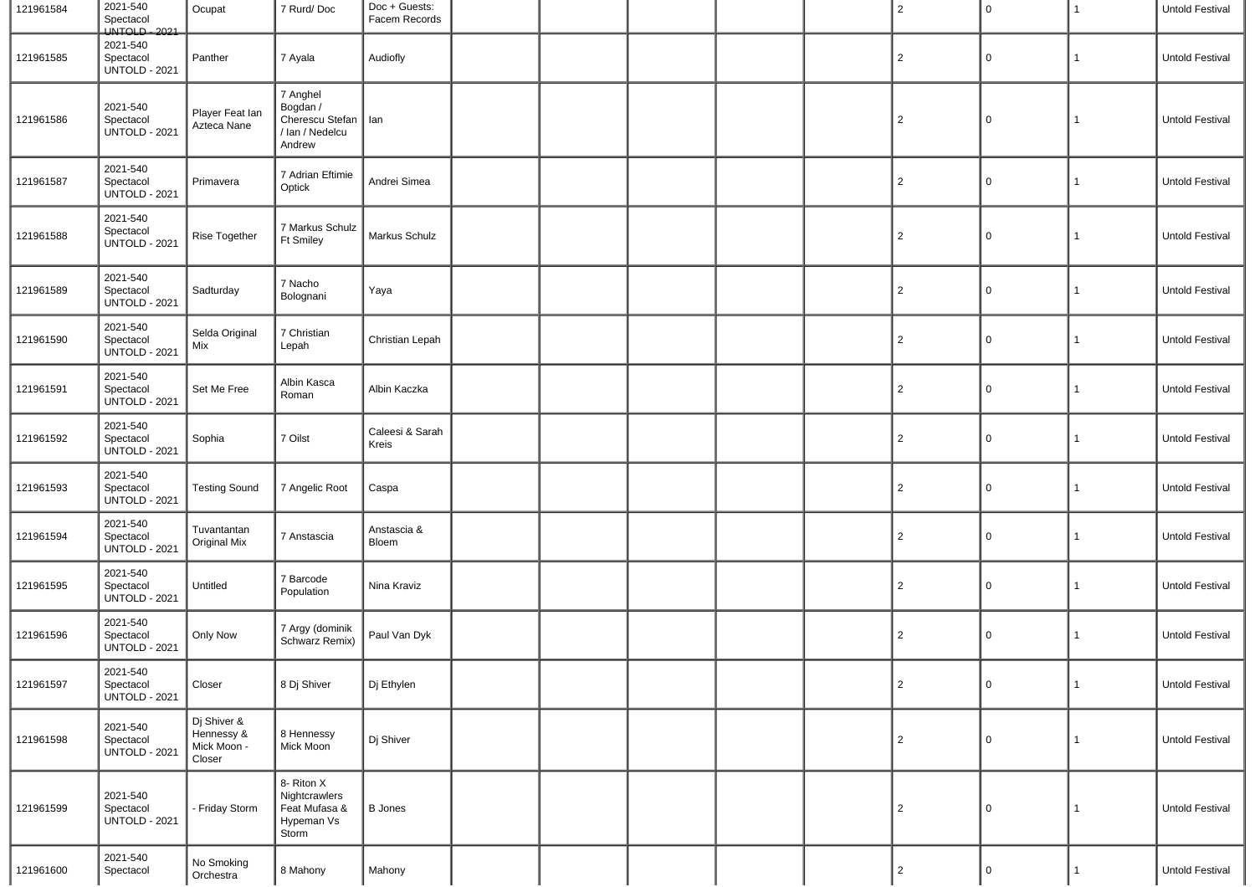| 121961584 | 2021-540<br>Spectacol<br>UNTOLD - 2021        | Ocupat                                             | 7 Rurd/Doc                                                                 | Doc + Guests:<br>Facem Records |  |  | $\overline{c}$ | $\mathbf 0$ | 1            | Untold Festival |
|-----------|-----------------------------------------------|----------------------------------------------------|----------------------------------------------------------------------------|--------------------------------|--|--|----------------|-------------|--------------|-----------------|
| 121961585 | 2021-540<br>Spectacol<br><b>UNTOLD - 2021</b> | Panther                                            | 7 Ayala                                                                    | Audiofly                       |  |  | $\overline{2}$ | 0           | 1            | Untold Festival |
| 121961586 | 2021-540<br>Spectacol<br><b>UNTOLD - 2021</b> | Player Feat Ian<br>Azteca Nane                     | 7 Anghel<br>Bogdan /<br>Cherescu Stefan   Ian<br>/ Ian / Nedelcu<br>Andrew |                                |  |  | $\overline{2}$ | 0           | $\mathbf{1}$ | Untold Festival |
| 121961587 | 2021-540<br>Spectacol<br><b>UNTOLD - 2021</b> | Primavera                                          | 7 Adrian Eftimie<br>Optick                                                 | Andrei Simea                   |  |  | $\overline{c}$ | 0           | 1            | Untold Festival |
| 121961588 | 2021-540<br>Spectacol<br><b>UNTOLD - 2021</b> | Rise Together                                      | 7 Markus Schulz<br><b>Ft Smiley</b>                                        | Markus Schulz                  |  |  | $\overline{c}$ | 0           | 1            | Untold Festival |
| 121961589 | 2021-540<br>Spectacol<br><b>UNTOLD - 2021</b> | Sadturday                                          | 7 Nacho<br>Bolognani                                                       | Yaya                           |  |  | $\overline{2}$ | 0           | 1            | Untold Festival |
| 121961590 | 2021-540<br>Spectacol<br><b>UNTOLD - 2021</b> | Selda Original<br>Mix                              | 7 Christian<br>Lepah                                                       | Christian Lepah                |  |  | $\overline{c}$ | 0           | $\mathbf{1}$ | Untold Festival |
| 121961591 | 2021-540<br>Spectacol<br><b>UNTOLD - 2021</b> | Set Me Free                                        | Albin Kasca<br>Roman                                                       | Albin Kaczka                   |  |  | $\overline{c}$ | 0           | 1            | Untold Festival |
| 121961592 | 2021-540<br>Spectacol<br><b>UNTOLD - 2021</b> | Sophia                                             | 7 Oilst                                                                    | Caleesi & Sarah<br>Kreis       |  |  | $\overline{c}$ | 0           | 1            | Untold Festival |
| 121961593 | 2021-540<br>Spectacol<br><b>UNTOLD - 2021</b> | <b>Testing Sound</b>                               | 7 Angelic Root                                                             | Caspa                          |  |  | $\overline{c}$ | 0           | 1            | Untold Festival |
| 121961594 | 2021-540<br>Spectacol<br><b>UNTOLD - 2021</b> | Tuvantantan<br>Original Mix                        | 7 Anstascia                                                                | Anstascia &<br>Bloem           |  |  | $\overline{c}$ | 0           | 1            | Untold Festival |
| 121961595 | 2021-540<br>Spectacol<br><b>UNTOLD - 2021</b> | Untitled                                           | 7 Barcode<br>Population                                                    | Nina Kraviz                    |  |  | $\overline{c}$ | 0           | 1            | Untold Festival |
| 121961596 | 2021-540<br>Spectacol<br><b>UNTOLD - 2021</b> | Only Now                                           | 7 Argy (dominik<br>Schwarz Remix)                                          | Paul Van Dyk                   |  |  | $\overline{2}$ | 0           | 1            | Untold Festival |
| 121961597 | 2021-540<br>Spectacol<br><b>UNTOLD - 2021</b> | Closer                                             | 8 Dj Shiver                                                                | Dj Ethylen                     |  |  | $\overline{2}$ | 0           | $\mathbf{1}$ | Untold Festival |
| 121961598 | 2021-540<br>Spectacol<br><b>UNTOLD - 2021</b> | Dj Shiver &<br>Hennessy &<br>Mick Moon -<br>Closer | 8 Hennessy<br>Mick Moon                                                    | Dj Shiver                      |  |  | $\overline{2}$ | 0           | 1            | Untold Festival |
| 121961599 | 2021-540<br>Spectacol<br><b>UNTOLD - 2021</b> | - Friday Storm                                     | 8- Riton X<br>Nightcrawlers<br>Feat Mufasa &<br>Hypeman Vs<br>Storm        | <b>B</b> Jones                 |  |  | $\overline{2}$ | 0           | $\mathbf{1}$ | Untold Festival |
| 121961600 | 2021-540<br>Spectacol                         | No Smoking<br>Orchestra                            | 8 Mahony                                                                   | Mahony                         |  |  | $\overline{2}$ | $\mathsf 0$ | 1            | Untold Festival |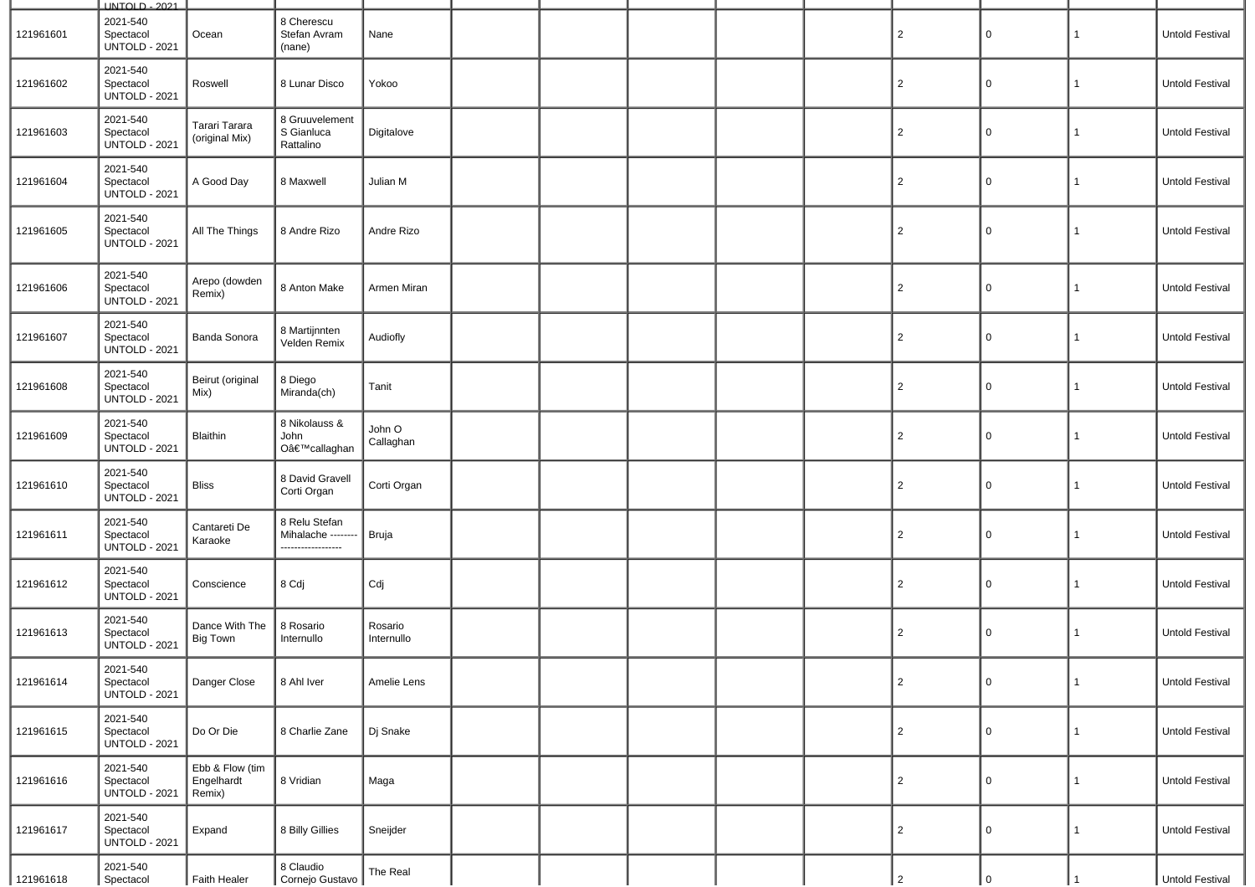|           | <b>UNTOLD - 2021</b>                          |                                         |                                                          |                       |  |  |                |             |              |                        |
|-----------|-----------------------------------------------|-----------------------------------------|----------------------------------------------------------|-----------------------|--|--|----------------|-------------|--------------|------------------------|
| 121961601 | 2021-540<br>Spectacol<br><b>UNTOLD - 2021</b> | Ocean                                   | 8 Cherescu<br>Stefan Avram<br>(nane)                     | Nane                  |  |  | $\overline{2}$ | 0           | 1            | Untold Festival        |
| 121961602 | 2021-540<br>Spectacol<br><b>UNTOLD - 2021</b> | Roswell                                 | 8 Lunar Disco                                            | Yokoo                 |  |  | $\overline{2}$ | 0           | 1            | Untold Festival        |
| 121961603 | 2021-540<br>Spectacol<br><b>UNTOLD - 2021</b> | Tarari Tarara<br>(original Mix)         | 8 Gruuvelement<br>S Gianluca<br>Rattalino                | Digitalove            |  |  | $\overline{2}$ | 0           | 1            | Untold Festival        |
| 121961604 | 2021-540<br>Spectacol<br><b>UNTOLD - 2021</b> | A Good Day                              | 8 Maxwell                                                | Julian M              |  |  | $\overline{2}$ | 0           | 1            | Untold Festival        |
| 121961605 | 2021-540<br>Spectacol<br><b>UNTOLD - 2021</b> | All The Things                          | 8 Andre Rizo                                             | Andre Rizo            |  |  | $\overline{2}$ | 0           | 1            | Untold Festival        |
| 121961606 | 2021-540<br>Spectacol<br><b>UNTOLD - 2021</b> | Arepo (dowden<br>Remix)                 | 8 Anton Make                                             | Armen Miran           |  |  | $\overline{2}$ | $\mathbf 0$ | $\mathbf{1}$ | Untold Festival        |
| 121961607 | 2021-540<br>Spectacol<br><b>UNTOLD - 2021</b> | <b>Banda Sonora</b>                     | 8 Martijnnten<br>Velden Remix                            | Audiofly              |  |  | $\overline{2}$ | 0           | $\mathbf{1}$ | Untold Festival        |
| 121961608 | 2021-540<br>Spectacol<br><b>UNTOLD - 2021</b> | Beirut (original<br>Mix)                | 8 Diego<br>Miranda(ch)                                   | Tanit                 |  |  | $\overline{2}$ | 0           | -1           | Untold Festival        |
| 121961609 | 2021-540<br>Spectacol<br><b>UNTOLD - 2021</b> | Blaithin                                | 8 Nikolauss &<br>John<br>O'callaghan                     | John O<br>Callaghan   |  |  | $\overline{2}$ | $\mathbf 0$ | 1            | Untold Festival        |
| 121961610 | 2021-540<br>Spectacol<br><b>UNTOLD - 2021</b> | <b>Bliss</b>                            | 8 David Gravell<br>Corti Organ                           | Corti Organ           |  |  | $\overline{2}$ | 0           | 1            | Untold Festival        |
| 121961611 | 2021-540<br>Spectacol<br><b>UNTOLD - 2021</b> | Cantareti De<br>Karaoke                 | 8 Relu Stefan<br>Mihalache -------<br>------------------ | Bruja                 |  |  | $\overline{2}$ | 0           | 1            | Untold Festival        |
| 121961612 | 2021-540<br>Spectacol<br><b>UNTOLD - 2021</b> | Conscience                              | 8 Cdj                                                    | Cdj                   |  |  | $\overline{2}$ | 0           | 1            | <b>Untold Festival</b> |
| 121961613 | 2021-540<br>Spectacol<br><b>UNTOLD - 2021</b> | Dance With The<br><b>Big Town</b>       | 8 Rosario<br>Internullo                                  | Rosario<br>Internullo |  |  | $\overline{2}$ | 0           | 1            | Untold Festival        |
| 121961614 | 2021-540<br>Spectacol<br><b>UNTOLD - 2021</b> | Danger Close                            | 8 Ahl Iver                                               | Amelie Lens           |  |  | $\overline{c}$ | $\mathbf 0$ | $\mathbf{1}$ | Untold Festival        |
| 121961615 | 2021-540<br>Spectacol<br><b>UNTOLD - 2021</b> | Do Or Die                               | 8 Charlie Zane                                           | Dj Snake              |  |  | $\overline{2}$ | $\mathbf 0$ | $\mathbf{1}$ | Untold Festival        |
| 121961616 | 2021-540<br>Spectacol<br><b>UNTOLD - 2021</b> | Ebb & Flow (tim<br>Engelhardt<br>Remix) | 8 Vridian                                                | Maga                  |  |  | $\overline{2}$ | $\mathbf 0$ | $\mathbf{1}$ | Untold Festival        |
| 121961617 | 2021-540<br>Spectacol<br><b>UNTOLD - 2021</b> | Expand                                  | 8 Billy Gillies                                          | Sneijder              |  |  | $\overline{2}$ | $\mathbf 0$ | $\mathbf{1}$ | Untold Festival        |
| 121961618 | 2021-540<br>Spectacol                         | Faith Healer                            | 8 Claudio<br>Cornejo Gustavo                             | The Real              |  |  | $\overline{2}$ |             |              | Untold Festival        |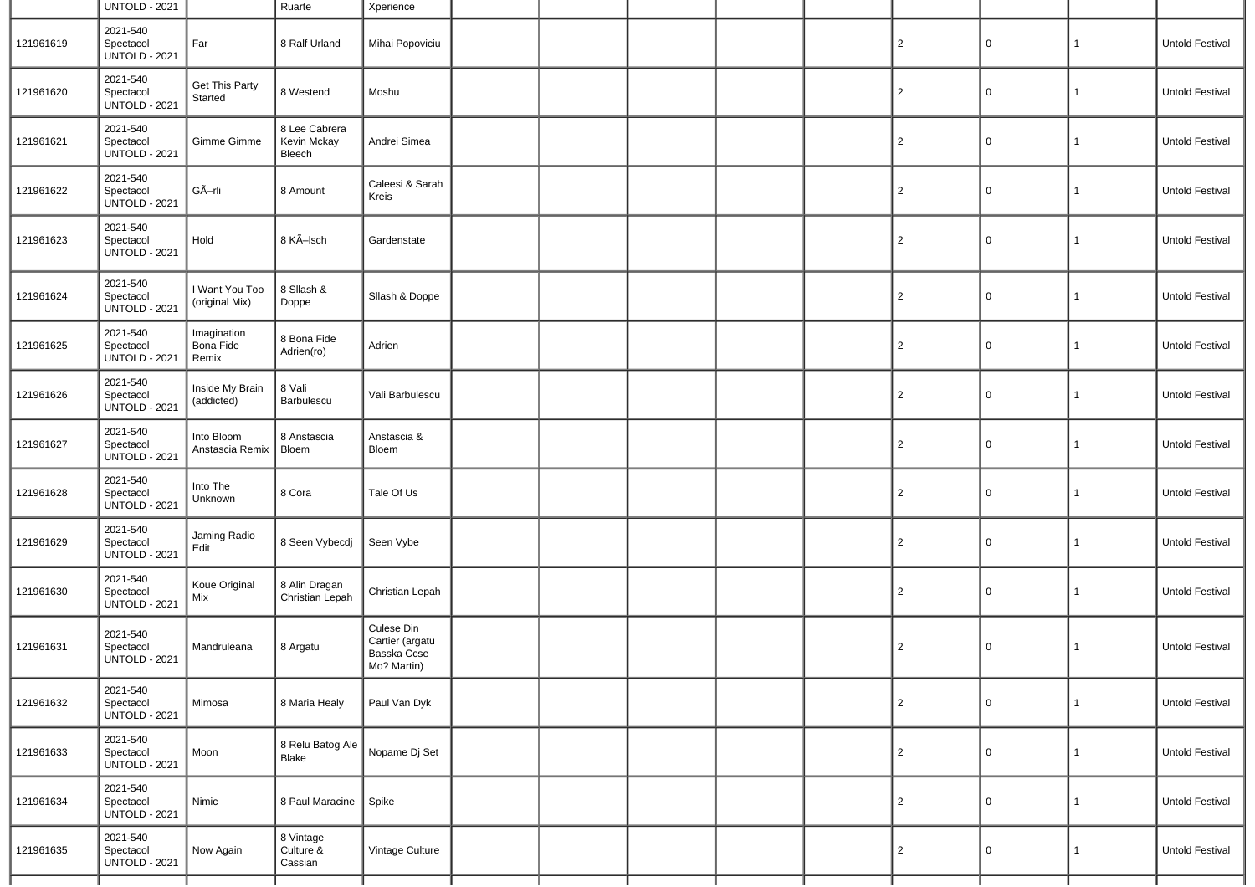|           | <b>UNTOLD - 2021</b>                          |                                   | Ruarte                                 | Xperience                                                   |  |  |                |   |              |                 |
|-----------|-----------------------------------------------|-----------------------------------|----------------------------------------|-------------------------------------------------------------|--|--|----------------|---|--------------|-----------------|
| 121961619 | 2021-540<br>Spectacol<br><b>UNTOLD - 2021</b> | Far                               | 8 Ralf Urland                          | Mihai Popoviciu                                             |  |  | $\overline{c}$ | 0 | $\mathbf{1}$ | Untold Festival |
| 121961620 | 2021-540<br>Spectacol<br><b>UNTOLD - 2021</b> | Get This Party<br>Started         | 8 Westend                              | Moshu                                                       |  |  | $\overline{2}$ | 0 | $\mathbf{1}$ | Untold Festival |
| 121961621 | 2021-540<br>Spectacol<br><b>UNTOLD - 2021</b> | Gimme Gimme                       | 8 Lee Cabrera<br>Kevin Mckay<br>Bleech | Andrei Simea                                                |  |  | $\overline{2}$ | 0 | 1            | Untold Festival |
| 121961622 | 2021-540<br>Spectacol<br><b>UNTOLD - 2021</b> | GÃ-rli                            | 8 Amount                               | Caleesi & Sarah<br>Kreis                                    |  |  | $\overline{2}$ | 0 | 1            | Untold Festival |
| 121961623 | 2021-540<br>Spectacol<br><b>UNTOLD - 2021</b> | Hold                              | 8 KÃ-Isch                              | Gardenstate                                                 |  |  | $\overline{2}$ | 0 | $\mathbf{1}$ | Untold Festival |
| 121961624 | 2021-540<br>Spectacol<br><b>UNTOLD - 2021</b> | I Want You Too<br>(original Mix)  | 8 Sllash &<br>Doppe                    | Sllash & Doppe                                              |  |  | $\overline{c}$ | 0 | $\mathbf{1}$ | Untold Festival |
| 121961625 | 2021-540<br>Spectacol<br><b>UNTOLD - 2021</b> | Imagination<br>Bona Fide<br>Remix | 8 Bona Fide<br>Adrien(ro)              | Adrien                                                      |  |  | $\overline{2}$ | 0 | $\mathbf 1$  | Untold Festival |
| 121961626 | 2021-540<br>Spectacol<br><b>UNTOLD - 2021</b> | Inside My Brain<br>(addicted)     | 8 Vali<br>Barbulescu                   | Vali Barbulescu                                             |  |  | $\overline{2}$ | 0 | $\mathbf{1}$ | Untold Festival |
| 121961627 | 2021-540<br>Spectacol<br><b>UNTOLD - 2021</b> | Into Bloom<br>Anstascia Remix     | 8 Anstascia<br>Bloem                   | Anstascia &<br>Bloem                                        |  |  | $\overline{c}$ | 0 | $\mathbf{1}$ | Untold Festival |
| 121961628 | 2021-540<br>Spectacol<br><b>UNTOLD - 2021</b> | Into The<br>Unknown               | 8 Cora                                 | Tale Of Us                                                  |  |  | $\overline{2}$ | 0 | $\mathbf{1}$ | Untold Festival |
| 121961629 | 2021-540<br>Spectacol<br><b>UNTOLD - 2021</b> | Jaming Radio<br>Edit              | 8 Seen Vybecdj                         | Seen Vybe                                                   |  |  | $\overline{2}$ | 0 | $\mathbf{1}$ | Untold Festival |
| 121961630 | 2021-540<br>Spectacol<br><b>UNTOLD - 2021</b> | Koue Original<br>Mix              | 8 Alin Dragan<br>Christian Lepah       | Christian Lepah                                             |  |  | $\overline{2}$ | 0 | $\mathbf{1}$ | Untold Festival |
| 121961631 | 2021-540<br>Spectacol<br><b>UNTOLD - 2021</b> | Mandruleana                       | 8 Argatu                               | Culese Din<br>Cartier (argatu<br>Basska Ccse<br>Mo? Martin) |  |  | $\overline{2}$ | 0 | $\mathbf{1}$ | Untold Festival |
| 121961632 | 2021-540<br>Spectacol<br><b>UNTOLD - 2021</b> | Mimosa                            | 8 Maria Healy                          | Paul Van Dyk                                                |  |  | $\overline{2}$ | 0 | $\mathbf{1}$ | Untold Festival |
| 121961633 | 2021-540<br>Spectacol<br><b>UNTOLD - 2021</b> | Moon                              | 8 Relu Batog Ale<br>Blake              | Nopame Dj Set                                               |  |  | $\overline{2}$ | 0 | $\mathbf{1}$ | Untold Festival |
| 121961634 | 2021-540<br>Spectacol<br><b>UNTOLD - 2021</b> | Nimic                             | 8 Paul Maracine                        | Spike                                                       |  |  | $\overline{2}$ | 0 | $\mathbf{1}$ | Untold Festival |
| 121961635 | 2021-540<br>Spectacol<br><b>UNTOLD - 2021</b> | Now Again                         | 8 Vintage<br>Culture &<br>Cassian      | Vintage Culture                                             |  |  | $\overline{2}$ | 0 | $\mathbf{1}$ | Untold Festival |
|           |                                               |                                   |                                        |                                                             |  |  |                |   |              |                 |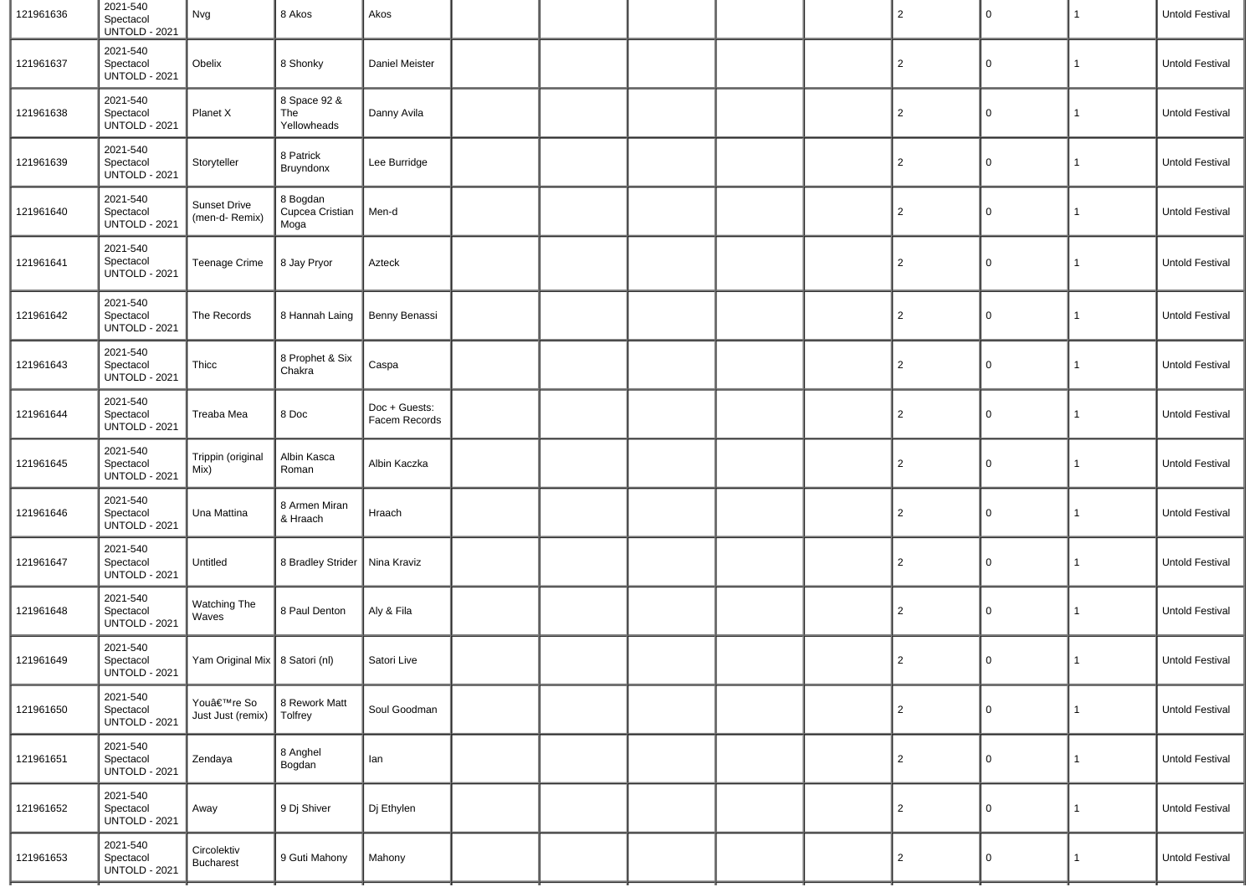| 121961636 | 2021-540<br>Spectacol<br><b>UNTOLD - 2021</b> | Nvg                              | 8 Akos                              | Akos                           |  |  | $\overline{2}$ | $\mathsf{O}$ | 1            | Untold Festival |
|-----------|-----------------------------------------------|----------------------------------|-------------------------------------|--------------------------------|--|--|----------------|--------------|--------------|-----------------|
| 121961637 | 2021-540<br>Spectacol<br><b>UNTOLD - 2021</b> | Obelix                           | 8 Shonky                            | Daniel Meister                 |  |  | $\overline{2}$ | 0            | $\mathbf{1}$ | Untold Festival |
| 121961638 | 2021-540<br>Spectacol<br><b>UNTOLD - 2021</b> | Planet X                         | 8 Space 92 &<br>The<br>Yellowheads  | Danny Avila                    |  |  | $\overline{2}$ | $\mathbf 0$  | $\mathbf{1}$ | Untold Festival |
| 121961639 | 2021-540<br>Spectacol<br><b>UNTOLD - 2021</b> | Storyteller                      | 8 Patrick<br>Bruyndonx              | Lee Burridge                   |  |  | $\overline{2}$ | $\mathbf 0$  | $\mathbf{1}$ | Untold Festival |
| 121961640 | 2021-540<br>Spectacol<br><b>UNTOLD - 2021</b> | Sunset Drive<br>(men-d- Remix)   | 8 Bogdan<br>Cupcea Cristian<br>Moga | Men-d                          |  |  | $\overline{2}$ | $\mathbf 0$  | $\mathbf{1}$ | Untold Festival |
| 121961641 | 2021-540<br>Spectacol<br><b>UNTOLD - 2021</b> | Teenage Crime                    | 8 Jay Pryor                         | Azteck                         |  |  | $\overline{2}$ | $\mathbf 0$  | $\mathbf{1}$ | Untold Festival |
| 121961642 | 2021-540<br>Spectacol<br><b>UNTOLD - 2021</b> | The Records                      | 8 Hannah Laing                      | Benny Benassi                  |  |  | $\overline{2}$ | 0            | $\mathbf{1}$ | Untold Festival |
| 121961643 | 2021-540<br>Spectacol<br><b>UNTOLD - 2021</b> | Thicc                            | 8 Prophet & Six<br>Chakra           | Caspa                          |  |  | $\overline{2}$ | $\mathsf{O}$ | $\mathbf{1}$ | Untold Festival |
| 121961644 | 2021-540<br>Spectacol<br><b>UNTOLD - 2021</b> | Treaba Mea                       | 8 Doc                               | Doc + Guests:<br>Facem Records |  |  | $\overline{2}$ | 0            | 1            | Untold Festival |
| 121961645 | 2021-540<br>Spectacol<br><b>UNTOLD - 2021</b> | Trippin (original<br>Mix)        | Albin Kasca<br>Roman                | Albin Kaczka                   |  |  | $\overline{2}$ | $\mathsf{O}$ | $\mathbf{1}$ | Untold Festival |
| 121961646 | 2021-540<br>Spectacol<br><b>UNTOLD - 2021</b> | Una Mattina                      | 8 Armen Miran<br>& Hraach           | Hraach                         |  |  | $\overline{2}$ | 0            | $\mathbf{1}$ | Untold Festival |
| 121961647 | 2021-540<br>Spectacol<br><b>UNTOLD - 2021</b> | Untitled                         | 8 Bradley Strider                   | $\vert$ Nina Kraviz            |  |  | $\overline{2}$ | $\mathsf{O}$ | $\mathbf{1}$ | Untold Festival |
| 121961648 | 2021-540<br>Spectacol<br><b>UNTOLD - 2021</b> | Watching The<br>Waves            | 8 Paul Denton                       | Aly & Fila                     |  |  | $\overline{2}$ | 0            | 1            | Untold Festival |
| 121961649 | 2021-540<br>Spectacol<br>UNTOLD - 2021        | Yam Original Mix   8 Satori (nl) |                                     | Satori Live                    |  |  | $\overline{2}$ | 0            | 1            | Untold Festival |
| 121961650 | 2021-540<br>Spectacol<br><b>UNTOLD - 2021</b> | You're So<br>Just Just (remix)   | 8 Rework Matt<br>Tolfrey            | Soul Goodman                   |  |  | $\overline{c}$ | $\mathsf{O}$ | 1            | Untold Festival |
| 121961651 | 2021-540<br>Spectacol<br><b>UNTOLD - 2021</b> | Zendaya                          | 8 Anghel<br>Bogdan                  | lan                            |  |  | $\overline{2}$ | $\mathbf 0$  | 1            | Untold Festival |
| 121961652 | 2021-540<br>Spectacol<br><b>UNTOLD - 2021</b> | Away                             | 9 Dj Shiver                         | Dj Ethylen                     |  |  | $\overline{2}$ | 0            | $\mathbf{1}$ | Untold Festival |
| 121961653 | 2021-540<br>Spectacol<br><b>UNTOLD - 2021</b> | Circolektiv<br><b>Bucharest</b>  | 9 Guti Mahony                       | Mahony                         |  |  | $\overline{c}$ | $\mathsf{O}$ | $\mathbf{1}$ | Untold Festival |
|           |                                               |                                  |                                     |                                |  |  |                |              |              |                 |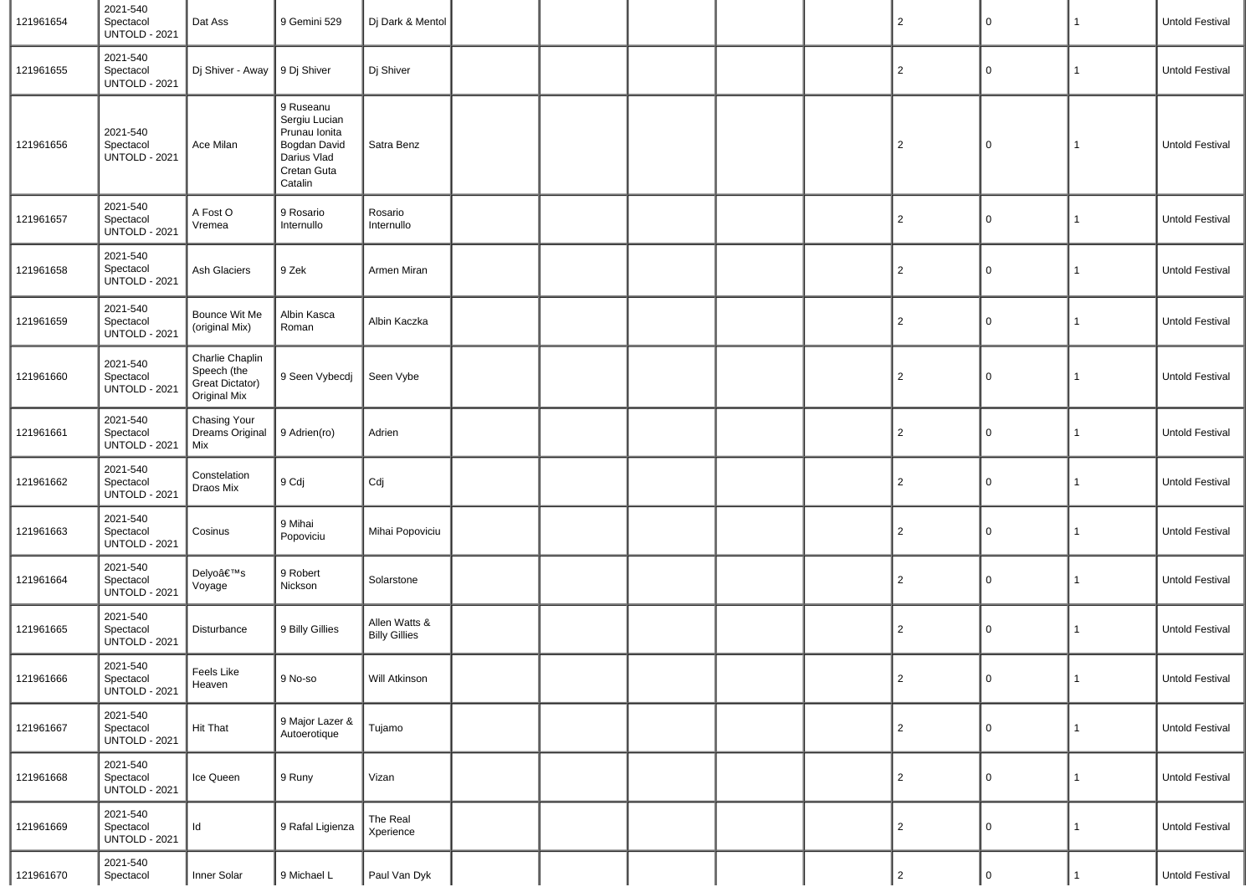| 121961654 | 2021-540<br>Spectacol<br><b>UNTOLD - 2021</b> | Dat Ass                                                           | 9 Gemini 529                                                                                         | Dj Dark & Mentol                      |  |  | 2              | $\pmb{0}$      | $\mathbf{1}$ | Untold Festival |
|-----------|-----------------------------------------------|-------------------------------------------------------------------|------------------------------------------------------------------------------------------------------|---------------------------------------|--|--|----------------|----------------|--------------|-----------------|
| 121961655 | 2021-540<br>Spectacol<br><b>UNTOLD - 2021</b> | Dj Shiver - Away                                                  | 9 Dj Shiver                                                                                          | Dj Shiver                             |  |  | $\overline{2}$ | $\mathbf 0$    | $\mathbf{1}$ | Untold Festival |
| 121961656 | 2021-540<br>Spectacol<br><b>UNTOLD - 2021</b> | Ace Milan                                                         | 9 Ruseanu<br>Sergiu Lucian<br>Prunau Ionita<br>Bogdan David<br>Darius Vlad<br>Cretan Guta<br>Catalin | Satra Benz                            |  |  | 2              | 0              | $\mathbf{1}$ | Untold Festival |
| 121961657 | 2021-540<br>Spectacol<br><b>UNTOLD - 2021</b> | A Fost O<br>Vremea                                                | 9 Rosario<br>Internullo                                                                              | Rosario<br>Internullo                 |  |  | $\overline{2}$ | 0              | 1            | Untold Festival |
| 121961658 | 2021-540<br>Spectacol<br><b>UNTOLD - 2021</b> | Ash Glaciers                                                      | 9 Zek                                                                                                | Armen Miran                           |  |  | $\overline{2}$ | 0              | 1            | Untold Festival |
| 121961659 | 2021-540<br>Spectacol<br><b>UNTOLD - 2021</b> | Bounce Wit Me<br>(original Mix)                                   | Albin Kasca<br>Roman                                                                                 | Albin Kaczka                          |  |  | 2              | $\mathsf 0$    | $\mathbf{1}$ | Untold Festival |
| 121961660 | 2021-540<br>Spectacol<br><b>UNTOLD - 2021</b> | Charlie Chaplin<br>Speech (the<br>Great Dictator)<br>Original Mix | 9 Seen Vybecdj                                                                                       | Seen Vybe                             |  |  | $\overline{2}$ | 0              | 1            | Untold Festival |
| 121961661 | 2021-540<br>Spectacol<br><b>UNTOLD - 2021</b> | <b>Chasing Your</b><br><b>Dreams Original</b><br>Mix              | 9 Adrien(ro)                                                                                         | Adrien                                |  |  | $\overline{2}$ | 0              | $\mathbf{1}$ | Untold Festival |
| 121961662 | 2021-540<br>Spectacol<br><b>UNTOLD - 2021</b> | Constelation<br>Draos Mix                                         | 9 Cdj                                                                                                | Cdj                                   |  |  | 2              | $\mathsf 0$    | $\mathbf{1}$ | Untold Festival |
| 121961663 | 2021-540<br>Spectacol<br><b>UNTOLD - 2021</b> | Cosinus                                                           | 9 Mihai<br>Popoviciu                                                                                 | Mihai Popoviciu                       |  |  | $\overline{2}$ | 0              | $\mathbf{1}$ | Untold Festival |
| 121961664 | 2021-540<br>Spectacol<br><b>UNTOLD - 2021</b> | Delyo's<br>Voyage                                                 | 9 Robert<br>Nickson                                                                                  | Solarstone                            |  |  | 2              | $\mathsf 0$    | 1            | Untold Festival |
| 121961665 | 2021-540<br>Spectacol<br><b>UNTOLD - 2021</b> | Disturbance                                                       | 9 Billy Gillies                                                                                      | Allen Watts &<br><b>Billy Gillies</b> |  |  | $\overline{2}$ | 0              | 1            | Untold Festival |
| 121961666 | 2021-540<br>Spectacol<br><b>UNTOLD - 2021</b> | Feels Like<br>Heaven                                              | 9 No-so                                                                                              | Will Atkinson                         |  |  | $\overline{2}$ | $\overline{0}$ | $\mathbf{1}$ | Untold Festival |
| 121961667 | 2021-540<br>Spectacol<br><b>UNTOLD - 2021</b> | <b>Hit That</b>                                                   | 9 Major Lazer &<br>Autoerotique                                                                      | Tujamo                                |  |  | $\overline{2}$ | 0              | 1            | Untold Festival |
| 121961668 | 2021-540<br>Spectacol<br><b>UNTOLD - 2021</b> | Ice Queen                                                         | 9 Runy                                                                                               | Vizan                                 |  |  | 2              | $\mathsf 0$    | 1            | Untold Festival |
| 121961669 | 2021-540<br>Spectacol<br><b>UNTOLD - 2021</b> | Id                                                                | 9 Rafal Ligienza                                                                                     | The Real<br>Xperience                 |  |  | $\overline{2}$ | $\mathsf 0$    | $\mathbf{1}$ | Untold Festival |
| 121961670 | 2021-540<br>Spectacol                         | Inner Solar                                                       | 9 Michael L                                                                                          | Paul Van Dyk                          |  |  | $\overline{2}$ | $\mathbf 0$    |              | Untold Festival |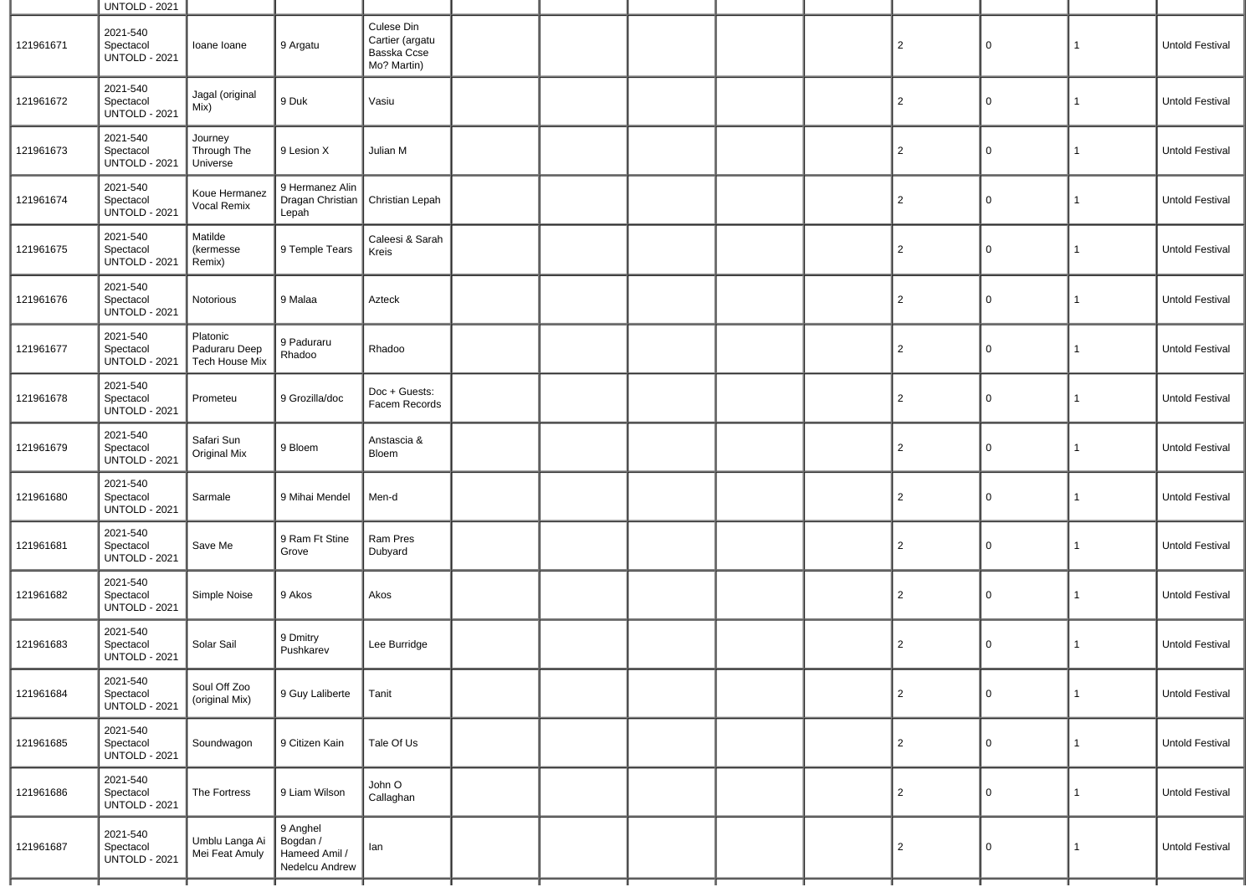|           | <b>UNTOLD - 2021</b>                          |                                             |                                                         |                                                             |  |  |                |             |              |                        |
|-----------|-----------------------------------------------|---------------------------------------------|---------------------------------------------------------|-------------------------------------------------------------|--|--|----------------|-------------|--------------|------------------------|
| 121961671 | 2021-540<br>Spectacol<br><b>UNTOLD - 2021</b> | Ioane Ioane                                 | 9 Argatu                                                | Culese Din<br>Cartier (argatu<br>Basska Ccse<br>Mo? Martin) |  |  | $\overline{c}$ | $\Omega$    | 1            | Untold Festival        |
| 121961672 | 2021-540<br>Spectacol<br><b>UNTOLD - 2021</b> | Jagal (original<br>Mix)                     | 9 Duk                                                   | Vasiu                                                       |  |  | $\overline{2}$ | 0           | 1            | Untold Festival        |
| 121961673 | 2021-540<br>Spectacol<br><b>UNTOLD - 2021</b> | Journey<br>Through The<br>Universe          | 9 Lesion X                                              | Julian M                                                    |  |  | $\overline{2}$ | $\Omega$    | 1            | Untold Festival        |
| 121961674 | 2021-540<br>Spectacol<br><b>UNTOLD - 2021</b> | Koue Hermanez<br>Vocal Remix                | 9 Hermanez Alin<br>Dragan Christian<br>Lepah            | Christian Lepah                                             |  |  | $\overline{2}$ | 0           | $\mathbf{1}$ | Untold Festival        |
| 121961675 | 2021-540<br>Spectacol<br><b>UNTOLD - 2021</b> | Matilde<br>(kermesse<br>Remix)              | 9 Temple Tears                                          | Caleesi & Sarah<br>Kreis                                    |  |  | $\overline{2}$ | 0           | 1            | Untold Festival        |
| 121961676 | 2021-540<br>Spectacol<br><b>UNTOLD - 2021</b> | Notorious                                   | 9 Malaa                                                 | Azteck                                                      |  |  | $\overline{c}$ | 0           | 1            | Untold Festival        |
| 121961677 | 2021-540<br>Spectacol<br><b>UNTOLD - 2021</b> | Platonic<br>Paduraru Deep<br>Tech House Mix | 9 Paduraru<br>Rhadoo                                    | Rhadoo                                                      |  |  | $\overline{c}$ | $\Omega$    | 1            | Untold Festival        |
| 121961678 | 2021-540<br>Spectacol<br><b>UNTOLD - 2021</b> | Prometeu                                    | 9 Grozilla/doc                                          | Doc + Guests:<br>Facem Records                              |  |  | $\overline{c}$ | 0           | $\mathbf{1}$ | Untold Festival        |
| 121961679 | 2021-540<br>Spectacol<br><b>UNTOLD - 2021</b> | Safari Sun<br>Original Mix                  | 9 Bloem                                                 | Anstascia &<br>Bloem                                        |  |  | $\overline{2}$ | $\mathbf 0$ | $\mathbf{1}$ | Untold Festival        |
| 121961680 | 2021-540<br>Spectacol<br><b>UNTOLD - 2021</b> | Sarmale                                     | 9 Mihai Mendel                                          | Men-d                                                       |  |  | $\overline{c}$ | 0           | 1            | Untold Festival        |
| 121961681 | 2021-540<br>Spectacol<br><b>UNTOLD - 2021</b> | Save Me                                     | 9 Ram Ft Stine<br>Grove                                 | Ram Pres<br>Dubyard                                         |  |  | $\overline{2}$ | 0           | 1            | Untold Festival        |
| 121961682 | 2021-540<br>Spectacol<br><b>UNTOLD - 2021</b> | Simple Noise                                | 9 Akos                                                  | Akos                                                        |  |  | $\overline{2}$ | 0           | 1            | Untold Festival        |
| 121961683 | 2021-540<br>Spectacol<br><b>UNTOLD - 2021</b> | Solar Sail                                  | 9 Dmitry<br>Pushkarev                                   | Lee Burridge                                                |  |  | $\overline{c}$ | 0           | 1            | <b>Untold Festival</b> |
| 121961684 | 2021-540<br>Spectacol<br><b>UNTOLD - 2021</b> | Soul Off Zoo<br>(original Mix)              | 9 Guy Laliberte                                         | Tanit                                                       |  |  | $\overline{2}$ | $\mathbf 0$ | $\mathbf{1}$ | Untold Festival        |
| 121961685 | 2021-540<br>Spectacol<br><b>UNTOLD - 2021</b> | Soundwagon                                  | 9 Citizen Kain                                          | Tale Of Us                                                  |  |  | $\overline{2}$ | $\mathbf 0$ | $\mathbf{1}$ | Untold Festival        |
| 121961686 | 2021-540<br>Spectacol<br><b>UNTOLD - 2021</b> | The Fortress                                | 9 Liam Wilson                                           | John O<br>Callaghan                                         |  |  | $\overline{2}$ | 0           | 1            | Untold Festival        |
| 121961687 | 2021-540<br>Spectacol<br><b>UNTOLD - 2021</b> | Umblu Langa Ai<br>Mei Feat Amuly            | 9 Anghel<br>Bogdan /<br>Hameed Amil /<br>Nedelcu Andrew | lan                                                         |  |  | $\overline{2}$ | $\Omega$    | 1            | Untold Festival        |
|           |                                               |                                             |                                                         |                                                             |  |  |                |             |              |                        |